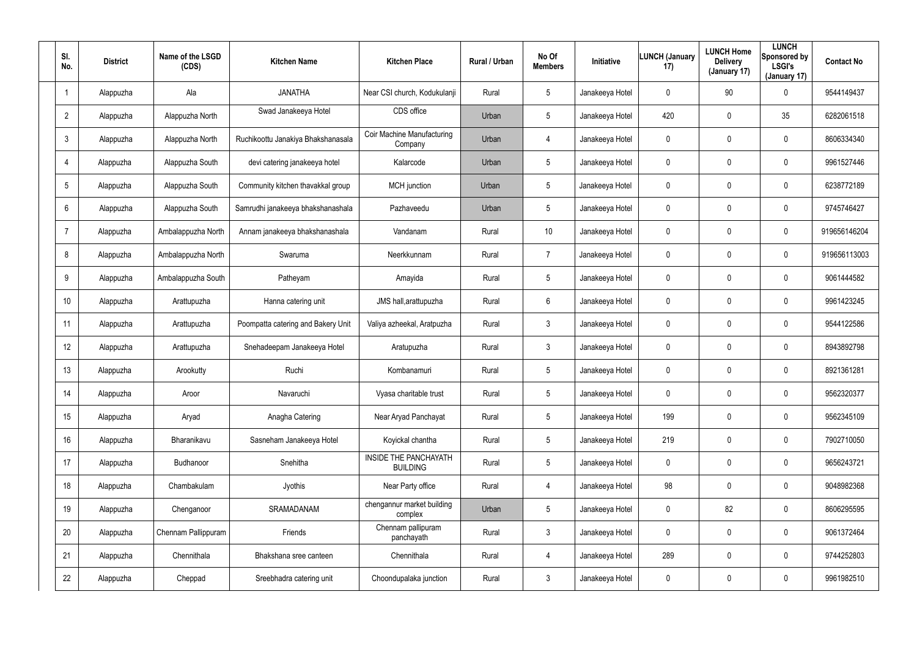| SI.<br>No.      | <b>District</b> | Name of the LSGD<br>(CDS) | <b>Kitchen Name</b>                | <b>Kitchen Place</b>                     | Rural / Urban | No Of<br><b>Members</b> | <b>Initiative</b> | <b>LUNCH (January</b><br>17) | <b>LUNCH Home</b><br><b>Delivery</b><br>(January 17) | <b>LUNCH</b><br>Sponsored by<br><b>LSGI's</b><br>(January 17) | <b>Contact No</b> |
|-----------------|-----------------|---------------------------|------------------------------------|------------------------------------------|---------------|-------------------------|-------------------|------------------------------|------------------------------------------------------|---------------------------------------------------------------|-------------------|
|                 | Alappuzha       | Ala                       | <b>JANATHA</b>                     | Near CSI church, Kodukulanji             | Rural         | 5                       | Janakeeya Hotel   | 0                            | 90                                                   | 0                                                             | 9544149437        |
| $\overline{2}$  | Alappuzha       | Alappuzha North           | Swad Janakeeya Hotel               | CDS office                               | Urban         | 5                       | Janakeeya Hotel   | 420                          | $\mathbf 0$                                          | 35                                                            | 6282061518        |
| 3               | Alappuzha       | Alappuzha North           | Ruchikoottu Janakiya Bhakshanasala | Coir Machine Manufacturing<br>Company    | Urban         | 4                       | Janakeeya Hotel   | 0                            | 0                                                    | 0                                                             | 8606334340        |
| $\overline{4}$  | Alappuzha       | Alappuzha South           | devi catering janakeeya hotel      | Kalarcode                                | Urban         | 5                       | Janakeeya Hotel   | 0                            | $\mathbf 0$                                          | 0                                                             | 9961527446        |
| 5               | Alappuzha       | Alappuzha South           | Community kitchen thavakkal group  | <b>MCH</b> junction                      | Urban         | $5\phantom{.0}$         | Janakeeya Hotel   | 0                            | 0                                                    | 0                                                             | 6238772189        |
| 6               | Alappuzha       | Alappuzha South           | Samrudhi janakeeya bhakshanashala  | Pazhaveedu                               | Urban         | 5                       | Janakeeya Hotel   | 0                            | $\mathbf 0$                                          | 0                                                             | 9745746427        |
| $\overline{7}$  | Alappuzha       | Ambalappuzha North        | Annam janakeeya bhakshanashala     | Vandanam                                 | Rural         | 10 <sup>°</sup>         | Janakeeya Hotel   | 0                            | $\mathbf 0$                                          | 0                                                             | 919656146204      |
| 8               | Alappuzha       | Ambalappuzha North        | Swaruma                            | Neerkkunnam                              | Rural         | $\overline{7}$          | Janakeeya Hotel   | 0                            | $\mathbf 0$                                          | 0                                                             | 919656113003      |
| 9               | Alappuzha       | Ambalappuzha South        | Patheyam                           | Amayida                                  | Rural         | $5\phantom{.0}$         | Janakeeya Hotel   | $\mathbf 0$                  | $\mathbf 0$                                          | 0                                                             | 9061444582        |
| 10 <sup>°</sup> | Alappuzha       | Arattupuzha               | Hanna catering unit                | JMS hall, arattupuzha                    | Rural         | 6                       | Janakeeya Hotel   | 0                            | $\mathbf 0$                                          | 0                                                             | 9961423245        |
| 11              | Alappuzha       | Arattupuzha               | Poompatta catering and Bakery Unit | Valiya azheekal, Aratpuzha               | Rural         | $\mathbf{3}$            | Janakeeya Hotel   | 0                            | $\mathbf 0$                                          | 0                                                             | 9544122586        |
| 12              | Alappuzha       | Arattupuzha               | Snehadeepam Janakeeya Hotel        | Aratupuzha                               | Rural         | $\mathbf{3}$            | Janakeeya Hotel   | 0                            | $\mathbf 0$                                          | 0                                                             | 8943892798        |
| 13              | Alappuzha       | Arookutty                 | Ruchi                              | Kombanamuri                              | Rural         | $5\overline{)}$         | Janakeeya Hotel   | 0                            | $\mathbf 0$                                          | 0                                                             | 8921361281        |
| 14              | Alappuzha       | Aroor                     | Navaruchi                          | Vyasa charitable trust                   | Rural         | 5                       | Janakeeya Hotel   | 0                            | $\mathbf 0$                                          | 0                                                             | 9562320377        |
| 15              | Alappuzha       | Aryad                     | Anagha Catering                    | Near Aryad Panchayat                     | Rural         | $5\phantom{.0}$         | Janakeeya Hotel   | 199                          | $\mathbf 0$                                          | 0                                                             | 9562345109        |
| 16              | Alappuzha       | Bharanikavu               | Sasneham Janakeeya Hotel           | Koyickal chantha                         | Rural         | $5\phantom{.0}$         | Janakeeya Hotel   | 219                          | $\mathbf 0$                                          | 0                                                             | 7902710050        |
| 17              | Alappuzha       | Budhanoor                 | Snehitha                           | INSIDE THE PANCHAYATH<br><b>BUILDING</b> | Rural         | $5\phantom{.0}$         | Janakeeya Hotel   | $\mathbf 0$                  | $\mathbf 0$                                          | 0                                                             | 9656243721        |
| 18              | Alappuzha       | Chambakulam               | Jyothis                            | Near Party office                        | Rural         | 4                       | Janakeeya Hotel   | 98                           | $\mathbf 0$                                          | 0                                                             | 9048982368        |
| 19              | Alappuzha       | Chenganoor                | SRAMADANAM                         | chengannur market building<br>complex    | Urban         | $5\overline{)}$         | Janakeeya Hotel   | 0                            | 82                                                   | 0                                                             | 8606295595        |
| 20              | Alappuzha       | Chennam Pallippuram       | Friends                            | Chennam pallipuram<br>panchayath         | Rural         | $\mathbf{3}$            | Janakeeya Hotel   | 0                            | $\mathbf 0$                                          | 0                                                             | 9061372464        |
| 21              | Alappuzha       | Chennithala               | Bhakshana sree canteen             | Chennithala                              | Rural         | 4                       | Janakeeya Hotel   | 289                          | $\mathbf 0$                                          | 0                                                             | 9744252803        |
| 22              | Alappuzha       | Cheppad                   | Sreebhadra catering unit           | Choondupalaka junction                   | Rural         | $\mathfrak{Z}$          | Janakeeya Hotel   | 0                            | $\mathbf 0$                                          | 0                                                             | 9961982510        |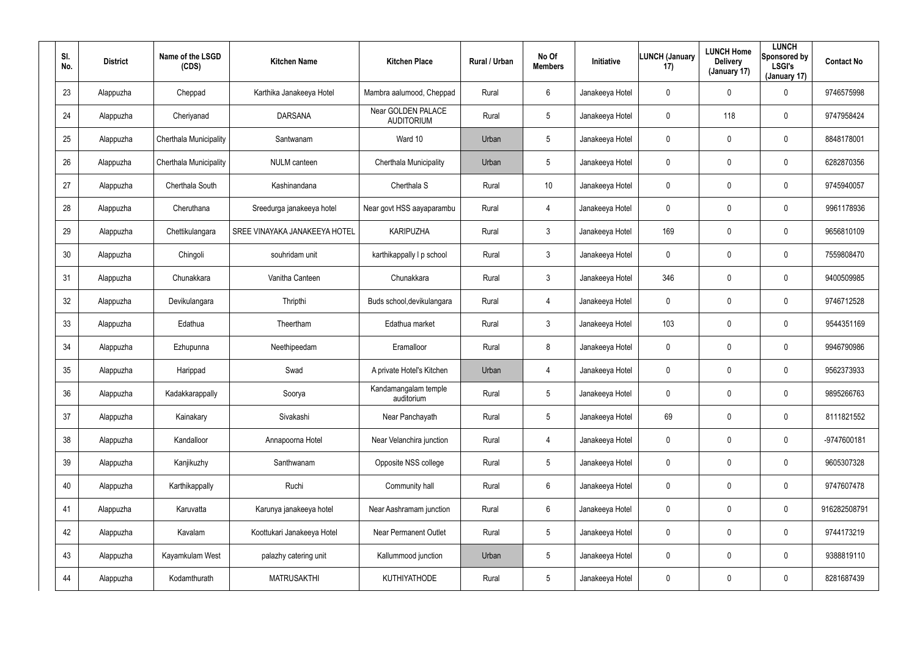| SI.<br>No. | <b>District</b> | Name of the LSGD<br>(CDS) | <b>Kitchen Name</b>           | <b>Kitchen Place</b>                    | Rural / Urban | No Of<br><b>Members</b> | Initiative      | <b>LUNCH (January</b><br>17) | <b>LUNCH Home</b><br><b>Delivery</b><br>(January 17) | <b>LUNCH</b><br>Sponsored by<br><b>LSGI's</b><br>(January 17) | <b>Contact No</b> |
|------------|-----------------|---------------------------|-------------------------------|-----------------------------------------|---------------|-------------------------|-----------------|------------------------------|------------------------------------------------------|---------------------------------------------------------------|-------------------|
| 23         | Alappuzha       | Cheppad                   | Karthika Janakeeya Hotel      | Mambra aalumood, Cheppad                | Rural         | 6                       | Janakeeya Hotel | 0                            | $\mathbf 0$                                          | 0                                                             | 9746575998        |
| 24         | Alappuzha       | Cheriyanad                | <b>DARSANA</b>                | Near GOLDEN PALACE<br><b>AUDITORIUM</b> | Rural         | 5                       | Janakeeya Hotel | 0                            | 118                                                  | 0                                                             | 9747958424        |
| 25         | Alappuzha       | Cherthala Municipality    | Santwanam                     | Ward 10                                 | Urban         | 5                       | Janakeeya Hotel | 0                            | $\mathbf 0$                                          | 0                                                             | 8848178001        |
| 26         | Alappuzha       | Cherthala Municipality    | <b>NULM</b> canteen           | Cherthala Municipality                  | Urban         | 5                       | Janakeeya Hotel | 0                            | $\mathbf 0$                                          | $\mathbf 0$                                                   | 6282870356        |
| 27         | Alappuzha       | Cherthala South           | Kashinandana                  | Cherthala <sub>S</sub>                  | Rural         | 10                      | Janakeeya Hotel | 0                            | $\mathbf 0$                                          | 0                                                             | 9745940057        |
| 28         | Alappuzha       | Cheruthana                | Sreedurga janakeeya hotel     | Near govt HSS aayaparambu               | Rural         | 4                       | Janakeeya Hotel | 0                            | $\mathbf 0$                                          | $\mathbf 0$                                                   | 9961178936        |
| 29         | Alappuzha       | Chettikulangara           | SREE VINAYAKA JANAKEEYA HOTEL | <b>KARIPUZHA</b>                        | Rural         | $\mathbf{3}$            | Janakeeya Hotel | 169                          | $\mathbf 0$                                          | $\mathbf 0$                                                   | 9656810109        |
| 30         | Alappuzha       | Chingoli                  | souhridam unit                | karthikappally I p school               | Rural         | $\mathbf{3}$            | Janakeeya Hotel | 0                            | 0                                                    | $\mathbf 0$                                                   | 7559808470        |
| 31         | Alappuzha       | Chunakkara                | Vanitha Canteen               | Chunakkara                              | Rural         | $\mathbf{3}$            | Janakeeya Hotel | 346                          | $\mathbf 0$                                          | $\mathbf 0$                                                   | 9400509985        |
| 32         | Alappuzha       | Devikulangara             | Thripthi                      | Buds school, devikulangara              | Rural         | 4                       | Janakeeya Hotel | 0                            | 0                                                    | 0                                                             | 9746712528        |
| 33         | Alappuzha       | Edathua                   | Theertham                     | Edathua market                          | Rural         | $\mathbf{3}$            | Janakeeya Hotel | 103                          | $\mathbf 0$                                          | $\mathbf 0$                                                   | 9544351169        |
| 34         | Alappuzha       | Ezhupunna                 | Neethipeedam                  | Eramalloor                              | Rural         | 8                       | Janakeeya Hotel | 0                            | 0                                                    | 0                                                             | 9946790986        |
| 35         | Alappuzha       | Harippad                  | Swad                          | A private Hotel's Kitchen               | Urban         | 4                       | Janakeeya Hotel | 0                            | $\boldsymbol{0}$                                     | 0                                                             | 9562373933        |
| 36         | Alappuzha       | Kadakkarappally           | Soorya                        | Kandamangalam temple<br>auditorium      | Rural         | 5                       | Janakeeya Hotel | 0                            | $\overline{0}$                                       | 0                                                             | 9895266763        |
| 37         | Alappuzha       | Kainakary                 | Sivakashi                     | Near Panchayath                         | Rural         | $5\phantom{.0}$         | Janakeeya Hotel | 69                           | $\pmb{0}$                                            | 0                                                             | 8111821552        |
| 38         | Alappuzha       | Kandalloor                | Annapoorna Hotel              | Near Velanchira junction                | Rural         | $\overline{4}$          | Janakeeya Hotel | 0                            | $\overline{0}$                                       | $\pmb{0}$                                                     | -9747600181       |
| 39         | Alappuzha       | Kanjikuzhy                | Santhwanam                    | Opposite NSS college                    | Rural         | $5\phantom{.0}$         | Janakeeya Hotel | 0                            | $\overline{0}$                                       | 0                                                             | 9605307328        |
| 40         | Alappuzha       | Karthikappally            | Ruchi                         | Community hall                          | Rural         | $6\phantom{.}6$         | Janakeeya Hotel | 0                            | $\overline{0}$                                       | 0                                                             | 9747607478        |
| 41         | Alappuzha       | Karuvatta                 | Karunya janakeeya hotel       | Near Aashramam junction                 | Rural         | $6\phantom{.}6$         | Janakeeya Hotel | 0                            | $\pmb{0}$                                            | 0                                                             | 916282508791      |
| 42         | Alappuzha       | Kavalam                   | Koottukari Janakeeya Hotel    | <b>Near Permanent Outlet</b>            | Rural         | 5                       | Janakeeya Hotel | 0                            | $\overline{0}$                                       | 0                                                             | 9744173219        |
| 43         | Alappuzha       | Kayamkulam West           | palazhy catering unit         | Kallummood junction                     | Urban         | 5                       | Janakeeya Hotel | 0                            | $\pmb{0}$                                            | 0                                                             | 9388819110        |
| 44         | Alappuzha       | Kodamthurath              | <b>MATRUSAKTHI</b>            | KUTHIYATHODE                            | Rural         | $5\phantom{.0}$         | Janakeeya Hotel | 0                            | $\boldsymbol{0}$                                     | 0                                                             | 8281687439        |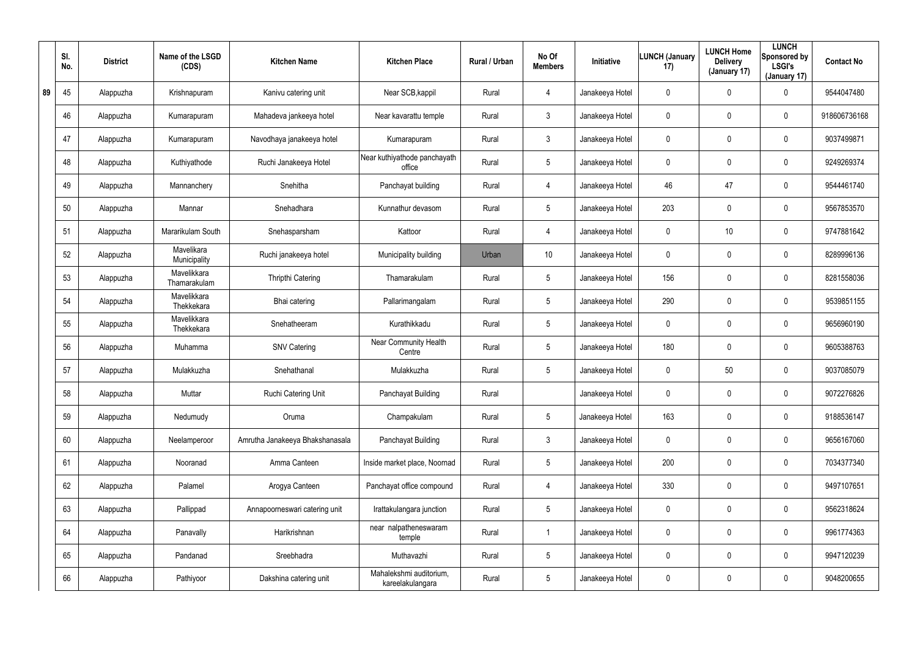|    | SI.<br>No. | <b>District</b> | Name of the LSGD<br>(CDS)   | <b>Kitchen Name</b>             | <b>Kitchen Place</b>                        | Rural / Urban | No Of<br><b>Members</b> | <b>Initiative</b> | <b>LUNCH (January</b><br>17) | <b>LUNCH Home</b><br><b>Delivery</b><br>(January 17) | <b>LUNCH</b><br>Sponsored by<br><b>LSGI's</b><br>(January 17) | <b>Contact No</b> |
|----|------------|-----------------|-----------------------------|---------------------------------|---------------------------------------------|---------------|-------------------------|-------------------|------------------------------|------------------------------------------------------|---------------------------------------------------------------|-------------------|
| 89 | 45         | Alappuzha       | Krishnapuram                | Kanivu catering unit            | Near SCB, kappil                            | Rural         | $\overline{4}$          | Janakeeya Hotel   | 0                            | 0                                                    | $\mathbf 0$                                                   | 9544047480        |
|    | 46         | Alappuzha       | Kumarapuram                 | Mahadeva jankeeya hotel         | Near kavarattu temple                       | Rural         | $\mathbf{3}$            | Janakeeya Hotel   | 0                            | 0                                                    | $\mathbf 0$                                                   | 918606736168      |
|    | 47         | Alappuzha       | Kumarapuram                 | Navodhaya janakeeya hotel       | Kumarapuram                                 | Rural         | $\mathbf{3}$            | Janakeeya Hotel   | 0                            | 0                                                    | $\mathbf 0$                                                   | 9037499871        |
|    | 48         | Alappuzha       | Kuthiyathode                | Ruchi Janakeeya Hotel           | Near kuthiyathode panchayath<br>office      | Rural         | $5\overline{)}$         | Janakeeya Hotel   | 0                            | 0                                                    | $\mathbf 0$                                                   | 9249269374        |
|    | 49         | Alappuzha       | Mannanchery                 | Snehitha                        | Panchayat building                          | Rural         | $\overline{4}$          | Janakeeya Hotel   | 46                           | 47                                                   | $\mathbf 0$                                                   | 9544461740        |
|    | 50         | Alappuzha       | Mannar                      | Snehadhara                      | Kunnathur devasom                           | Rural         | $5\overline{)}$         | Janakeeya Hotel   | 203                          | 0                                                    | $\mathbf 0$                                                   | 9567853570        |
|    | 51         | Alappuzha       | Mararikulam South           | Snehasparsham                   | Kattoor                                     | Rural         | $\overline{4}$          | Janakeeya Hotel   | 0                            | 10                                                   | $\mathbf 0$                                                   | 9747881642        |
|    | 52         | Alappuzha       | Mavelikara<br>Municipality  | Ruchi janakeeya hotel           | Municipality building                       | Urban         | 10 <sup>°</sup>         | Janakeeya Hotel   | 0                            | 0                                                    | $\mathbf 0$                                                   | 8289996136        |
|    | 53         | Alappuzha       | Mavelikkara<br>Thamarakulam | Thripthi Catering               | Thamarakulam                                | Rural         | $5\phantom{.0}$         | Janakeeya Hotel   | 156                          | 0                                                    | $\mathbf 0$                                                   | 8281558036        |
|    | 54         | Alappuzha       | Mavelikkara<br>Thekkekara   | Bhai catering                   | Pallarimangalam                             | Rural         | $5\overline{)}$         | Janakeeya Hotel   | 290                          | 0                                                    | $\mathbf 0$                                                   | 9539851155        |
|    | 55         | Alappuzha       | Mavelikkara<br>Thekkekara   | Snehatheeram                    | Kurathikkadu                                | Rural         | $5\phantom{.0}$         | Janakeeya Hotel   | 0                            | 0                                                    | $\mathbf 0$                                                   | 9656960190        |
|    | 56         | Alappuzha       | Muhamma                     | <b>SNV Catering</b>             | Near Community Health<br>Centre             | Rural         | $5\phantom{.0}$         | Janakeeya Hotel   | 180                          | 0                                                    | $\mathbf 0$                                                   | 9605388763        |
|    | 57         | Alappuzha       | Mulakkuzha                  | Snehathanal                     | Mulakkuzha                                  | Rural         | $5\phantom{.0}$         | Janakeeya Hotel   | 0                            | 50                                                   | $\mathbf 0$                                                   | 9037085079        |
|    | 58         | Alappuzha       | Muttar                      | Ruchi Catering Unit             | Panchayat Building                          | Rural         |                         | Janakeeya Hotel   | 0                            | $\mathbf 0$                                          | $\mathbf 0$                                                   | 9072276826        |
|    | 59         | Alappuzha       | Nedumudy                    | Oruma                           | Champakulam                                 | Rural         | $5\phantom{.0}$         | Janakeeya Hotel   | 163                          | 0                                                    | $\pmb{0}$                                                     | 9188536147        |
|    | 60         | Alappuzha       | Neelamperoor                | Amrutha Janakeeya Bhakshanasala | Panchayat Building                          | Rural         | $\mathfrak{Z}$          | Janakeeya Hotel   | 0                            | 0                                                    | $\pmb{0}$                                                     | 9656167060        |
|    | 61         | Alappuzha       | Nooranad                    | Amma Canteen                    | Inside market place, Noornad                | Rural         | $5\phantom{.0}$         | Janakeeya Hotel   | 200                          | 0                                                    | $\pmb{0}$                                                     | 7034377340        |
|    | 62         | Alappuzha       | Palamel                     | Arogya Canteen                  | Panchayat office compound                   | Rural         | 4                       | Janakeeya Hotel   | 330                          | $\mathbf 0$                                          | $\boldsymbol{0}$                                              | 9497107651        |
|    | 63         | Alappuzha       | Pallippad                   | Annapoorneswari catering unit   | Irattakulangara junction                    | Rural         | $5\phantom{.0}$         | Janakeeya Hotel   | 0                            | 0                                                    | $\boldsymbol{0}$                                              | 9562318624        |
|    | 64         | Alappuzha       | Panavally                   | Harikrishnan                    | near nalpatheneswaram<br>temple             | Rural         |                         | Janakeeya Hotel   | $\boldsymbol{0}$             | 0                                                    | $\boldsymbol{0}$                                              | 9961774363        |
|    | 65         | Alappuzha       | Pandanad                    | Sreebhadra                      | Muthavazhi                                  | Rural         | $5\phantom{.0}$         | Janakeeya Hotel   | 0                            | 0                                                    | $\boldsymbol{0}$                                              | 9947120239        |
|    | 66         | Alappuzha       | Pathiyoor                   | Dakshina catering unit          | Mahalekshmi auditorium,<br>kareelakulangara | Rural         | $5\phantom{.0}$         | Janakeeya Hotel   | 0                            | 0                                                    | $\pmb{0}$                                                     | 9048200655        |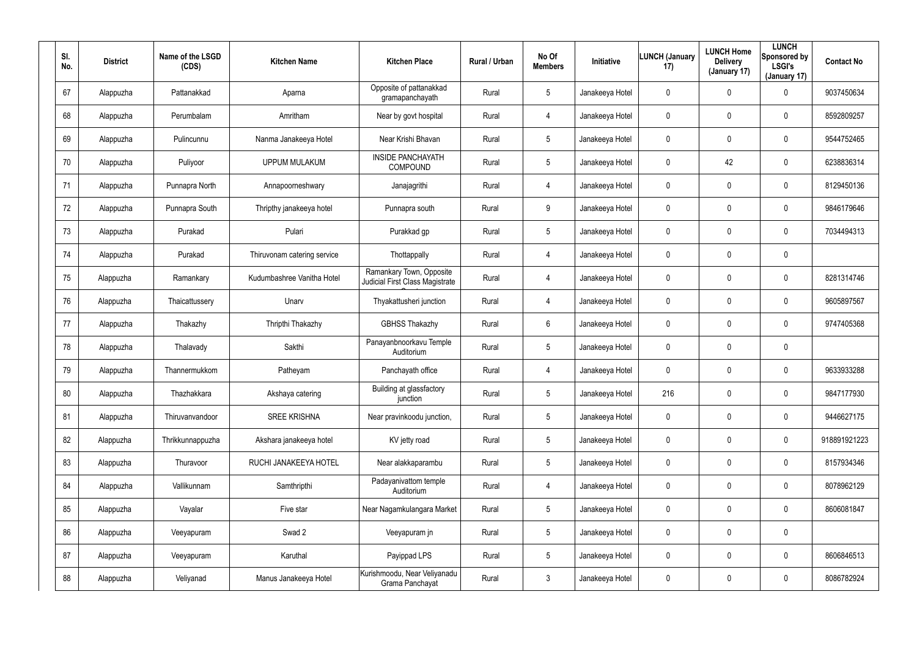| SI.<br>No. | <b>District</b> | Name of the LSGD<br>(CDS) | <b>Kitchen Name</b>         | <b>Kitchen Place</b>                                        | Rural / Urban | No Of<br><b>Members</b> | <b>Initiative</b> | <b>LUNCH (January</b><br>17) | <b>LUNCH Home</b><br><b>Delivery</b><br>(January 17) | <b>LUNCH</b><br>Sponsored by<br><b>LSGI's</b><br>(January 17) | <b>Contact No</b> |
|------------|-----------------|---------------------------|-----------------------------|-------------------------------------------------------------|---------------|-------------------------|-------------------|------------------------------|------------------------------------------------------|---------------------------------------------------------------|-------------------|
| 67         | Alappuzha       | Pattanakkad               | Aparna                      | Opposite of pattanakkad<br>gramapanchayath                  | Rural         | $5\phantom{.0}$         | Janakeeya Hotel   | 0                            | 0                                                    | $\mathbf 0$                                                   | 9037450634        |
| 68         | Alappuzha       | Perumbalam                | Amritham                    | Near by govt hospital                                       | Rural         | 4                       | Janakeeya Hotel   | 0                            | 0                                                    | $\pmb{0}$                                                     | 8592809257        |
| 69         | Alappuzha       | Pulincunnu                | Nanma Janakeeya Hotel       | Near Krishi Bhavan                                          | Rural         | $5\phantom{.0}$         | Janakeeya Hotel   | 0                            | 0                                                    | $\pmb{0}$                                                     | 9544752465        |
| 70         | Alappuzha       | Puliyoor                  | <b>UPPUM MULAKUM</b>        | <b>INSIDE PANCHAYATH</b><br>COMPOUND                        | Rural         | $5\phantom{.0}$         | Janakeeya Hotel   | 0                            | 42                                                   | $\pmb{0}$                                                     | 6238836314        |
| 71         | Alappuzha       | Punnapra North            | Annapoorneshwary            | Janajagrithi                                                | Rural         | 4                       | Janakeeya Hotel   | 0                            | 0                                                    | $\pmb{0}$                                                     | 8129450136        |
| 72         | Alappuzha       | Punnapra South            | Thripthy janakeeya hotel    | Punnapra south                                              | Rural         | 9                       | Janakeeya Hotel   | 0                            | 0                                                    | $\mathbf 0$                                                   | 9846179646        |
| 73         | Alappuzha       | Purakad                   | Pulari                      | Purakkad gp                                                 | Rural         | $5\phantom{.0}$         | Janakeeya Hotel   | 0                            | 0                                                    | $\mathbf 0$                                                   | 7034494313        |
| 74         | Alappuzha       | Purakad                   | Thiruvonam catering service | Thottappally                                                | Rural         | 4                       | Janakeeya Hotel   | 0                            | 0                                                    | $\mathbf 0$                                                   |                   |
| 75         | Alappuzha       | Ramankary                 | Kudumbashree Vanitha Hotel  | Ramankary Town, Opposite<br>Judicial First Class Magistrate | Rural         | 4                       | Janakeeya Hotel   | 0                            | 0                                                    | $\pmb{0}$                                                     | 8281314746        |
| 76         | Alappuzha       | Thaicattussery            | Unarv                       | Thyakattusheri junction                                     | Rural         | 4                       | Janakeeya Hotel   | 0                            | 0                                                    | $\mathbf 0$                                                   | 9605897567        |
| 77         | Alappuzha       | Thakazhy                  | Thripthi Thakazhy           | <b>GBHSS Thakazhy</b>                                       | Rural         | 6                       | Janakeeya Hotel   | 0                            | 0                                                    | $\mathbf 0$                                                   | 9747405368        |
| 78         | Alappuzha       | Thalavady                 | Sakthi                      | Panayanbnoorkavu Temple<br>Auditorium                       | Rural         | $5\phantom{.0}$         | Janakeeya Hotel   | 0                            | 0                                                    | $\mathbf 0$                                                   |                   |
| 79         | Alappuzha       | Thannermukkom             | Patheyam                    | Panchayath office                                           | Rural         | 4                       | Janakeeya Hotel   | 0                            | $\mathbf 0$                                          | $\mathbf 0$                                                   | 9633933288        |
| 80         | Alappuzha       | Thazhakkara               | Akshaya catering            | Building at glassfactory<br>junction                        | Rural         | $5\phantom{.0}$         | Janakeeya Hotel   | 216                          | 0                                                    | $\pmb{0}$                                                     | 9847177930        |
| 81         | Alappuzha       | Thiruvanvandoor           | <b>SREE KRISHNA</b>         | Near pravinkoodu junction,                                  | Rural         | $5\phantom{.0}$         | Janakeeya Hotel   | 0                            | 0                                                    | $\mathbf 0$                                                   | 9446627175        |
| 82         | Alappuzha       | Thrikkunnappuzha          | Akshara janakeeya hotel     | KV jetty road                                               | Rural         | $5\phantom{.0}$         | Janakeeya Hotel   | 0                            | 0                                                    | $\mathbf 0$                                                   | 918891921223      |
| 83         | Alappuzha       | Thuravoor                 | RUCHI JANAKEEYA HOTEL       | Near alakkaparambu                                          | Rural         | $5\phantom{.0}$         | Janakeeya Hotel   | 0                            | 0                                                    | $\mathbf 0$                                                   | 8157934346        |
| 84         | Alappuzha       | Vallikunnam               | Samthripthi                 | Padayanivattom temple<br>Auditorium                         | Rural         | 4                       | Janakeeya Hotel   | 0                            | 0                                                    | $\mathbf 0$                                                   | 8078962129        |
| 85         | Alappuzha       | Vayalar                   | Five star                   | Near Nagamkulangara Market                                  | Rural         | $5\phantom{.0}$         | Janakeeya Hotel   | 0                            | 0                                                    | $\mathbf 0$                                                   | 8606081847        |
| 86         | Alappuzha       | Veeyapuram                | Swad 2                      | Veeyapuram jn                                               | Rural         | $5\phantom{.0}$         | Janakeeya Hotel   | 0                            | 0                                                    | $\pmb{0}$                                                     |                   |
| 87         | Alappuzha       | Veeyapuram                | Karuthal                    | Payippad LPS                                                | Rural         | $5\phantom{.0}$         | Janakeeya Hotel   | 0                            | 0                                                    | $\mathbf 0$                                                   | 8606846513        |
| 88         | Alappuzha       | Veliyanad                 | Manus Janakeeya Hotel       | Kurishmoodu, Near Veliyanadu<br>Grama Panchayat             | Rural         | $\mathfrak{Z}$          | Janakeeya Hotel   | 0                            | 0                                                    | $\pmb{0}$                                                     | 8086782924        |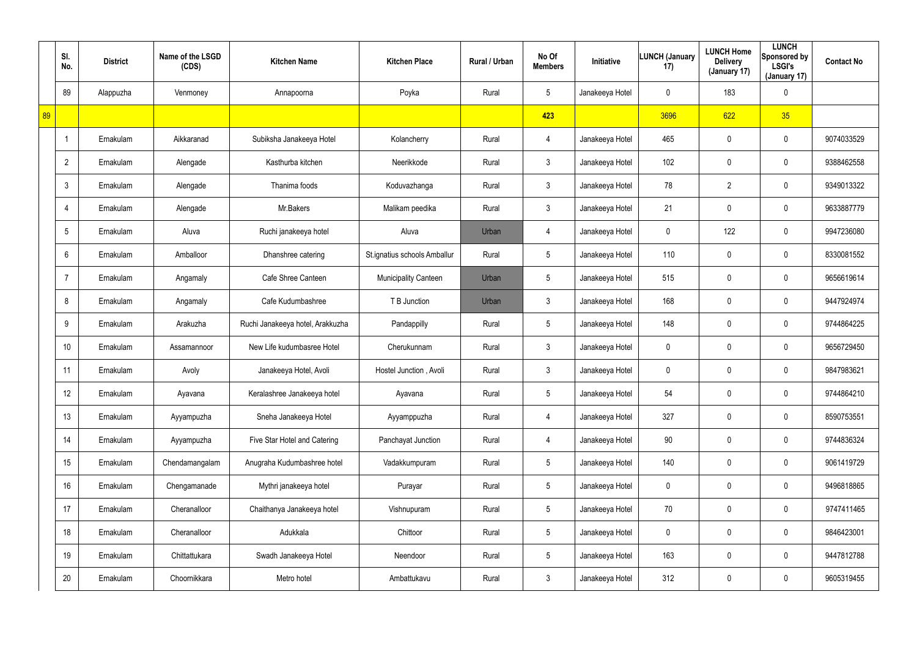|    | SI.<br>No.     | <b>District</b> | Name of the LSGD<br>(CDS) | <b>Kitchen Name</b>              | <b>Kitchen Place</b>         | Rural / Urban | No Of<br><b>Members</b> | Initiative      | <b>LUNCH (January</b><br>17) | <b>LUNCH Home</b><br><b>Delivery</b><br>(January 17) | <b>LUNCH</b><br>Sponsored by<br><b>LSGI's</b><br>(January 17) | <b>Contact No</b> |
|----|----------------|-----------------|---------------------------|----------------------------------|------------------------------|---------------|-------------------------|-----------------|------------------------------|------------------------------------------------------|---------------------------------------------------------------|-------------------|
|    | 89             | Alappuzha       | Venmoney                  | Annapoorna                       | Poyka                        | Rural         | $5\phantom{.0}$         | Janakeeya Hotel | 0                            | 183                                                  | $\boldsymbol{0}$                                              |                   |
| 89 |                |                 |                           |                                  |                              |               | 423                     |                 | 3696                         | 622                                                  | 35                                                            |                   |
|    |                | Ernakulam       | Aikkaranad                | Subiksha Janakeeya Hotel         | Kolancherry                  | Rural         | 4                       | Janakeeya Hotel | 465                          | 0                                                    | $\boldsymbol{0}$                                              | 9074033529        |
|    | $\overline{2}$ | Ernakulam       | Alengade                  | Kasthurba kitchen                | Neerikkode                   | Rural         | $\mathfrak{Z}$          | Janakeeya Hotel | 102                          | 0                                                    | $\boldsymbol{0}$                                              | 9388462558        |
|    | 3              | Ernakulam       | Alengade                  | Thanima foods                    | Koduvazhanga                 | Rural         | $\mathfrak{Z}$          | Janakeeya Hotel | 78                           | $\overline{2}$                                       | $\pmb{0}$                                                     | 9349013322        |
|    |                | Ernakulam       | Alengade                  | Mr.Bakers                        | Malikam peedika              | Rural         | $\mathfrak{Z}$          | Janakeeya Hotel | 21                           | 0                                                    | $\boldsymbol{0}$                                              | 9633887779        |
|    | 5              | Ernakulam       | Aluva                     | Ruchi janakeeya hotel            | Aluva                        | Urban         | 4                       | Janakeeya Hotel | $\mathbf 0$                  | 122                                                  | $\mathbf 0$                                                   | 9947236080        |
|    | 6              | Ernakulam       | Amballoor                 | Dhanshree catering               | St.ignatius schools Amballur | Rural         | $5\phantom{.0}$         | Janakeeya Hotel | 110                          | 0                                                    | $\mathbf 0$                                                   | 8330081552        |
|    |                | Ernakulam       | Angamaly                  | Cafe Shree Canteen               | Municipality Canteen         | Urban         | $5\phantom{.0}$         | Janakeeya Hotel | 515                          | 0                                                    | $\boldsymbol{0}$                                              | 9656619614        |
|    | 8              | Ernakulam       | Angamaly                  | Cafe Kudumbashree                | T B Junction                 | Urban         | $\mathfrak{Z}$          | Janakeeya Hotel | 168                          | 0                                                    | $\mathbf 0$                                                   | 9447924974        |
|    | 9              | Ernakulam       | Arakuzha                  | Ruchi Janakeeya hotel, Arakkuzha | Pandappilly                  | Rural         | $5\phantom{.0}$         | Janakeeya Hotel | 148                          | 0                                                    | $\boldsymbol{0}$                                              | 9744864225        |
|    | 10             | Ernakulam       | Assamannoor               | New Life kudumbasree Hotel       | Cherukunnam                  | Rural         | $\mathfrak{Z}$          | Janakeeya Hotel | 0                            | 0                                                    | $\boldsymbol{0}$                                              | 9656729450        |
|    | 11             | Ernakulam       | Avoly                     | Janakeeya Hotel, Avoli           | Hostel Junction, Avoli       | Rural         | $\mathfrak{Z}$          | Janakeeya Hotel | 0                            | 0                                                    | $\mathbf 0$                                                   | 9847983621        |
|    | 12             | Ernakulam       | Ayavana                   | Keralashree Janakeeya hotel      | Ayavana                      | Rural         | $5\phantom{.0}$         | Janakeeya Hotel | 54                           | 0                                                    | $\pmb{0}$                                                     | 9744864210        |
|    | 13             | Ernakulam       | Ayyampuzha                | Sneha Janakeeya Hotel            | Ayyamppuzha                  | Rural         | 4                       | Janakeeya Hotel | 327                          | 0                                                    | $\pmb{0}$                                                     | 8590753551        |
|    | 14             | Ernakulam       | Ayyampuzha                | Five Star Hotel and Catering     | Panchayat Junction           | Rural         | 4                       | Janakeeya Hotel | 90                           | 0                                                    | $\pmb{0}$                                                     | 9744836324        |
|    | 15             | Ernakulam       | Chendamangalam            | Anugraha Kudumbashree hotel      | Vadakkumpuram                | Rural         | $5\overline{)}$         | Janakeeya Hotel | 140                          | 0                                                    | $\pmb{0}$                                                     | 9061419729        |
|    | 16             | Ernakulam       | Chengamanade              | Mythri janakeeya hotel           | Purayar                      | Rural         | $5\phantom{.0}$         | Janakeeya Hotel | $\mathbf 0$                  | 0                                                    | $\pmb{0}$                                                     | 9496818865        |
|    | 17             | Ernakulam       | Cheranalloor              | Chaithanya Janakeeya hotel       | Vishnupuram                  | Rural         | $5\phantom{.0}$         | Janakeeya Hotel | 70                           | 0                                                    | $\pmb{0}$                                                     | 9747411465        |
|    | 18             | Ernakulam       | Cheranalloor              | Adukkala                         | Chittoor                     | Rural         | $5\phantom{.0}$         | Janakeeya Hotel | $\mathbf 0$                  | 0                                                    | $\pmb{0}$                                                     | 9846423001        |
|    | 19             | Ernakulam       | Chittattukara             | Swadh Janakeeya Hotel            | Neendoor                     | Rural         | $5\phantom{.0}$         | Janakeeya Hotel | 163                          | 0                                                    | $\boldsymbol{0}$                                              | 9447812788        |
|    | 20             | Ernakulam       | Choornikkara              | Metro hotel                      | Ambattukavu                  | Rural         | $\mathfrak{Z}$          | Janakeeya Hotel | 312                          | 0                                                    | $\pmb{0}$                                                     | 9605319455        |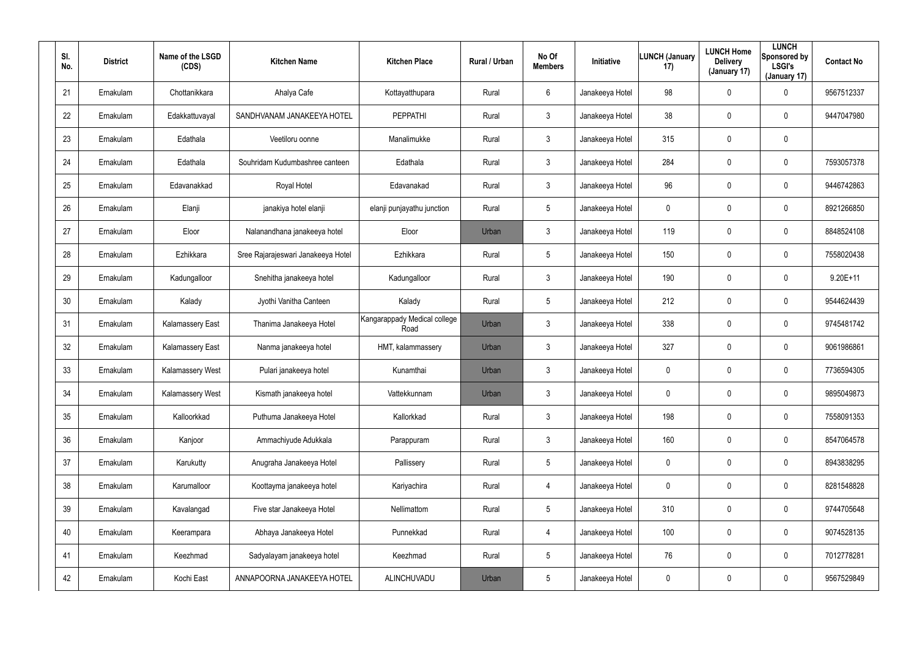| SI.<br>No. | <b>District</b> | Name of the LSGD<br>(CDS) | <b>Kitchen Name</b>                | <b>Kitchen Place</b>                 | Rural / Urban | No Of<br><b>Members</b> | Initiative      | <b>LUNCH (January</b><br>17) | <b>LUNCH Home</b><br><b>Delivery</b><br>(January 17) | <b>LUNCH</b><br>Sponsored by<br><b>LSGI's</b><br>(January 17) | <b>Contact No</b> |
|------------|-----------------|---------------------------|------------------------------------|--------------------------------------|---------------|-------------------------|-----------------|------------------------------|------------------------------------------------------|---------------------------------------------------------------|-------------------|
| 21         | Ernakulam       | Chottanikkara             | Ahalya Cafe                        | Kottayatthupara                      | Rural         | 6                       | Janakeeya Hotel | 98                           | $\mathbf 0$                                          | 0                                                             | 9567512337        |
| 22         | Ernakulam       | Edakkattuvayal            | SANDHVANAM JANAKEEYA HOTEL         | PEPPATHI                             | Rural         | $\mathbf{3}$            | Janakeeya Hotel | 38                           | $\mathbf 0$                                          | $\mathbf 0$                                                   | 9447047980        |
| 23         | Ernakulam       | Edathala                  | Veetiloru oonne                    | Manalimukke                          | Rural         | $\mathbf{3}$            | Janakeeya Hotel | 315                          | $\boldsymbol{0}$                                     | 0                                                             |                   |
| 24         | Ernakulam       | Edathala                  | Souhridam Kudumbashree canteen     | Edathala                             | Rural         | $\mathbf{3}$            | Janakeeya Hotel | 284                          | $\mathbf 0$                                          | 0                                                             | 7593057378        |
| 25         | Ernakulam       | Edavanakkad               | Royal Hotel                        | Edavanakad                           | Rural         | $\mathbf{3}$            | Janakeeya Hotel | 96                           | $\mathbf 0$                                          | 0                                                             | 9446742863        |
| 26         | Ernakulam       | Elanji                    | janakiya hotel elanji              | elanji punjayathu junction           | Rural         | 5                       | Janakeeya Hotel | 0                            | $\mathbf 0$                                          | $\mathbf 0$                                                   | 8921266850        |
| 27         | Ernakulam       | Eloor                     | Nalanandhana janakeeya hotel       | Eloor                                | Urban         | $\mathbf{3}$            | Janakeeya Hotel | 119                          | $\mathbf 0$                                          | $\mathbf 0$                                                   | 8848524108        |
| 28         | Ernakulam       | Ezhikkara                 | Sree Rajarajeswari Janakeeya Hotel | Ezhikkara                            | Rural         | $5\phantom{.0}$         | Janakeeya Hotel | 150                          | 0                                                    | 0                                                             | 7558020438        |
| 29         | Ernakulam       | Kadungalloor              | Snehitha janakeeya hotel           | Kadungalloor                         | Rural         | $\mathbf{3}$            | Janakeeya Hotel | 190                          | $\mathbf 0$                                          | 0                                                             | $9.20E+11$        |
| 30         | Ernakulam       | Kalady                    | Jyothi Vanitha Canteen             | Kalady                               | Rural         | $5\phantom{.0}$         | Janakeeya Hotel | 212                          | 0                                                    | 0                                                             | 9544624439        |
| 31         | Ernakulam       | Kalamassery East          | Thanima Janakeeya Hotel            | Kangarappady Medical college<br>Road | Urban         | $\mathbf{3}$            | Janakeeya Hotel | 338                          | $\mathbf 0$                                          | 0                                                             | 9745481742        |
| 32         | Ernakulam       | Kalamassery East          | Nanma janakeeya hotel              | HMT, kalammassery                    | Urban         | $\mathbf{3}$            | Janakeeya Hotel | 327                          | 0                                                    | 0                                                             | 9061986861        |
| 33         | Ernakulam       | Kalamassery West          | Pulari janakeeya hotel             | Kunamthai                            | Urban         | $\mathbf{3}$            | Janakeeya Hotel | 0                            | $\boldsymbol{0}$                                     | 0                                                             | 7736594305        |
| 34         | Ernakulam       | Kalamassery West          | Kismath janakeeya hotel            | Vattekkunnam                         | Urban         | $\mathfrak{Z}$          | Janakeeya Hotel | 0                            | $\overline{0}$                                       | 0                                                             | 9895049873        |
| 35         | Ernakulam       | Kalloorkkad               | Puthuma Janakeeya Hotel            | Kallorkkad                           | Rural         | $\mathbf{3}$            | Janakeeya Hotel | 198                          | $\mathbf 0$                                          | 0                                                             | 7558091353        |
| 36         | Ernakulam       | Kanjoor                   | Ammachiyude Adukkala               | Parappuram                           | Rural         | $\mathbf{3}$            | Janakeeya Hotel | 160                          | $\mathbf 0$                                          | 0                                                             | 8547064578        |
| 37         | Ernakulam       | Karukutty                 | Anugraha Janakeeya Hotel           | Pallissery                           | Rural         | $5\phantom{.0}$         | Janakeeya Hotel | 0                            | $\pmb{0}$                                            | 0                                                             | 8943838295        |
| 38         | Ernakulam       | Karumalloor               | Koottayma janakeeya hotel          | Kariyachira                          | Rural         | $\overline{4}$          | Janakeeya Hotel | 0                            | $\overline{0}$                                       | 0                                                             | 8281548828        |
| 39         | Ernakulam       | Kavalangad                | Five star Janakeeya Hotel          | Nellimattom                          | Rural         | 5                       | Janakeeya Hotel | 310                          | $\overline{0}$                                       | 0                                                             | 9744705648        |
| 40         | Ernakulam       | Keerampara                | Abhaya Janakeeya Hotel             | Punnekkad                            | Rural         | $\overline{4}$          | Janakeeya Hotel | 100                          | $\overline{0}$                                       | 0                                                             | 9074528135        |
| 41         | Ernakulam       | Keezhmad                  | Sadyalayam janakeeya hotel         | Keezhmad                             | Rural         | 5                       | Janakeeya Hotel | 76                           | $\pmb{0}$                                            | 0                                                             | 7012778281        |
| 42         | Ernakulam       | Kochi East                | ANNAPOORNA JANAKEEYA HOTEL         | ALINCHUVADU                          | Urban         | 5                       | Janakeeya Hotel | 0                            | $\mathbf 0$                                          | 0                                                             | 9567529849        |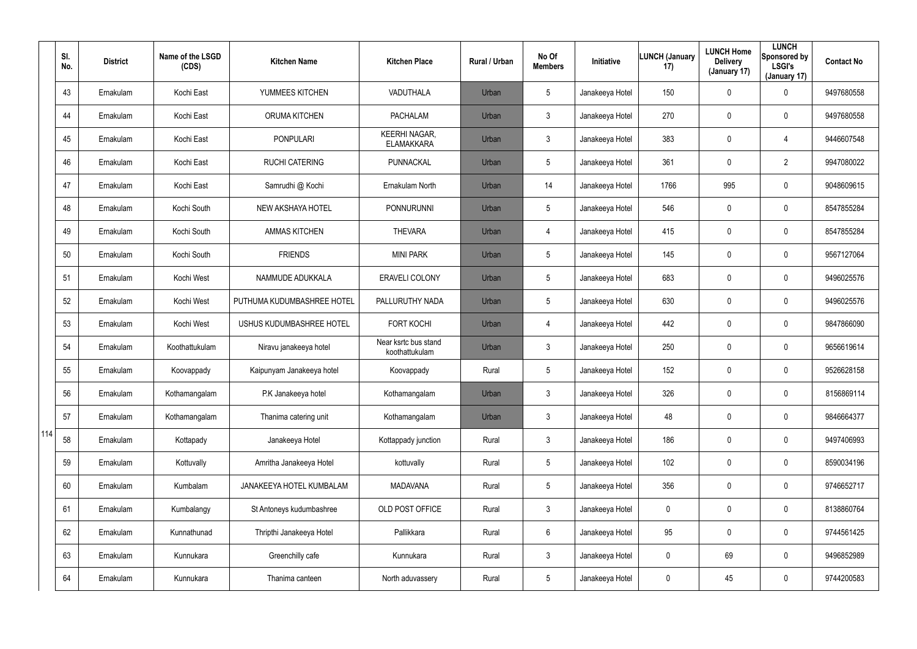|     | SI.<br>No. | <b>District</b> | Name of the LSGD<br>(CDS) | <b>Kitchen Name</b>        | <b>Kitchen Place</b>                      | Rural / Urban | No Of<br><b>Members</b> | <b>Initiative</b> | <b>LUNCH (January</b><br>17) | <b>LUNCH Home</b><br><b>Delivery</b><br>(January 17) | <b>LUNCH</b><br>Sponsored by<br><b>LSGI's</b><br>(January 17) | <b>Contact No</b> |
|-----|------------|-----------------|---------------------------|----------------------------|-------------------------------------------|---------------|-------------------------|-------------------|------------------------------|------------------------------------------------------|---------------------------------------------------------------|-------------------|
|     | 43         | Ernakulam       | Kochi East                | YUMMEES KITCHEN            | VADUTHALA                                 | Urban         | $5\overline{)}$         | Janakeeya Hotel   | 150                          | $\mathbf 0$                                          | $\mathbf 0$                                                   | 9497680558        |
|     | 44         | Ernakulam       | Kochi East                | <b>ORUMA KITCHEN</b>       | <b>PACHALAM</b>                           | Urban         | $\mathbf{3}$            | Janakeeya Hotel   | 270                          | 0                                                    | $\mathbf 0$                                                   | 9497680558        |
|     | 45         | Ernakulam       | Kochi East                | <b>PONPULARI</b>           | <b>KEERHI NAGAR,</b><br><b>ELAMAKKARA</b> | Urban         | $\mathbf{3}$            | Janakeeya Hotel   | 383                          | 0                                                    | $\overline{4}$                                                | 9446607548        |
|     | 46         | Ernakulam       | Kochi East                | <b>RUCHI CATERING</b>      | PUNNACKAL                                 | Urban         | $5\overline{)}$         | Janakeeya Hotel   | 361                          | 0                                                    | $\overline{2}$                                                | 9947080022        |
|     | 47         | Ernakulam       | Kochi East                | Samrudhi @ Kochi           | Ernakulam North                           | Urban         | 14                      | Janakeeya Hotel   | 1766                         | 995                                                  | $\mathbf 0$                                                   | 9048609615        |
|     | 48         | Ernakulam       | Kochi South               | NEW AKSHAYA HOTEL          | PONNURUNNI                                | Urban         | $5\overline{)}$         | Janakeeya Hotel   | 546                          | 0                                                    | $\mathbf 0$                                                   | 8547855284        |
|     | 49         | Ernakulam       | Kochi South               | <b>AMMAS KITCHEN</b>       | <b>THEVARA</b>                            | Urban         | $\overline{4}$          | Janakeeya Hotel   | 415                          | $\mathbf 0$                                          | $\mathbf 0$                                                   | 8547855284        |
|     | 50         | Ernakulam       | Kochi South               | <b>FRIENDS</b>             | <b>MINI PARK</b>                          | Urban         | $5\phantom{.0}$         | Janakeeya Hotel   | 145                          | 0                                                    | $\mathbf 0$                                                   | 9567127064        |
|     | 51         | Ernakulam       | Kochi West                | NAMMUDE ADUKKALA           | <b>ERAVELI COLONY</b>                     | Urban         | $5\phantom{.0}$         | Janakeeya Hotel   | 683                          | $\mathbf 0$                                          | $\mathbf 0$                                                   | 9496025576        |
|     | 52         | Ernakulam       | Kochi West                | PUTHUMA KUDUMBASHREE HOTEL | PALLURUTHY NADA                           | Urban         | $5\phantom{.0}$         | Janakeeya Hotel   | 630                          | 0                                                    | $\mathbf 0$                                                   | 9496025576        |
|     | 53         | Ernakulam       | Kochi West                | USHUS KUDUMBASHREE HOTEL   | <b>FORT KOCHI</b>                         | Urban         | $\overline{4}$          | Janakeeya Hotel   | 442                          | $\mathbf 0$                                          | $\mathbf 0$                                                   | 9847866090        |
|     | 54         | Ernakulam       | Koothattukulam            | Niravu janakeeya hotel     | Near ksrtc bus stand<br>koothattukulam    | Urban         | $\mathbf{3}$            | Janakeeya Hotel   | 250                          | 0                                                    | $\mathbf 0$                                                   | 9656619614        |
|     | 55         | Ernakulam       | Koovappady                | Kaipunyam Janakeeya hotel  | Koovappady                                | Rural         | $5\phantom{.0}$         | Janakeeya Hotel   | 152                          | $\mathbf 0$                                          | $\mathbf 0$                                                   | 9526628158        |
|     | 56         | Ernakulam       | Kothamangalam             | P.K Janakeeya hotel        | Kothamangalam                             | Urban         | 3                       | Janakeeya Hotel   | 326                          | $\mathbf 0$                                          | $\mathbf 0$                                                   | 8156869114        |
|     | 57         | Ernakulam       | Kothamangalam             | Thanima catering unit      | Kothamangalam                             | Urban         | $\mathbf{3}$            | Janakeeya Hotel   | 48                           | 0                                                    | $\mathbf 0$                                                   | 9846664377        |
| 114 | 58         | Ernakulam       | Kottapady                 | Janakeeya Hotel            | Kottappady junction                       | Rural         | $\mathbf{3}$            | Janakeeya Hotel   | 186                          | 0                                                    | $\pmb{0}$                                                     | 9497406993        |
|     | 59         | Ernakulam       | Kottuvally                | Amritha Janakeeya Hotel    | kottuvally                                | Rural         | $5\phantom{.0}$         | Janakeeya Hotel   | 102                          | 0                                                    | $\pmb{0}$                                                     | 8590034196        |
|     | 60         | Ernakulam       | Kumbalam                  | JANAKEEYA HOTEL KUMBALAM   | <b>MADAVANA</b>                           | Rural         | $5\phantom{.0}$         | Janakeeya Hotel   | 356                          | $\mathbf 0$                                          | $\mathbf 0$                                                   | 9746652717        |
|     | 61         | Ernakulam       | Kumbalangy                | St Antoneys kudumbashree   | OLD POST OFFICE                           | Rural         | $\mathfrak{Z}$          | Janakeeya Hotel   | 0                            | 0                                                    | $\mathbf 0$                                                   | 8138860764        |
|     | 62         | Ernakulam       | Kunnathunad               | Thripthi Janakeeya Hotel   | Pallikkara                                | Rural         | 6                       | Janakeeya Hotel   | 95                           | $\mathbf 0$                                          | $\mathbf 0$                                                   | 9744561425        |
|     | 63         | Ernakulam       | Kunnukara                 | Greenchilly cafe           | Kunnukara                                 | Rural         | $\mathfrak{Z}$          | Janakeeya Hotel   | 0                            | 69                                                   | $\mathbf 0$                                                   | 9496852989        |
|     | 64         | Ernakulam       | Kunnukara                 | Thanima canteen            | North aduvassery                          | Rural         | $5\phantom{.0}$         | Janakeeya Hotel   | 0                            | 45                                                   | $\pmb{0}$                                                     | 9744200583        |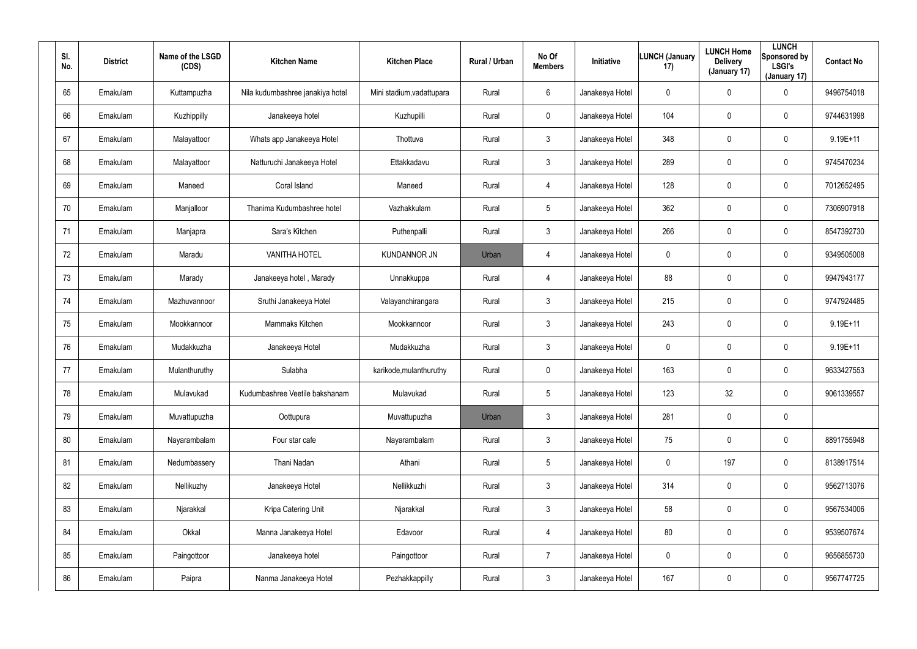| SI.<br>No. | <b>District</b> | Name of the LSGD<br>(CDS) | <b>Kitchen Name</b>              | <b>Kitchen Place</b>      | Rural / Urban | No Of<br><b>Members</b> | Initiative      | <b>LUNCH (January</b><br>17) | <b>LUNCH Home</b><br><b>Delivery</b><br>(January 17) | <b>LUNCH</b><br>Sponsored by<br><b>LSGI's</b><br>(January 17) | <b>Contact No</b> |
|------------|-----------------|---------------------------|----------------------------------|---------------------------|---------------|-------------------------|-----------------|------------------------------|------------------------------------------------------|---------------------------------------------------------------|-------------------|
| 65         | Ernakulam       | Kuttampuzha               | Nila kudumbashree janakiya hotel | Mini stadium, vadattupara | Rural         | 6                       | Janakeeya Hotel | 0                            | $\boldsymbol{0}$                                     | 0                                                             | 9496754018        |
| 66         | Ernakulam       | Kuzhippilly               | Janakeeya hotel                  | Kuzhupilli                | Rural         | $\mathbf 0$             | Janakeeya Hotel | 104                          | $\boldsymbol{0}$                                     | 0                                                             | 9744631998        |
| 67         | Ernakulam       | Malayattoor               | Whats app Janakeeya Hotel        | Thottuva                  | Rural         | $\mathbf{3}$            | Janakeeya Hotel | 348                          | $\pmb{0}$                                            | 0                                                             | 9.19E+11          |
| 68         | Ernakulam       | Malayattoor               | Natturuchi Janakeeya Hotel       | Ettakkadavu               | Rural         | $\mathbf{3}$            | Janakeeya Hotel | 289                          | $\boldsymbol{0}$                                     | 0                                                             | 9745470234        |
| 69         | Ernakulam       | Maneed                    | Coral Island                     | Maneed                    | Rural         | $\overline{4}$          | Janakeeya Hotel | 128                          | $\boldsymbol{0}$                                     | 0                                                             | 7012652495        |
| 70         | Ernakulam       | Manjalloor                | Thanima Kudumbashree hotel       | Vazhakkulam               | Rural         | 5                       | Janakeeya Hotel | 362                          | $\boldsymbol{0}$                                     | 0                                                             | 7306907918        |
| 71         | Ernakulam       | Manjapra                  | Sara's Kitchen                   | Puthenpalli               | Rural         | $\mathbf{3}$            | Janakeeya Hotel | 266                          | $\overline{0}$                                       | 0                                                             | 8547392730        |
| 72         | Ernakulam       | Maradu                    | <b>VANITHA HOTEL</b>             | <b>KUNDANNOR JN</b>       | Urban         | 4                       | Janakeeya Hotel | 0                            | $\mathbf 0$                                          | $\mathbf 0$                                                   | 9349505008        |
| 73         | Ernakulam       | Marady                    | Janakeeya hotel, Marady          | Unnakkuppa                | Rural         | $\overline{4}$          | Janakeeya Hotel | 88                           | $\overline{0}$                                       | $\mathbf 0$                                                   | 9947943177        |
| 74         | Ernakulam       | Mazhuvannoor              | Sruthi Janakeeya Hotel           | Valayanchirangara         | Rural         | $\mathbf{3}$            | Janakeeya Hotel | 215                          | $\boldsymbol{0}$                                     | $\mathbf 0$                                                   | 9747924485        |
| 75         | Ernakulam       | Mookkannoor               | Mammaks Kitchen                  | Mookkannoor               | Rural         | $\mathbf{3}$            | Janakeeya Hotel | 243                          | $\overline{0}$                                       | $\mathbf 0$                                                   | $9.19E + 11$      |
| 76         | Ernakulam       | Mudakkuzha                | Janakeeya Hotel                  | Mudakkuzha                | Rural         | $\mathbf{3}$            | Janakeeya Hotel | 0                            | $\boldsymbol{0}$                                     | 0                                                             | $9.19E + 11$      |
| 77         | Ernakulam       | Mulanthuruthy             | Sulabha                          | karikode, mulanthuruthy   | Rural         | $\mathbf 0$             | Janakeeya Hotel | 163                          | $\overline{0}$                                       | 0                                                             | 9633427553        |
| 78         | Ernakulam       | Mulavukad                 | Kudumbashree Veetile bakshanam   | Mulavukad                 | Rural         | 5                       | Janakeeya Hotel | 123                          | 32                                                   | 0                                                             | 9061339557        |
| 79         | Ernakulam       | Muvattupuzha              | Oottupura                        | Muvattupuzha              | Urban         | $\mathbf{3}$            | Janakeeya Hotel | 281                          | $\overline{0}$                                       | $\pmb{0}$                                                     |                   |
| 80         | Ernakulam       | Nayarambalam              | Four star cafe                   | Nayarambalam              | Rural         | $\mathbf{3}$            | Janakeeya Hotel | 75                           | $\mathbf 0$                                          | $\pmb{0}$                                                     | 8891755948        |
| 81         | Ernakulam       | Nedumbassery              | Thani Nadan                      | Athani                    | Rural         | $5\phantom{.0}$         | Janakeeya Hotel | 0                            | 197                                                  | $\pmb{0}$                                                     | 8138917514        |
| 82         | Ernakulam       | Nellikuzhy                | Janakeeya Hotel                  | Nellikkuzhi               | Rural         | 3 <sup>1</sup>          | Janakeeya Hotel | 314                          | $\mathbf 0$                                          | 0                                                             | 9562713076        |
| 83         | Ernakulam       | Njarakkal                 | Kripa Catering Unit              | Njarakkal                 | Rural         | 3 <sup>1</sup>          | Janakeeya Hotel | 58                           | $\pmb{0}$                                            | 0                                                             | 9567534006        |
| 84         | Ernakulam       | Okkal                     | Manna Janakeeya Hotel            | Edavoor                   | Rural         | $\overline{4}$          | Janakeeya Hotel | 80                           | $\mathbf 0$                                          | 0                                                             | 9539507674        |
| 85         | Ernakulam       | Paingottoor               | Janakeeya hotel                  | Paingottoor               | Rural         | $\overline{7}$          | Janakeeya Hotel | 0                            | $\pmb{0}$                                            | 0                                                             | 9656855730        |
| 86         | Ernakulam       | Paipra                    | Nanma Janakeeya Hotel            | Pezhakkappilly            | Rural         | $\mathfrak{Z}$          | Janakeeya Hotel | 167                          | $\boldsymbol{0}$                                     | 0                                                             | 9567747725        |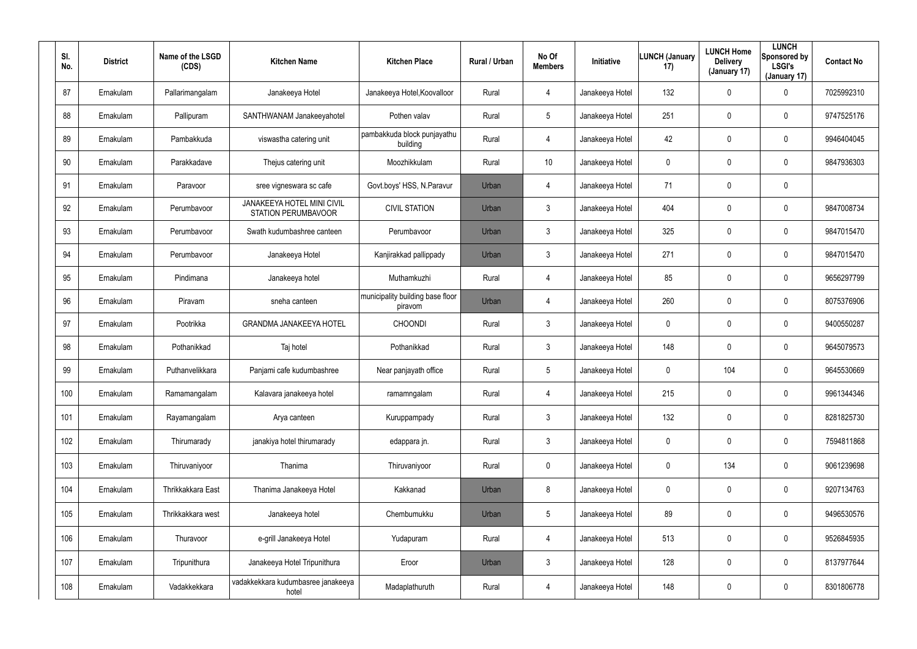| SI.<br>No. | <b>District</b> | Name of the LSGD<br>(CDS) | <b>Kitchen Name</b>                                      | <b>Kitchen Place</b>                        | <b>Rural / Urban</b> | No Of<br><b>Members</b> | Initiative      | <b>LUNCH (January</b><br>17) | <b>LUNCH Home</b><br><b>Delivery</b><br>(January 17) | <b>LUNCH</b><br>Sponsored by<br><b>LSGI's</b><br>(January 17) | <b>Contact No</b> |
|------------|-----------------|---------------------------|----------------------------------------------------------|---------------------------------------------|----------------------|-------------------------|-----------------|------------------------------|------------------------------------------------------|---------------------------------------------------------------|-------------------|
| 87         | Ernakulam       | Pallarimangalam           | Janakeeya Hotel                                          | Janakeeya Hotel, Koovalloor                 | Rural                | 4                       | Janakeeya Hotel | 132                          | $\mathbf 0$                                          | 0                                                             | 7025992310        |
| 88         | Ernakulam       | Pallipuram                | SANTHWANAM Janakeeyahotel                                | Pothen valav                                | Rural                | 5                       | Janakeeya Hotel | 251                          | $\mathbf 0$                                          | 0                                                             | 9747525176        |
| 89         | Ernakulam       | Pambakkuda                | viswastha catering unit                                  | pambakkuda block punjayathu<br>building     | Rural                | 4                       | Janakeeya Hotel | 42                           | $\mathbf 0$                                          | $\mathbf 0$                                                   | 9946404045        |
| 90         | Ernakulam       | Parakkadave               | Thejus catering unit                                     | Moozhikkulam                                | Rural                | 10                      | Janakeeya Hotel | 0                            | 0                                                    | $\mathbf 0$                                                   | 9847936303        |
| 91         | Ernakulam       | Paravoor                  | sree vigneswara sc cafe                                  | Govt.boys' HSS, N.Paravur                   | Urban                | 4                       | Janakeeya Hotel | 71                           | $\mathbf 0$                                          | 0                                                             |                   |
| 92         | Ernakulam       | Perumbavoor               | JANAKEEYA HOTEL MINI CIVIL<br><b>STATION PERUMBAVOOR</b> | <b>CIVIL STATION</b>                        | Urban                | $\mathfrak{Z}$          | Janakeeya Hotel | 404                          | 0                                                    | $\mathbf 0$                                                   | 9847008734        |
| 93         | Ernakulam       | Perumbavoor               | Swath kudumbashree canteen                               | Perumbavoor                                 | Urban                | $\mathbf{3}$            | Janakeeya Hotel | 325                          | $\mathbf 0$                                          | $\mathbf 0$                                                   | 9847015470        |
| 94         | Ernakulam       | Perumbavoor               | Janakeeya Hotel                                          | Kanjirakkad pallippady                      | Urban                | $\mathbf{3}$            | Janakeeya Hotel | 271                          | 0                                                    | 0                                                             | 9847015470        |
| 95         | Ernakulam       | Pindimana                 | Janakeeya hotel                                          | Muthamkuzhi                                 | Rural                | $\overline{4}$          | Janakeeya Hotel | 85                           | $\mathbf 0$                                          | $\mathbf 0$                                                   | 9656297799        |
| 96         | Ernakulam       | Piravam                   | sneha canteen                                            | municipality building base floor<br>piravom | Urban                | 4                       | Janakeeya Hotel | 260                          | 0                                                    | 0                                                             | 8075376906        |
| 97         | Ernakulam       | Pootrikka                 | <b>GRANDMA JANAKEEYA HOTEL</b>                           | <b>CHOONDI</b>                              | Rural                | $\mathbf{3}$            | Janakeeya Hotel | 0                            | $\mathbf 0$                                          | 0                                                             | 9400550287        |
| 98         | Ernakulam       | Pothanikkad               | Taj hotel                                                | Pothanikkad                                 | Rural                | $\mathbf{3}$            | Janakeeya Hotel | 148                          | 0                                                    | 0                                                             | 9645079573        |
| 99         | Ernakulam       | Puthanvelikkara           | Panjami cafe kudumbashree                                | Near panjayath office                       | Rural                | $5\overline{)}$         | Janakeeya Hotel | 0                            | 104                                                  | 0                                                             | 9645530669        |
| 100        | Ernakulam       | Ramamangalam              | Kalavara janakeeya hotel                                 | ramamngalam                                 | Rural                | 4                       | Janakeeya Hotel | 215                          | $\pmb{0}$                                            | 0                                                             | 9961344346        |
| 101        | Ernakulam       | Rayamangalam              | Arya canteen                                             | Kuruppampady                                | Rural                | $\mathbf{3}$            | Janakeeya Hotel | 132                          | $\boldsymbol{0}$                                     | $\pmb{0}$                                                     | 8281825730        |
| 102        | Ernakulam       | Thirumarady               | janakiya hotel thirumarady                               | edappara jn.                                | Rural                | $\mathfrak{Z}$          | Janakeeya Hotel | 0                            | $\pmb{0}$                                            | $\pmb{0}$                                                     | 7594811868        |
| 103        | Ernakulam       | Thiruvaniyoor             | Thanima                                                  | Thiruvaniyoor                               | Rural                | $\mathbf 0$             | Janakeeya Hotel | 0                            | 134                                                  | 0                                                             | 9061239698        |
| 104        | Ernakulam       | Thrikkakkara East         | Thanima Janakeeya Hotel                                  | Kakkanad                                    | Urban                | 8                       | Janakeeya Hotel | 0                            | $\mathbf 0$                                          | $\pmb{0}$                                                     | 9207134763        |
| 105        | Ernakulam       | Thrikkakkara west         | Janakeeya hotel                                          | Chembumukku                                 | Urban                | $5\phantom{.0}$         | Janakeeya Hotel | 89                           | $\pmb{0}$                                            | 0                                                             | 9496530576        |
| 106        | Ernakulam       | Thuravoor                 | e-grill Janakeeya Hotel                                  | Yudapuram                                   | Rural                | 4                       | Janakeeya Hotel | 513                          | $\boldsymbol{0}$                                     | $\pmb{0}$                                                     | 9526845935        |
| 107        | Ernakulam       | Tripunithura              | Janakeeya Hotel Tripunithura                             | Eroor                                       | Urban                | $\mathfrak{Z}$          | Janakeeya Hotel | 128                          | $\pmb{0}$                                            | $\pmb{0}$                                                     | 8137977644        |
| 108        | Ernakulam       | Vadakkekkara              | vadakkekkara kudumbasree janakeeya<br>hotel              | Madaplathuruth                              | Rural                | 4                       | Janakeeya Hotel | 148                          | $\boldsymbol{0}$                                     | 0                                                             | 8301806778        |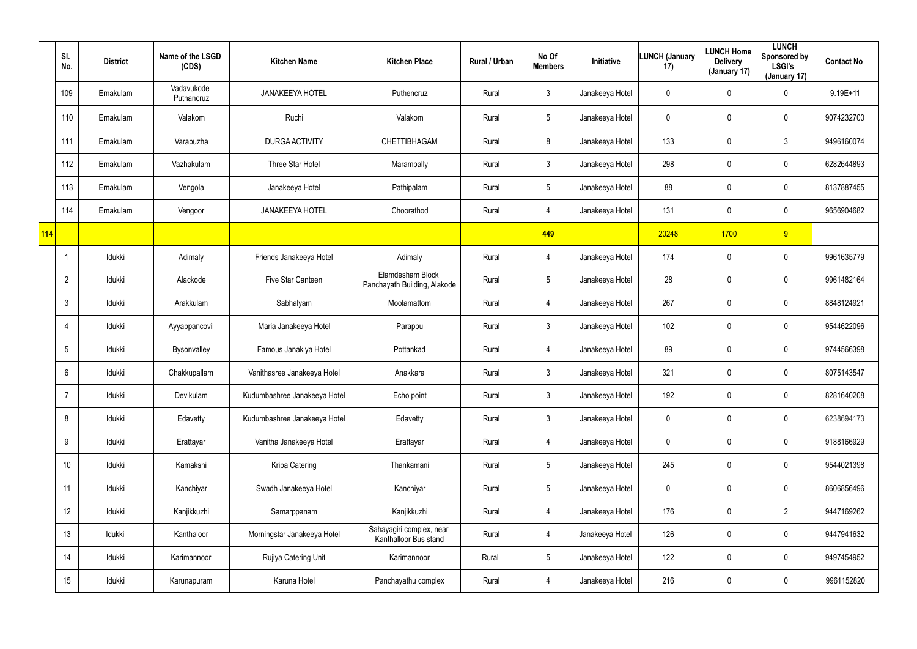|     | SI.<br>No.      | <b>District</b> | Name of the LSGD<br>(CDS) | <b>Kitchen Name</b>          | <b>Kitchen Place</b>                              | Rural / Urban | No Of<br><b>Members</b> | <b>Initiative</b> | LUNCH (January<br>17) | <b>LUNCH Home</b><br><b>Delivery</b><br>(January 17) | <b>LUNCH</b><br>Sponsored by<br><b>LSGI's</b><br>(January 17) | <b>Contact No</b> |
|-----|-----------------|-----------------|---------------------------|------------------------------|---------------------------------------------------|---------------|-------------------------|-------------------|-----------------------|------------------------------------------------------|---------------------------------------------------------------|-------------------|
|     | 109             | Ernakulam       | Vadavukode<br>Puthancruz  | <b>JANAKEEYA HOTEL</b>       | Puthencruz                                        | Rural         | $\mathbf{3}$            | Janakeeya Hotel   | 0                     | $\mathbf 0$                                          | 0                                                             | $9.19E + 11$      |
|     | 110             | Ernakulam       | Valakom                   | Ruchi                        | Valakom                                           | Rural         | $5\phantom{.0}$         | Janakeeya Hotel   | 0                     | $\mathbf 0$                                          | $\pmb{0}$                                                     | 9074232700        |
|     | 111             | Ernakulam       | Varapuzha                 | <b>DURGA ACTIVITY</b>        | CHETTIBHAGAM                                      | Rural         | 8                       | Janakeeya Hotel   | 133                   | $\mathbf 0$                                          | $\mathfrak{Z}$                                                | 9496160074        |
|     | 112             | Ernakulam       | Vazhakulam                | Three Star Hotel             | Marampally                                        | Rural         | $\mathfrak{Z}$          | Janakeeya Hotel   | 298                   | $\mathbf 0$                                          | $\mathbf 0$                                                   | 6282644893        |
|     | 113             | Ernakulam       | Vengola                   | Janakeeya Hotel              | Pathipalam                                        | Rural         | $5\phantom{.0}$         | Janakeeya Hotel   | 88                    | $\pmb{0}$                                            | $\pmb{0}$                                                     | 8137887455        |
|     | 114             | Ernakulam       | Vengoor                   | <b>JANAKEEYA HOTEL</b>       | Choorathod                                        | Rural         | 4                       | Janakeeya Hotel   | 131                   | $\mathbf 0$                                          | $\mathbf 0$                                                   | 9656904682        |
| 114 |                 |                 |                           |                              |                                                   |               | 449                     |                   | 20248                 | 1700                                                 | 9                                                             |                   |
|     | -1              | Idukki          | Adimaly                   | Friends Janakeeya Hotel      | Adimaly                                           | Rural         | 4                       | Janakeeya Hotel   | 174                   | $\mathbf 0$                                          | $\mathbf 0$                                                   | 9961635779        |
|     | $\overline{2}$  | Idukki          | Alackode                  | Five Star Canteen            | Elamdesham Block<br>Panchayath Building, Alakode  | Rural         | $5\phantom{.0}$         | Janakeeya Hotel   | 28                    | $\pmb{0}$                                            | $\mathbf 0$                                                   | 9961482164        |
|     | $\mathbf{3}$    | Idukki          | Arakkulam                 | Sabhalyam                    | Moolamattom                                       | Rural         | 4                       | Janakeeya Hotel   | 267                   | $\mathbf 0$                                          | $\mathbf 0$                                                   | 8848124921        |
|     | $\overline{4}$  | Idukki          | Ayyappancovil             | Maria Janakeeya Hotel        | Parappu                                           | Rural         | $\mathbf{3}$            | Janakeeya Hotel   | 102                   | $\mathbf 0$                                          | $\mathbf 0$                                                   | 9544622096        |
|     | $5\phantom{.0}$ | Idukki          | Bysonvalley               | Famous Janakiya Hotel        | Pottankad                                         | Rural         | 4                       | Janakeeya Hotel   | 89                    | $\mathbf 0$                                          | $\mathbf 0$                                                   | 9744566398        |
|     | 6               | Idukki          | Chakkupallam              | Vanithasree Janakeeya Hotel  | Anakkara                                          | Rural         | $\mathbf{3}$            | Janakeeya Hotel   | 321                   | $\mathbf 0$                                          | $\mathbf 0$                                                   | 8075143547        |
|     | $\overline{7}$  | Idukki          | Devikulam                 | Kudumbashree Janakeeya Hotel | Echo point                                        | Rural         | $\mathbf{3}$            | Janakeeya Hotel   | 192                   | $\mathbf 0$                                          | $\pmb{0}$                                                     | 8281640208        |
|     | 8               | Idukki          | Edavetty                  | Kudumbashree Janakeeya Hotel | Edavetty                                          | Rural         | $\mathbf{3}$            | Janakeeya Hotel   | 0                     | $\mathbf 0$                                          | $\pmb{0}$                                                     | 6238694173        |
|     | 9               | ldukki          | Erattayar                 | Vanitha Janakeeya Hotel      | Erattayar                                         | Rural         | 4                       | Janakeeya Hotel   | $\mathbf 0$           | $\mathbf 0$                                          | $\mathbf 0$                                                   | 9188166929        |
|     | 10 <sup>°</sup> | Idukki          | Kamakshi                  | Kripa Catering               | Thankamani                                        | Rural         | $5\phantom{.0}$         | Janakeeya Hotel   | 245                   | $\mathbf 0$                                          | $\mathbf 0$                                                   | 9544021398        |
|     | 11              | ldukki          | Kanchiyar                 | Swadh Janakeeya Hotel        | Kanchiyar                                         | Rural         | $\overline{5}$          | Janakeeya Hotel   | $\mathbf 0$           | $\mathbf 0$                                          | $\pmb{0}$                                                     | 8606856496        |
|     | 12              | Idukki          | Kanjikkuzhi               | Samarppanam                  | Kanjikkuzhi                                       | Rural         | 4                       | Janakeeya Hotel   | 176                   | $\mathbf 0$                                          | $\overline{2}$                                                | 9447169262        |
|     | 13              | ldukki          | Kanthaloor                | Morningstar Janakeeya Hotel  | Sahayagiri complex, near<br>Kanthalloor Bus stand | Rural         | 4                       | Janakeeya Hotel   | 126                   | $\mathbf 0$                                          | $\pmb{0}$                                                     | 9447941632        |
|     | 14              | Idukki          | Karimannoor               | Rujiya Catering Unit         | Karimannoor                                       | Rural         | $\overline{5}$          | Janakeeya Hotel   | 122                   | $\mathbf 0$                                          | $\pmb{0}$                                                     | 9497454952        |
|     | 15              | Idukki          | Karunapuram               | Karuna Hotel                 | Panchayathu complex                               | Rural         | 4                       | Janakeeya Hotel   | 216                   | $\mathbf 0$                                          | $\mathbf 0$                                                   | 9961152820        |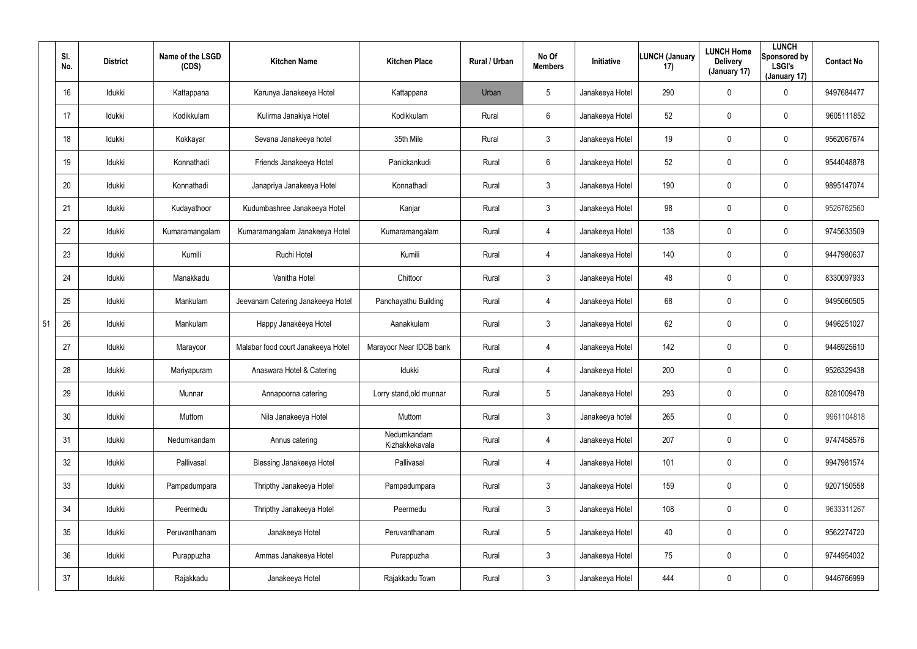|    | SI.<br>No.      | <b>District</b> | Name of the LSGD<br>(CDS) | <b>Kitchen Name</b>                | <b>Kitchen Place</b>          | Rural / Urban | No Of<br><b>Members</b> | Initiative      | <b>LUNCH (January</b><br>17) | <b>LUNCH Home</b><br><b>Delivery</b><br>(January 17) | <b>LUNCH</b><br>Sponsored by<br><b>LSGI's</b><br>(January 17) | <b>Contact No</b> |
|----|-----------------|-----------------|---------------------------|------------------------------------|-------------------------------|---------------|-------------------------|-----------------|------------------------------|------------------------------------------------------|---------------------------------------------------------------|-------------------|
|    | 16              | Idukki          | Kattappana                | Karunya Janakeeya Hotel            | Kattappana                    | Urban         | 5                       | Janakeeya Hotel | 290                          | $\mathbf 0$                                          | 0                                                             | 9497684477        |
|    | 17              | Idukki          | Kodikkulam                | Kulirma Janakiya Hotel             | Kodikkulam                    | Rural         | 6                       | Janakeeya Hotel | 52                           | $\mathbf 0$                                          | 0                                                             | 9605111852        |
|    | 18              | Idukki          | Kokkayar                  | Sevana Janakeeya hotel             | 35th Mile                     | Rural         | $\mathfrak{Z}$          | Janakeeya Hotel | 19                           | $\mathbf 0$                                          | 0                                                             | 9562067674        |
|    | 19              | Idukki          | Konnathadi                | Friends Janakeeya Hotel            | Panickankudi                  | Rural         | 6                       | Janakeeya Hotel | 52                           | $\mathbf 0$                                          | 0                                                             | 9544048878        |
|    | 20              | Idukki          | Konnathadi                | Janapriya Janakeeya Hotel          | Konnathadi                    | Rural         | $\mathfrak{Z}$          | Janakeeya Hotel | 190                          | $\mathbf 0$                                          | 0                                                             | 9895147074        |
|    | 21              | Idukki          | Kudayathoor               | Kudumbashree Janakeeya Hotel       | Kanjar                        | Rural         | 3                       | Janakeeya Hotel | 98                           | $\mathbf 0$                                          | 0                                                             | 9526762560        |
|    | 22              | Idukki          | Kumaramangalam            | Kumaramangalam Janakeeya Hotel     | Kumaramangalam                | Rural         | 4                       | Janakeeya Hotel | 138                          | 0                                                    | 0                                                             | 9745633509        |
|    | 23              | Idukki          | Kumili                    | Ruchi Hotel                        | Kumili                        | Rural         | 4                       | Janakeeya Hotel | 140                          | $\mathbf 0$                                          | 0                                                             | 9447980637        |
|    | 24              | Idukki          | Manakkadu                 | Vanitha Hotel                      | Chittoor                      | Rural         | $\mathfrak{Z}$          | Janakeeya Hotel | 48                           | $\mathbf 0$                                          | 0                                                             | 8330097933        |
|    | 25              | Idukki          | Mankulam                  | Jeevanam Catering Janakeeya Hotel  | Panchayathu Building          | Rural         | 4                       | Janakeeya Hotel | 68                           | $\mathbf 0$                                          | 0                                                             | 9495060505        |
| 51 | 26              | Idukki          | Mankulam                  | Happy Janakéeya Hotel              | Aanakkulam                    | Rural         | $\mathfrak{Z}$          | Janakeeya Hotel | 62                           | $\mathbf 0$                                          | 0                                                             | 9496251027        |
|    | 27              | Idukki          | Marayoor                  | Malabar food court Janakeeya Hotel | Marayoor Near IDCB bank       | Rural         | 4                       | Janakeeya Hotel | 142                          | $\mathbf 0$                                          | 0                                                             | 9446925610        |
|    | 28              | Idukki          | Mariyapuram               | Anaswara Hotel & Catering          | Idukki                        | Rural         | 4                       | Janakeeya Hotel | 200                          | $\mathbf 0$                                          | 0                                                             | 9526329438        |
|    | 29              | Idukki          | Munnar                    | Annapoorna catering                | Lorry stand, old munnar       | Rural         | 5                       | Janakeeya Hotel | 293                          | $\mathbf 0$                                          | 0                                                             | 8281009478        |
|    | 30              | Idukki          | Muttom                    | Nila Janakeeya Hotel               | Muttom                        | Rural         | $\mathfrak{Z}$          | Janakeeya hotel | 265                          | $\mathbf 0$                                          | 0                                                             | 9961104818        |
|    | 31              | Idukki          | Nedumkandam               | Annus catering                     | Nedumkandam<br>Kizhakkekavala | Rural         | 4                       | Janakeeya Hotel | 207                          | $\mathbf 0$                                          | 0                                                             | 9747458576        |
|    | 32              | Idukki          | Pallivasal                | <b>Blessing Janakeeya Hotel</b>    | Pallivasal                    | Rural         | 4                       | Janakeeya Hotel | 101                          | $\mathbf 0$                                          | 0                                                             | 9947981574        |
|    | 33              | Idukki          | Pampadumpara              | Thripthy Janakeeya Hotel           | Pampadumpara                  | Rural         | $\mathbf{3}$            | Janakeeya Hotel | 159                          | $\mathbf 0$                                          | 0                                                             | 9207150558        |
|    | 34              | Idukki          | Peermedu                  | Thripthy Janakeeya Hotel           | Peermedu                      | Rural         | $\mathbf{3}$            | Janakeeya Hotel | 108                          | $\mathbf 0$                                          | 0                                                             | 9633311267        |
|    | 35 <sub>5</sub> | ldukki          | Peruvanthanam             | Janakeeya Hotel                    | Peruvanthanam                 | Rural         | $5\phantom{.0}$         | Janakeeya Hotel | 40                           | $\mathbf 0$                                          | 0                                                             | 9562274720        |
|    | 36              | Idukki          | Purappuzha                | Ammas Janakeeya Hotel              | Purappuzha                    | Rural         | $\mathbf{3}$            | Janakeeya Hotel | 75                           | $\mathbf 0$                                          | 0                                                             | 9744954032        |
|    | 37              | ldukki          | Rajakkadu                 | Janakeeya Hotel                    | Rajakkadu Town                | Rural         | $\mathbf{3}$            | Janakeeya Hotel | 444                          | $\mathbf 0$                                          | 0                                                             | 9446766999        |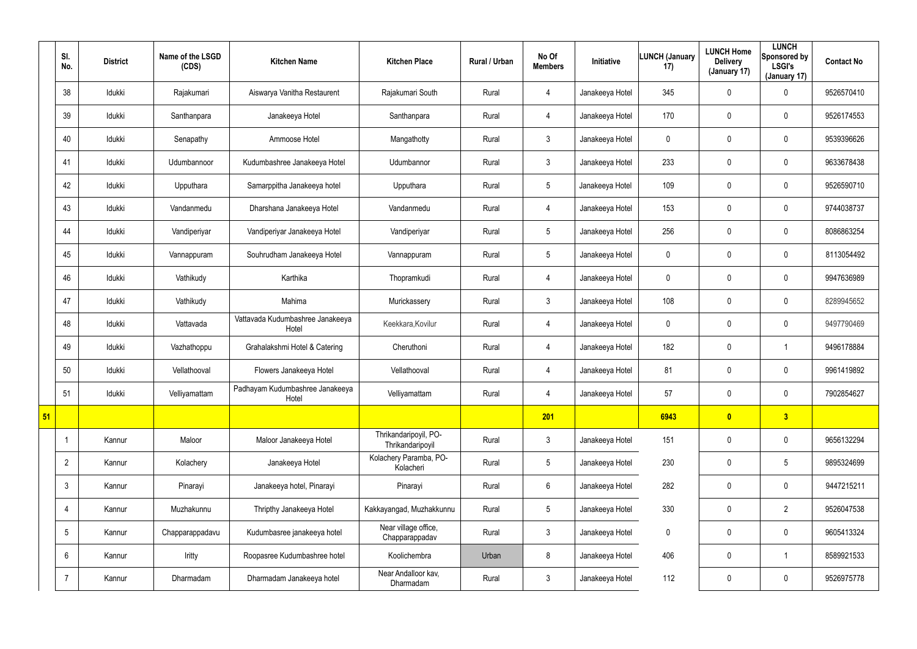|    | SI.<br>No.      | <b>District</b> | Name of the LSGD<br>(CDS) | <b>Kitchen Name</b>                       | <b>Kitchen Place</b>                      | Rural / Urban | No Of<br><b>Members</b> | Initiative      | <b>LUNCH (January</b><br>17) | <b>LUNCH Home</b><br><b>Delivery</b><br>(January 17) | <b>LUNCH</b><br>Sponsored by<br><b>LSGI's</b><br>(January 17) | <b>Contact No</b> |
|----|-----------------|-----------------|---------------------------|-------------------------------------------|-------------------------------------------|---------------|-------------------------|-----------------|------------------------------|------------------------------------------------------|---------------------------------------------------------------|-------------------|
|    | 38              | Idukki          | Rajakumari                | Aiswarya Vanitha Restaurent               | Rajakumari South                          | Rural         | $\overline{4}$          | Janakeeya Hotel | 345                          | $\mathbf 0$                                          | 0                                                             | 9526570410        |
|    | 39              | Idukki          | Santhanpara               | Janakeeya Hotel                           | Santhanpara                               | Rural         | $\overline{4}$          | Janakeeya Hotel | 170                          | $\mathbf 0$                                          | $\pmb{0}$                                                     | 9526174553        |
|    | 40              | Idukki          | Senapathy                 | Ammoose Hotel                             | Mangathotty                               | Rural         | $\mathfrak{Z}$          | Janakeeya Hotel | 0                            | $\mathbf 0$                                          | $\mathbf 0$                                                   | 9539396626        |
|    | 41              | Idukki          | Udumbannoor               | Kudumbashree Janakeeya Hotel              | Udumbannor                                | Rural         | $\mathbf{3}$            | Janakeeya Hotel | 233                          | $\mathbf 0$                                          | 0                                                             | 9633678438        |
|    | 42              | Idukki          | Upputhara                 | Samarppitha Janakeeya hotel               | Upputhara                                 | Rural         | $5\phantom{.0}$         | Janakeeya Hotel | 109                          | $\mathbf 0$                                          | $\mathbf 0$                                                   | 9526590710        |
|    | 43              | Idukki          | Vandanmedu                | Dharshana Janakeeya Hotel                 | Vandanmedu                                | Rural         | 4                       | Janakeeya Hotel | 153                          | 0                                                    | $\mathbf 0$                                                   | 9744038737        |
|    | 44              | Idukki          | Vandiperiyar              | Vandiperiyar Janakeeya Hotel              | Vandiperiyar                              | Rural         | $5\phantom{.0}$         | Janakeeya Hotel | 256                          | $\mathbf 0$                                          | $\mathbf 0$                                                   | 8086863254        |
|    | 45              | Idukki          | Vannappuram               | Souhrudham Janakeeya Hotel                | Vannappuram                               | Rural         | $5\phantom{.0}$         | Janakeeya Hotel | 0                            | $\mathbf 0$                                          | $\mathbf 0$                                                   | 8113054492        |
|    | 46              | Idukki          | Vathikudy                 | Karthika                                  | Thopramkudi                               | Rural         | 4                       | Janakeeya Hotel | 0                            | 0                                                    | $\mathbf 0$                                                   | 9947636989        |
|    | 47              | Idukki          | Vathikudy                 | Mahima                                    | Murickassery                              | Rural         | $\mathbf{3}$            | Janakeeya Hotel | 108                          | 0                                                    | $\mathbf 0$                                                   | 8289945652        |
|    | 48              | Idukki          | Vattavada                 | Vattavada Kudumbashree Janakeeya<br>Hotel | Keekkara, Kovilur                         | Rural         | 4                       | Janakeeya Hotel | 0                            | $\mathbf 0$                                          | $\mathbf 0$                                                   | 9497790469        |
|    | 49              | Idukki          | Vazhathoppu               | Grahalakshmi Hotel & Catering             | Cheruthoni                                | Rural         | 4                       | Janakeeya Hotel | 182                          | 0                                                    |                                                               | 9496178884        |
|    | 50              | Idukki          | Vellathooval              | Flowers Janakeeya Hotel                   | Vellathooval                              | Rural         | 4                       | Janakeeya Hotel | 81                           | $\mathbf 0$                                          | $\mathbf 0$                                                   | 9961419892        |
|    | 51              | Idukki          | Velliyamattam             | Padhayam Kudumbashree Janakeeya<br>Hotel  | Velliyamattam                             | Rural         | 4                       | Janakeeya Hotel | 57                           | $\pmb{0}$                                            | $\pmb{0}$                                                     | 7902854627        |
| 51 |                 |                 |                           |                                           |                                           |               | 201                     |                 | 6943                         | $\bullet$                                            | $\overline{\mathbf{3}}$                                       |                   |
|    | $\overline{1}$  | Kannur          | Maloor                    | Maloor Janakeeya Hotel                    | Thrikandaripoyil, PO-<br>Thrikandaripoyil | Rural         | $\mathfrak{Z}$          | Janakeeya Hotel | 151                          | $\pmb{0}$                                            | $\pmb{0}$                                                     | 9656132294        |
|    | $\overline{2}$  | Kannur          | Kolachery                 | Janakeeya Hotel                           | Kolachery Paramba, PO-<br>Kolacheri       | Rural         | $5\phantom{.0}$         | Janakeeya Hotel | 230                          | $\pmb{0}$                                            | $5\phantom{.0}$                                               | 9895324699        |
|    | $\mathbf{3}$    | Kannur          | Pinarayi                  | Janakeeya hotel, Pinarayi                 | Pinarayi                                  | Rural         | $6\phantom{.}6$         | Janakeeya Hotel | 282                          | $\mathbf 0$                                          | $\pmb{0}$                                                     | 9447215211        |
|    | 4               | Kannur          | Muzhakunnu                | Thripthy Janakeeya Hotel                  | Kakkayangad, Muzhakkunnu                  | Rural         | $5\phantom{.0}$         | Janakeeya Hotel | 330                          | $\pmb{0}$                                            | $\overline{2}$                                                | 9526047538        |
|    | $5\phantom{.0}$ | Kannur          | Chapparappadavu           | Kudumbasree janakeeya hotel               | Near village office,<br>Chapparappadav    | Rural         | $\mathfrak{Z}$          | Janakeeya Hotel | 0                            | $\mathbf 0$                                          | $\pmb{0}$                                                     | 9605413324        |
|    | 6               | Kannur          | Iritty                    | Roopasree Kudumbashree hotel              | Koolichembra                              | Urban         | 8                       | Janakeeya Hotel | 406                          | $\pmb{0}$                                            |                                                               | 8589921533        |
|    |                 | Kannur          | Dharmadam                 | Dharmadam Janakeeya hotel                 | Near Andalloor kav,<br>Dharmadam          | Rural         | $\mathbf{3}$            | Janakeeya Hotel | 112                          | $\mathbf 0$                                          | $\pmb{0}$                                                     | 9526975778        |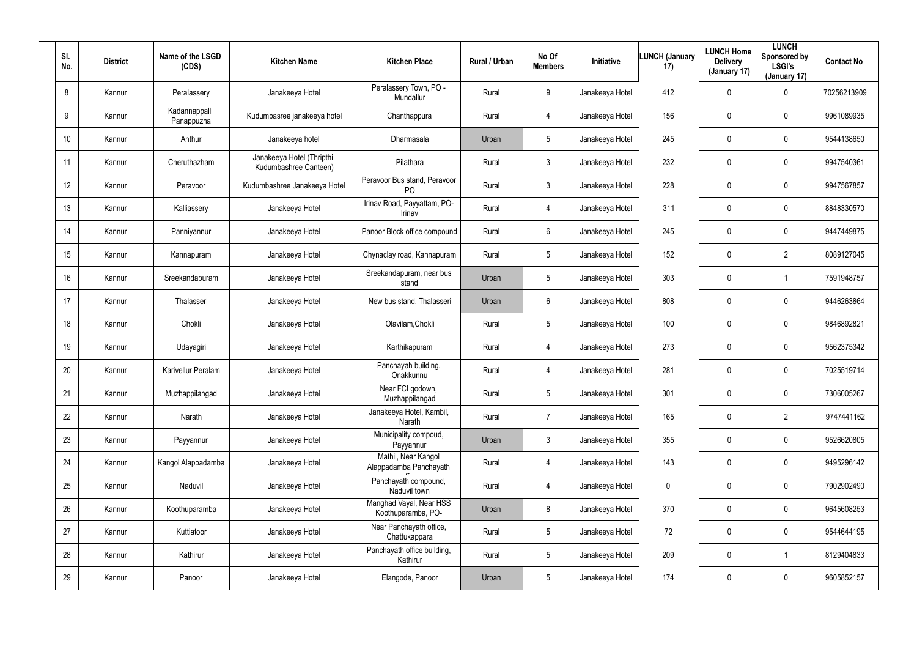| SI.<br>No.      | <b>District</b> | Name of the LSGD<br>(CDS)   | <b>Kitchen Name</b>                                | <b>Kitchen Place</b>                           | Rural / Urban | No Of<br><b>Members</b> | Initiative      | <b>LUNCH (January</b><br>17) | <b>LUNCH Home</b><br><b>Delivery</b><br>(January 17) | <b>LUNCH</b><br>Sponsored by<br><b>LSGI's</b><br>(January 17) | <b>Contact No</b> |
|-----------------|-----------------|-----------------------------|----------------------------------------------------|------------------------------------------------|---------------|-------------------------|-----------------|------------------------------|------------------------------------------------------|---------------------------------------------------------------|-------------------|
| 8               | Kannur          | Peralassery                 | Janakeeya Hotel                                    | Peralassery Town, PO -<br>Mundallur            | Rural         | 9                       | Janakeeya Hotel | 412                          | $\mathbf 0$                                          | 0                                                             | 70256213909       |
| 9               | Kannur          | Kadannappalli<br>Panappuzha | Kudumbasree janakeeya hotel                        | Chanthappura                                   | Rural         | 4                       | Janakeeya Hotel | 156                          | $\mathbf 0$                                          | 0                                                             | 9961089935        |
| 10 <sup>°</sup> | Kannur          | Anthur                      | Janakeeya hotel                                    | Dharmasala                                     | Urban         | 5                       | Janakeeya Hotel | 245                          | $\mathbf 0$                                          | 0                                                             | 9544138650        |
| 11              | Kannur          | Cheruthazham                | Janakeeya Hotel (Thripthi<br>Kudumbashree Canteen) | Pilathara                                      | Rural         | 3                       | Janakeeya Hotel | 232                          | $\mathbf 0$                                          | 0                                                             | 9947540361        |
| 12              | Kannur          | Peravoor                    | Kudumbashree Janakeeya Hotel                       | Peravoor Bus stand, Peravoor<br>P <sub>O</sub> | Rural         | $\mathfrak{Z}$          | Janakeeya Hotel | 228                          | $\mathbf 0$                                          | 0                                                             | 9947567857        |
| 13              | Kannur          | Kalliassery                 | Janakeeya Hotel                                    | Irinav Road, Payyattam, PO-<br>Irinav          | Rural         | 4                       | Janakeeya Hotel | 311                          | $\mathbf 0$                                          | 0                                                             | 8848330570        |
| 14              | Kannur          | Panniyannur                 | Janakeeya Hotel                                    | Panoor Block office compound                   | Rural         | 6                       | Janakeeya Hotel | 245                          | 0                                                    | 0                                                             | 9447449875        |
| 15              | Kannur          | Kannapuram                  | Janakeeya Hotel                                    | Chynaclay road, Kannapuram                     | Rural         | 5                       | Janakeeya Hotel | 152                          | 0                                                    | $\overline{2}$                                                | 8089127045        |
| 16              | Kannur          | Sreekandapuram              | Janakeeya Hotel                                    | Sreekandapuram, near bus<br>stand              | Urban         | $5\overline{)}$         | Janakeeya Hotel | 303                          | $\mathbf 0$                                          |                                                               | 7591948757        |
| 17              | Kannur          | Thalasseri                  | Janakeeya Hotel                                    | New bus stand, Thalasseri                      | Urban         | 6                       | Janakeeya Hotel | 808                          | 0                                                    | 0                                                             | 9446263864        |
| 18              | Kannur          | Chokli                      | Janakeeya Hotel                                    | Olavilam, Chokli                               | Rural         | $5\overline{)}$         | Janakeeya Hotel | 100                          | 0                                                    | 0                                                             | 9846892821        |
| 19              | Kannur          | Udayagiri                   | Janakeeya Hotel                                    | Karthikapuram                                  | Rural         | 4                       | Janakeeya Hotel | 273                          | 0                                                    | 0                                                             | 9562375342        |
| 20              | Kannur          | Karivellur Peralam          | Janakeeya Hotel                                    | Panchayah building,<br>Onakkunnu               | Rural         | 4                       | Janakeeya Hotel | 281                          | 0                                                    | 0                                                             | 7025519714        |
| 21              | Kannur          | Muzhappilangad              | Janakeeya Hotel                                    | Near FCI godown,<br>Muzhappilangad             | Rural         | $5\overline{)}$         | Janakeeya Hotel | 301                          | $\boldsymbol{0}$                                     | 0                                                             | 7306005267        |
| 22              | Kannur          | Narath                      | Janakeeya Hotel                                    | Janakeeya Hotel, Kambil,<br>Narath             | Rural         | $\overline{7}$          | Janakeeya Hotel | 165                          | $\boldsymbol{0}$                                     | $\overline{2}$                                                | 9747441162        |
| 23              | Kannur          | Payyannur                   | Janakeeya Hotel                                    | Municipality compoud,<br>Payyannur             | Urban         | $\mathbf{3}$            | Janakeeya Hotel | 355                          | $\boldsymbol{0}$                                     | 0                                                             | 9526620805        |
| 24              | Kannur          | Kangol Alappadamba          | Janakeeya Hotel                                    | Mathil, Near Kangol<br>Alappadamba Panchayath  | Rural         | $\overline{4}$          | Janakeeya Hotel | 143                          | $\boldsymbol{0}$                                     | $\mathbf 0$                                                   | 9495296142        |
| 25              | Kannur          | Naduvil                     | Janakeeya Hotel                                    | Panchayath compound,<br>Naduvil town           | Rural         | $\overline{4}$          | Janakeeya Hotel | 0                            | $\boldsymbol{0}$                                     | 0                                                             | 7902902490        |
| 26              | Kannur          | Koothuparamba               | Janakeeya Hotel                                    | Manghad Vayal, Near HSS<br>Koothuparamba, PO-  | Urban         | 8                       | Janakeeya Hotel | 370                          | $\boldsymbol{0}$                                     | 0                                                             | 9645608253        |
| 27              | Kannur          | Kuttiatoor                  | Janakeeya Hotel                                    | Near Panchayath office,<br>Chattukappara       | Rural         | 5                       | Janakeeya Hotel | 72                           | $\boldsymbol{0}$                                     | 0                                                             | 9544644195        |
| 28              | Kannur          | Kathirur                    | Janakeeya Hotel                                    | Panchayath office building,<br>Kathirur        | Rural         | 5                       | Janakeeya Hotel | 209                          | $\boldsymbol{0}$                                     | 1                                                             | 8129404833        |
| 29              | Kannur          | Panoor                      | Janakeeya Hotel                                    | Elangode, Panoor                               | Urban         | $5\phantom{.0}$         | Janakeeya Hotel | 174                          | $\boldsymbol{0}$                                     | 0                                                             | 9605852157        |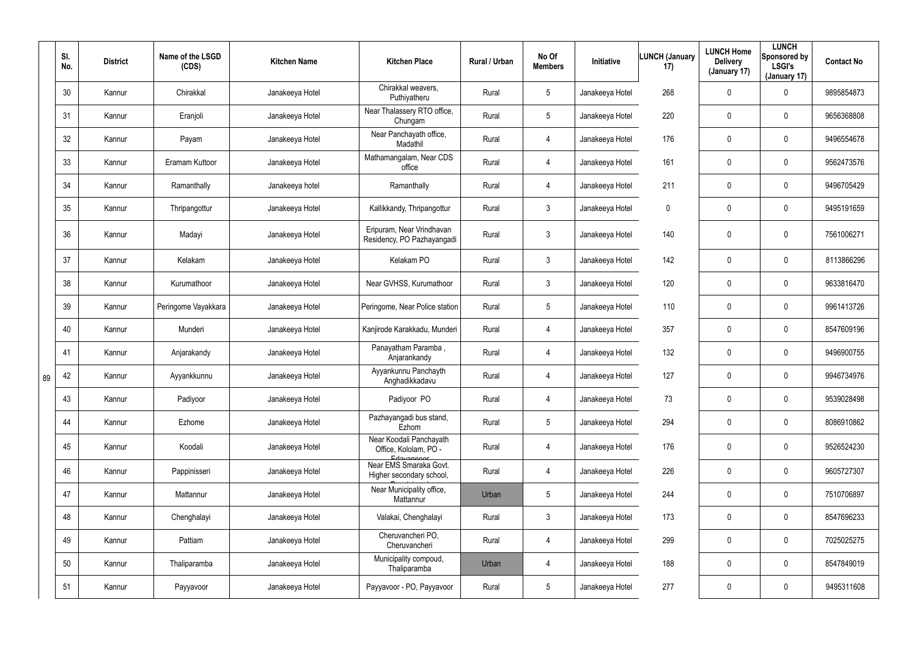|    | SI.<br>No. | <b>District</b> | Name of the LSGD<br>(CDS) | <b>Kitchen Name</b> | <b>Kitchen Place</b>                                             | Rural / Urban | No Of<br><b>Members</b> | Initiative      | <b>LUNCH (January</b><br>17) | <b>LUNCH Home</b><br><b>Delivery</b><br>(January 17) | <b>LUNCH</b><br>Sponsored by<br><b>LSGI's</b><br>(January 17) | <b>Contact No</b> |
|----|------------|-----------------|---------------------------|---------------------|------------------------------------------------------------------|---------------|-------------------------|-----------------|------------------------------|------------------------------------------------------|---------------------------------------------------------------|-------------------|
|    | 30         | Kannur          | Chirakkal                 | Janakeeya Hotel     | Chirakkal weavers,<br>Puthiyatheru                               | Rural         | $5\phantom{.0}$         | Janakeeya Hotel | 268                          | $\mathbf 0$                                          | 0                                                             | 9895854873        |
|    | 31         | Kannur          | Eranjoli                  | Janakeeya Hotel     | Near Thalassery RTO office,<br>Chungam                           | Rural         | $5\phantom{.0}$         | Janakeeya Hotel | 220                          | $\mathbf 0$                                          | 0                                                             | 9656368808        |
|    | 32         | Kannur          | Payam                     | Janakeeya Hotel     | Near Panchayath office,<br>Madathil                              | Rural         | 4                       | Janakeeya Hotel | 176                          | $\mathbf 0$                                          | 0                                                             | 9496554678        |
|    | 33         | Kannur          | Eramam Kuttoor            | Janakeeya Hotel     | Mathamangalam, Near CDS<br>office                                | Rural         | 4                       | Janakeeya Hotel | 161                          | $\mathbf 0$                                          | 0                                                             | 9562473576        |
|    | 34         | Kannur          | Ramanthally               | Janakeeya hotel     | Ramanthally                                                      | Rural         | 4                       | Janakeeya Hotel | 211                          | 0                                                    | $\mathbf 0$                                                   | 9496705429        |
|    | 35         | Kannur          | Thripangottur             | Janakeeya Hotel     | Kallikkandy, Thripangottur                                       | Rural         | $\mathfrak{Z}$          | Janakeeya Hotel | 0                            | $\mathbf 0$                                          | 0                                                             | 9495191659        |
|    | 36         | Kannur          | Madayi                    | Janakeeya Hotel     | Eripuram, Near Vrindhavan<br>Residency, PO Pazhayangadi          | Rural         | 3                       | Janakeeya Hotel | 140                          | $\mathbf 0$                                          | 0                                                             | 7561006271        |
|    | 37         | Kannur          | Kelakam                   | Janakeeya Hotel     | Kelakam PO                                                       | Rural         | $\mathbf{3}$            | Janakeeya Hotel | 142                          | 0                                                    | 0                                                             | 8113866296        |
|    | 38         | Kannur          | Kurumathoor               | Janakeeya Hotel     | Near GVHSS, Kurumathoor                                          | Rural         | $\mathbf{3}$            | Janakeeya Hotel | 120                          | 0                                                    | 0                                                             | 9633816470        |
|    | 39         | Kannur          | Peringome Vayakkara       | Janakeeya Hotel     | Peringome, Near Police station                                   | Rural         | $5\phantom{.0}$         | Janakeeya Hotel | 110                          | $\mathbf 0$                                          | 0                                                             | 9961413726        |
|    | 40         | Kannur          | Munderi                   | Janakeeya Hotel     | Kanjirode Karakkadu, Munderi                                     | Rural         | 4                       | Janakeeya Hotel | 357                          | 0                                                    | 0                                                             | 8547609196        |
|    | 41         | Kannur          | Anjarakandy               | Janakeeya Hotel     | Panayatham Paramba,<br>Anjarankandy                              | Rural         | 4                       | Janakeeya Hotel | 132                          | $\mathbf 0$                                          | 0                                                             | 9496900755        |
| 89 | 42         | Kannur          | Ayyankkunnu               | Janakeeya Hotel     | Ayyankunnu Panchayth<br>Anghadikkadavu                           | Rural         | 4                       | Janakeeya Hotel | 127                          | 0                                                    | 0                                                             | 9946734976        |
|    | 43         | Kannur          | Padiyoor                  | Janakeeya Hotel     | Padiyoor PO                                                      | Rural         | 4                       | Janakeeya Hotel | 73                           | $\mathbf 0$                                          | 0                                                             | 9539028498        |
|    | 44         | Kannur          | Ezhome                    | Janakeeya Hotel     | Pazhayangadi bus stand,<br>Ezhom                                 | Rural         | $5\phantom{.0}$         | Janakeeya Hotel | 294                          | $\mathbf 0$                                          | 0                                                             | 8086910862        |
|    | 45         | Kannur          | Koodali                   | Janakeeya Hotel     | Near Koodali Panchayath<br>Office, Kololam, PO -                 | Rural         | 4                       | Janakeeya Hotel | 176                          | $\mathbf 0$                                          | $\pmb{0}$                                                     | 9526524230        |
|    | 46         | Kannur          | Pappinisseri              | Janakeeya Hotel     | Edavannoor<br>Near EMS Smaraka Govt.<br>Higher secondary school, | Rural         | 4                       | Janakeeya Hotel | 226                          | $\pmb{0}$                                            | $\pmb{0}$                                                     | 9605727307        |
|    | 47         | Kannur          | Mattannur                 | Janakeeya Hotel     | Near Municipality office,<br>Mattannur                           | Urban         | $5\phantom{.0}$         | Janakeeya Hotel | 244                          | $\pmb{0}$                                            | $\pmb{0}$                                                     | 7510706897        |
|    | 48         | Kannur          | Chenghalayi               | Janakeeya Hotel     | Valakai, Chenghalayi                                             | Rural         | $\mathfrak{Z}$          | Janakeeya Hotel | 173                          | $\mathbf 0$                                          | $\pmb{0}$                                                     | 8547696233        |
|    | 49         | Kannur          | Pattiam                   | Janakeeya Hotel     | Cheruvancheri PO,<br>Cheruvancheri                               | Rural         | $\overline{4}$          | Janakeeya Hotel | 299                          | $\mathbf 0$                                          | $\pmb{0}$                                                     | 7025025275        |
|    | 50         | Kannur          | Thaliparamba              | Janakeeya Hotel     | Municipality compoud,<br>Thaliparamba                            | Urban         | 4                       | Janakeeya Hotel | 188                          | $\pmb{0}$                                            | $\pmb{0}$                                                     | 8547849019        |
|    | 51         | Kannur          | Payyavoor                 | Janakeeya Hotel     | Payyavoor - PO, Payyavoor                                        | Rural         | $5\phantom{.0}$         | Janakeeya Hotel | 277                          | $\boldsymbol{0}$                                     | $\pmb{0}$                                                     | 9495311608        |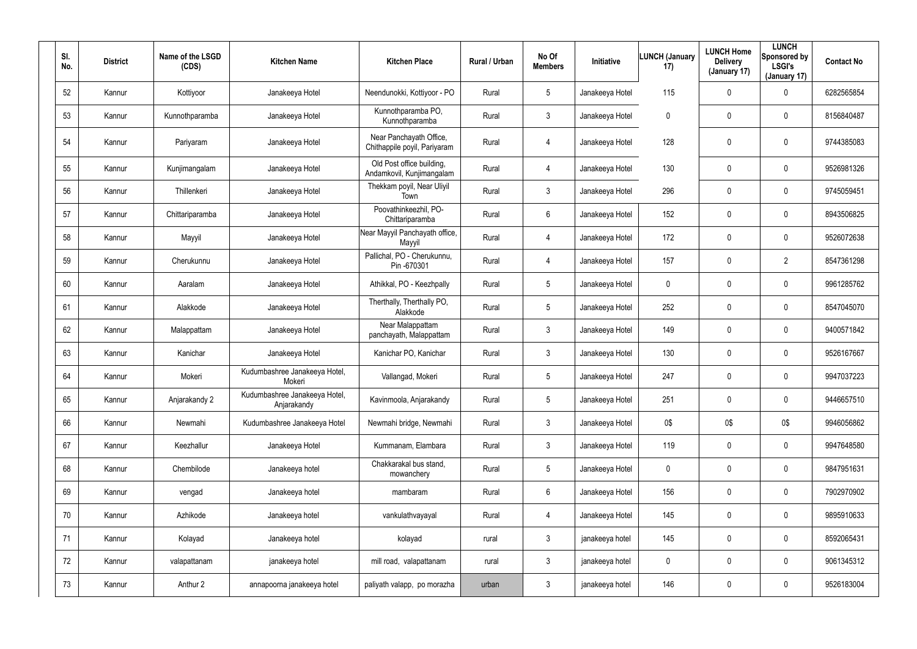| SI. | No. | <b>District</b> | Name of the LSGD<br>(CDS) | <b>Kitchen Name</b>                          | <b>Kitchen Place</b>                                    | Rural / Urban | No Of<br><b>Members</b> | Initiative      | <b>LUNCH (January</b><br>17) | <b>LUNCH Home</b><br><b>Delivery</b><br>(January 17) | <b>LUNCH</b><br>Sponsored by<br><b>LSGI's</b><br>(January 17) | <b>Contact No</b> |
|-----|-----|-----------------|---------------------------|----------------------------------------------|---------------------------------------------------------|---------------|-------------------------|-----------------|------------------------------|------------------------------------------------------|---------------------------------------------------------------|-------------------|
|     | 52  | Kannur          | Kottiyoor                 | Janakeeya Hotel                              | Neendunokki, Kottiyoor - PO                             | Rural         | $5\phantom{.0}$         | Janakeeya Hotel | 115                          | 0                                                    | $\mathbf 0$                                                   | 6282565854        |
|     | 53  | Kannur          | Kunnothparamba            | Janakeeya Hotel                              | Kunnothparamba PO,<br>Kunnothparamba                    | Rural         | 3                       | Janakeeya Hotel | 0                            | 0                                                    | $\mathbf 0$                                                   | 8156840487        |
|     | 54  | Kannur          | Pariyaram                 | Janakeeya Hotel                              | Near Panchayath Office,<br>Chithappile poyil, Pariyaram | Rural         | 4                       | Janakeeya Hotel | 128                          | 0                                                    | $\mathbf 0$                                                   | 9744385083        |
|     | 55  | Kannur          | Kunjimangalam             | Janakeeya Hotel                              | Old Post office building,<br>Andamkovil, Kunjimangalam  | Rural         | 4                       | Janakeeya Hotel | 130                          | 0                                                    | $\mathbf 0$                                                   | 9526981326        |
|     | 56  | Kannur          | Thillenkeri               | Janakeeya Hotel                              | Thekkam poyil, Near Uliyil<br>Town                      | Rural         | $\mathbf{3}$            | Janakeeya Hotel | 296                          | 0                                                    | $\mathbf 0$                                                   | 9745059451        |
|     | 57  | Kannur          | Chittariparamba           | Janakeeya Hotel                              | Poovathinkeezhil, PO-<br>Chittariparamba                | Rural         | $6\phantom{.}$          | Janakeeya Hotel | 152                          | $\mathbf 0$                                          | $\mathbf 0$                                                   | 8943506825        |
|     | 58  | Kannur          | Mayyil                    | Janakeeya Hotel                              | Near Mayyil Panchayath office,<br>Mayyil                | Rural         | 4                       | Janakeeya Hotel | 172                          | 0                                                    | $\pmb{0}$                                                     | 9526072638        |
|     | 59  | Kannur          | Cherukunnu                | Janakeeya Hotel                              | Pallichal, PO - Cherukunnu,<br>Pin-670301               | Rural         | 4                       | Janakeeya Hotel | 157                          | 0                                                    | $\overline{2}$                                                | 8547361298        |
|     | 60  | Kannur          | Aaralam                   | Janakeeya Hotel                              | Athikkal, PO - Keezhpally                               | Rural         | $5\phantom{.0}$         | Janakeeya Hotel | 0                            | 0                                                    | $\pmb{0}$                                                     | 9961285762        |
|     | 61  | Kannur          | Alakkode                  | Janakeeya Hotel                              | Therthally, Therthally PO,<br>Alakkode                  | Rural         | $5\phantom{.0}$         | Janakeeya Hotel | 252                          | 0                                                    | $\pmb{0}$                                                     | 8547045070        |
|     | 62  | Kannur          | Malappattam               | Janakeeya Hotel                              | Near Malappattam<br>panchayath, Malappattam             | Rural         | $\mathbf{3}$            | Janakeeya Hotel | 149                          | 0                                                    | $\mathbf 0$                                                   | 9400571842        |
|     | 63  | Kannur          | Kanichar                  | Janakeeya Hotel                              | Kanichar PO, Kanichar                                   | Rural         | 3                       | Janakeeya Hotel | 130                          | $\pmb{0}$                                            | $\pmb{0}$                                                     | 9526167667        |
|     | 64  | Kannur          | Mokeri                    | Kudumbashree Janakeeya Hotel,<br>Mokeri      | Vallangad, Mokeri                                       | Rural         | $5\phantom{.0}$         | Janakeeya Hotel | 247                          | 0                                                    | $\mathbf 0$                                                   | 9947037223        |
|     | 65  | Kannur          | Anjarakandy 2             | Kudumbashree Janakeeya Hotel,<br>Anjarakandy | Kavinmoola, Anjarakandy                                 | Rural         | $5\phantom{.0}$         | Janakeeya Hotel | 251                          | $\mathbf 0$                                          | $\pmb{0}$                                                     | 9446657510        |
|     | 66  | Kannur          | Newmahi                   | Kudumbashree Janakeeya Hotel                 | Newmahi bridge, Newmahi                                 | Rural         | $\mathfrak{Z}$          | Janakeeya Hotel | 0\$                          | 0\$                                                  | 0\$                                                           | 9946056862        |
|     | 67  | Kannur          | Keezhallur                | Janakeeya Hotel                              | Kummanam, Elambara                                      | Rural         | $\mathfrak{Z}$          | Janakeeya Hotel | 119                          | $\mathbf 0$                                          | $\pmb{0}$                                                     | 9947648580        |
|     | 68  | Kannur          | Chembilode                | Janakeeya hotel                              | Chakkarakal bus stand,<br>mowanchery                    | Rural         | $5\phantom{.0}$         | Janakeeya Hotel | $\pmb{0}$                    | $\mathbf 0$                                          | $\pmb{0}$                                                     | 9847951631        |
|     | 69  | Kannur          | vengad                    | Janakeeya hotel                              | mambaram                                                | Rural         | $6\phantom{.}$          | Janakeeya Hotel | 156                          | 0                                                    | $\pmb{0}$                                                     | 7902970902        |
|     | 70  | Kannur          | Azhikode                  | Janakeeya hotel                              | vankulathvayayal                                        | Rural         | 4                       | Janakeeya Hotel | 145                          | $\mathbf 0$                                          | $\pmb{0}$                                                     | 9895910633        |
|     | 71  | Kannur          | Kolayad                   | Janakeeya hotel                              | kolayad                                                 | rural         | $\mathfrak{Z}$          | janakeeya hotel | 145                          | 0                                                    | $\pmb{0}$                                                     | 8592065431        |
|     | 72  | Kannur          | valapattanam              | janakeeya hotel                              | mill road, valapattanam                                 | rural         | $\mathfrak{Z}$          | janakeeya hotel | $\mathbf 0$                  | $\mathbf 0$                                          | $\pmb{0}$                                                     | 9061345312        |
|     | 73  | Kannur          | Anthur 2                  | annapoorna janakeeya hotel                   | paliyath valapp, po morazha                             | urban         | $\mathfrak{Z}$          | janakeeya hotel | 146                          | 0                                                    | $\pmb{0}$                                                     | 9526183004        |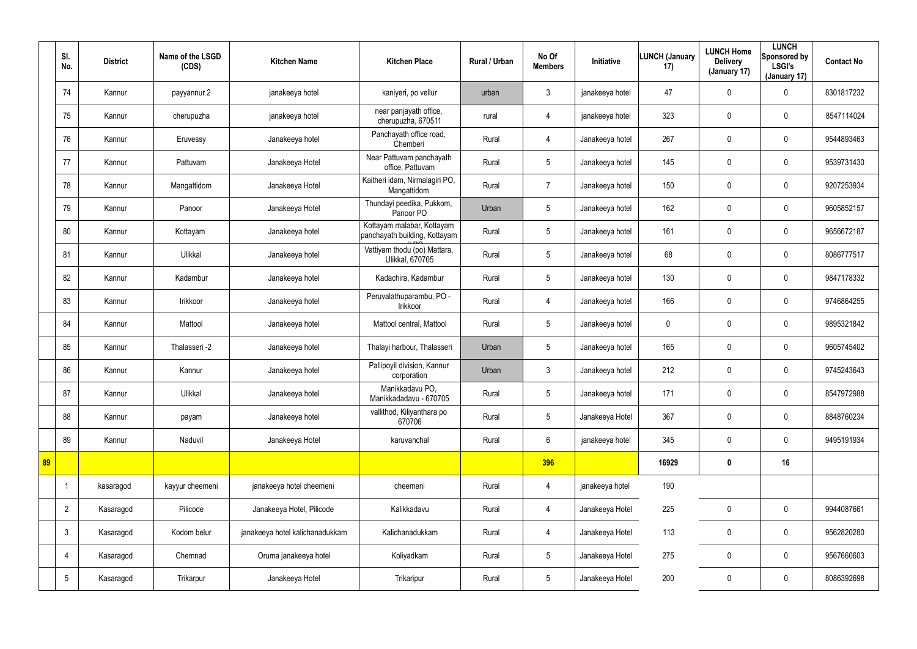|    | SI.<br>No.      | <b>District</b> | Name of the LSGD<br>(CDS) | <b>Kitchen Name</b>             | <b>Kitchen Place</b>                                        | <b>Rural / Urban</b> | No Of<br><b>Members</b> | Initiative      | <b>LUNCH (January</b><br>17) | <b>LUNCH Home</b><br><b>Delivery</b><br>(January 17) | <b>LUNCH</b><br>Sponsored by<br><b>LSGI's</b><br>(January 17) | <b>Contact No</b> |
|----|-----------------|-----------------|---------------------------|---------------------------------|-------------------------------------------------------------|----------------------|-------------------------|-----------------|------------------------------|------------------------------------------------------|---------------------------------------------------------------|-------------------|
|    | 74              | Kannur          | payyannur 2               | janakeeya hotel                 | kaniyeri, po vellur                                         | urban                | $\mathbf{3}$            | janakeeya hotel | 47                           | 0                                                    | $\mathbf 0$                                                   | 8301817232        |
|    | 75              | Kannur          | cherupuzha                | janakeeya hotel                 | near panjayath office,<br>cherupuzha, 670511                | rural                | 4                       | janakeeya hotel | 323                          | 0                                                    | $\mathbf 0$                                                   | 8547114024        |
|    | 76              | Kannur          | Eruvessy                  | Janakeeya hotel                 | Panchayath office road,<br>Chemberi                         | Rural                | $\overline{4}$          | Janakeeya hotel | 267                          | 0                                                    | $\pmb{0}$                                                     | 9544893463        |
|    | 77              | Kannur          | Pattuvam                  | Janakeeya Hotel                 | Near Pattuvam panchayath<br>office, Pattuvam                | Rural                | $5\overline{)}$         | Janakeeya hotel | 145                          | 0                                                    | $\pmb{0}$                                                     | 9539731430        |
|    | 78              | Kannur          | Mangattidom               | Janakeeya Hotel                 | Kaitheri idam, Nirmalagiri PO,<br>Mangattidom               | Rural                | $\overline{7}$          | Janakeeya hotel | 150                          | $\mathbf 0$                                          | $\pmb{0}$                                                     | 9207253934        |
|    | 79              | Kannur          | Panoor                    | Janakeeya Hotel                 | Thundayi peedika, Pukkom,<br>Panoor PO                      | Urban                | $5\phantom{.0}$         | Janakeeya hotel | 162                          | 0                                                    | $\pmb{0}$                                                     | 9605852157        |
|    | 80              | Kannur          | Kottayam                  | Janakeeya hotel                 | Kottayam malabar, Kottayam<br>panchayath building, Kottayam | Rural                | $5\phantom{.0}$         | Janakeeya hotel | 161                          | $\mathbf 0$                                          | $\pmb{0}$                                                     | 9656672187        |
|    | 81              | Kannur          | Ulikkal                   | Janakeeya hotel                 | Vattiyam thodu (po) Mattara,<br><b>Ulikkal, 670705</b>      | Rural                | $5\overline{)}$         | Janakeeya hotel | 68                           | 0                                                    | $\pmb{0}$                                                     | 8086777517        |
|    | 82              | Kannur          | Kadambur                  | Janakeeya hotel                 | Kadachira, Kadambur                                         | Rural                | $5\phantom{.0}$         | Janakeeya hotel | 130                          | 0                                                    | $\pmb{0}$                                                     | 9847178332        |
|    | 83              | Kannur          | Irikkoor                  | Janakeeya hotel                 | Peruvalathuparambu, PO -<br>Irikkoor                        | Rural                | $\overline{4}$          | Janakeeya hotel | 166                          | 0                                                    | $\mathbf 0$                                                   | 9746864255        |
|    | 84              | Kannur          | Mattool                   | Janakeeya hotel                 | Mattool central, Mattool                                    | Rural                | $5\overline{)}$         | Janakeeya hotel | $\mathbf 0$                  | 0                                                    | $\mathbf 0$                                                   | 9895321842        |
|    | 85              | Kannur          | Thalasseri -2             | Janakeeya hotel                 | Thalayi harbour, Thalasseri                                 | Urban                | $5\overline{)}$         | Janakeeya hotel | 165                          | 0                                                    | $\mathbf 0$                                                   | 9605745402        |
|    | 86              | Kannur          | Kannur                    | Janakeeya hotel                 | Pallipoyil division, Kannur<br>corporation                  | Urban                | $\mathbf{3}$            | Janakeeya hotel | 212                          | 0                                                    | $\mathbf 0$                                                   | 9745243643        |
|    | 87              | Kannur          | Ulikkal                   | Janakeeya hotel                 | Manikkadavu PO,<br>Manikkadadavu - 670705                   | Rural                | $5\phantom{.0}$         | Janakeeya hotel | 171                          | $\pmb{0}$                                            | $\pmb{0}$                                                     | 8547972988        |
|    | 88              | Kannur          | payam                     | Janakeeya hotel                 | vallithod, Kiliyanthara po<br>670706                        | Rural                | $5\phantom{.0}$         | Janakeeya Hotel | 367                          | $\mathbf 0$                                          | $\mathsf{0}$                                                  | 8848760234        |
|    | 89              | Kannur          | Naduvil                   | Janakeeya Hotel                 | karuvanchal                                                 | Rural                | $6\overline{6}$         | janakeeya hotel | 345                          | $\mathbf 0$                                          | $\mathsf{0}$                                                  | 9495191934        |
| 89 |                 |                 |                           |                                 |                                                             |                      | 396                     |                 | 16929                        | $\boldsymbol{0}$                                     | 16                                                            |                   |
|    | $\overline{1}$  | kasaragod       | kayyur cheemeni           | janakeeya hotel cheemeni        | cheemeni                                                    | Rural                | $\overline{4}$          | janakeeya hotel | 190                          |                                                      |                                                               |                   |
|    | $\overline{2}$  | Kasaragod       | Pilicode                  | Janakeeya Hotel, Pilicode       | Kalikkadavu                                                 | Rural                | $\overline{4}$          | Janakeeya Hotel | 225                          | 0                                                    | $\pmb{0}$                                                     | 9944087661        |
|    | $\mathbf{3}$    | Kasaragod       | Kodom belur               | janakeeya hotel kalichanadukkam | Kalichanadukkam                                             | Rural                | $\overline{4}$          | Janakeeya Hotel | 113                          | 0                                                    | $\mathsf{0}$                                                  | 9562820280        |
|    | 4               | Kasaragod       | Chemnad                   | Oruma janakeeya hotel           | Koliyadkam                                                  | Rural                | $5\overline{)}$         | Janakeeya Hotel | 275                          | 0                                                    | $\mathbf 0$                                                   | 9567660603        |
|    | $5\phantom{.0}$ | Kasaragod       | Trikarpur                 | Janakeeya Hotel                 | Trikaripur                                                  | Rural                | $5\overline{)}$         | Janakeeya Hotel | 200                          | 0                                                    | $\mathsf{0}$                                                  | 8086392698        |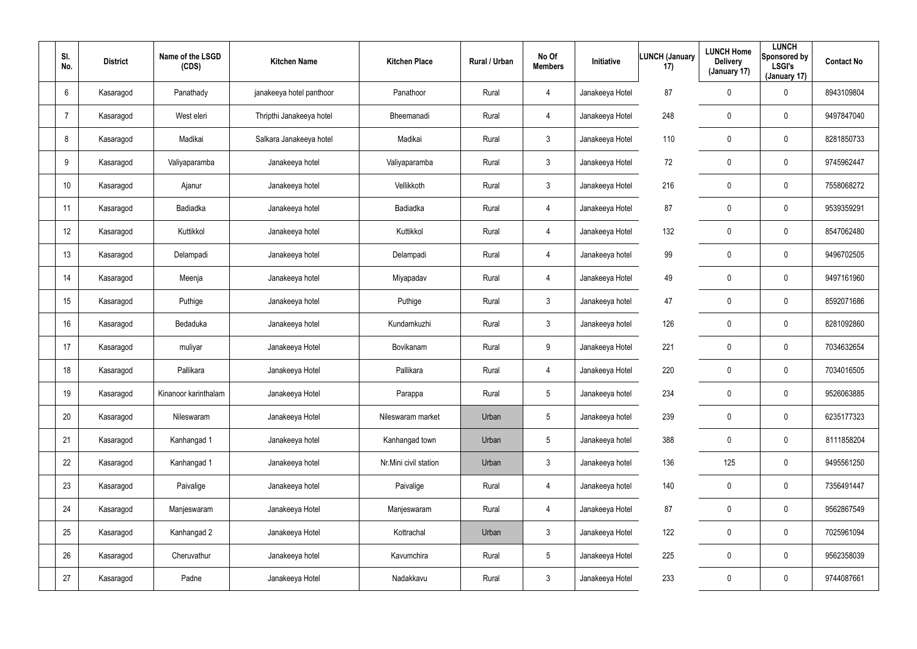| SI.<br>No.      | <b>District</b> | Name of the LSGD<br>(CDS) | <b>Kitchen Name</b>      | <b>Kitchen Place</b>  | Rural / Urban | No Of<br><b>Members</b> | Initiative      | <b>LUNCH (January</b><br>17) | <b>LUNCH Home</b><br><b>Delivery</b><br>(January 17) | <b>LUNCH</b><br>Sponsored by<br><b>LSGI's</b><br>(January 17) | <b>Contact No</b> |
|-----------------|-----------------|---------------------------|--------------------------|-----------------------|---------------|-------------------------|-----------------|------------------------------|------------------------------------------------------|---------------------------------------------------------------|-------------------|
| 6               | Kasaragod       | Panathady                 | janakeeya hotel panthoor | Panathoor             | Rural         | 4                       | Janakeeya Hotel | 87                           | 0                                                    | $\mathbf 0$                                                   | 8943109804        |
| 7               | Kasaragod       | West eleri                | Thripthi Janakeeya hotel | Bheemanadi            | Rural         | 4                       | Janakeeya Hotel | 248                          | 0                                                    | $\pmb{0}$                                                     | 9497847040        |
| 8               | Kasaragod       | Madikai                   | Salkara Janakeeya hotel  | Madikai               | Rural         | $\mathfrak{Z}$          | Janakeeya Hotel | 110                          | 0                                                    | $\pmb{0}$                                                     | 8281850733        |
| 9               | Kasaragod       | Valiyaparamba             | Janakeeya hotel          | Valiyaparamba         | Rural         | $\mathbf{3}$            | Janakeeya Hotel | 72                           | 0                                                    | $\pmb{0}$                                                     | 9745962447        |
| 10 <sup>°</sup> | Kasaragod       | Ajanur                    | Janakeeya hotel          | Vellikkoth            | Rural         | $\mathbf{3}$            | Janakeeya Hotel | 216                          | 0                                                    | $\pmb{0}$                                                     | 7558068272        |
| 11              | Kasaragod       | Badiadka                  | Janakeeya hotel          | Badiadka              | Rural         | 4                       | Janakeeya Hotel | 87                           | 0                                                    | $\pmb{0}$                                                     | 9539359291        |
| 12              | Kasaragod       | Kuttikkol                 | Janakeeya hotel          | Kuttikkol             | Rural         | $\overline{4}$          | Janakeeya Hotel | 132                          | 0                                                    | $\pmb{0}$                                                     | 8547062480        |
| 13              | Kasaragod       | Delampadi                 | Janakeeya hotel          | Delampadi             | Rural         | 4                       | Janakeeya hotel | 99                           | 0                                                    | $\mathbf 0$                                                   | 9496702505        |
| 14              | Kasaragod       | Meenja                    | Janakeeya hotel          | Miyapadav             | Rural         | $\overline{4}$          | Janakeeya Hotel | 49                           | 0                                                    | $\mathbf 0$                                                   | 9497161960        |
| 15              | Kasaragod       | Puthige                   | Janakeeya hotel          | Puthige               | Rural         | $\mathbf{3}$            | Janakeeya hotel | 47                           | 0                                                    | $\mathbf 0$                                                   | 8592071686        |
| 16              | Kasaragod       | Bedaduka                  | Janakeeya hotel          | Kundamkuzhi           | Rural         | $\mathbf{3}$            | Janakeeya hotel | 126                          | 0                                                    | $\mathbf 0$                                                   | 8281092860        |
| 17              | Kasaragod       | muliyar                   | Janakeeya Hotel          | Bovikanam             | Rural         | 9                       | Janakeeya Hotel | 221                          | 0                                                    | $\mathbf 0$                                                   | 7034632654        |
| 18              | Kasaragod       | Pallikara                 | Janakeeya Hotel          | Pallikara             | Rural         | $\overline{4}$          | Janakeeya Hotel | 220                          | 0                                                    | $\mathbf 0$                                                   | 7034016505        |
| 19              | Kasaragod       | Kinanoor karinthalam      | Janakeeya Hotel          | Parappa               | Rural         | 5                       | Janakeeya hotel | 234                          | 0                                                    | $\pmb{0}$                                                     | 9526063885        |
| 20              | Kasaragod       | Nileswaram                | Janakeeya Hotel          | Nileswaram market     | Urban         | $\sqrt{5}$              | Janakeeya hotel | 239                          | 0                                                    | $\pmb{0}$                                                     | 6235177323        |
| 21              | Kasaragod       | Kanhangad 1               | Janakeeya hotel          | Kanhangad town        | Urban         | $5\phantom{.0}$         | Janakeeya hotel | 388                          | 0                                                    | $\pmb{0}$                                                     | 8111858204        |
| 22              | Kasaragod       | Kanhangad 1               | Janakeeya hotel          | Nr.Mini civil station | Urban         | $\mathbf{3}$            | Janakeeya hotel | 136                          | 125                                                  | $\pmb{0}$                                                     | 9495561250        |
| 23              | Kasaragod       | Paivalige                 | Janakeeya hotel          | Paivalige             | Rural         | $\overline{4}$          | Janakeeya hotel | 140                          | 0                                                    | $\pmb{0}$                                                     | 7356491447        |
| 24              | Kasaragod       | Manjeswaram               | Janakeeya Hotel          | Manjeswaram           | Rural         | $\overline{4}$          | Janakeeya Hotel | 87                           | 0                                                    | $\pmb{0}$                                                     | 9562867549        |
| 25              | Kasaragod       | Kanhangad 2               | Janakeeya Hotel          | Kottrachal            | Urban         | $\mathfrak{Z}$          | Janakeeya Hotel | 122                          | 0                                                    | $\pmb{0}$                                                     | 7025961094        |
| 26              | Kasaragod       | Cheruvathur               | Janakeeya hotel          | Kavumchira            | Rural         | $5\phantom{.0}$         | Janakeeya Hotel | 225                          | 0                                                    | $\pmb{0}$                                                     | 9562358039        |
| 27              | Kasaragod       | Padne                     | Janakeeya Hotel          | Nadakkavu             | Rural         | $\mathbf{3}$            | Janakeeya Hotel | 233                          | 0                                                    | $\pmb{0}$                                                     | 9744087661        |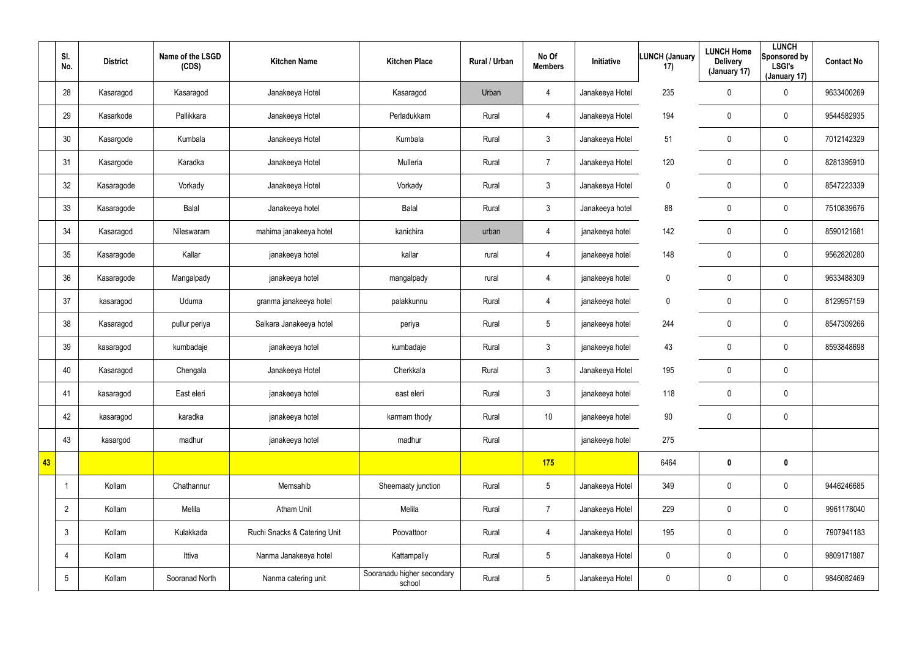|    | SI.<br>No.      | <b>District</b> | Name of the LSGD<br>(CDS) | <b>Kitchen Name</b>          | <b>Kitchen Place</b>                 | Rural / Urban | No Of<br><b>Members</b> | Initiative      | <b>LUNCH (January</b><br>17) | <b>LUNCH Home</b><br><b>Delivery</b><br>(January 17) | <b>LUNCH</b><br>Sponsored by<br><b>LSGI's</b><br>(January 17) | <b>Contact No</b> |
|----|-----------------|-----------------|---------------------------|------------------------------|--------------------------------------|---------------|-------------------------|-----------------|------------------------------|------------------------------------------------------|---------------------------------------------------------------|-------------------|
|    | 28              | Kasaragod       | Kasaragod                 | Janakeeya Hotel              | Kasaragod                            | Urban         | 4                       | Janakeeya Hotel | 235                          | 0                                                    | 0                                                             | 9633400269        |
|    | 29              | Kasarkode       | Pallikkara                | Janakeeya Hotel              | Perladukkam                          | Rural         | $\overline{4}$          | Janakeeya Hotel | 194                          | 0                                                    | $\mathbf 0$                                                   | 9544582935        |
|    | 30              | Kasargode       | Kumbala                   | Janakeeya Hotel              | Kumbala                              | Rural         | $\mathbf{3}$            | Janakeeya Hotel | 51                           | 0                                                    | $\mathbf 0$                                                   | 7012142329        |
|    | 31              | Kasargode       | Karadka                   | Janakeeya Hotel              | Mulleria                             | Rural         | $\overline{7}$          | Janakeeya Hotel | 120                          | 0                                                    | $\mathbf 0$                                                   | 8281395910        |
|    | 32              | Kasaragode      | Vorkady                   | Janakeeya Hotel              | Vorkady                              | Rural         | $\mathbf{3}$            | Janakeeya Hotel | 0                            | 0                                                    | $\pmb{0}$                                                     | 8547223339        |
|    | 33              | Kasaragode      | Balal                     | Janakeeya hotel              | Balal                                | Rural         | $\mathbf{3}$            | Janakeeya hotel | 88                           | 0                                                    | $\pmb{0}$                                                     | 7510839676        |
|    | 34              | Kasaragod       | Nileswaram                | mahima janakeeya hotel       | kanichira                            | urban         | $\overline{4}$          | janakeeya hotel | 142                          | 0                                                    | $\mathbf 0$                                                   | 8590121681        |
|    | 35              | Kasaragode      | Kallar                    | janakeeya hotel              | kallar                               | rural         | 4                       | janakeeya hotel | 148                          | 0                                                    | $\mathbf 0$                                                   | 9562820280        |
|    | 36              | Kasaragode      | Mangalpady                | janakeeya hotel              | mangalpady                           | rural         | $\overline{4}$          | janakeeya hotel | 0                            | 0                                                    | $\pmb{0}$                                                     | 9633488309        |
|    | 37              | kasaragod       | Uduma                     | granma janakeeya hotel       | palakkunnu                           | Rural         | 4                       | janakeeya hotel | 0                            | 0                                                    | $\mathbf 0$                                                   | 8129957159        |
|    | 38              | Kasaragod       | pullur periya             | Salkara Janakeeya hotel      | periya                               | Rural         | $5\phantom{.0}$         | janakeeya hotel | 244                          | 0                                                    | $\pmb{0}$                                                     | 8547309266        |
|    | 39              | kasaragod       | kumbadaje                 | janakeeya hotel              | kumbadaje                            | Rural         | $\mathbf{3}$            | janakeeya hotel | 43                           | 0                                                    | $\mathbf 0$                                                   | 8593848698        |
|    | 40              | Kasaragod       | Chengala                  | Janakeeya Hotel              | Cherkkala                            | Rural         | $\mathbf{3}$            | Janakeeya Hotel | 195                          | 0                                                    | $\mathbf 0$                                                   |                   |
|    | 41              | kasaragod       | East eleri                | janakeeya hotel              | east eleri                           | Rural         | $\mathbf{3}$            | janakeeya hotel | 118                          | 0                                                    | $\mathbf 0$                                                   |                   |
|    | 42              | kasaragod       | karadka                   | janakeeya hotel              | karmam thody                         | Rural         | 10 <sup>°</sup>         | janakeeya hotel | 90                           | 0                                                    | $\pmb{0}$                                                     |                   |
|    | 43              | kasargod        | madhur                    | janakeeya hotel              | madhur                               | Rural         |                         | janakeeya hotel | 275                          |                                                      |                                                               |                   |
| 43 |                 |                 |                           |                              |                                      |               | 175                     |                 | 6464                         | $\boldsymbol{0}$                                     | $\pmb{0}$                                                     |                   |
|    | -1              | Kollam          | Chathannur                | Memsahib                     | Sheemaaty junction                   | Rural         | $5\overline{)}$         | Janakeeya Hotel | 349                          | 0                                                    | $\pmb{0}$                                                     | 9446246685        |
|    | $\overline{2}$  | Kollam          | Melila                    | <b>Atham Unit</b>            | Melila                               | Rural         | $\overline{7}$          | Janakeeya Hotel | 229                          | 0                                                    | $\pmb{0}$                                                     | 9961178040        |
|    | $\mathbf{3}$    | Kollam          | Kulakkada                 | Ruchi Snacks & Catering Unit | Poovattoor                           | Rural         | $\overline{4}$          | Janakeeya Hotel | 195                          | 0                                                    | $\pmb{0}$                                                     | 7907941183        |
|    | 4               | Kollam          | Ittiva                    | Nanma Janakeeya hotel        | Kattampally                          | Rural         | $5\overline{)}$         | Janakeeya Hotel | 0                            | 0                                                    | $\pmb{0}$                                                     | 9809171887        |
|    | $5\phantom{.0}$ | Kollam          | Sooranad North            | Nanma catering unit          | Sooranadu higher secondary<br>school | Rural         | $5\overline{)}$         | Janakeeya Hotel | 0                            | 0                                                    | $\pmb{0}$                                                     | 9846082469        |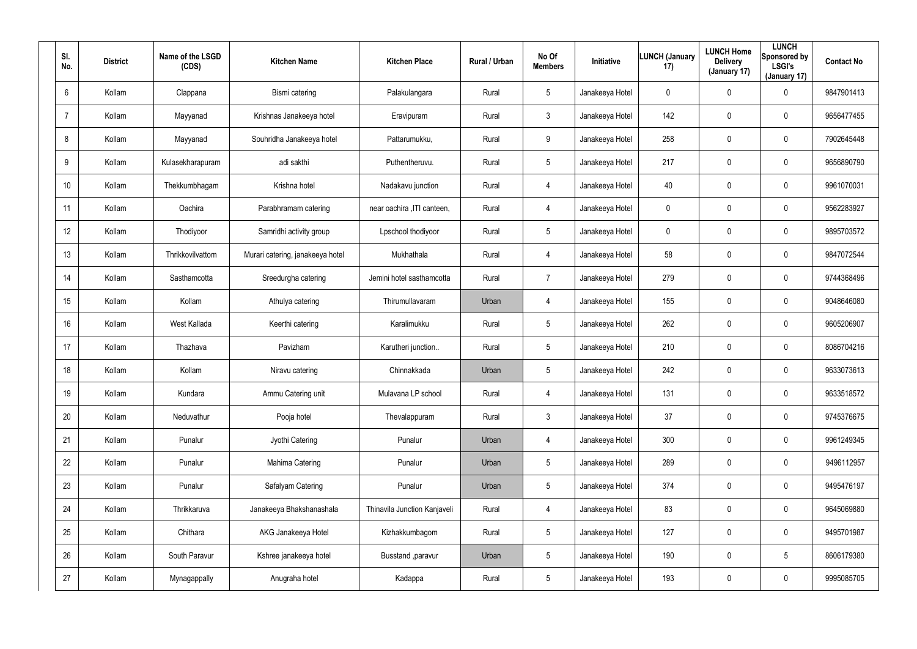| SI.<br>No. | <b>District</b> | Name of the LSGD<br>(CDS) | <b>Kitchen Name</b>              | <b>Kitchen Place</b>         | <b>Rural / Urban</b> | No Of<br><b>Members</b> | Initiative      | <b>LUNCH (January</b><br>17) | <b>LUNCH Home</b><br><b>Delivery</b><br>(January 17) | <b>LUNCH</b><br>Sponsored by<br><b>LSGI's</b><br>(January 17) | <b>Contact No</b> |
|------------|-----------------|---------------------------|----------------------------------|------------------------------|----------------------|-------------------------|-----------------|------------------------------|------------------------------------------------------|---------------------------------------------------------------|-------------------|
| 6          | Kollam          | Clappana                  | Bismi catering                   | Palakulangara                | Rural                | 5                       | Janakeeya Hotel | $\mathbf 0$                  | 0                                                    | 0                                                             | 9847901413        |
| 7          | Kollam          | Mayyanad                  | Krishnas Janakeeya hotel         | Eravipuram                   | Rural                | $\mathbf{3}$            | Janakeeya Hotel | 142                          | 0                                                    | $\mathbf 0$                                                   | 9656477455        |
| 8          | Kollam          | Mayyanad                  | Souhridha Janakeeya hotel        | Pattarumukku,                | Rural                | 9                       | Janakeeya Hotel | 258                          | $\mathbf 0$                                          | $\mathbf 0$                                                   | 7902645448        |
| 9          | Kollam          | Kulasekharapuram          | adi sakthi                       | Puthentheruvu.               | Rural                | $5\overline{)}$         | Janakeeya Hotel | 217                          | 0                                                    | $\mathbf 0$                                                   | 9656890790        |
| 10         | Kollam          | Thekkumbhagam             | Krishna hotel                    | Nadakavu junction            | Rural                | $\overline{4}$          | Janakeeya Hotel | 40                           | 0                                                    | $\mathbf 0$                                                   | 9961070031        |
| 11         | Kollam          | Oachira                   | Parabhramam catering             | near oachira , ITI canteen,  | Rural                | 4                       | Janakeeya Hotel | 0                            | 0                                                    | $\mathbf 0$                                                   | 9562283927        |
| 12         | Kollam          | Thodiyoor                 | Samridhi activity group          | Lpschool thodiyoor           | Rural                | 5                       | Janakeeya Hotel | 0                            | $\boldsymbol{0}$                                     | 0                                                             | 9895703572        |
| 13         | Kollam          | Thrikkovilvattom          | Murari catering, janakeeya hotel | Mukhathala                   | Rural                | $\overline{4}$          | Janakeeya Hotel | 58                           | $\boldsymbol{0}$                                     | $\mathbf 0$                                                   | 9847072544        |
| 14         | Kollam          | Sasthamcotta              | Sreedurgha catering              | Jemini hotel sasthamcotta    | Rural                | $\overline{7}$          | Janakeeya Hotel | 279                          | $\boldsymbol{0}$                                     | 0                                                             | 9744368496        |
| 15         | Kollam          | Kollam                    | Athulya catering                 | Thirumullavaram              | Urban                | $\overline{4}$          | Janakeeya Hotel | 155                          | $\boldsymbol{0}$                                     | $\mathbf 0$                                                   | 9048646080        |
| 16         | Kollam          | West Kallada              | Keerthi catering                 | Karalimukku                  | Rural                | 5                       | Janakeeya Hotel | 262                          | $\boldsymbol{0}$                                     | 0                                                             | 9605206907        |
| 17         | Kollam          | Thazhava                  | Pavizham                         | Karutheri junction           | Rural                | 5                       | Janakeeya Hotel | 210                          | $\boldsymbol{0}$                                     | $\mathbf 0$                                                   | 8086704216        |
| 18         | Kollam          | Kollam                    | Niravu catering                  | Chinnakkada                  | Urban                | 5                       | Janakeeya Hotel | 242                          | $\boldsymbol{0}$                                     | $\mathbf 0$                                                   | 9633073613        |
| 19         | Kollam          | Kundara                   | Ammu Catering unit               | Mulavana LP school           | Rural                | $\overline{4}$          | Janakeeya Hotel | 131                          | $\pmb{0}$                                            | $\pmb{0}$                                                     | 9633518572        |
| 20         | Kollam          | Neduvathur                | Pooja hotel                      | Thevalappuram                | Rural                | $\mathfrak{Z}$          | Janakeeya Hotel | 37                           | $\pmb{0}$                                            | $\pmb{0}$                                                     | 9745376675        |
| 21         | Kollam          | Punalur                   | Jyothi Catering                  | Punalur                      | Urban                | $\overline{4}$          | Janakeeya Hotel | 300                          | $\pmb{0}$                                            | $\pmb{0}$                                                     | 9961249345        |
| 22         | Kollam          | Punalur                   | Mahima Catering                  | Punalur                      | Urban                | $5\phantom{.0}$         | Janakeeya Hotel | 289                          | $\pmb{0}$                                            | $\pmb{0}$                                                     | 9496112957        |
| 23         | Kollam          | Punalur                   | Safalyam Catering                | Punalur                      | Urban                | $5\phantom{.0}$         | Janakeeya Hotel | 374                          | $\mathbf 0$                                          | $\pmb{0}$                                                     | 9495476197        |
| 24         | Kollam          | Thrikkaruva               | Janakeeya Bhakshanashala         | Thinavila Junction Kanjaveli | Rural                | $\overline{4}$          | Janakeeya Hotel | 83                           | $\pmb{0}$                                            | 0                                                             | 9645069880        |
| 25         | Kollam          | Chithara                  | AKG Janakeeya Hotel              | Kizhakkumbagom               | Rural                | $5\phantom{.0}$         | Janakeeya Hotel | 127                          | $\mathbf 0$                                          | $\pmb{0}$                                                     | 9495701987        |
| 26         | Kollam          | South Paravur             | Kshree janakeeya hotel           | Busstand , paravur           | Urban                | $5\phantom{.0}$         | Janakeeya Hotel | 190                          | $\pmb{0}$                                            | $5\phantom{.0}$                                               | 8606179380        |
| 27         | Kollam          | Mynagappally              | Anugraha hotel                   | Kadappa                      | Rural                | $5\phantom{.0}$         | Janakeeya Hotel | 193                          | $\boldsymbol{0}$                                     | 0                                                             | 9995085705        |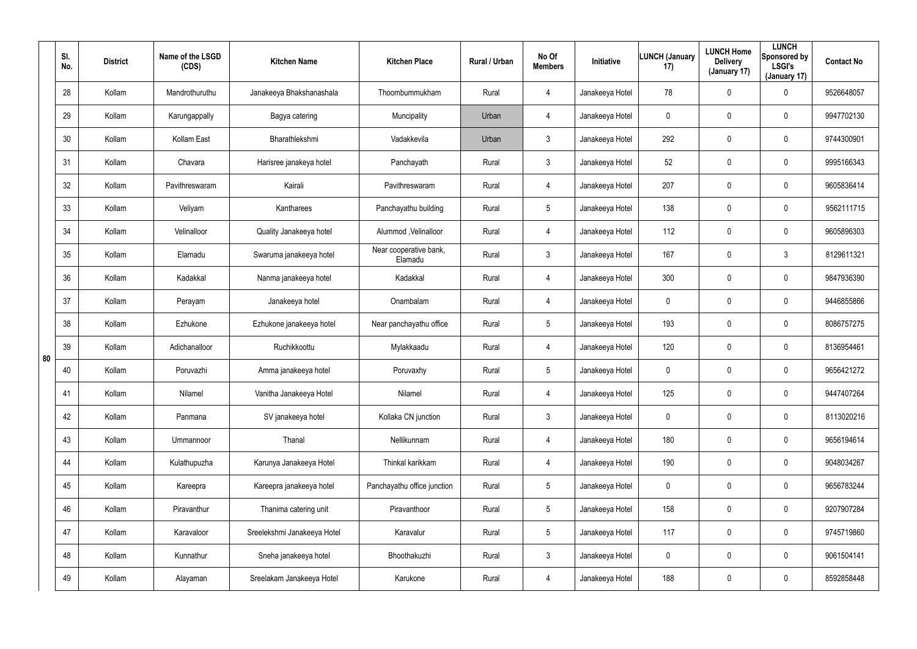|    | SI.<br>No. | <b>District</b> | Name of the LSGD<br>(CDS) | <b>Kitchen Name</b>         | <b>Kitchen Place</b>              | Rural / Urban | No Of<br><b>Members</b> | <b>Initiative</b> | <b>LUNCH (January</b><br>17) | <b>LUNCH Home</b><br><b>Delivery</b><br>(January 17) | <b>LUNCH</b><br>Sponsored by<br><b>LSGI's</b><br>(January 17) | <b>Contact No</b> |
|----|------------|-----------------|---------------------------|-----------------------------|-----------------------------------|---------------|-------------------------|-------------------|------------------------------|------------------------------------------------------|---------------------------------------------------------------|-------------------|
|    | 28         | Kollam          | Mandrothuruthu            | Janakeeya Bhakshanashala    | Thoombummukham                    | Rural         | 4                       | Janakeeya Hotel   | 78                           | $\mathbf 0$                                          | 0                                                             | 9526648057        |
|    | 29         | Kollam          | Karungappally             | Bagya catering              | Muncipality                       | Urban         | 4                       | Janakeeya Hotel   | 0                            | 0                                                    | 0                                                             | 9947702130        |
|    | 30         | Kollam          | Kollam East               | Bharathlekshmi              | Vadakkevila                       | Urban         | $\mathfrak{Z}$          | Janakeeya Hotel   | 292                          | $\mathbf 0$                                          | 0                                                             | 9744300901        |
|    | 31         | Kollam          | Chavara                   | Harisree janakeya hotel     | Panchayath                        | Rural         | $\mathbf{3}$            | Janakeeya Hotel   | 52                           | 0                                                    | 0                                                             | 9995166343        |
|    | 32         | Kollam          | Pavithreswaram            | Kairali                     | Pavithreswaram                    | Rural         | 4                       | Janakeeya Hotel   | 207                          | $\mathbf 0$                                          | 0                                                             | 9605836414        |
|    | 33         | Kollam          | Veliyam                   | Kantharees                  | Panchayathu building              | Rural         | $5\overline{)}$         | Janakeeya Hotel   | 138                          | 0                                                    | 0                                                             | 9562111715        |
|    | 34         | Kollam          | Velinalloor               | Quality Janakeeya hotel     | Alummod, Velinalloor              | Rural         | 4                       | Janakeeya Hotel   | 112                          | $\mathbf 0$                                          | 0                                                             | 9605896303        |
|    | 35         | Kollam          | Elamadu                   | Swaruma janakeeya hotel     | Near cooperative bank,<br>Elamadu | Rural         | $\mathbf{3}$            | Janakeeya Hotel   | 167                          | $\mathbf 0$                                          | 3                                                             | 8129611321        |
|    | 36         | Kollam          | Kadakkal                  | Nanma janakeeya hotel       | Kadakkal                          | Rural         | 4                       | Janakeeya Hotel   | 300                          | $\mathbf 0$                                          | 0                                                             | 9847936390        |
|    | 37         | Kollam          | Perayam                   | Janakeeya hotel             | Onambalam                         | Rural         | 4                       | Janakeeya Hotel   | 0                            | $\boldsymbol{0}$                                     | 0                                                             | 9446855866        |
|    | 38         | Kollam          | Ezhukone                  | Ezhukone janakeeya hotel    | Near panchayathu office           | Rural         | $5\phantom{.0}$         | Janakeeya Hotel   | 193                          | $\mathbf 0$                                          | 0                                                             | 8086757275        |
| 80 | 39         | Kollam          | Adichanalloor             | Ruchikkoottu                | Mylakkaadu                        | Rural         | 4                       | Janakeeya Hotel   | 120                          | 0                                                    | 0                                                             | 8136954461        |
|    | 40         | Kollam          | Poruvazhi                 | Amma janakeeya hotel        | Poruvaxhy                         | Rural         | $5\overline{)}$         | Janakeeya Hotel   | 0                            | 0                                                    | 0                                                             | 9656421272        |
|    | 41         | Kollam          | Nilamel                   | Vanitha Janakeeya Hotel     | Nilamel                           | Rural         | 4                       | Janakeeya Hotel   | 125                          | $\mathbf 0$                                          | 0                                                             | 9447407264        |
|    | 42         | Kollam          | Panmana                   | SV janakeeya hotel          | Kollaka CN junction               | Rural         | $\mathbf{3}$            | Janakeeya Hotel   | 0                            | $\mathbf 0$                                          | 0                                                             | 8113020216        |
|    | 43         | Kollam          | Ummannoor                 | Thanal                      | Nellikunnam                       | Rural         | 4                       | Janakeeya Hotel   | 180                          | $\mathbf 0$                                          | 0                                                             | 9656194614        |
|    | 44         | Kollam          | Kulathupuzha              | Karunya Janakeeya Hotel     | Thinkal karikkam                  | Rural         | 4                       | Janakeeya Hotel   | 190                          | $\mathbf 0$                                          | 0                                                             | 9048034267        |
|    | 45         | Kollam          | Kareepra                  | Kareepra janakeeya hotel    | Panchayathu office junction       | Rural         | $5\phantom{.0}$         | Janakeeya Hotel   | $\mathbf 0$                  | $\mathbf 0$                                          | 0                                                             | 9656783244        |
|    | 46         | Kollam          | Piravanthur               | Thanima catering unit       | Piravanthoor                      | Rural         | $5\phantom{.0}$         | Janakeeya Hotel   | 158                          | $\mathbf 0$                                          | 0                                                             | 9207907284        |
|    | 47         | Kollam          | Karavaloor                | Sreelekshmi Janakeeya Hotel | Karavalur                         | Rural         | $5\phantom{.0}$         | Janakeeya Hotel   | 117                          | $\mathbf 0$                                          | 0                                                             | 9745719860        |
|    | 48         | Kollam          | Kunnathur                 | Sneha janakeeya hotel       | Bhoothakuzhi                      | Rural         | $\mathbf{3}$            | Janakeeya Hotel   | 0                            | $\mathbf 0$                                          | 0                                                             | 9061504141        |
|    | 49         | Kollam          | Alayaman                  | Sreelakam Janakeeya Hotel   | Karukone                          | Rural         | 4                       | Janakeeya Hotel   | 188                          | $\mathbf 0$                                          | 0                                                             | 8592858448        |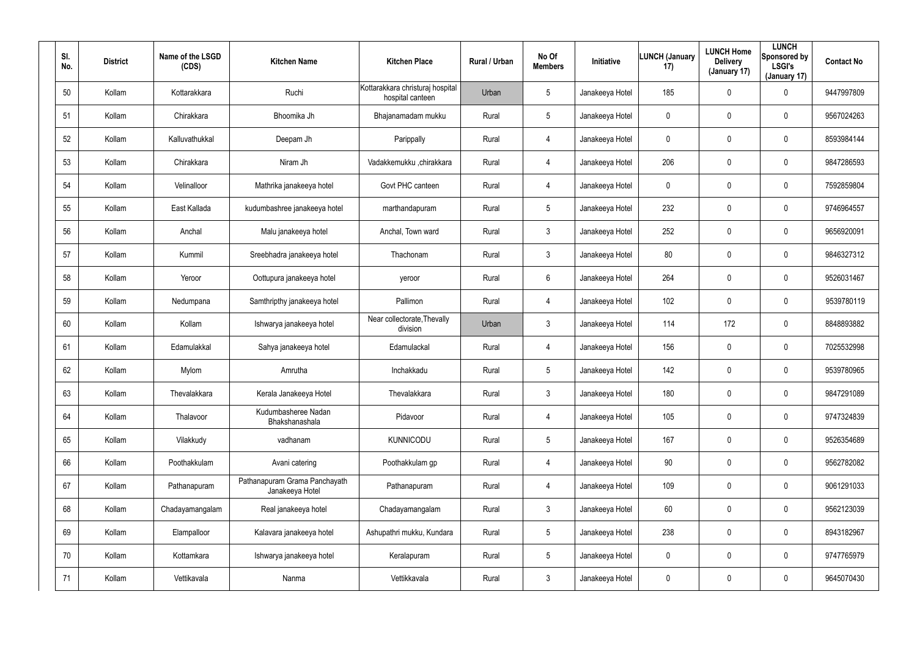| SI.<br>No. | <b>District</b> | Name of the LSGD<br>(CDS) | <b>Kitchen Name</b>                              | <b>Kitchen Place</b>                                 | Rural / Urban | No Of<br><b>Members</b> | <b>Initiative</b> | <b>LUNCH (January</b><br>17) | <b>LUNCH Home</b><br><b>Delivery</b><br>(January 17) | <b>LUNCH</b><br>Sponsored by<br><b>LSGI's</b><br>(January 17) | <b>Contact No</b> |
|------------|-----------------|---------------------------|--------------------------------------------------|------------------------------------------------------|---------------|-------------------------|-------------------|------------------------------|------------------------------------------------------|---------------------------------------------------------------|-------------------|
| 50         | Kollam          | Kottarakkara              | Ruchi                                            | Kottarakkara christuraj hospital<br>hospital canteen | Urban         | $5\phantom{.0}$         | Janakeeya Hotel   | 185                          | $\mathbf 0$                                          | 0                                                             | 9447997809        |
| 51         | Kollam          | Chirakkara                | Bhoomika Jh                                      | Bhajanamadam mukku                                   | Rural         | $5\phantom{.0}$         | Janakeeya Hotel   | 0                            | $\mathbf 0$                                          | 0                                                             | 9567024263        |
| 52         | Kollam          | Kalluvathukkal            | Deepam Jh                                        | Parippally                                           | Rural         | 4                       | Janakeeya Hotel   | 0                            | $\pmb{0}$                                            | 0                                                             | 8593984144        |
| 53         | Kollam          | Chirakkara                | Niram Jh                                         | Vadakkemukku ,chirakkara                             | Rural         | 4                       | Janakeeya Hotel   | 206                          | $\pmb{0}$                                            | 0                                                             | 9847286593        |
| 54         | Kollam          | Velinalloor               | Mathrika janakeeya hotel                         | Govt PHC canteen                                     | Rural         | 4                       | Janakeeya Hotel   | 0                            | $\pmb{0}$                                            | 0                                                             | 7592859804        |
| 55         | Kollam          | East Kallada              | kudumbashree janakeeya hotel                     | marthandapuram                                       | Rural         | $5\phantom{.0}$         | Janakeeya Hotel   | 232                          | $\pmb{0}$                                            | 0                                                             | 9746964557        |
| 56         | Kollam          | Anchal                    | Malu janakeeya hotel                             | Anchal, Town ward                                    | Rural         | $\mathbf{3}$            | Janakeeya Hotel   | 252                          | $\pmb{0}$                                            | 0                                                             | 9656920091        |
| 57         | Kollam          | Kummil                    | Sreebhadra janakeeya hotel                       | Thachonam                                            | Rural         | $\mathbf{3}$            | Janakeeya Hotel   | 80                           | $\pmb{0}$                                            | 0                                                             | 9846327312        |
| 58         | Kollam          | Yeroor                    | Oottupura janakeeya hotel                        | yeroor                                               | Rural         | 6                       | Janakeeya Hotel   | 264                          | $\pmb{0}$                                            | 0                                                             | 9526031467        |
| 59         | Kollam          | Nedumpana                 | Samthripthy janakeeya hotel                      | Pallimon                                             | Rural         | 4                       | Janakeeya Hotel   | 102                          | $\mathbf 0$                                          | 0                                                             | 9539780119        |
| 60         | Kollam          | Kollam                    | Ishwarya janakeeya hotel                         | Near collectorate, Thevally<br>division              | Urban         | $\mathbf{3}$            | Janakeeya Hotel   | 114                          | 172                                                  | 0                                                             | 8848893882        |
| 61         | Kollam          | Edamulakkal               | Sahya janakeeya hotel                            | Edamulackal                                          | Rural         | 4                       | Janakeeya Hotel   | 156                          | $\mathbf 0$                                          | 0                                                             | 7025532998        |
| 62         | Kollam          | Mylom                     | Amrutha                                          | Inchakkadu                                           | Rural         | $5\phantom{.0}$         | Janakeeya Hotel   | 142                          | $\mathbf 0$                                          | 0                                                             | 9539780965        |
| 63         | Kollam          | Thevalakkara              | Kerala Janakeeya Hotel                           | Thevalakkara                                         | Rural         | $\mathbf{3}$            | Janakeeya Hotel   | 180                          | $\mathbf 0$                                          | 0                                                             | 9847291089        |
| 64         | Kollam          | Thalavoor                 | Kudumbasheree Nadan<br>Bhakshanashala            | Pidavoor                                             | Rural         | 4                       | Janakeeya Hotel   | 105                          | $\mathbf 0$                                          | 0                                                             | 9747324839        |
| 65         | Kollam          | Vilakkudy                 | vadhanam                                         | <b>KUNNICODU</b>                                     | Rural         | $5\phantom{.0}$         | Janakeeya Hotel   | 167                          | $\mathbf 0$                                          | 0                                                             | 9526354689        |
| 66         | Kollam          | Poothakkulam              | Avani catering                                   | Poothakkulam gp                                      | Rural         | 4                       | Janakeeya Hotel   | 90                           | $\mathbf 0$                                          | 0                                                             | 9562782082        |
| 67         | Kollam          | Pathanapuram              | Pathanapuram Grama Panchayath<br>Janakeeya Hotel | Pathanapuram                                         | Rural         | $\overline{4}$          | Janakeeya Hotel   | 109                          | $\mathbf 0$                                          | 0                                                             | 9061291033        |
| 68         | Kollam          | Chadayamangalam           | Real janakeeya hotel                             | Chadayamangalam                                      | Rural         | $\mathbf{3}$            | Janakeeya Hotel   | 60                           | $\mathbf 0$                                          | 0                                                             | 9562123039        |
| 69         | Kollam          | Elampalloor               | Kalavara janakeeya hotel                         | Ashupathri mukku, Kundara                            | Rural         | $5\phantom{.0}$         | Janakeeya Hotel   | 238                          | $\mathbf 0$                                          | 0                                                             | 8943182967        |
| 70         | Kollam          | Kottamkara                | Ishwarya janakeeya hotel                         | Keralapuram                                          | Rural         | $5\phantom{.0}$         | Janakeeya Hotel   | 0                            | $\mathbf 0$                                          | 0                                                             | 9747765979        |
| 71         | Kollam          | Vettikavala               | Nanma                                            | Vettikkavala                                         | Rural         | $\mathfrak{Z}$          | Janakeeya Hotel   | 0                            | $\boldsymbol{0}$                                     | 0                                                             | 9645070430        |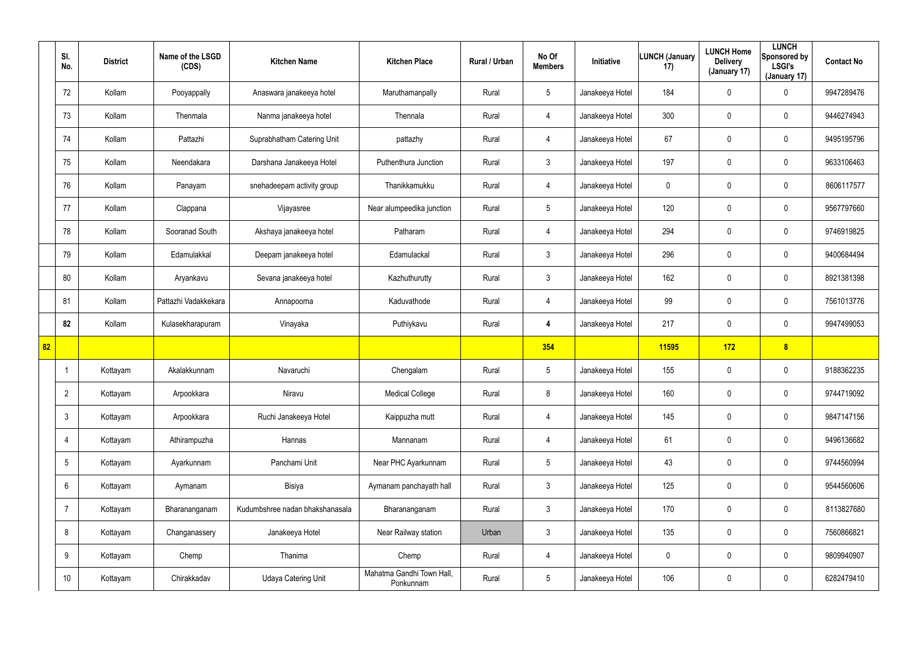|    | SI.<br>No.      | <b>District</b> | Name of the LSGD<br>(CDS) | <b>Kitchen Name</b>             | <b>Kitchen Place</b>                   | Rural / Urban | No Of<br><b>Members</b> | Initiative      | <b>LUNCH (January</b><br>17) | <b>LUNCH Home</b><br><b>Delivery</b><br>(January 17) | <b>LUNCH</b><br>Sponsored by<br><b>LSGI's</b><br>(January 17) | <b>Contact No</b> |
|----|-----------------|-----------------|---------------------------|---------------------------------|----------------------------------------|---------------|-------------------------|-----------------|------------------------------|------------------------------------------------------|---------------------------------------------------------------|-------------------|
|    | 72              | Kollam          | Pooyappally               | Anaswara janakeeya hotel        | Maruthamanpally                        | Rural         | $5\overline{)}$         | Janakeeya Hotel | 184                          | 0                                                    | $\mathbf 0$                                                   | 9947289476        |
|    | 73              | Kollam          | Thenmala                  | Nanma janakeeya hotel           | Thennala                               | Rural         | $\overline{4}$          | Janakeeya Hotel | 300                          | 0                                                    | $\mathbf 0$                                                   | 9446274943        |
|    | 74              | Kollam          | Pattazhi                  | Suprabhatham Catering Unit      | pattazhy                               | Rural         | $\overline{4}$          | Janakeeya Hotel | 67                           | 0                                                    | $\mathbf 0$                                                   | 9495195796        |
|    | 75              | Kollam          | Neendakara                | Darshana Janakeeya Hotel        | Puthenthura Junction                   | Rural         | $\mathbf{3}$            | Janakeeya Hotel | 197                          | 0                                                    | $\mathbf 0$                                                   | 9633106463        |
|    | 76              | Kollam          | Panayam                   | snehadeepam activity group      | Thanikkamukku                          | Rural         | $\overline{4}$          | Janakeeya Hotel | 0                            | 0                                                    | $\mathbf 0$                                                   | 8606117577        |
|    | 77              | Kollam          | Clappana                  | Vijayasree                      | Near alumpeedika junction              | Rural         | $5\phantom{.0}$         | Janakeeya Hotel | 120                          | 0                                                    | $\mathbf 0$                                                   | 9567797660        |
|    | 78              | Kollam          | Sooranad South            | Akshaya janakeeya hotel         | Patharam                               | Rural         | 4                       | Janakeeya Hotel | 294                          | 0                                                    | $\mathbf 0$                                                   | 9746919825        |
|    | 79              | Kollam          | Edamulakkal               | Deepam janakeeya hotel          | Edamulackal                            | Rural         | $\mathbf{3}$            | Janakeeya Hotel | 296                          | 0                                                    | $\mathbf 0$                                                   | 9400684494        |
|    | 80              | Kollam          | Aryankavu                 | Sevana janakeeya hotel          | Kazhuthurutty                          | Rural         | $\mathbf{3}$            | Janakeeya Hotel | 162                          | 0                                                    | $\mathbf 0$                                                   | 8921381398        |
|    | 81              | Kollam          | Pattazhi Vadakkekara      | Annapoorna                      | Kaduvathode                            | Rural         | $\overline{4}$          | Janakeeya Hotel | 99                           | 0                                                    | $\mathbf 0$                                                   | 7561013776        |
|    | 82              | Kollam          | Kulasekharapuram          | Vinayaka                        | Puthiykavu                             | Rural         | 4                       | Janakeeya Hotel | 217                          | 0                                                    | $\mathbf 0$                                                   | 9947499053        |
| 82 |                 |                 |                           |                                 |                                        |               | 354                     |                 | 11595                        | 172                                                  | 8                                                             |                   |
|    |                 | Kottayam        | Akalakkunnam              | Navaruchi                       | Chengalam                              | Rural         | $5\phantom{.0}$         | Janakeeya Hotel | 155                          | 0                                                    | $\mathbf 0$                                                   | 9188362235        |
|    | $\overline{2}$  | Kottayam        | Arpookkara                | Niravu                          | <b>Medical College</b>                 | Rural         | 8                       | Janakeeya Hotel | 160                          | 0                                                    | $\pmb{0}$                                                     | 9744719092        |
|    | $\mathbf{3}$    | Kottayam        | Arpookkara                | Ruchi Janakeeya Hotel           | Kaippuzha mutt                         | Rural         | $\overline{4}$          | Janakeeya Hotel | 145                          | 0                                                    | $\mathbf 0$                                                   | 9847147156        |
|    | $\overline{4}$  | Kottayam        | Athirampuzha              | Hannas                          | Mannanam                               | Rural         | $\overline{4}$          | Janakeeya Hotel | 61                           | 0                                                    | $\mathsf{0}$                                                  | 9496136682        |
|    | $5\overline{)}$ | Kottayam        | Ayarkunnam                | Panchami Unit                   | Near PHC Ayarkunnam                    | Rural         | $5\phantom{.0}$         | Janakeeya Hotel | 43                           | 0                                                    | $\mathsf{0}$                                                  | 9744560994        |
|    | $6\overline{6}$ | Kottayam        | Aymanam                   | Bisiya                          | Aymanam panchayath hall                | Rural         | 3 <sup>1</sup>          | Janakeeya Hotel | 125                          | 0                                                    | $\pmb{0}$                                                     | 9544560606        |
|    | $\overline{7}$  | Kottayam        | Bharananganam             | Kudumbshree nadan bhakshanasala | Bharananganam                          | Rural         | $\mathbf{3}$            | Janakeeya Hotel | 170                          | 0                                                    | $\pmb{0}$                                                     | 8113827680        |
|    | 8               | Kottayam        | Changanassery             | Janakeeya Hotel                 | Near Railway station                   | Urban         | $\mathbf{3}$            | Janakeeya Hotel | 135                          | 0                                                    | $\pmb{0}$                                                     | 7560866821        |
|    | 9               | Kottayam        | Chemp                     | Thanima                         | Chemp                                  | Rural         | $\overline{4}$          | Janakeeya Hotel | 0                            | 0                                                    | $\pmb{0}$                                                     | 9809940907        |
|    | 10 <sup>°</sup> | Kottayam        | Chirakkadav               | <b>Udaya Catering Unit</b>      | Mahatma Gandhi Town Hall,<br>Ponkunnam | Rural         | $5\phantom{.0}$         | Janakeeya Hotel | 106                          | 0                                                    | $\pmb{0}$                                                     | 6282479410        |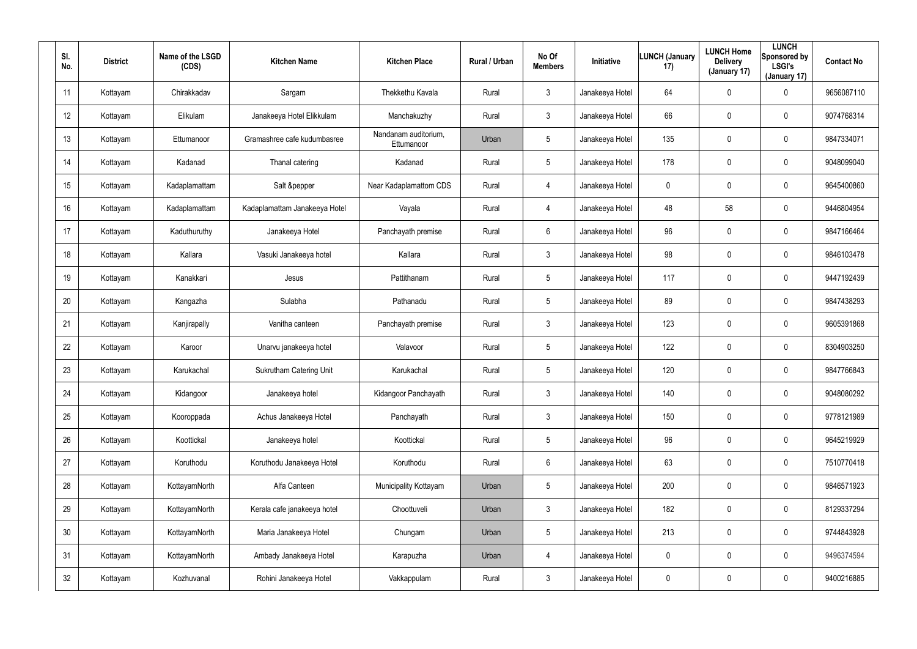| SI.<br>No.      | <b>District</b> | Name of the LSGD<br>(CDS) | <b>Kitchen Name</b>            | <b>Kitchen Place</b>               | Rural / Urban | No Of<br><b>Members</b> | Initiative      | <b>LUNCH (January</b><br>17) | <b>LUNCH Home</b><br><b>Delivery</b><br>(January 17) | <b>LUNCH</b><br>Sponsored by<br><b>LSGI's</b><br>(January 17) | <b>Contact No</b> |
|-----------------|-----------------|---------------------------|--------------------------------|------------------------------------|---------------|-------------------------|-----------------|------------------------------|------------------------------------------------------|---------------------------------------------------------------|-------------------|
| 11              | Kottayam        | Chirakkadav               | Sargam                         | Thekkethu Kavala                   | Rural         | $\mathbf{3}$            | Janakeeya Hotel | 64                           | $\pmb{0}$                                            | 0                                                             | 9656087110        |
| 12              | Kottayam        | Elikulam                  | Janakeeya Hotel Elikkulam      | Manchakuzhy                        | Rural         | $\mathbf{3}$            | Janakeeya Hotel | 66                           | $\boldsymbol{0}$                                     | 0                                                             | 9074768314        |
| 13              | Kottayam        | Ettumanoor                | Gramashree cafe kudumbasree    | Nandanam auditorium,<br>Ettumanoor | Urban         | $5\overline{)}$         | Janakeeya Hotel | 135                          | $\boldsymbol{0}$                                     | 0                                                             | 9847334071        |
| 14              | Kottayam        | Kadanad                   | Thanal catering                | Kadanad                            | Rural         | $5\overline{)}$         | Janakeeya Hotel | 178                          | $\mathbf 0$                                          | 0                                                             | 9048099040        |
| 15              | Kottayam        | Kadaplamattam             | Salt &pepper                   | Near Kadaplamattom CDS             | Rural         | $\overline{4}$          | Janakeeya Hotel | 0                            | $\mathbf 0$                                          | 0                                                             | 9645400860        |
| 16              | Kottayam        | Kadaplamattam             | Kadaplamattam Janakeeya Hotel  | Vayala                             | Rural         | 4                       | Janakeeya Hotel | 48                           | 58                                                   | 0                                                             | 9446804954        |
| 17              | Kottayam        | Kaduthuruthy              | Janakeeya Hotel                | Panchayath premise                 | Rural         | 6                       | Janakeeya Hotel | 96                           | $\boldsymbol{0}$                                     | $\mathbf 0$                                                   | 9847166464        |
| 18              | Kottayam        | Kallara                   | Vasuki Janakeeya hotel         | Kallara                            | Rural         | $\mathbf{3}$            | Janakeeya Hotel | 98                           | 0                                                    | $\mathbf 0$                                                   | 9846103478        |
| 19              | Kottayam        | Kanakkari                 | Jesus                          | Pattithanam                        | Rural         | $5\overline{)}$         | Janakeeya Hotel | 117                          | $\boldsymbol{0}$                                     | $\mathbf 0$                                                   | 9447192439        |
| 20              | Kottayam        | Kangazha                  | Sulabha                        | Pathanadu                          | Rural         | $5\overline{)}$         | Janakeeya Hotel | 89                           | 0                                                    | 0                                                             | 9847438293        |
| 21              | Kottayam        | Kanjirapally              | Vanitha canteen                | Panchayath premise                 | Rural         | $\mathbf{3}$            | Janakeeya Hotel | 123                          | $\boldsymbol{0}$                                     | $\mathbf 0$                                                   | 9605391868        |
| 22              | Kottayam        | Karoor                    | Unarvu janakeeya hotel         | Valavoor                           | Rural         | $5\overline{)}$         | Janakeeya Hotel | 122                          | $\boldsymbol{0}$                                     | 0                                                             | 8304903250        |
| 23              | Kottayam        | Karukachal                | <b>Sukrutham Catering Unit</b> | Karukachal                         | Rural         | $5\overline{)}$         | Janakeeya Hotel | 120                          | $\boldsymbol{0}$                                     | 0                                                             | 9847766843        |
| 24              | Kottayam        | Kidangoor                 | Janakeeya hotel                | Kidangoor Panchayath               | Rural         | $\mathbf{3}$            | Janakeeya Hotel | 140                          | $\mathbf 0$                                          | $\pmb{0}$                                                     | 9048080292        |
| 25              | Kottayam        | Kooroppada                | Achus Janakeeya Hotel          | Panchayath                         | Rural         | $\mathbf{3}$            | Janakeeya Hotel | 150                          | $\overline{0}$                                       | 0                                                             | 9778121989        |
| 26              | Kottayam        | Koottickal                | Janakeeya hotel                | Koottickal                         | Rural         | $5\overline{)}$         | Janakeeya Hotel | 96                           | $\overline{0}$                                       | $\pmb{0}$                                                     | 9645219929        |
| 27              | Kottayam        | Koruthodu                 | Koruthodu Janakeeya Hotel      | Koruthodu                          | Rural         | $6\overline{6}$         | Janakeeya Hotel | 63                           | $\pmb{0}$                                            | 0                                                             | 7510770418        |
| 28              | Kottayam        | KottayamNorth             | Alfa Canteen                   | Municipality Kottayam              | Urban         | $5\phantom{.0}$         | Janakeeya Hotel | 200                          | $\overline{0}$                                       | 0                                                             | 9846571923        |
| 29              | Kottayam        | KottayamNorth             | Kerala cafe janakeeya hotel    | Choottuveli                        | Urban         | $\mathbf{3}$            | Janakeeya Hotel | 182                          | $\pmb{0}$                                            | 0                                                             | 8129337294        |
| 30 <sup>°</sup> | Kottayam        | KottayamNorth             | Maria Janakeeya Hotel          | Chungam                            | Urban         | $5\phantom{.0}$         | Janakeeya Hotel | 213                          | $\mathbf 0$                                          | 0                                                             | 9744843928        |
| 31              | Kottayam        | KottayamNorth             | Ambady Janakeeya Hotel         | Karapuzha                          | Urban         | $\overline{4}$          | Janakeeya Hotel | 0                            | $\pmb{0}$                                            | 0                                                             | 9496374594        |
| 32              | Kottayam        | Kozhuvanal                | Rohini Janakeeya Hotel         | Vakkappulam                        | Rural         | $\mathfrak{Z}$          | Janakeeya Hotel | 0                            | $\boldsymbol{0}$                                     | 0                                                             | 9400216885        |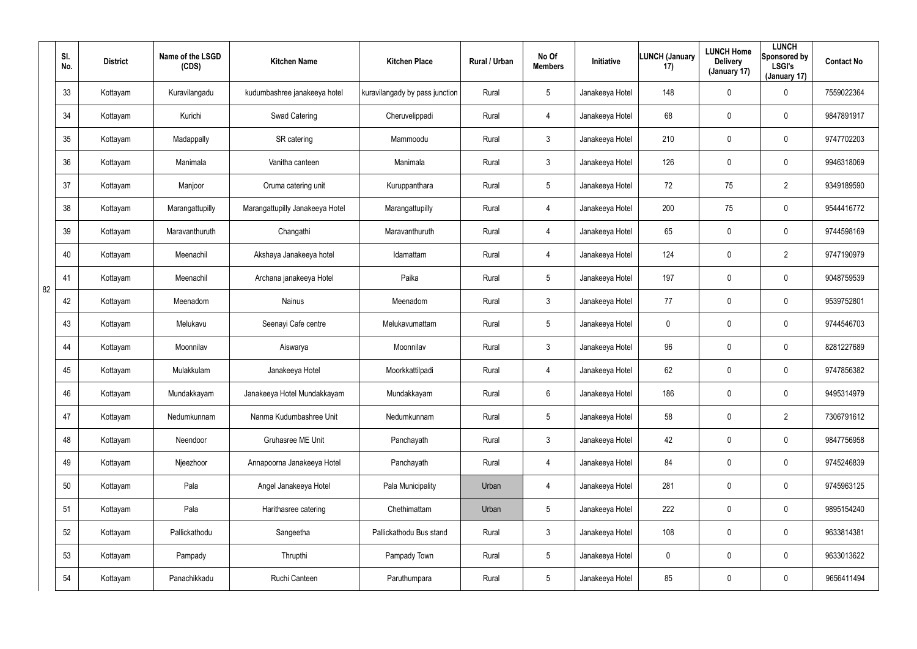|    | SI.<br>No. | <b>District</b> | Name of the LSGD<br>(CDS) | <b>Kitchen Name</b>             | <b>Kitchen Place</b>           | Rural / Urban | No Of<br><b>Members</b> | Initiative      | <b>LUNCH (January</b><br>17) | <b>LUNCH Home</b><br><b>Delivery</b><br>(January 17) | <b>LUNCH</b><br>Sponsored by<br><b>LSGI's</b><br>(January 17) | <b>Contact No</b> |
|----|------------|-----------------|---------------------------|---------------------------------|--------------------------------|---------------|-------------------------|-----------------|------------------------------|------------------------------------------------------|---------------------------------------------------------------|-------------------|
|    | 33         | Kottayam        | Kuravilangadu             | kudumbashree janakeeya hotel    | kuravilangady by pass junction | Rural         | $5\phantom{.0}$         | Janakeeya Hotel | 148                          | $\mathbf 0$                                          | $\mathbf 0$                                                   | 7559022364        |
|    | 34         | Kottayam        | Kurichi                   | Swad Catering                   | Cheruvelippadi                 | Rural         | $\overline{4}$          | Janakeeya Hotel | 68                           | 0                                                    | $\mathbf 0$                                                   | 9847891917        |
|    | 35         | Kottayam        | Madappally                | SR catering                     | Mammoodu                       | Rural         | $\mathbf{3}$            | Janakeeya Hotel | 210                          | $\mathbf 0$                                          | $\mathbf 0$                                                   | 9747702203        |
|    | 36         | Kottayam        | Manimala                  | Vanitha canteen                 | Manimala                       | Rural         | $\mathbf{3}$            | Janakeeya Hotel | 126                          | 0                                                    | $\mathbf 0$                                                   | 9946318069        |
|    | 37         | Kottayam        | Manjoor                   | Oruma catering unit             | Kuruppanthara                  | Rural         | $5\overline{)}$         | Janakeeya Hotel | 72                           | 75                                                   | $\overline{2}$                                                | 9349189590        |
|    | 38         | Kottayam        | Marangattupilly           | Marangattupilly Janakeeya Hotel | Marangattupilly                | Rural         | 4                       | Janakeeya Hotel | 200                          | 75                                                   | $\mathbf 0$                                                   | 9544416772        |
|    | 39         | Kottayam        | Maravanthuruth            | Changathi                       | Maravanthuruth                 | Rural         | 4                       | Janakeeya Hotel | 65                           | 0                                                    | $\mathbf 0$                                                   | 9744598169        |
|    | 40         | Kottayam        | Meenachil                 | Akshaya Janakeeya hotel         | Idamattam                      | Rural         | 4                       | Janakeeya Hotel | 124                          | 0                                                    | $\overline{2}$                                                | 9747190979        |
| 82 | 41         | Kottayam        | Meenachil                 | Archana janakeeya Hotel         | Paika                          | Rural         | $5\phantom{.0}$         | Janakeeya Hotel | 197                          | $\mathbf 0$                                          | $\mathbf 0$                                                   | 9048759539        |
|    | 42         | Kottayam        | Meenadom                  | <b>Nainus</b>                   | Meenadom                       | Rural         | $\mathbf{3}$            | Janakeeya Hotel | 77                           | 0                                                    | $\mathbf 0$                                                   | 9539752801        |
|    | 43         | Kottayam        | Melukavu                  | Seenayi Cafe centre             | Melukavumattam                 | Rural         | $5\phantom{.0}$         | Janakeeya Hotel | 0                            | $\mathbf 0$                                          | $\mathbf 0$                                                   | 9744546703        |
|    | 44         | Kottayam        | Moonnilav                 | Aiswarya                        | Moonnilav                      | Rural         | $\mathbf{3}$            | Janakeeya Hotel | 96                           | $\mathbf 0$                                          | $\mathbf 0$                                                   | 8281227689        |
|    | 45         | Kottayam        | Mulakkulam                | Janakeeya Hotel                 | Moorkkattilpadi                | Rural         | 4                       | Janakeeya Hotel | 62                           | $\mathbf 0$                                          | $\mathbf 0$                                                   | 9747856382        |
|    | 46         | Kottayam        | Mundakkayam               | Janakeeya Hotel Mundakkayam     | Mundakkayam                    | Rural         | 6                       | Janakeeya Hotel | 186                          | $\mathbf 0$                                          | $\pmb{0}$                                                     | 9495314979        |
|    | 47         | Kottayam        | Nedumkunnam               | Nanma Kudumbashree Unit         | Nedumkunnam                    | Rural         | $5\phantom{.0}$         | Janakeeya Hotel | 58                           | $\mathbf 0$                                          | $\overline{2}$                                                | 7306791612        |
|    | 48         | Kottayam        | Neendoor                  | Gruhasree ME Unit               | Panchayath                     | Rural         | $\mathbf{3}$            | Janakeeya Hotel | 42                           | $\mathbf 0$                                          | $\pmb{0}$                                                     | 9847756958        |
|    | 49         | Kottayam        | Njeezhoor                 | Annapoorna Janakeeya Hotel      | Panchayath                     | Rural         | 4                       | Janakeeya Hotel | 84                           | $\mathbf 0$                                          | $\pmb{0}$                                                     | 9745246839        |
|    | 50         | Kottayam        | Pala                      | Angel Janakeeya Hotel           | Pala Municipality              | Urban         | 4                       | Janakeeya Hotel | 281                          | $\mathbf 0$                                          | $\mathbf 0$                                                   | 9745963125        |
|    | 51         | Kottayam        | Pala                      | Harithasree catering            | Chethimattam                   | Urban         | $5\phantom{.0}$         | Janakeeya Hotel | 222                          | $\mathbf 0$                                          | $\mathbf 0$                                                   | 9895154240        |
|    | 52         | Kottayam        | Pallickathodu             | Sangeetha                       | Pallickathodu Bus stand        | Rural         | $\mathbf{3}$            | Janakeeya Hotel | 108                          | $\mathbf 0$                                          | $\pmb{0}$                                                     | 9633814381        |
|    | 53         | Kottayam        | Pampady                   | Thrupthi                        | Pampady Town                   | Rural         | $5\phantom{.0}$         | Janakeeya Hotel | 0                            | 0                                                    | $\mathbf 0$                                                   | 9633013622        |
|    | 54         | Kottayam        | Panachikkadu              | Ruchi Canteen                   | Paruthumpara                   | Rural         | $5\phantom{.0}$         | Janakeeya Hotel | 85                           | 0                                                    | $\pmb{0}$                                                     | 9656411494        |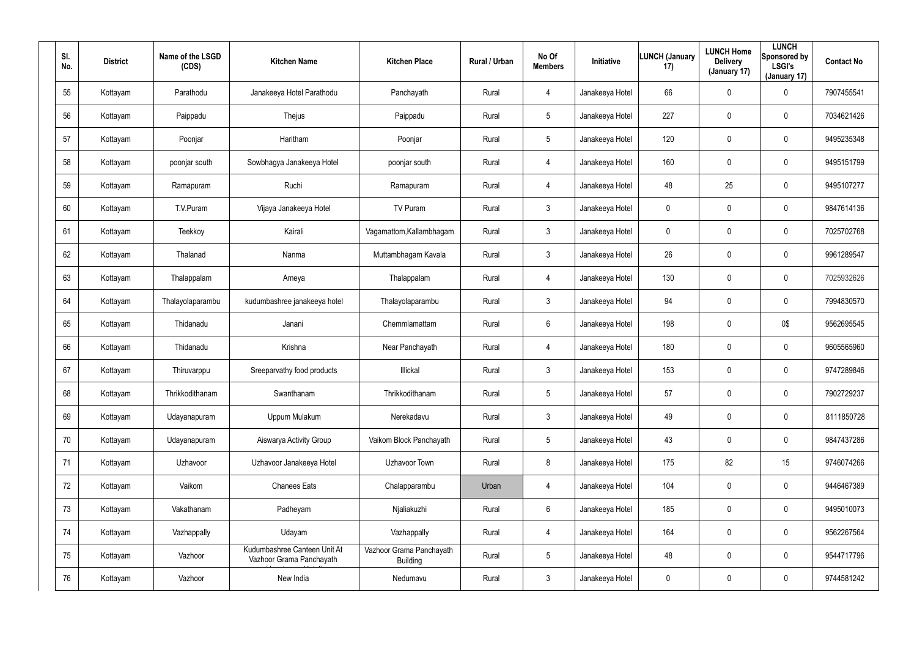| SI.<br>No. | <b>District</b> | Name of the LSGD<br>(CDS) | <b>Kitchen Name</b>                                      | <b>Kitchen Place</b>                        | Rural / Urban | No Of<br><b>Members</b> | Initiative      | <b>LUNCH (January</b><br>17) | <b>LUNCH Home</b><br><b>Delivery</b><br>(January 17) | <b>LUNCH</b><br>Sponsored by<br><b>LSGI's</b><br>(January 17) | <b>Contact No</b> |
|------------|-----------------|---------------------------|----------------------------------------------------------|---------------------------------------------|---------------|-------------------------|-----------------|------------------------------|------------------------------------------------------|---------------------------------------------------------------|-------------------|
| 55         | Kottayam        | Parathodu                 | Janakeeya Hotel Parathodu                                | Panchayath                                  | Rural         | 4                       | Janakeeya Hotel | 66                           | $\pmb{0}$                                            | 0                                                             | 7907455541        |
| 56         | Kottayam        | Paippadu                  | Thejus                                                   | Paippadu                                    | Rural         | 5                       | Janakeeya Hotel | 227                          | $\boldsymbol{0}$                                     | 0                                                             | 7034621426        |
| 57         | Kottayam        | Poonjar                   | Haritham                                                 | Poonjar                                     | Rural         | 5                       | Janakeeya Hotel | 120                          | $\pmb{0}$                                            | 0                                                             | 9495235348        |
| 58         | Kottayam        | poonjar south             | Sowbhagya Janakeeya Hotel                                | poonjar south                               | Rural         | 4                       | Janakeeya Hotel | 160                          | $\boldsymbol{0}$                                     | 0                                                             | 9495151799        |
| 59         | Kottayam        | Ramapuram                 | Ruchi                                                    | Ramapuram                                   | Rural         | $\overline{4}$          | Janakeeya Hotel | 48                           | 25                                                   | 0                                                             | 9495107277        |
| 60         | Kottayam        | T.V.Puram                 | Vijaya Janakeeya Hotel                                   | TV Puram                                    | Rural         | $\mathbf{3}$            | Janakeeya Hotel | 0                            | $\mathbf 0$                                          | 0                                                             | 9847614136        |
| 61         | Kottayam        | Teekkoy                   | Kairali                                                  | Vagamattom, Kallambhagam                    | Rural         | $\mathbf{3}$            | Janakeeya Hotel | 0                            | $\pmb{0}$                                            | 0                                                             | 7025702768        |
| 62         | Kottayam        | Thalanad                  | Nanma                                                    | Muttambhagam Kavala                         | Rural         | $\mathbf{3}$            | Janakeeya Hotel | 26                           | $\boldsymbol{0}$                                     | $\mathbf 0$                                                   | 9961289547        |
| 63         | Kottayam        | Thalappalam               | Ameya                                                    | Thalappalam                                 | Rural         | $\overline{4}$          | Janakeeya Hotel | 130                          | $\overline{0}$                                       | 0                                                             | 7025932626        |
| 64         | Kottayam        | Thalayolaparambu          | kudumbashree janakeeya hotel                             | Thalayolaparambu                            | Rural         | $\mathbf{3}$            | Janakeeya Hotel | 94                           | $\pmb{0}$                                            | $\mathbf 0$                                                   | 7994830570        |
| 65         | Kottayam        | Thidanadu                 | Janani                                                   | Chemmlamattam                               | Rural         | $6\phantom{.}6$         | Janakeeya Hotel | 198                          | $\pmb{0}$                                            | 0\$                                                           | 9562695545        |
| 66         | Kottayam        | Thidanadu                 | Krishna                                                  | Near Panchayath                             | Rural         | 4                       | Janakeeya Hotel | 180                          | $\boldsymbol{0}$                                     | $\mathbf 0$                                                   | 9605565960        |
| 67         | Kottayam        | Thiruvarppu               | Sreeparvathy food products                               | Illickal                                    | Rural         | $\mathbf{3}$            | Janakeeya Hotel | 153                          | $\overline{0}$                                       | $\mathbf 0$                                                   | 9747289846        |
| 68         | Kottayam        | Thrikkodithanam           | Swanthanam                                               | Thrikkodithanam                             | Rural         | 5                       | Janakeeya Hotel | 57                           | $\mathbf 0$                                          | $\pmb{0}$                                                     | 7902729237        |
| 69         | Kottayam        | Udayanapuram              | Uppum Mulakum                                            | Nerekadavu                                  | Rural         | $\mathbf{3}$            | Janakeeya Hotel | 49                           | $\overline{0}$                                       | $\pmb{0}$                                                     | 8111850728        |
| 70         | Kottayam        | Udayanapuram              | Aiswarya Activity Group                                  | Vaikom Block Panchayath                     | Rural         | $5\phantom{.0}$         | Janakeeya Hotel | 43                           | $\mathbf 0$                                          | $\pmb{0}$                                                     | 9847437286        |
| 71         | Kottayam        | Uzhavoor                  | Uzhavoor Janakeeya Hotel                                 | Uzhavoor Town                               | Rural         | 8                       | Janakeeya Hotel | 175                          | 82                                                   | 15                                                            | 9746074266        |
| 72         | Kottayam        | Vaikom                    | <b>Chanees Eats</b>                                      | Chalapparambu                               | Urban         | $\overline{4}$          | Janakeeya Hotel | 104                          | $\mathbf 0$                                          | $\pmb{0}$                                                     | 9446467389        |
| 73         | Kottayam        | Vakathanam                | Padheyam                                                 | Njaliakuzhi                                 | Rural         | $6\phantom{.}$          | Janakeeya Hotel | 185                          | $\pmb{0}$                                            | 0                                                             | 9495010073        |
| 74         | Kottayam        | Vazhappally               | Udayam                                                   | Vazhappally                                 | Rural         | $\overline{4}$          | Janakeeya Hotel | 164                          | $\mathbf 0$                                          | 0                                                             | 9562267564        |
| 75         | Kottayam        | Vazhoor                   | Kudumbashree Canteen Unit At<br>Vazhoor Grama Panchayath | Vazhoor Grama Panchayath<br><b>Building</b> | Rural         | $5\phantom{.0}$         | Janakeeya Hotel | 48                           | $\pmb{0}$                                            | 0                                                             | 9544717796        |
| 76         | Kottayam        | Vazhoor                   | New India                                                | Nedumavu                                    | Rural         | 3 <sup>1</sup>          | Janakeeya Hotel | 0                            | $\boldsymbol{0}$                                     | 0                                                             | 9744581242        |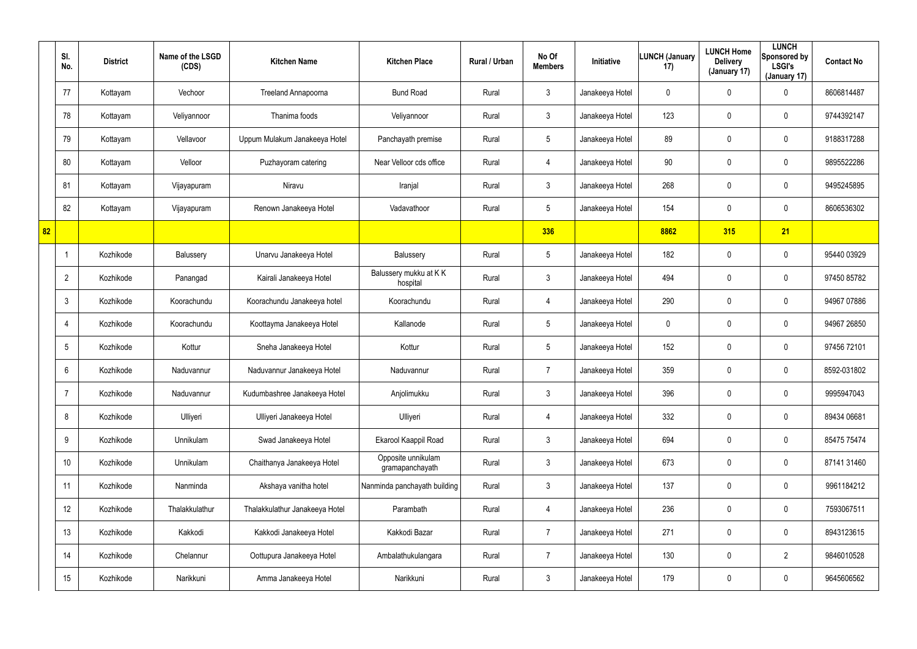|    | SI.<br>No.      | <b>District</b> | Name of the LSGD<br>(CDS) | <b>Kitchen Name</b>            | <b>Kitchen Place</b>                  | Rural / Urban | No Of<br><b>Members</b> | <b>Initiative</b> | <b>LUNCH (January</b><br>17) | <b>LUNCH Home</b><br><b>Delivery</b><br>(January 17) | <b>LUNCH</b><br>Sponsored by<br><b>LSGI's</b><br>(January 17) | <b>Contact No</b> |
|----|-----------------|-----------------|---------------------------|--------------------------------|---------------------------------------|---------------|-------------------------|-------------------|------------------------------|------------------------------------------------------|---------------------------------------------------------------|-------------------|
|    | 77              | Kottayam        | Vechoor                   | Treeland Annapoorna            | <b>Bund Road</b>                      | Rural         | $\mathbf{3}$            | Janakeeya Hotel   | 0                            | 0                                                    | $\mathbf 0$                                                   | 8606814487        |
|    | 78              | Kottayam        | Veliyannoor               | Thanima foods                  | Veliyannoor                           | Rural         | $\mathbf{3}$            | Janakeeya Hotel   | 123                          | 0                                                    | $\mathbf 0$                                                   | 9744392147        |
|    | 79              | Kottayam        | Vellavoor                 | Uppum Mulakum Janakeeya Hotel  | Panchayath premise                    | Rural         | $5\overline{)}$         | Janakeeya Hotel   | 89                           | 0                                                    | $\mathbf 0$                                                   | 9188317288        |
|    | 80              | Kottayam        | Velloor                   | Puzhayoram catering            | Near Velloor cds office               | Rural         | 4                       | Janakeeya Hotel   | 90                           | 0                                                    | $\mathbf 0$                                                   | 9895522286        |
|    | 81              | Kottayam        | Vijayapuram               | Niravu                         | Iranjal                               | Rural         | 3                       | Janakeeya Hotel   | 268                          | 0                                                    | $\mathbf 0$                                                   | 9495245895        |
|    | 82              | Kottayam        | Vijayapuram               | Renown Janakeeya Hotel         | Vadavathoor                           | Rural         | $5\overline{)}$         | Janakeeya Hotel   | 154                          | 0                                                    | $\mathbf 0$                                                   | 8606536302        |
| 82 |                 |                 |                           |                                |                                       |               | 336                     |                   | 8862                         | 315                                                  | 21                                                            |                   |
|    | $\mathbf 1$     | Kozhikode       | Balussery                 | Unarvu Janakeeya Hotel         | Balussery                             | Rural         | $5\phantom{.0}$         | Janakeeya Hotel   | 182                          | 0                                                    | $\mathbf 0$                                                   | 95440 03929       |
|    | $\overline{2}$  | Kozhikode       | Panangad                  | Kairali Janakeeya Hotel        | Balussery mukku at KK<br>hospital     | Rural         | $\mathbf{3}$            | Janakeeya Hotel   | 494                          | 0                                                    | $\mathbf 0$                                                   | 97450 85782       |
|    | $\mathbf{3}$    | Kozhikode       | Koorachundu               | Koorachundu Janakeeya hotel    | Koorachundu                           | Rural         | 4                       | Janakeeya Hotel   | 290                          | 0                                                    | $\mathbf 0$                                                   | 94967 07886       |
|    | 4               | Kozhikode       | Koorachundu               | Koottayma Janakeeya Hotel      | Kallanode                             | Rural         | $5\phantom{.0}$         | Janakeeya Hotel   | 0                            | 0                                                    | $\mathbf 0$                                                   | 94967 26850       |
|    | 5               | Kozhikode       | Kottur                    | Sneha Janakeeya Hotel          | Kottur                                | Rural         | $5\phantom{.0}$         | Janakeeya Hotel   | 152                          | 0                                                    | $\mathbf 0$                                                   | 97456 72101       |
|    | 6               | Kozhikode       | Naduvannur                | Naduvannur Janakeeya Hotel     | Naduvannur                            | Rural         | $\overline{7}$          | Janakeeya Hotel   | 359                          | $\mathbf 0$                                          | $\mathbf 0$                                                   | 8592-031802       |
|    | -7              | Kozhikode       | Naduvannur                | Kudumbashree Janakeeya Hotel   | Anjolimukku                           | Rural         | $\mathbf{3}$            | Janakeeya Hotel   | 396                          | 0                                                    | $\pmb{0}$                                                     | 9995947043        |
|    | 8               | Kozhikode       | Ulliyeri                  | Ulliyeri Janakeeya Hotel       | Ulliyeri                              | Rural         | 4                       | Janakeeya Hotel   | 332                          | 0                                                    | $\pmb{0}$                                                     | 89434 06681       |
|    | 9               | Kozhikode       | Unnikulam                 | Swad Janakeeya Hotel           | Ekarool Kaappil Road                  | Rural         | $\mathbf{3}$            | Janakeeya Hotel   | 694                          | 0                                                    | $\pmb{0}$                                                     | 85475 75474       |
|    | 10 <sup>°</sup> | Kozhikode       | Unnikulam                 | Chaithanya Janakeeya Hotel     | Opposite unnikulam<br>gramapanchayath | Rural         | $\mathfrak{Z}$          | Janakeeya Hotel   | 673                          | 0                                                    | $\pmb{0}$                                                     | 87141 31460       |
|    | 11              | Kozhikode       | Nanminda                  | Akshaya vanitha hotel          | Nanminda panchayath building          | Rural         | $\mathbf{3}$            | Janakeeya Hotel   | 137                          | 0                                                    | $\boldsymbol{0}$                                              | 9961184212        |
|    | 12              | Kozhikode       | Thalakkulathur            | Thalakkulathur Janakeeya Hotel | Parambath                             | Rural         | 4                       | Janakeeya Hotel   | 236                          | 0                                                    | $\boldsymbol{0}$                                              | 7593067511        |
|    | 13              | Kozhikode       | Kakkodi                   | Kakkodi Janakeeya Hotel        | Kakkodi Bazar                         | Rural         | $\overline{7}$          | Janakeeya Hotel   | 271                          | 0                                                    | $\pmb{0}$                                                     | 8943123615        |
|    | 14              | Kozhikode       | Chelannur                 | Oottupura Janakeeya Hotel      | Ambalathukulangara                    | Rural         | $\overline{7}$          | Janakeeya Hotel   | 130                          | 0                                                    | $\overline{2}$                                                | 9846010528        |
|    | 15              | Kozhikode       | Narikkuni                 | Amma Janakeeya Hotel           | Narikkuni                             | Rural         | $\mathfrak{Z}$          | Janakeeya Hotel   | 179                          | 0                                                    | $\pmb{0}$                                                     | 9645606562        |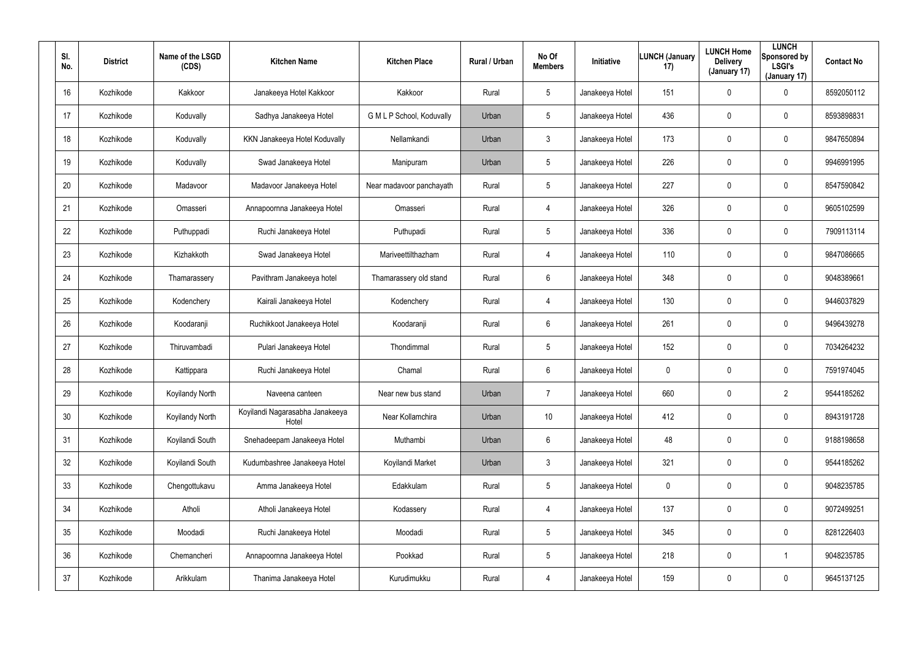| SI.<br>No. | <b>District</b> | Name of the LSGD<br>(CDS) | <b>Kitchen Name</b>                      | <b>Kitchen Place</b>      | <b>Rural / Urban</b> | No Of<br><b>Members</b> | Initiative      | <b>LUNCH (January</b><br>17) | <b>LUNCH Home</b><br><b>Delivery</b><br>(January 17) | <b>LUNCH</b><br>Sponsored by<br><b>LSGI's</b><br>(January 17) | <b>Contact No</b> |
|------------|-----------------|---------------------------|------------------------------------------|---------------------------|----------------------|-------------------------|-----------------|------------------------------|------------------------------------------------------|---------------------------------------------------------------|-------------------|
| 16         | Kozhikode       | Kakkoor                   | Janakeeya Hotel Kakkoor                  | Kakkoor                   | Rural                | 5                       | Janakeeya Hotel | 151                          | 0                                                    | 0                                                             | 8592050112        |
| 17         | Kozhikode       | Koduvally                 | Sadhya Janakeeya Hotel                   | G M L P School, Koduvally | Urban                | 5                       | Janakeeya Hotel | 436                          | 0                                                    | $\mathbf 0$                                                   | 8593898831        |
| 18         | Kozhikode       | Koduvally                 | KKN Janakeeya Hotel Koduvally            | Nellamkandi               | Urban                | $\mathbf{3}$            | Janakeeya Hotel | 173                          | 0                                                    | $\mathbf 0$                                                   | 9847650894        |
| 19         | Kozhikode       | Koduvally                 | Swad Janakeeya Hotel                     | Manipuram                 | Urban                | 5                       | Janakeeya Hotel | 226                          | 0                                                    | $\mathbf 0$                                                   | 9946991995        |
| 20         | Kozhikode       | Madavoor                  | Madavoor Janakeeya Hotel                 | Near madavoor panchayath  | Rural                | $5\overline{)}$         | Janakeeya Hotel | 227                          | 0                                                    | $\mathbf 0$                                                   | 8547590842        |
| 21         | Kozhikode       | Omasseri                  | Annapoornna Janakeeya Hotel              | Omasseri                  | Rural                | 4                       | Janakeeya Hotel | 326                          | 0                                                    | $\mathbf 0$                                                   | 9605102599        |
| 22         | Kozhikode       | Puthuppadi                | Ruchi Janakeeya Hotel                    | Puthupadi                 | Rural                | 5                       | Janakeeya Hotel | 336                          | $\boldsymbol{0}$                                     | 0                                                             | 7909113114        |
| 23         | Kozhikode       | Kizhakkoth                | Swad Janakeeya Hotel                     | Mariveettilthazham        | Rural                | 4                       | Janakeeya Hotel | 110                          | $\boldsymbol{0}$                                     | $\mathbf 0$                                                   | 9847086665        |
| 24         | Kozhikode       | Thamarassery              | Pavithram Janakeeya hotel                | Thamarassery old stand    | Rural                | 6                       | Janakeeya Hotel | 348                          | $\boldsymbol{0}$                                     | 0                                                             | 9048389661        |
| 25         | Kozhikode       | Kodenchery                | Kairali Janakeeya Hotel                  | Kodenchery                | Rural                | 4                       | Janakeeya Hotel | 130                          | $\boldsymbol{0}$                                     | $\mathbf 0$                                                   | 9446037829        |
| 26         | Kozhikode       | Koodaranji                | Ruchikkoot Janakeeya Hotel               | Koodaranji                | Rural                | 6                       | Janakeeya Hotel | 261                          | $\boldsymbol{0}$                                     | 0                                                             | 9496439278        |
| 27         | Kozhikode       | Thiruvambadi              | Pulari Janakeeya Hotel                   | Thondimmal                | Rural                | $5\overline{)}$         | Janakeeya Hotel | 152                          | $\boldsymbol{0}$                                     | $\mathbf 0$                                                   | 7034264232        |
| 28         | Kozhikode       | Kattippara                | Ruchi Janakeeya Hotel                    | Chamal                    | Rural                | 6                       | Janakeeya Hotel | 0                            | $\boldsymbol{0}$                                     | 0                                                             | 7591974045        |
| 29         | Kozhikode       | Koyilandy North           | Naveena canteen                          | Near new bus stand        | Urban                | $\overline{7}$          | Janakeeya Hotel | 660                          | $\pmb{0}$                                            | $\overline{2}$                                                | 9544185262        |
| 30         | Kozhikode       | Koyilandy North           | Koyilandi Nagarasabha Janakeeya<br>Hotel | Near Kollamchira          | Urban                | 10                      | Janakeeya Hotel | 412                          | $\pmb{0}$                                            | $\pmb{0}$                                                     | 8943191728        |
| 31         | Kozhikode       | Koyilandi South           | Snehadeepam Janakeeya Hotel              | Muthambi                  | Urban                | 6                       | Janakeeya Hotel | 48                           | $\pmb{0}$                                            | $\pmb{0}$                                                     | 9188198658        |
| 32         | Kozhikode       | Koyilandi South           | Kudumbashree Janakeeya Hotel             | Koyilandi Market          | Urban                | $\mathbf{3}$            | Janakeeya Hotel | 321                          | $\pmb{0}$                                            | $\pmb{0}$                                                     | 9544185262        |
| 33         | Kozhikode       | Chengottukavu             | Amma Janakeeya Hotel                     | Edakkulam                 | Rural                | $5\phantom{.0}$         | Janakeeya Hotel | 0                            | $\pmb{0}$                                            | $\pmb{0}$                                                     | 9048235785        |
| 34         | Kozhikode       | Atholi                    | Atholi Janakeeya Hotel                   | Kodassery                 | Rural                | 4                       | Janakeeya Hotel | 137                          | $\pmb{0}$                                            | 0                                                             | 9072499251        |
| 35         | Kozhikode       | Moodadi                   | Ruchi Janakeeya Hotel                    | Moodadi                   | Rural                | $5\phantom{.0}$         | Janakeeya Hotel | 345                          | $\overline{0}$                                       | $\pmb{0}$                                                     | 8281226403        |
| 36         | Kozhikode       | Chemancheri               | Annapoornna Janakeeya Hotel              | Pookkad                   | Rural                | $5\phantom{.0}$         | Janakeeya Hotel | 218                          | $\pmb{0}$                                            |                                                               | 9048235785        |
| 37         | Kozhikode       | Arikkulam                 | Thanima Janakeeya Hotel                  | Kurudimukku               | Rural                | 4                       | Janakeeya Hotel | 159                          | $\boldsymbol{0}$                                     | 0                                                             | 9645137125        |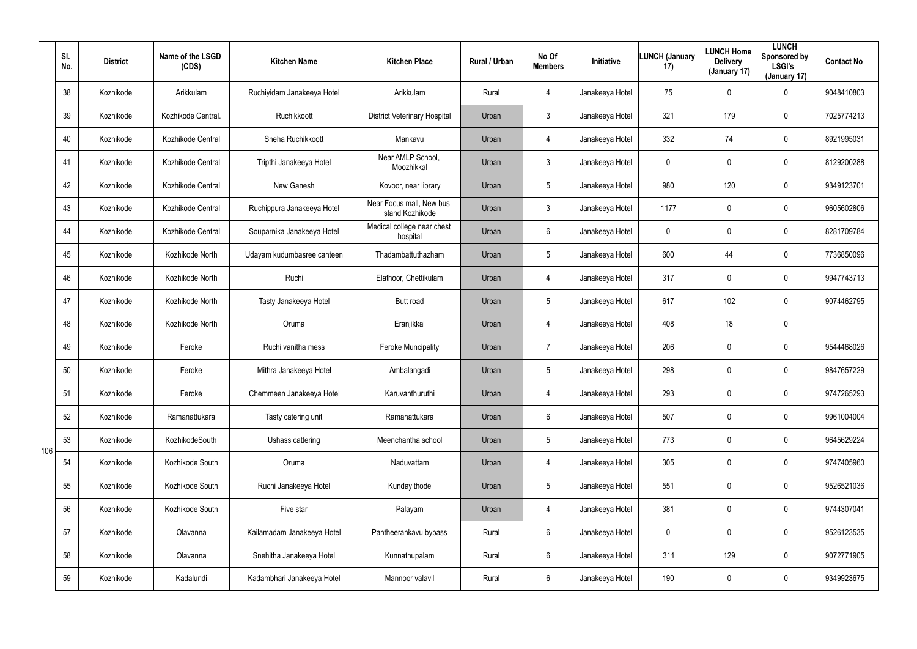|     | SI.<br>No. | <b>District</b> | Name of the LSGD<br>(CDS) | <b>Kitchen Name</b>        | <b>Kitchen Place</b>                        | Rural / Urban | No Of<br><b>Members</b> | Initiative      | <b>LUNCH (January</b><br>17) | <b>LUNCH Home</b><br><b>Delivery</b><br>(January 17) | <b>LUNCH</b><br>Sponsored by<br><b>LSGI's</b><br>(January 17) | <b>Contact No</b> |
|-----|------------|-----------------|---------------------------|----------------------------|---------------------------------------------|---------------|-------------------------|-----------------|------------------------------|------------------------------------------------------|---------------------------------------------------------------|-------------------|
|     | 38         | Kozhikode       | Arikkulam                 | Ruchiyidam Janakeeya Hotel | Arikkulam                                   | Rural         | $\overline{4}$          | Janakeeya Hotel | 75                           | 0                                                    | $\mathbf 0$                                                   | 9048410803        |
|     | 39         | Kozhikode       | Kozhikode Central.        | Ruchikkoott                | <b>District Veterinary Hospital</b>         | Urban         | $\mathbf{3}$            | Janakeeya Hotel | 321                          | 179                                                  | $\mathbf 0$                                                   | 7025774213        |
|     | 40         | Kozhikode       | Kozhikode Central         | Sneha Ruchikkoott          | Mankavu                                     | Urban         | $\overline{4}$          | Janakeeya Hotel | 332                          | 74                                                   | $\mathbf 0$                                                   | 8921995031        |
|     | 41         | Kozhikode       | Kozhikode Central         | Tripthi Janakeeya Hotel    | Near AMLP School,<br>Moozhikkal             | Urban         | $\mathbf{3}$            | Janakeeya Hotel | 0                            | 0                                                    | $\mathbf 0$                                                   | 8129200288        |
|     | 42         | Kozhikode       | Kozhikode Central         | New Ganesh                 | Kovoor, near library                        | Urban         | $5\overline{)}$         | Janakeeya Hotel | 980                          | 120                                                  | $\mathbf 0$                                                   | 9349123701        |
|     | 43         | Kozhikode       | Kozhikode Central         | Ruchippura Janakeeya Hotel | Near Focus mall, New bus<br>stand Kozhikode | Urban         | $\mathbf{3}$            | Janakeeya Hotel | 1177                         | 0                                                    | $\mathbf 0$                                                   | 9605602806        |
|     | 44         | Kozhikode       | Kozhikode Central         | Souparnika Janakeeya Hotel | Medical college near chest<br>hospital      | Urban         | 6                       | Janakeeya Hotel | 0                            | 0                                                    | $\mathbf 0$                                                   | 8281709784        |
|     | 45         | Kozhikode       | Kozhikode North           | Udayam kudumbasree canteen | Thadambattuthazham                          | Urban         | $5\phantom{.0}$         | Janakeeya Hotel | 600                          | 44                                                   | $\mathbf 0$                                                   | 7736850096        |
|     | 46         | Kozhikode       | Kozhikode North           | Ruchi                      | Elathoor, Chettikulam                       | Urban         | $\overline{4}$          | Janakeeya Hotel | 317                          | 0                                                    | $\mathbf 0$                                                   | 9947743713        |
|     | 47         | Kozhikode       | Kozhikode North           | Tasty Janakeeya Hotel      | Butt road                                   | Urban         | $5\phantom{.0}$         | Janakeeya Hotel | 617                          | 102                                                  | $\mathbf 0$                                                   | 9074462795        |
|     | 48         | Kozhikode       | Kozhikode North           | Oruma                      | Eranjikkal                                  | Urban         | $\overline{4}$          | Janakeeya Hotel | 408                          | 18                                                   | $\mathbf 0$                                                   |                   |
|     | 49         | Kozhikode       | Feroke                    | Ruchi vanitha mess         | <b>Feroke Muncipality</b>                   | Urban         | 7                       | Janakeeya Hotel | 206                          | 0                                                    | $\mathbf 0$                                                   | 9544468026        |
|     | 50         | Kozhikode       | Feroke                    | Mithra Janakeeya Hotel     | Ambalangadi                                 | Urban         | $5\phantom{.0}$         | Janakeeya Hotel | 298                          | 0                                                    | $\mathbf 0$                                                   | 9847657229        |
|     | 51         | Kozhikode       | Feroke                    | Chemmeen Janakeeya Hotel   | Karuvanthuruthi                             | Urban         | 4                       | Janakeeya Hotel | 293                          | 0                                                    | $\mathbf 0$                                                   | 9747265293        |
|     | 52         | Kozhikode       | Ramanattukara             | Tasty catering unit        | Ramanattukara                               | Urban         | $6\phantom{.}$          | Janakeeya Hotel | 507                          | 0                                                    | $\pmb{0}$                                                     | 9961004004        |
| 106 | 53         | Kozhikode       | KozhikodeSouth            | Ushass cattering           | Meenchantha school                          | Urban         | $5\phantom{.0}$         | Janakeeya Hotel | 773                          | 0                                                    | $\pmb{0}$                                                     | 9645629224        |
|     | 54         | Kozhikode       | Kozhikode South           | Oruma                      | Naduvattam                                  | Urban         | 4                       | Janakeeya Hotel | 305                          | 0                                                    | $\pmb{0}$                                                     | 9747405960        |
|     | 55         | Kozhikode       | Kozhikode South           | Ruchi Janakeeya Hotel      | Kundayithode                                | Urban         | $5\overline{)}$         | Janakeeya Hotel | 551                          | 0                                                    | $\mathbf 0$                                                   | 9526521036        |
|     | 56         | Kozhikode       | Kozhikode South           | Five star                  | Palayam                                     | Urban         | 4                       | Janakeeya Hotel | 381                          | 0                                                    | $\mathbf 0$                                                   | 9744307041        |
|     | 57         | Kozhikode       | Olavanna                  | Kailamadam Janakeeya Hotel | Pantheerankavu bypass                       | Rural         | $6\phantom{.}6$         | Janakeeya Hotel | $\mathbf 0$                  | 0                                                    | $\pmb{0}$                                                     | 9526123535        |
|     | 58         | Kozhikode       | Olavanna                  | Snehitha Janakeeya Hotel   | Kunnathupalam                               | Rural         | $6\overline{6}$         | Janakeeya Hotel | 311                          | 129                                                  | $\mathbf 0$                                                   | 9072771905        |
|     | 59         | Kozhikode       | Kadalundi                 | Kadambhari Janakeeya Hotel | Mannoor valavil                             | Rural         | $6\,$                   | Janakeeya Hotel | 190                          | 0                                                    | $\pmb{0}$                                                     | 9349923675        |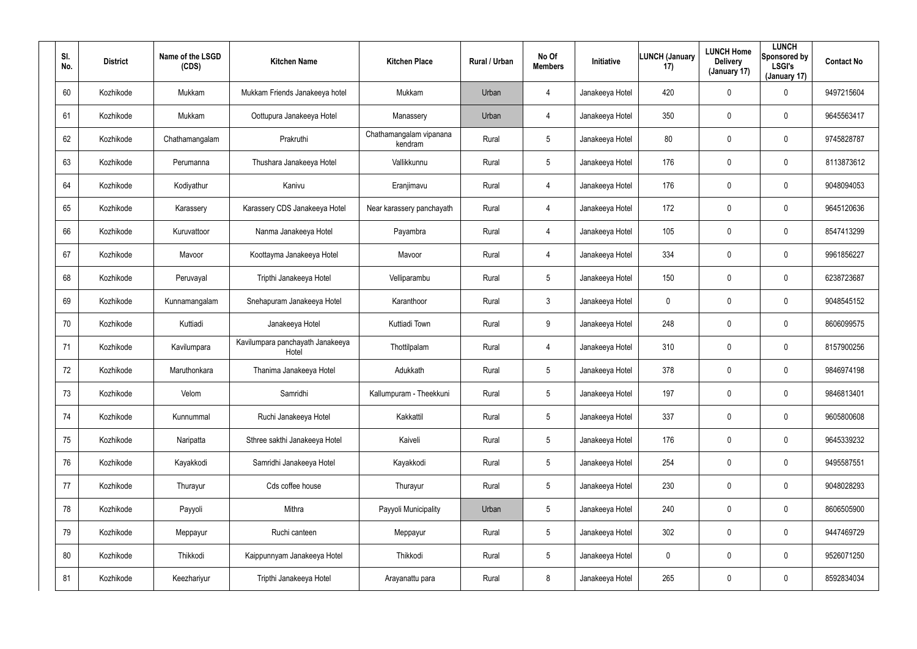| SI.<br>No. | <b>District</b> | Name of the LSGD<br>(CDS) | <b>Kitchen Name</b>                       | <b>Kitchen Place</b>               | Rural / Urban | No Of<br><b>Members</b> | Initiative      | <b>LUNCH (January</b><br>17) | <b>LUNCH Home</b><br><b>Delivery</b><br>(January 17) | <b>LUNCH</b><br>Sponsored by<br><b>LSGI's</b><br>(January 17) | <b>Contact No</b> |
|------------|-----------------|---------------------------|-------------------------------------------|------------------------------------|---------------|-------------------------|-----------------|------------------------------|------------------------------------------------------|---------------------------------------------------------------|-------------------|
| 60         | Kozhikode       | Mukkam                    | Mukkam Friends Janakeeya hotel            | Mukkam                             | Urban         | $\overline{4}$          | Janakeeya Hotel | 420                          | $\mathbf 0$                                          | 0                                                             | 9497215604        |
| 61         | Kozhikode       | Mukkam                    | Oottupura Janakeeya Hotel                 | Manassery                          | Urban         | $\overline{4}$          | Janakeeya Hotel | 350                          | $\boldsymbol{0}$                                     | 0                                                             | 9645563417        |
| 62         | Kozhikode       | Chathamangalam            | Prakruthi                                 | Chathamangalam vipanana<br>kendram | Rural         | 5                       | Janakeeya Hotel | 80                           | $\boldsymbol{0}$                                     | 0                                                             | 9745828787        |
| 63         | Kozhikode       | Perumanna                 | Thushara Janakeeya Hotel                  | Vallikkunnu                        | Rural         | 5                       | Janakeeya Hotel | 176                          | $\mathbf 0$                                          | 0                                                             | 8113873612        |
| 64         | Kozhikode       | Kodiyathur                | Kanivu                                    | Eranjimavu                         | Rural         | $\overline{4}$          | Janakeeya Hotel | 176                          | $\mathbf 0$                                          | $\mathbf 0$                                                   | 9048094053        |
| 65         | Kozhikode       | Karassery                 | Karassery CDS Janakeeya Hotel             | Near karassery panchayath          | Rural         | $\overline{4}$          | Janakeeya Hotel | 172                          | $\mathbf 0$                                          | $\mathbf 0$                                                   | 9645120636        |
| 66         | Kozhikode       | Kuruvattoor               | Nanma Janakeeya Hotel                     | Payambra                           | Rural         | $\overline{4}$          | Janakeeya Hotel | 105                          | $\pmb{0}$                                            | $\mathbf 0$                                                   | 8547413299        |
| 67         | Kozhikode       | Mavoor                    | Koottayma Janakeeya Hotel                 | Mavoor                             | Rural         | 4                       | Janakeeya Hotel | 334                          | $\mathbf 0$                                          | 0                                                             | 9961856227        |
| 68         | Kozhikode       | Peruvayal                 | Tripthi Janakeeya Hotel                   | Velliparambu                       | Rural         | $5\phantom{.0}$         | Janakeeya Hotel | 150                          | $\mathbf 0$                                          | $\mathbf 0$                                                   | 6238723687        |
| 69         | Kozhikode       | Kunnamangalam             | Snehapuram Janakeeya Hotel                | Karanthoor                         | Rural         | $\mathbf{3}$            | Janakeeya Hotel | 0                            | 0                                                    | 0                                                             | 9048545152        |
| 70         | Kozhikode       | Kuttiadi                  | Janakeeya Hotel                           | Kuttiadi Town                      | Rural         | 9                       | Janakeeya Hotel | 248                          | $\pmb{0}$                                            | $\mathbf 0$                                                   | 8606099575        |
| 71         | Kozhikode       | Kavilumpara               | Kavilumpara panchayath Janakeeya<br>Hotel | Thottilpalam                       | Rural         | 4                       | Janakeeya Hotel | 310                          | $\mathbf 0$                                          | 0                                                             | 8157900256        |
| 72         | Kozhikode       | Maruthonkara              | Thanima Janakeeya Hotel                   | Adukkath                           | Rural         | $5\overline{)}$         | Janakeeya Hotel | 378                          | $\overline{0}$                                       | 0                                                             | 9846974198        |
| 73         | Kozhikode       | Velom                     | Samridhi                                  | Kallumpuram - Theekkuni            | Rural         | 5                       | Janakeeya Hotel | 197                          | $\mathbf 0$                                          | 0                                                             | 9846813401        |
| 74         | Kozhikode       | Kunnummal                 | Ruchi Janakeeya Hotel                     | Kakkattil                          | Rural         | $5\phantom{.0}$         | Janakeeya Hotel | 337                          | $\pmb{0}$                                            | $\pmb{0}$                                                     | 9605800608        |
| 75         | Kozhikode       | Naripatta                 | Sthree sakthi Janakeeya Hotel             | Kaiveli                            | Rural         | $5\phantom{.0}$         | Janakeeya Hotel | 176                          | $\mathbf 0$                                          | $\pmb{0}$                                                     | 9645339232        |
| 76         | Kozhikode       | Kayakkodi                 | Samridhi Janakeeya Hotel                  | Kayakkodi                          | Rural         | $5\phantom{.0}$         | Janakeeya Hotel | 254                          | $\overline{0}$                                       | 0                                                             | 9495587551        |
| 77         | Kozhikode       | Thurayur                  | Cds coffee house                          | Thurayur                           | Rural         | 5                       | Janakeeya Hotel | 230                          | $\mathbf 0$                                          | 0                                                             | 9048028293        |
| 78         | Kozhikode       | Payyoli                   | Mithra                                    | Payyoli Municipality               | Urban         | 5                       | Janakeeya Hotel | 240                          | $\pmb{0}$                                            | 0                                                             | 8606505900        |
| 79         | Kozhikode       | Meppayur                  | Ruchi canteen                             | Meppayur                           | Rural         | 5                       | Janakeeya Hotel | 302                          | $\mathbf 0$                                          | 0                                                             | 9447469729        |
| 80         | Kozhikode       | Thikkodi                  | Kaippunnyam Janakeeya Hotel               | Thikkodi                           | Rural         | 5                       | Janakeeya Hotel | 0                            | $\pmb{0}$                                            | 0                                                             | 9526071250        |
| 81         | Kozhikode       | Keezhariyur               | Tripthi Janakeeya Hotel                   | Arayanattu para                    | Rural         | 8                       | Janakeeya Hotel | 265                          | $\boldsymbol{0}$                                     | 0                                                             | 8592834034        |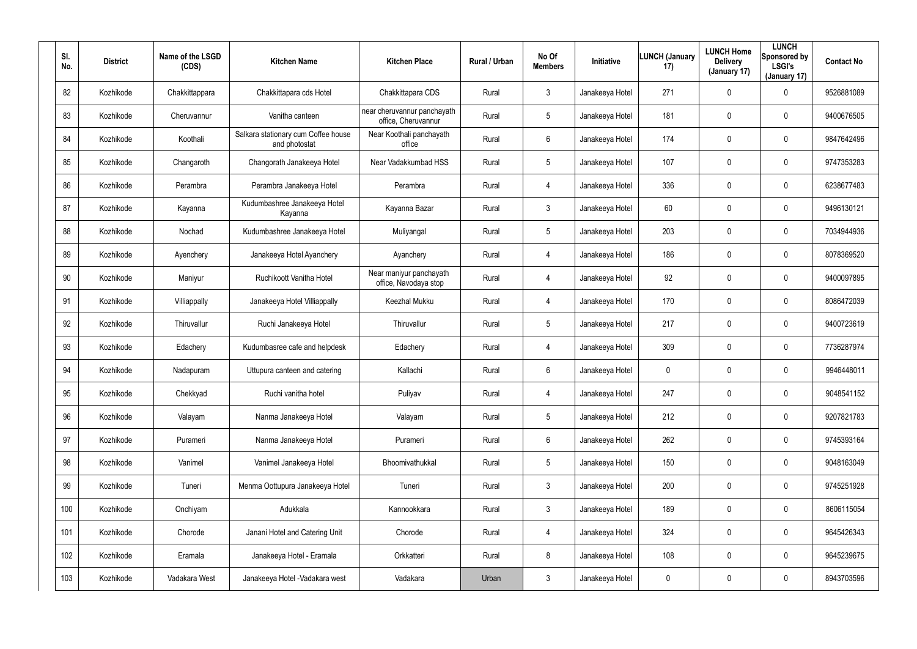| SI.<br>No. | <b>District</b> | Name of the LSGD<br>(CDS) | <b>Kitchen Name</b>                                  | <b>Kitchen Place</b>                               | Rural / Urban | No Of<br><b>Members</b> | Initiative      | <b>LUNCH (January</b><br>17) | <b>LUNCH Home</b><br><b>Delivery</b><br>(January 17) | <b>LUNCH</b><br>Sponsored by<br><b>LSGI's</b><br>(January 17) | <b>Contact No</b> |
|------------|-----------------|---------------------------|------------------------------------------------------|----------------------------------------------------|---------------|-------------------------|-----------------|------------------------------|------------------------------------------------------|---------------------------------------------------------------|-------------------|
| 82         | Kozhikode       | Chakkittappara            | Chakkittapara cds Hotel                              | Chakkittapara CDS                                  | Rural         | $\mathbf{3}$            | Janakeeya Hotel | 271                          | $\mathbf 0$                                          | 0                                                             | 9526881089        |
| 83         | Kozhikode       | Cheruvannur               | Vanitha canteen                                      | near cheruvannur panchayath<br>office, Cheruvannur | Rural         | 5                       | Janakeeya Hotel | 181                          | $\mathbf 0$                                          | $\mathbf 0$                                                   | 9400676505        |
| 84         | Kozhikode       | Koothali                  | Salkara stationary cum Coffee house<br>and photostat | Near Koothali panchayath<br>office                 | Rural         | 6                       | Janakeeya Hotel | 174                          | $\mathbf 0$                                          | $\mathbf 0$                                                   | 9847642496        |
| 85         | Kozhikode       | Changaroth                | Changorath Janakeeya Hotel                           | Near Vadakkumbad HSS                               | Rural         | 5                       | Janakeeya Hotel | 107                          | $\mathbf 0$                                          | $\mathbf 0$                                                   | 9747353283        |
| 86         | Kozhikode       | Perambra                  | Perambra Janakeeya Hotel                             | Perambra                                           | Rural         | $\overline{4}$          | Janakeeya Hotel | 336                          | $\mathbf 0$                                          | $\mathbf 0$                                                   | 6238677483        |
| 87         | Kozhikode       | Kayanna                   | Kudumbashree Janakeeya Hotel<br>Kayanna              | Kayanna Bazar                                      | Rural         | $\mathbf{3}$            | Janakeeya Hotel | 60                           | $\boldsymbol{0}$                                     | $\mathbf 0$                                                   | 9496130121        |
| 88         | Kozhikode       | Nochad                    | Kudumbashree Janakeeya Hotel                         | Muliyangal                                         | Rural         | 5                       | Janakeeya Hotel | 203                          | $\mathbf 0$                                          | $\mathbf 0$                                                   | 7034944936        |
| 89         | Kozhikode       | Ayenchery                 | Janakeeya Hotel Ayanchery                            | Ayanchery                                          | Rural         | 4                       | Janakeeya Hotel | 186                          | 0                                                    | 0                                                             | 8078369520        |
| 90         | Kozhikode       | Maniyur                   | Ruchikoott Vanitha Hotel                             | Near maniyur panchayath<br>office, Navodaya stop   | Rural         | 4                       | Janakeeya Hotel | 92                           | $\mathbf 0$                                          | $\mathbf 0$                                                   | 9400097895        |
| 91         | Kozhikode       | Villiappally              | Janakeeya Hotel Villiappally                         | Keezhal Mukku                                      | Rural         | 4                       | Janakeeya Hotel | 170                          | 0                                                    | 0                                                             | 8086472039        |
| 92         | Kozhikode       | Thiruvallur               | Ruchi Janakeeya Hotel                                | Thiruvallur                                        | Rural         | 5                       | Janakeeya Hotel | 217                          | $\mathbf 0$                                          | $\mathbf 0$                                                   | 9400723619        |
| 93         | Kozhikode       | Edachery                  | Kudumbasree cafe and helpdesk                        | Edachery                                           | Rural         | 4                       | Janakeeya Hotel | 309                          | $\mathbf 0$                                          | 0                                                             | 7736287974        |
| 94         | Kozhikode       | Nadapuram                 | Uttupura canteen and catering                        | Kallachi                                           | Rural         | 6                       | Janakeeya Hotel | 0                            | $\mathbf 0$                                          | 0                                                             | 9946448011        |
| 95         | Kozhikode       | Chekkyad                  | Ruchi vanitha hotel                                  | Puliyav                                            | Rural         | 4                       | Janakeeya Hotel | 247                          | $\mathbf 0$                                          | 0                                                             | 9048541152        |
| 96         | Kozhikode       | Valayam                   | Nanma Janakeeya Hotel                                | Valayam                                            | Rural         | $5\phantom{.0}$         | Janakeeya Hotel | 212                          | $\overline{0}$                                       | $\pmb{0}$                                                     | 9207821783        |
| 97         | Kozhikode       | Purameri                  | Nanma Janakeeya Hotel                                | Purameri                                           | Rural         | $6\phantom{.}$          | Janakeeya Hotel | 262                          | $\mathbf 0$                                          | $\pmb{0}$                                                     | 9745393164        |
| 98         | Kozhikode       | Vanimel                   | Vanimel Janakeeya Hotel                              | Bhoomivathukkal                                    | Rural         | $5\phantom{.0}$         | Janakeeya Hotel | 150                          | $\overline{0}$                                       | $\pmb{0}$                                                     | 9048163049        |
| 99         | Kozhikode       | Tuneri                    | Menma Oottupura Janakeeya Hotel                      | Tuneri                                             | Rural         | 3 <sup>1</sup>          | Janakeeya Hotel | 200                          | $\mathbf 0$                                          | 0                                                             | 9745251928        |
| 100        | Kozhikode       | Onchiyam                  | Adukkala                                             | Kannookkara                                        | Rural         | 3 <sup>1</sup>          | Janakeeya Hotel | 189                          | $\pmb{0}$                                            | 0                                                             | 8606115054        |
| 101        | Kozhikode       | Chorode                   | Janani Hotel and Catering Unit                       | Chorode                                            | Rural         | $\overline{4}$          | Janakeeya Hotel | 324                          | $\mathbf 0$                                          | 0                                                             | 9645426343        |
| 102        | Kozhikode       | Eramala                   | Janakeeya Hotel - Eramala                            | Orkkatteri                                         | Rural         | 8                       | Janakeeya Hotel | 108                          | $\mathbf 0$                                          | 0                                                             | 9645239675        |
| 103        | Kozhikode       | Vadakara West             | Janakeeya Hotel - Vadakara west                      | Vadakara                                           | Urban         | $\mathfrak{Z}$          | Janakeeya Hotel | 0                            | $\mathbf 0$                                          | 0                                                             | 8943703596        |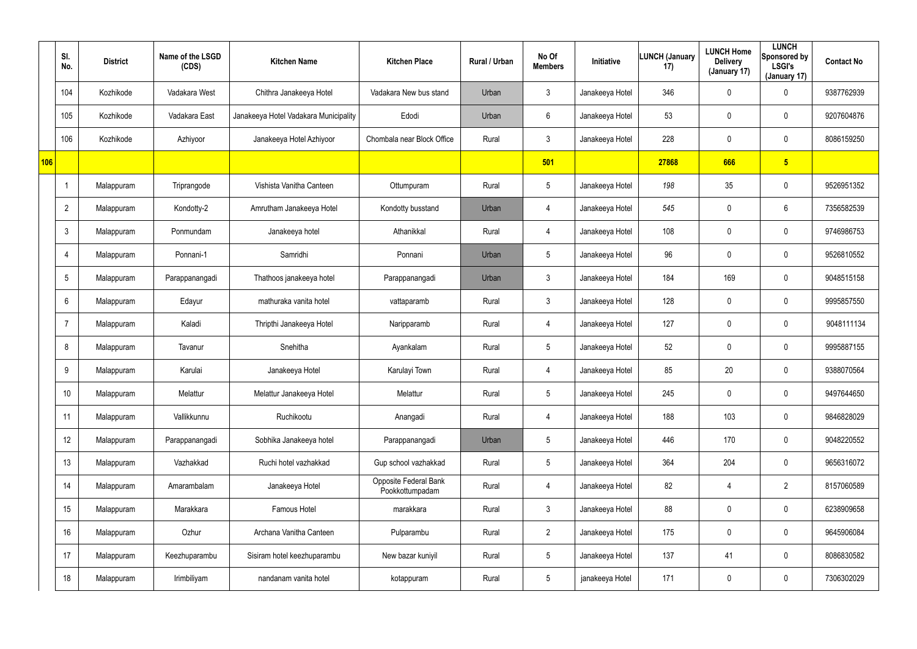|     | SI.<br>No.      | <b>District</b> | Name of the LSGD<br>(CDS) | <b>Kitchen Name</b>                   | <b>Kitchen Place</b>                     | Rural / Urban | No Of<br><b>Members</b> | Initiative      | LUNCH (January<br>17) | <b>LUNCH Home</b><br><b>Delivery</b><br>(January 17) | <b>LUNCH</b><br>Sponsored by<br><b>LSGI's</b><br>(January 17) | <b>Contact No</b> |
|-----|-----------------|-----------------|---------------------------|---------------------------------------|------------------------------------------|---------------|-------------------------|-----------------|-----------------------|------------------------------------------------------|---------------------------------------------------------------|-------------------|
|     | 104             | Kozhikode       | Vadakara West             | Chithra Janakeeya Hotel               | Vadakara New bus stand                   | Urban         | $\mathbf{3}$            | Janakeeya Hotel | 346                   | 0                                                    | $\mathbf 0$                                                   | 9387762939        |
|     | 105             | Kozhikode       | Vadakara East             | Janakeeya Hotel Vadakara Municipality | Edodi                                    | Urban         | 6                       | Janakeeya Hotel | 53                    | $\mathbf 0$                                          | $\mathbf 0$                                                   | 9207604876        |
|     | 106             | Kozhikode       | Azhiyoor                  | Janakeeya Hotel Azhiyoor              | Chombala near Block Office               | Rural         | $\mathbf{3}$            | Janakeeya Hotel | 228                   | 0                                                    | $\mathbf 0$                                                   | 8086159250        |
| 106 |                 |                 |                           |                                       |                                          |               | 501                     |                 | 27868                 | 666                                                  | 5 <sub>5</sub>                                                |                   |
|     |                 | Malappuram      | Triprangode               | Vishista Vanitha Canteen              | Ottumpuram                               | Rural         | $5\phantom{.0}$         | Janakeeya Hotel | 198                   | 35                                                   | $\mathbf 0$                                                   | 9526951352        |
|     | $\overline{2}$  | Malappuram      | Kondotty-2                | Amrutham Janakeeya Hotel              | Kondotty busstand                        | Urban         | $\overline{4}$          | Janakeeya Hotel | 545                   | 0                                                    | $6\phantom{.}$                                                | 7356582539        |
|     | $\mathbf{3}$    | Malappuram      | Ponmundam                 | Janakeeya hotel                       | Athanikkal                               | Rural         | $\overline{4}$          | Janakeeya Hotel | 108                   | 0                                                    | $\mathbf 0$                                                   | 9746986753        |
|     | $\overline{4}$  | Malappuram      | Ponnani-1                 | Samridhi                              | Ponnani                                  | Urban         | $5\phantom{.0}$         | Janakeeya Hotel | 96                    | 0                                                    | $\mathbf 0$                                                   | 9526810552        |
|     | $5\phantom{.0}$ | Malappuram      | Parappanangadi            | Thathoos janakeeya hotel              | Parappanangadi                           | Urban         | $\mathfrak{Z}$          | Janakeeya Hotel | 184                   | 169                                                  | $\mathbf 0$                                                   | 9048515158        |
|     | 6               | Malappuram      | Edayur                    | mathuraka vanita hotel                | vattaparamb                              | Rural         | $\mathbf{3}$            | Janakeeya Hotel | 128                   | 0                                                    | $\mathbf 0$                                                   | 9995857550        |
|     | $\overline{7}$  | Malappuram      | Kaladi                    | Thripthi Janakeeya Hotel              | Naripparamb                              | Rural         | $\overline{4}$          | Janakeeya Hotel | 127                   | 0                                                    | $\mathbf 0$                                                   | 9048111134        |
|     | 8               | Malappuram      | Tavanur                   | Snehitha                              | Ayankalam                                | Rural         | $5\phantom{.0}$         | Janakeeya Hotel | 52                    | 0                                                    | $\mathbf 0$                                                   | 9995887155        |
|     | 9               | Malappuram      | Karulai                   | Janakeeya Hotel                       | Karulayi Town                            | Rural         | 4                       | Janakeeya Hotel | 85                    | 20                                                   | $\mathbf 0$                                                   | 9388070564        |
|     | 10              | Malappuram      | Melattur                  | Melattur Janakeeya Hotel              | Melattur                                 | Rural         | $5\phantom{.0}$         | Janakeeya Hotel | 245                   | 0                                                    | $\mathbf 0$                                                   | 9497644650        |
|     | 11              | Malappuram      | Vallikkunnu               | Ruchikootu                            | Anangadi                                 | Rural         | 4                       | Janakeeya Hotel | 188                   | 103                                                  | $\mathbf 0$                                                   | 9846828029        |
|     | 12              | Malappuram      | Parappanangadi            | Sobhika Janakeeya hotel               | Parappanangadi                           | Urban         | $5\overline{)}$         | Janakeeya Hotel | 446                   | 170                                                  | $\mathbf 0$                                                   | 9048220552        |
|     | 13              | Malappuram      | Vazhakkad                 | Ruchi hotel vazhakkad                 | Gup school vazhakkad                     | Rural         | $5\overline{)}$         | Janakeeya Hotel | 364                   | 204                                                  | $\mathbf 0$                                                   | 9656316072        |
|     | 14              | Malappuram      | Amarambalam               | Janakeeya Hotel                       | Opposite Federal Bank<br>Pookkottumpadam | Rural         | 4                       | Janakeeya Hotel | 82                    | 4                                                    | $\overline{2}$                                                | 8157060589        |
|     | 15              | Malappuram      | Marakkara                 | Famous Hotel                          | marakkara                                | Rural         | $\mathbf{3}$            | Janakeeya Hotel | 88                    | 0                                                    | $\mathbf 0$                                                   | 6238909658        |
|     | 16              | Malappuram      | Ozhur                     | Archana Vanitha Canteen               | Pulparambu                               | Rural         | $2^{\circ}$             | Janakeeya Hotel | 175                   | 0                                                    | $\mathbf 0$                                                   | 9645906084        |
|     | 17              | Malappuram      | Keezhuparambu             | Sisiram hotel keezhuparambu           | New bazar kuniyil                        | Rural         | $\sqrt{5}$              | Janakeeya Hotel | 137                   | 41                                                   | $\mathbf 0$                                                   | 8086830582        |
|     | 18              | Malappuram      | Irimbiliyam               | nandanam vanita hotel                 | kotappuram                               | Rural         | $5\,$                   | janakeeya Hotel | 171                   | 0                                                    | $\pmb{0}$                                                     | 7306302029        |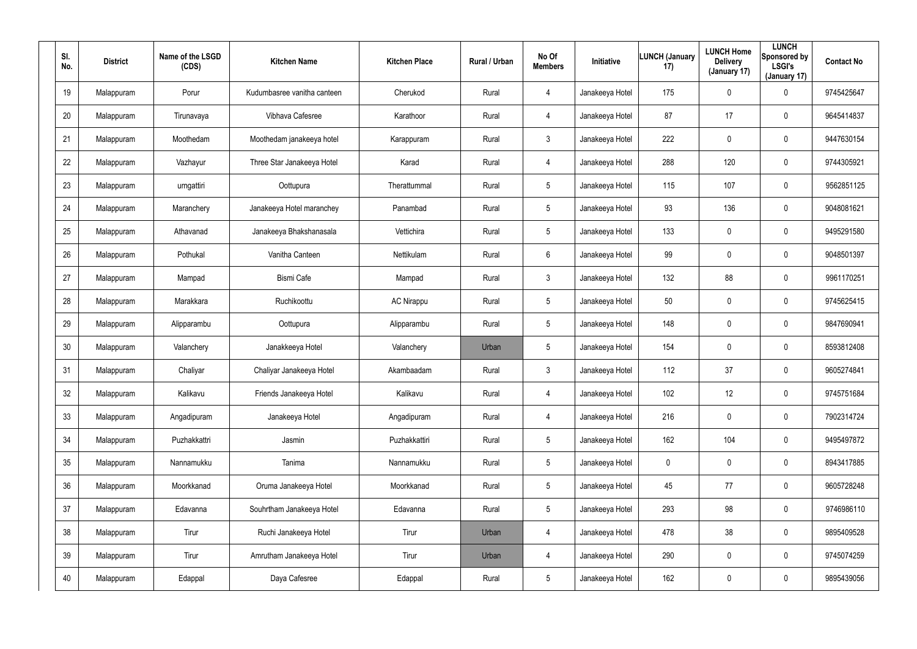| SI.<br>No. | <b>District</b> | Name of the LSGD<br>(CDS) | <b>Kitchen Name</b>         | <b>Kitchen Place</b> | Rural / Urban | No Of<br><b>Members</b> | Initiative      | <b>LUNCH (January</b><br>17) | <b>LUNCH Home</b><br><b>Delivery</b><br>(January 17) | <b>LUNCH</b><br>Sponsored by<br><b>LSGI's</b><br>(January 17) | <b>Contact No</b> |
|------------|-----------------|---------------------------|-----------------------------|----------------------|---------------|-------------------------|-----------------|------------------------------|------------------------------------------------------|---------------------------------------------------------------|-------------------|
| 19         | Malappuram      | Porur                     | Kudumbasree vanitha canteen | Cherukod             | Rural         | 4                       | Janakeeya Hotel | 175                          | $\pmb{0}$                                            | 0                                                             | 9745425647        |
| 20         | Malappuram      | Tirunavaya                | Vibhava Cafesree            | Karathoor            | Rural         | $\overline{4}$          | Janakeeya Hotel | 87                           | 17                                                   | 0                                                             | 9645414837        |
| 21         | Malappuram      | Moothedam                 | Moothedam janakeeya hotel   | Karappuram           | Rural         | $\mathbf{3}$            | Janakeeya Hotel | 222                          | $\pmb{0}$                                            | 0                                                             | 9447630154        |
| 22         | Malappuram      | Vazhayur                  | Three Star Janakeeya Hotel  | Karad                | Rural         | $\overline{4}$          | Janakeeya Hotel | 288                          | 120                                                  | 0                                                             | 9744305921        |
| 23         | Malappuram      | urngattiri                | Oottupura                   | Therattummal         | Rural         | 5                       | Janakeeya Hotel | 115                          | 107                                                  | 0                                                             | 9562851125        |
| 24         | Malappuram      | Maranchery                | Janakeeya Hotel maranchey   | Panambad             | Rural         | 5                       | Janakeeya Hotel | 93                           | 136                                                  | 0                                                             | 9048081621        |
| 25         | Malappuram      | Athavanad                 | Janakeeya Bhakshanasala     | Vettichira           | Rural         | $5\phantom{.0}$         | Janakeeya Hotel | 133                          | $\overline{0}$                                       | $\mathbf 0$                                                   | 9495291580        |
| 26         | Malappuram      | Pothukal                  | Vanitha Canteen             | Nettikulam           | Rural         | 6                       | Janakeeya Hotel | 99                           | $\boldsymbol{0}$                                     | $\mathbf 0$                                                   | 9048501397        |
| 27         | Malappuram      | Mampad                    | <b>Bismi Cafe</b>           | Mampad               | Rural         | $\mathbf{3}$            | Janakeeya Hotel | 132                          | 88                                                   | 0                                                             | 9961170251        |
| 28         | Malappuram      | Marakkara                 | Ruchikoottu                 | <b>AC Nirappu</b>    | Rural         | $5\phantom{.0}$         | Janakeeya Hotel | 50                           | $\pmb{0}$                                            | $\mathbf 0$                                                   | 9745625415        |
| 29         | Malappuram      | Alipparambu               | Oottupura                   | Alipparambu          | Rural         | $5\phantom{.0}$         | Janakeeya Hotel | 148                          | $\overline{0}$                                       | $\mathbf 0$                                                   | 9847690941        |
| 30         | Malappuram      | Valanchery                | Janakkeeya Hotel            | Valanchery           | Urban         | $5\phantom{.0}$         | Janakeeya Hotel | 154                          | $\boldsymbol{0}$                                     | 0                                                             | 8593812408        |
| 31         | Malappuram      | Chaliyar                  | Chaliyar Janakeeya Hotel    | Akambaadam           | Rural         | $\mathbf{3}$            | Janakeeya Hotel | 112                          | 37                                                   | $\mathbf 0$                                                   | 9605274841        |
| 32         | Malappuram      | Kalikavu                  | Friends Janakeeya Hotel     | Kalikavu             | Rural         | 4                       | Janakeeya Hotel | 102                          | 12                                                   | $\pmb{0}$                                                     | 9745751684        |
| 33         | Malappuram      | Angadipuram               | Janakeeya Hotel             | Angadipuram          | Rural         | $\overline{4}$          | Janakeeya Hotel | 216                          | $\mathbf 0$                                          | $\pmb{0}$                                                     | 7902314724        |
| 34         | Malappuram      | Puzhakkattri              | Jasmin                      | Puzhakkattiri        | Rural         | $5\phantom{.0}$         | Janakeeya Hotel | 162                          | 104                                                  | $\pmb{0}$                                                     | 9495497872        |
| 35         | Malappuram      | Nannamukku                | Tanima                      | Nannamukku           | Rural         | $5\phantom{.0}$         | Janakeeya Hotel | $\pmb{0}$                    | $\mathbf 0$                                          | $\pmb{0}$                                                     | 8943417885        |
| 36         | Malappuram      | Moorkkanad                | Oruma Janakeeya Hotel       | Moorkkanad           | Rural         | $5\phantom{.0}$         | Janakeeya Hotel | 45                           | 77                                                   | 0                                                             | 9605728248        |
| 37         | Malappuram      | Edavanna                  | Souhrtham Janakeeya Hotel   | Edavanna             | Rural         | $5\phantom{.0}$         | Janakeeya Hotel | 293                          | 98                                                   | 0                                                             | 9746986110        |
| 38         | Malappuram      | Tirur                     | Ruchi Janakeeya Hotel       | Tirur                | Urban         | $\overline{4}$          | Janakeeya Hotel | 478                          | 38                                                   | 0                                                             | 9895409528        |
| 39         | Malappuram      | Tirur                     | Amrutham Janakeeya Hotel    | Tirur                | Urban         | $\overline{4}$          | Janakeeya Hotel | 290                          | $\mathbf 0$                                          | 0                                                             | 9745074259        |
| 40         | Malappuram      | Edappal                   | Daya Cafesree               | Edappal              | Rural         | $5\phantom{.0}$         | Janakeeya Hotel | 162                          | $\boldsymbol{0}$                                     | 0                                                             | 9895439056        |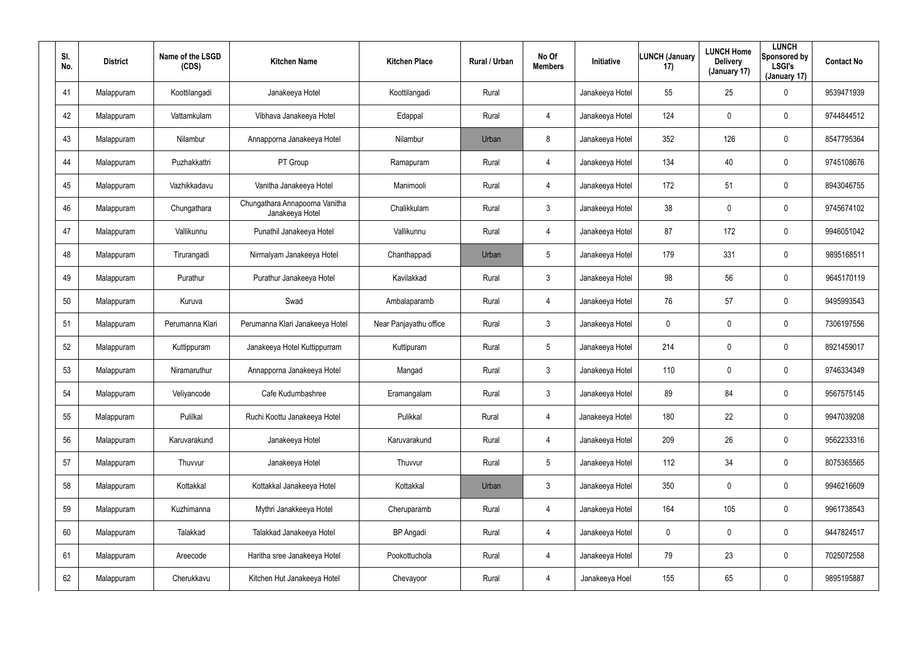| SI.<br>No. | <b>District</b> | Name of the LSGD<br>(CDS) | <b>Kitchen Name</b>                               | <b>Kitchen Place</b>   | Rural / Urban | No Of<br><b>Members</b> | Initiative      | <b>LUNCH (January</b><br>17) | <b>LUNCH Home</b><br><b>Delivery</b><br>(January 17) | <b>LUNCH</b><br>Sponsored by<br><b>LSGI's</b><br>(January 17) | <b>Contact No</b> |
|------------|-----------------|---------------------------|---------------------------------------------------|------------------------|---------------|-------------------------|-----------------|------------------------------|------------------------------------------------------|---------------------------------------------------------------|-------------------|
| 41         | Malappuram      | Koottilangadi             | Janakeeya Hotel                                   | Koottilangadi          | Rural         |                         | Janakeeya Hotel | 55                           | 25                                                   | 0                                                             | 9539471939        |
| 42         | Malappuram      | Vattamkulam               | Vibhava Janakeeya Hotel                           | Edappal                | Rural         | 4                       | Janakeeya Hotel | 124                          | 0                                                    | $\mathbf 0$                                                   | 9744844512        |
| 43         | Malappuram      | Nilambur                  | Annapporna Janakeeya Hotel                        | Nilambur               | Urban         | 8                       | Janakeeya Hotel | 352                          | 126                                                  | $\mathbf 0$                                                   | 8547795364        |
| 44         | Malappuram      | Puzhakkattri              | PT Group                                          | Ramapuram              | Rural         | 4                       | Janakeeya Hotel | 134                          | 40                                                   | $\mathbf 0$                                                   | 9745108676        |
| 45         | Malappuram      | Vazhikkadavu              | Vanitha Janakeeya Hotel                           | Manimooli              | Rural         | $\overline{4}$          | Janakeeya Hotel | 172                          | 51                                                   | $\mathbf 0$                                                   | 8943046755        |
| 46         | Malappuram      | Chungathara               | Chungathara Annapoorna Vanitha<br>Janakeeya Hotel | Chalikkulam            | Rural         | 3                       | Janakeeya Hotel | 38                           | 0                                                    | $\mathbf 0$                                                   | 9745674102        |
| 47         | Malappuram      | Vallikunnu                | Punathil Janakeeya Hotel                          | Vallikunnu             | Rural         | $\overline{4}$          | Janakeeya Hotel | 87                           | 172                                                  | 0                                                             | 9946051042        |
| 48         | Malappuram      | Tirurangadi               | Nirmalyam Janakeeya Hotel                         | Chanthappadi           | Urban         | 5                       | Janakeeya Hotel | 179                          | 331                                                  | 0                                                             | 9895168511        |
| 49         | Malappuram      | Purathur                  | Purathur Janakeeya Hotel                          | Kavilakkad             | Rural         | $\mathbf{3}$            | Janakeeya Hotel | 98                           | 56                                                   | 0                                                             | 9645170119        |
| 50         | Malappuram      | Kuruva                    | Swad                                              | Ambalaparamb           | Rural         | 4                       | Janakeeya Hotel | 76                           | 57                                                   | $\mathbf 0$                                                   | 9495993543        |
| 51         | Malappuram      | Perumanna Klari           | Perumanna Klari Janakeeya Hotel                   | Near Panjayathu office | Rural         | $\mathbf{3}$            | Janakeeya Hotel | 0                            | $\boldsymbol{0}$                                     | 0                                                             | 7306197556        |
| 52         | Malappuram      | Kuttippuram               | Janakeeya Hotel Kuttippurram                      | Kuttipuram             | Rural         | 5                       | Janakeeya Hotel | 214                          | $\boldsymbol{0}$                                     | $\mathbf 0$                                                   | 8921459017        |
| 53         | Malappuram      | Niramaruthur              | Annapporna Janakeeya Hotel                        | Mangad                 | Rural         | $\mathbf{3}$            | Janakeeya Hotel | 110                          | $\boldsymbol{0}$                                     | $\mathbf 0$                                                   | 9746334349        |
| 54         | Malappuram      | Veliyancode               | Cafe Kudumbashree                                 | Eramangalam            | Rural         | $\mathbf{3}$            | Janakeeya Hotel | 89                           | 84                                                   | $\pmb{0}$                                                     | 9567575145        |
| 55         | Malappuram      | Pulilkal                  | Ruchi Koottu Janakeeya Hotel                      | Pulikkal               | Rural         | $\overline{4}$          | Janakeeya Hotel | 180                          | 22                                                   | $\pmb{0}$                                                     | 9947039208        |
| 56         | Malappuram      | Karuvarakund              | Janakeeya Hotel                                   | Karuvarakund           | Rural         | $\overline{4}$          | Janakeeya Hotel | 209                          | 26                                                   | $\pmb{0}$                                                     | 9562233316        |
| 57         | Malappuram      | Thuvvur                   | Janakeeya Hotel                                   | Thuvvur                | Rural         | 5                       | Janakeeya Hotel | 112                          | 34                                                   | $\pmb{0}$                                                     | 8075365565        |
| 58         | Malappuram      | Kottakkal                 | Kottakkal Janakeeya Hotel                         | Kottakkal              | Urban         | $\mathfrak{Z}$          | Janakeeya Hotel | 350                          | $\mathbf 0$                                          | $\pmb{0}$                                                     | 9946216609        |
| 59         | Malappuram      | Kuzhimanna                | Mythri Janakkeeya Hotel                           | Cheruparamb            | Rural         | $\overline{4}$          | Janakeeya Hotel | 164                          | 105                                                  | $\pmb{0}$                                                     | 9961738543        |
| 60         | Malappuram      | Talakkad                  | Talakkad Janakeeya Hotel                          | <b>BP</b> Angadi       | Rural         | $\overline{4}$          | Janakeeya Hotel | 0                            | $\mathbf 0$                                          | $\pmb{0}$                                                     | 9447824517        |
| 61         | Malappuram      | Areecode                  | Haritha sree Janakeeya Hotel                      | Pookottuchola          | Rural         | $\overline{4}$          | Janakeeya Hotel | 79                           | 23                                                   | $\pmb{0}$                                                     | 7025072558        |
| 62         | Malappuram      | Cherukkavu                | Kitchen Hut Janakeeya Hotel                       | Chevayoor              | Rural         | $\overline{4}$          | Janakeeya Hoel  | 155                          | 65                                                   | 0                                                             | 9895195887        |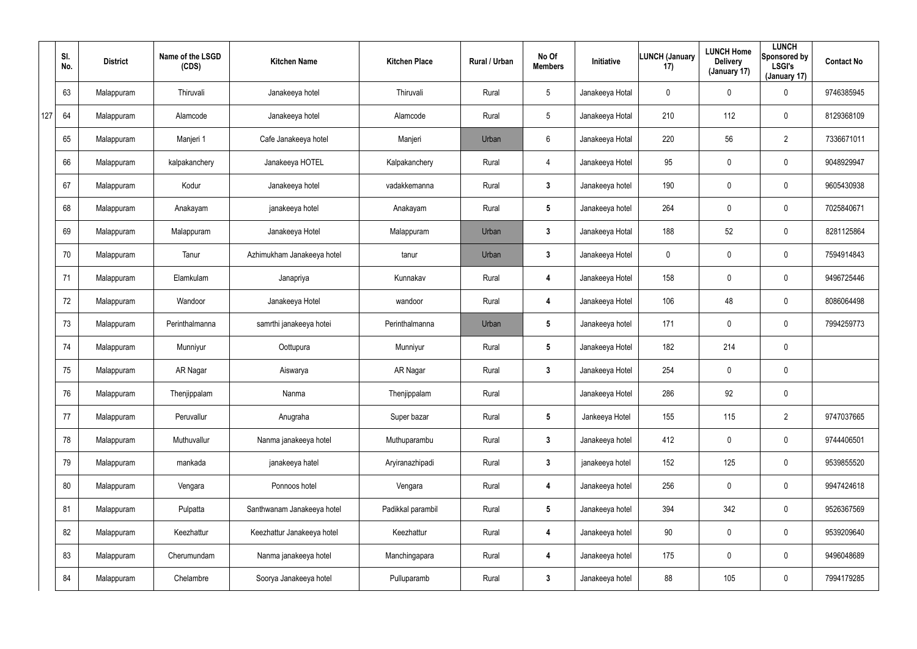|     | SI.<br>No. | <b>District</b> | Name of the LSGD<br>(CDS) | <b>Kitchen Name</b>        | <b>Kitchen Place</b> | Rural / Urban | No Of<br><b>Members</b> | <b>Initiative</b> | <b>LUNCH (January</b><br>17) | <b>LUNCH Home</b><br><b>Delivery</b><br>(January 17) | <b>LUNCH</b><br>Sponsored by<br><b>LSGI's</b><br>(January 17) | <b>Contact No</b> |
|-----|------------|-----------------|---------------------------|----------------------------|----------------------|---------------|-------------------------|-------------------|------------------------------|------------------------------------------------------|---------------------------------------------------------------|-------------------|
|     | 63         | Malappuram      | Thiruvali                 | Janakeeya hotel            | Thiruvali            | Rural         | $5\overline{)}$         | Janakeeya Hotal   | $\mathbf 0$                  | $\mathbf 0$                                          | $\mathbf 0$                                                   | 9746385945        |
| 127 | 64         | Malappuram      | Alamcode                  | Janakeeya hotel            | Alamcode             | Rural         | $5\phantom{.0}$         | Janakeeya Hotal   | 210                          | 112                                                  | $\mathbf 0$                                                   | 8129368109        |
|     | 65         | Malappuram      | Manjeri 1                 | Cafe Janakeeya hotel       | Manjeri              | Urban         | 6                       | Janakeeya Hotal   | 220                          | 56                                                   | $\overline{2}$                                                | 7336671011        |
|     | 66         | Malappuram      | kalpakanchery             | Janakeeya HOTEL            | Kalpakanchery        | Rural         | 4                       | Janakeeya Hotel   | 95                           | 0                                                    | $\mathbf 0$                                                   | 9048929947        |
|     | 67         | Malappuram      | Kodur                     | Janakeeya hotel            | vadakkemanna         | Rural         | $3\phantom{a}$          | Janakeeya hotel   | 190                          | 0                                                    | $\mathbf 0$                                                   | 9605430938        |
|     | 68         | Malappuram      | Anakayam                  | janakeeya hotel            | Anakayam             | Rural         | $5\overline{)}$         | Janakeeya hotel   | 264                          | 0                                                    | $\mathbf 0$                                                   | 7025840671        |
|     | 69         | Malappuram      | Malappuram                | Janakeeya Hotel            | Malappuram           | Urban         | $\mathbf{3}$            | Janakeeya Hotal   | 188                          | 52                                                   | $\mathbf 0$                                                   | 8281125864        |
|     | 70         | Malappuram      | Tanur                     | Azhimukham Janakeeya hotel | tanur                | Urban         | $\mathbf{3}$            | Janakeeya Hotel   | 0                            | 0                                                    | $\mathbf 0$                                                   | 7594914843        |
|     | 71         | Malappuram      | Elamkulam                 | Janapriya                  | Kunnakav             | Rural         | 4                       | Janakeeya Hotel   | 158                          | 0                                                    | $\mathbf 0$                                                   | 9496725446        |
|     | 72         | Malappuram      | Wandoor                   | Janakeeya Hotel            | wandoor              | Rural         | 4                       | Janakeeya Hotel   | 106                          | 48                                                   | $\mathbf 0$                                                   | 8086064498        |
|     | 73         | Malappuram      | Perinthalmanna            | samrthi janakeeya hotei    | Perinthalmanna       | Urban         | $5\phantom{.0}$         | Janakeeya hotel   | 171                          | 0                                                    | $\mathbf 0$                                                   | 7994259773        |
|     | 74         | Malappuram      | Munniyur                  | Oottupura                  | Munniyur             | Rural         | $5\overline{)}$         | Janakeeya Hotel   | 182                          | 214                                                  | $\mathbf 0$                                                   |                   |
|     | 75         | Malappuram      | AR Nagar                  | Aiswarya                   | AR Nagar             | Rural         | $\mathbf{3}$            | Janakeeya Hotel   | 254                          | 0                                                    | $\mathbf 0$                                                   |                   |
|     | 76         | Malappuram      | Thenjippalam              | Nanma                      | Thenjippalam         | Rural         |                         | Janakeeya Hotel   | 286                          | 92                                                   | $\pmb{0}$                                                     |                   |
|     | 77         | Malappuram      | Peruvallur                | Anugraha                   | Super bazar          | Rural         | $5\phantom{.0}$         | Jankeeya Hotel    | 155                          | 115                                                  | $\overline{2}$                                                | 9747037665        |
|     | 78         | Malappuram      | Muthuvallur               | Nanma janakeeya hotel      | Muthuparambu         | Rural         | $3\phantom{a}$          | Janakeeya hotel   | 412                          | 0                                                    | $\pmb{0}$                                                     | 9744406501        |
|     | 79         | Malappuram      | mankada                   | janakeeya hatel            | Aryiranazhipadi      | Rural         | $\mathbf{3}$            | janakeeya hotel   | 152                          | 125                                                  | $\pmb{0}$                                                     | 9539855520        |
|     | 80         | Malappuram      | Vengara                   | Ponnoos hotel              | Vengara              | Rural         | 4                       | Janakeeya hotel   | 256                          | $\mathbf 0$                                          | $\pmb{0}$                                                     | 9947424618        |
|     | 81         | Malappuram      | Pulpatta                  | Santhwanam Janakeeya hotel | Padikkal parambil    | Rural         | $5\phantom{.0}$         | Janakeeya hotel   | 394                          | 342                                                  | $\pmb{0}$                                                     | 9526367569        |
|     | 82         | Malappuram      | Keezhattur                | Keezhattur Janakeeya hotel | Keezhattur           | Rural         | 4                       | Janakeeya hotel   | 90                           | 0                                                    | $\pmb{0}$                                                     | 9539209640        |
|     | 83         | Malappuram      | Cherumundam               | Nanma janakeeya hotel      | Manchingapara        | Rural         | 4                       | Janakeeya hotel   | 175                          | 0                                                    | $\pmb{0}$                                                     | 9496048689        |
|     | 84         | Malappuram      | Chelambre                 | Soorya Janakeeya hotel     | Pulluparamb          | Rural         | $\mathbf{3}$            | Janakeeya hotel   | 88                           | 105                                                  | $\pmb{0}$                                                     | 7994179285        |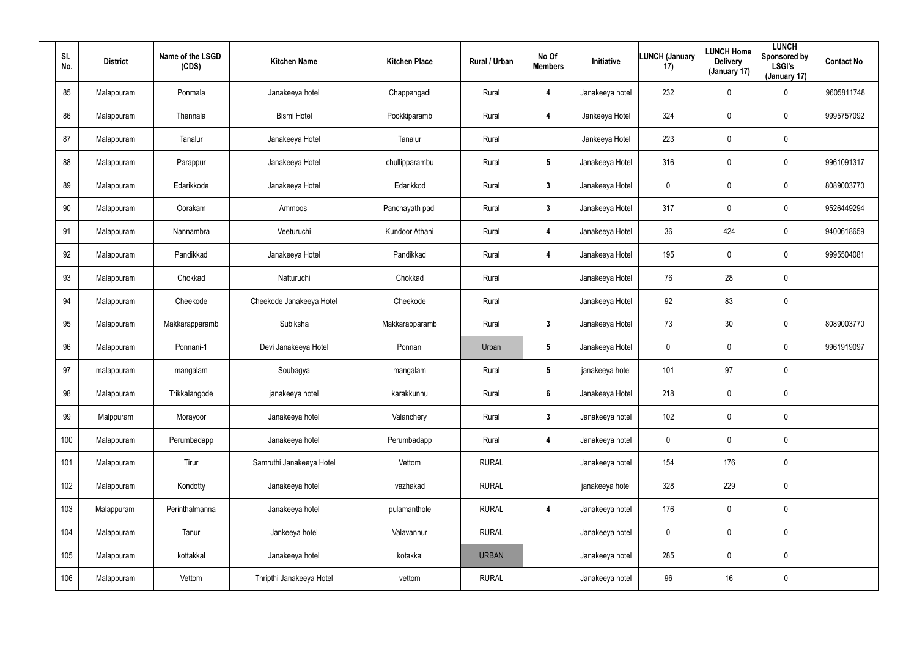| SI.<br>No. | <b>District</b> | Name of the LSGD<br>(CDS) | <b>Kitchen Name</b>      | <b>Kitchen Place</b> | Rural / Urban | No Of<br><b>Members</b> | Initiative      | <b>LUNCH (January</b><br>17) | <b>LUNCH Home</b><br><b>Delivery</b><br>(January 17) | <b>LUNCH</b><br>Sponsored by<br><b>LSGI's</b><br>(January 17) | <b>Contact No</b> |
|------------|-----------------|---------------------------|--------------------------|----------------------|---------------|-------------------------|-----------------|------------------------------|------------------------------------------------------|---------------------------------------------------------------|-------------------|
| 85         | Malappuram      | Ponmala                   | Janakeeya hotel          | Chappangadi          | Rural         | 4                       | Janakeeya hotel | 232                          | 0                                                    | $\boldsymbol{0}$                                              | 9605811748        |
| 86         | Malappuram      | Thennala                  | <b>Bismi Hotel</b>       | Pookkiparamb         | Rural         | 4                       | Jankeeya Hotel  | 324                          | 0                                                    | $\pmb{0}$                                                     | 9995757092        |
| 87         | Malappuram      | Tanalur                   | Janakeeya Hotel          | Tanalur              | Rural         |                         | Jankeeya Hotel  | 223                          | 0                                                    | $\pmb{0}$                                                     |                   |
| 88         | Malappuram      | Parappur                  | Janakeeya Hotel          | chullipparambu       | Rural         | $5\phantom{.0}$         | Janakeeya Hotel | 316                          | 0                                                    | $\pmb{0}$                                                     | 9961091317        |
| 89         | Malappuram      | Edarikkode                | Janakeeya Hotel          | Edarikkod            | Rural         | $\mathbf{3}$            | Janakeeya Hotel | 0                            | 0                                                    | $\pmb{0}$                                                     | 8089003770        |
| 90         | Malappuram      | Oorakam                   | Ammoos                   | Panchayath padi      | Rural         | $\mathbf{3}$            | Janakeeya Hotel | 317                          | 0                                                    | $\pmb{0}$                                                     | 9526449294        |
| 91         | Malappuram      | Nannambra                 | Veeturuchi               | Kundoor Athani       | Rural         | 4                       | Janakeeya Hotel | 36                           | 424                                                  | $\mathbf 0$                                                   | 9400618659        |
| 92         | Malappuram      | Pandikkad                 | Janakeeya Hotel          | Pandikkad            | Rural         | 4                       | Janakeeya Hotel | 195                          | $\mathbf 0$                                          | $\mathbf 0$                                                   | 9995504081        |
| 93         | Malappuram      | Chokkad                   | Natturuchi               | Chokkad              | Rural         |                         | Janakeeya Hotel | 76                           | 28                                                   | $\pmb{0}$                                                     |                   |
| 94         | Malappuram      | Cheekode                  | Cheekode Janakeeya Hotel | Cheekode             | Rural         |                         | Janakeeya Hotel | 92                           | 83                                                   | $\pmb{0}$                                                     |                   |
| 95         | Malappuram      | Makkarapparamb            | Subiksha                 | Makkarapparamb       | Rural         | $\mathbf{3}$            | Janakeeya Hotel | 73                           | 30                                                   | $\boldsymbol{0}$                                              | 8089003770        |
| 96         | Malappuram      | Ponnani-1                 | Devi Janakeeya Hotel     | Ponnani              | Urban         | $5\phantom{.0}$         | Janakeeya Hotel | 0                            | $\mathbf 0$                                          | $\mathbf 0$                                                   | 9961919097        |
| 97         | malappuram      | mangalam                  | Soubagya                 | mangalam             | Rural         | $5\phantom{.0}$         | janakeeya hotel | 101                          | 97                                                   | $\pmb{0}$                                                     |                   |
| 98         | Malappuram      | Trikkalangode             | janakeeya hotel          | karakkunnu           | Rural         | $6\phantom{.}$          | Janakeeya Hotel | 218                          | $\mathbf 0$                                          | $\pmb{0}$                                                     |                   |
| 99         | Malppuram       | Morayoor                  | Janakeeya hotel          | Valanchery           | Rural         | $3\phantom{a}$          | Janakeeya hotel | 102                          | $\mathbf 0$                                          | $\mathbf 0$                                                   |                   |
| 100        | Malappuram      | Perumbadapp               | Janakeeya hotel          | Perumbadapp          | Rural         | $\overline{\mathbf{4}}$ | Janakeeya hotel | $\mathbf 0$                  | $\mathbf 0$                                          | $\mathbf 0$                                                   |                   |
| 101        | Malappuram      | Tirur                     | Samruthi Janakeeya Hotel | Vettom               | <b>RURAL</b>  |                         | Janakeeya hotel | 154                          | 176                                                  | $\mathbf 0$                                                   |                   |
| 102        | Malappuram      | Kondotty                  | Janakeeya hotel          | vazhakad             | <b>RURAL</b>  |                         | janakeeya hotel | 328                          | 229                                                  | $\pmb{0}$                                                     |                   |
| 103        | Malappuram      | Perinthalmanna            | Janakeeya hotel          | pulamanthole         | <b>RURAL</b>  | 4                       | Janakeeya hotel | 176                          | 0                                                    | $\mathbf 0$                                                   |                   |
| 104        | Malappuram      | Tanur                     | Jankeeya hotel           | Valavannur           | <b>RURAL</b>  |                         | Janakeeya hotel | $\mathbf 0$                  | $\pmb{0}$                                            | $\pmb{0}$                                                     |                   |
| 105        | Malappuram      | kottakkal                 | Janakeeya hotel          | kotakkal             | <b>URBAN</b>  |                         | Janakeeya hotel | 285                          | 0                                                    | $\mathbf 0$                                                   |                   |
| 106        | Malappuram      | Vettom                    | Thripthi Janakeeya Hotel | vettom               | <b>RURAL</b>  |                         | Janakeeya hotel | 96                           | 16                                                   | $\pmb{0}$                                                     |                   |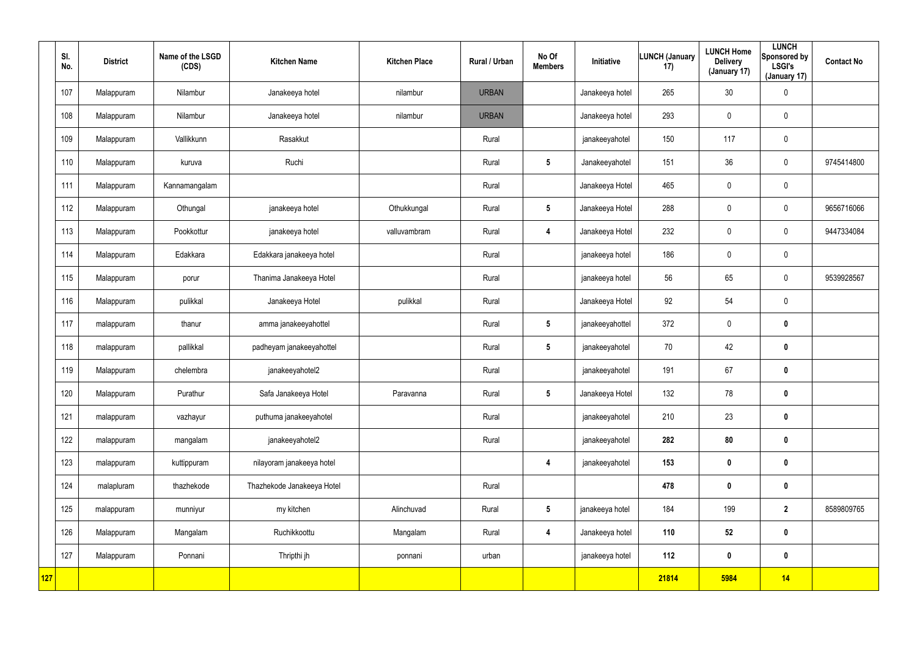|     | SI.<br>No. | <b>District</b> | Name of the LSGD<br>(CDS) | <b>Kitchen Name</b>        | <b>Kitchen Place</b> | Rural / Urban | No Of<br><b>Members</b> | Initiative      | <b>LUNCH (January</b><br>17) | <b>LUNCH Home</b><br><b>Delivery</b><br>(January 17) | <b>LUNCH</b><br>Sponsored by<br><b>LSGI's</b><br>(January 17) | <b>Contact No</b> |
|-----|------------|-----------------|---------------------------|----------------------------|----------------------|---------------|-------------------------|-----------------|------------------------------|------------------------------------------------------|---------------------------------------------------------------|-------------------|
|     | 107        | Malappuram      | Nilambur                  | Janakeeya hotel            | nilambur             | <b>URBAN</b>  |                         | Janakeeya hotel | 265                          | 30                                                   | $\pmb{0}$                                                     |                   |
|     | 108        | Malappuram      | Nilambur                  | Janakeeya hotel            | nilambur             | <b>URBAN</b>  |                         | Janakeeya hotel | 293                          | 0                                                    | $\mathbf 0$                                                   |                   |
|     | 109        | Malappuram      | Vallikkunn                | Rasakkut                   |                      | Rural         |                         | janakeeyahotel  | 150                          | 117                                                  | $\mathbf 0$                                                   |                   |
|     | 110        | Malappuram      | kuruva                    | Ruchi                      |                      | Rural         | $5\phantom{.0}$         | Janakeeyahotel  | 151                          | 36                                                   | $\mathbf 0$                                                   | 9745414800        |
|     | 111        | Malappuram      | Kannamangalam             |                            |                      | Rural         |                         | Janakeeya Hotel | 465                          | 0                                                    | $\pmb{0}$                                                     |                   |
|     | 112        | Malappuram      | Othungal                  | janakeeya hotel            | Othukkungal          | Rural         | $5\phantom{.0}$         | Janakeeya Hotel | 288                          | 0                                                    | $\mathbf 0$                                                   | 9656716066        |
|     | 113        | Malappuram      | Pookkottur                | janakeeya hotel            | valluvambram         | Rural         | 4                       | Janakeeya Hotel | 232                          | $\mathbf 0$                                          | $\mathbf 0$                                                   | 9447334084        |
|     | 114        | Malappuram      | Edakkara                  | Edakkara janakeeya hotel   |                      | Rural         |                         | janakeeya hotel | 186                          | 0                                                    | $\mathbf 0$                                                   |                   |
|     | 115        | Malappuram      | porur                     | Thanima Janakeeya Hotel    |                      | Rural         |                         | janakeeya hotel | 56                           | 65                                                   | $\mathbf 0$                                                   | 9539928567        |
|     | 116        | Malappuram      | pulikkal                  | Janakeeya Hotel            | pulikkal             | Rural         |                         | Janakeeya Hotel | 92                           | 54                                                   | $\mathbf 0$                                                   |                   |
|     | 117        | malappuram      | thanur                    | amma janakeeyahottel       |                      | Rural         | $5\phantom{.0}$         | janakeeyahottel | 372                          | $\mathbf 0$                                          | $\mathbf 0$                                                   |                   |
|     | 118        | malappuram      | pallikkal                 | padheyam janakeeyahottel   |                      | Rural         | $5\phantom{.0}$         | janakeeyahotel  | 70                           | 42                                                   | $\mathbf 0$                                                   |                   |
|     | 119        | Malappuram      | chelembra                 | janakeeyahotel2            |                      | Rural         |                         | janakeeyahotel  | 191                          | 67                                                   | $\mathbf 0$                                                   |                   |
|     | 120        | Malappuram      | Purathur                  | Safa Janakeeya Hotel       | Paravanna            | Rural         | $5\phantom{.0}$         | Janakeeya Hotel | 132                          | 78                                                   | $\pmb{0}$                                                     |                   |
|     | 121        | malappuram      | vazhayur                  | puthuma janakeeyahotel     |                      | Rural         |                         | janakeeyahotel  | 210                          | 23                                                   | $\mathbf 0$                                                   |                   |
|     | 122        | malappuram      | mangalam                  | janakeeyahotel2            |                      | Rural         |                         | janakeeyahotel  | 282                          | 80                                                   | $\mathbf 0$                                                   |                   |
|     | 123        | malappuram      | kuttippuram               | nilayoram janakeeya hotel  |                      |               | $\overline{\mathbf{4}}$ | janakeeyahotel  | 153                          | $\boldsymbol{0}$                                     | $\pmb{0}$                                                     |                   |
|     | 124        | malapluram      | thazhekode                | Thazhekode Janakeeya Hotel |                      | Rural         |                         |                 | 478                          | $\pmb{0}$                                            | $\mathbf 0$                                                   |                   |
|     | 125        | malappuram      | munniyur                  | my kitchen                 | Alinchuvad           | Rural         | $5\phantom{.0}$         | janakeeya hotel | 184                          | 199                                                  | $\mathbf{2}$                                                  | 8589809765        |
|     | 126        | Malappuram      | Mangalam                  | Ruchikkoottu               | Mangalam             | Rural         | $\overline{\mathbf{4}}$ | Janakeeya hotel | 110                          | 52                                                   | $\mathbf 0$                                                   |                   |
|     | 127        | Malappuram      | Ponnani                   | Thripthi jh                | ponnani              | urban         |                         | janakeeya hotel | 112                          | $\boldsymbol{0}$                                     | $\mathbf 0$                                                   |                   |
| 127 |            |                 |                           |                            |                      |               |                         |                 | 21814                        | 5984                                                 | 14                                                            |                   |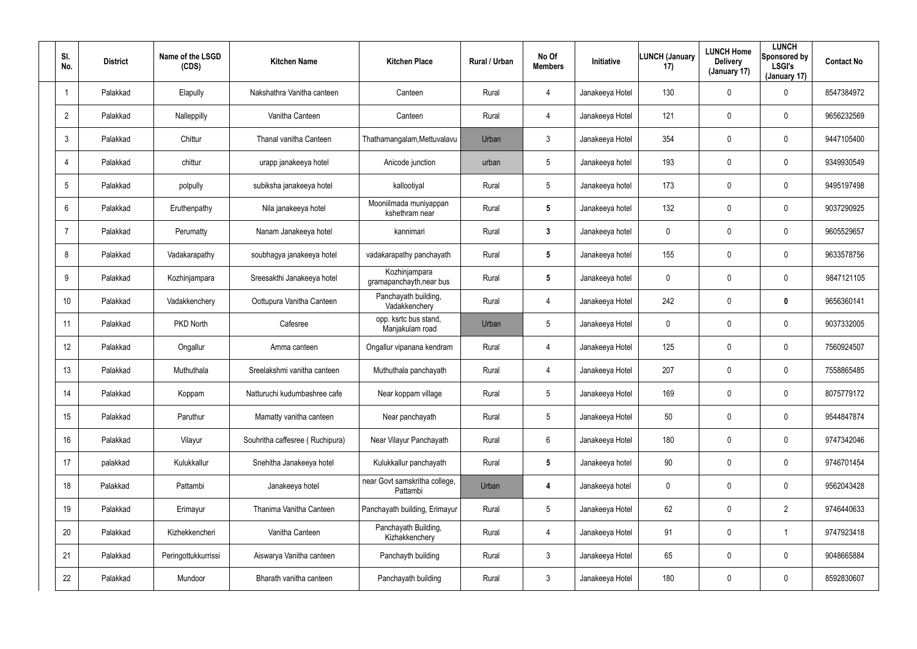| SI.<br>No.      | <b>District</b> | Name of the LSGD<br>(CDS) | <b>Kitchen Name</b>             | <b>Kitchen Place</b>                      | <b>Rural / Urban</b> | No Of<br><b>Members</b> | <b>Initiative</b> | <b>LUNCH (January</b><br>17) | <b>LUNCH Home</b><br><b>Delivery</b><br>(January 17) | <b>LUNCH</b><br>Sponsored by<br><b>LSGI's</b><br>(January 17) | <b>Contact No</b> |
|-----------------|-----------------|---------------------------|---------------------------------|-------------------------------------------|----------------------|-------------------------|-------------------|------------------------------|------------------------------------------------------|---------------------------------------------------------------|-------------------|
|                 | Palakkad        | Elapully                  | Nakshathra Vanitha canteen      | Canteen                                   | Rural                | 4                       | Janakeeya Hotel   | 130                          | $\mathbf 0$                                          | 0                                                             | 8547384972        |
| $\overline{2}$  | Palakkad        | Nalleppilly               | Vanitha Canteen                 | Canteen                                   | Rural                | 4                       | Janakeeya Hotel   | 121                          | $\mathbf 0$                                          | 0                                                             | 9656232569        |
| 3               | Palakkad        | Chittur                   | Thanal vanitha Canteen          | Thathamangalam, Mettuvalavu               | Urban                | 3                       | Janakeeya Hotel   | 354                          | $\mathsf{0}$                                         | 0                                                             | 9447105400        |
| $\overline{4}$  | Palakkad        | chittur                   | urapp janakeeya hotel           | Anicode junction                          | urban                | 5                       | Janakeeya hotel   | 193                          | 0                                                    | 0                                                             | 9349930549        |
| 5               | Palakkad        | polpully                  | subiksha janakeeya hotel        | kallootiyal                               | Rural                | $5\phantom{.0}$         | Janakeeya hotel   | 173                          | $\mathsf{0}$                                         | 0                                                             | 9495197498        |
| 6               | Palakkad        | Eruthenpathy              | Nila janakeeya hotel            | Mooniilmada muniyappan<br>kshethram near  | Rural                | 5                       | Janakeeya hotel   | 132                          | $\mathbf 0$                                          | 0                                                             | 9037290925        |
| $\overline{7}$  | Palakkad        | Perumatty                 | Nanam Janakeeya hotel           | kannimari                                 | Rural                | $\mathbf{3}$            | Janakeeya hotel   | 0                            | $\mathbf 0$                                          | 0                                                             | 9605529657        |
| 8               | Palakkad        | Vadakarapathy             | soubhagya janakeeya hotel       | vadakarapathy panchayath                  | Rural                | 5                       | Janakeeya hotel   | 155                          | 0                                                    | 0                                                             | 9633578756        |
| 9               | Palakkad        | Kozhinjampara             | Sreesakthi Janakeeya hotel      | Kozhinjampara<br>gramapanchayth, near bus | Rural                | $\sqrt{5}$              | Janakeeya hotel   | 0                            | $\mathbf 0$                                          | 0                                                             | 9847121105        |
| 10 <sup>°</sup> | Palakkad        | Vadakkenchery             | Oottupura Vanitha Canteen       | Panchayath building,<br>Vadakkenchery     | Rural                | 4                       | Janakeeya Hotel   | 242                          | 0                                                    | 0                                                             | 9656360141        |
| 11              | Palakkad        | <b>PKD North</b>          | Cafesree                        | opp. ksrtc bus stand,<br>Manjakulam road  | Urban                | 5                       | Janakeeya Hotel   | 0                            | $\mathbf 0$                                          | 0                                                             | 9037332005        |
| 12              | Palakkad        | Ongallur                  | Amma canteen                    | Ongallur vipanana kendram                 | Rural                | 4                       | Janakeeya Hotel   | 125                          | $\mathbf 0$                                          | 0                                                             | 7560924507        |
| 13              | Palakkad        | Muthuthala                | Sreelakshmi vanitha canteen     | Muthuthala panchayath                     | Rural                | 4                       | Janakeeya Hotel   | 207                          | $\mathbf 0$                                          | 0                                                             | 7558865485        |
| 14              | Palakkad        | Koppam                    | Natturuchi kudumbashree cafe    | Near koppam village                       | Rural                | 5                       | Janakeeya Hotel   | 169                          | $\mathbf 0$                                          | 0                                                             | 8075779172        |
| 15              | Palakkad        | Paruthur                  | Mamatty vanitha canteen         | Near panchayath                           | Rural                | $5\phantom{.0}$         | Janakeeya Hotel   | 50                           | $\mathbf 0$                                          | 0                                                             | 9544847874        |
| 16              | Palakkad        | Vilayur                   | Souhritha caffesree (Ruchipura) | Near Vilayur Panchayath                   | Rural                | $6\phantom{.}6$         | Janakeeya Hotel   | 180                          | $\mathbf 0$                                          | 0                                                             | 9747342046        |
| 17              | palakkad        | Kulukkallur               | Snehitha Janakeeya hotel        | Kulukkallur panchayath                    | Rural                | $5\phantom{.0}$         | Janakeeya hotel   | 90                           | $\mathbf 0$                                          | 0                                                             | 9746701454        |
| 18              | Palakkad        | Pattambi                  | Janakeeya hotel                 | near Govt samskritha college,<br>Pattambi | Urban                | $\overline{\mathbf{4}}$ | Janakeeya hotel   | 0                            | $\mathbf 0$                                          | 0                                                             | 9562043428        |
| 19              | Palakkad        | Erimayur                  | Thanima Vanitha Canteen         | Panchayath building, Erimayur             | Rural                | $5\phantom{.0}$         | Janakeeya Hotel   | 62                           | $\mathbf 0$                                          | $\overline{2}$                                                | 9746440633        |
| 20              | Palakkad        | Kizhekkencheri            | Vanitha Canteen                 | Panchayath Building,<br>Kizhakkenchery    | Rural                | 4                       | Janakeeya Hotel   | 91                           | $\mathbf 0$                                          |                                                               | 9747923418        |
| 21              | Palakkad        | Peringottukkurrissi       | Aiswarya Vanitha canteen        | Panchayth building                        | Rural                | $\mathbf{3}$            | Janakeeya Hotel   | 65                           | $\mathbf 0$                                          | 0                                                             | 9048665884        |
| 22              | Palakkad        | Mundoor                   | Bharath vanitha canteen         | Panchayath building                       | Rural                | $\mathfrak{Z}$          | Janakeeya Hotel   | 180                          | $\mathbf 0$                                          | 0                                                             | 8592830607        |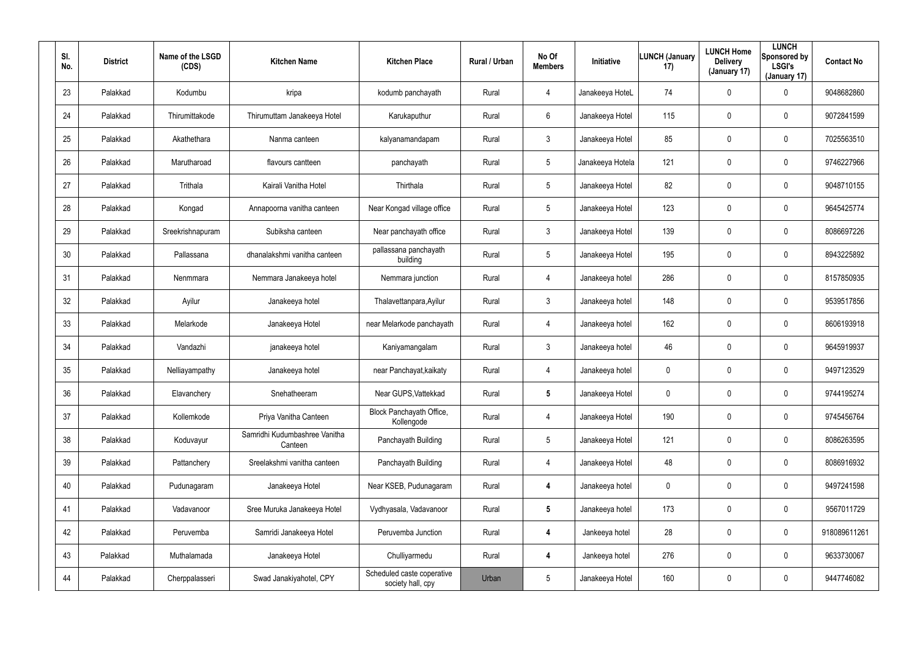| SI.<br>No. | <b>District</b> | Name of the LSGD<br>(CDS) | <b>Kitchen Name</b>                      | <b>Kitchen Place</b>                            | Rural / Urban | No Of<br><b>Members</b> | Initiative       | <b>LUNCH (January</b><br>17) | <b>LUNCH Home</b><br><b>Delivery</b><br>(January 17) | <b>LUNCH</b><br>Sponsored by<br><b>LSGI's</b><br>(January 17) | <b>Contact No</b> |
|------------|-----------------|---------------------------|------------------------------------------|-------------------------------------------------|---------------|-------------------------|------------------|------------------------------|------------------------------------------------------|---------------------------------------------------------------|-------------------|
| 23         | Palakkad        | Kodumbu                   | kripa                                    | kodumb panchayath                               | Rural         | $\overline{4}$          | Janakeeya HoteL  | 74                           | $\mathbf 0$                                          | 0                                                             | 9048682860        |
| 24         | Palakkad        | Thirumittakode            | Thirumuttam Janakeeya Hotel              | Karukaputhur                                    | Rural         | 6                       | Janakeeya Hotel  | 115                          | $\mathbf 0$                                          | 0                                                             | 9072841599        |
| 25         | Palakkad        | Akathethara               | Nanma canteen                            | kalyanamandapam                                 | Rural         | $\mathbf{3}$            | Janakeeya Hotel  | 85                           | $\mathbf 0$                                          | 0                                                             | 7025563510        |
| 26         | Palakkad        | Marutharoad               | flavours cantteen                        | panchayath                                      | Rural         | 5                       | Janakeeya Hotela | 121                          | $\mathbf 0$                                          | $\mathbf 0$                                                   | 9746227966        |
| 27         | Palakkad        | Trithala                  | Kairali Vanitha Hotel                    | Thirthala                                       | Rural         | 5                       | Janakeeya Hotel  | 82                           | $\mathbf 0$                                          | 0                                                             | 9048710155        |
| 28         | Palakkad        | Kongad                    | Annapoorna vanitha canteen               | Near Kongad village office                      | Rural         | 5                       | Janakeeya Hotel  | 123                          | $\mathbf 0$                                          | 0                                                             | 9645425774        |
| 29         | Palakkad        | Sreekrishnapuram          | Subiksha canteen                         | Near panchayath office                          | Rural         | $\mathbf{3}$            | Janakeeya Hotel  | 139                          | $\mathbf 0$                                          | $\mathbf 0$                                                   | 8086697226        |
| 30         | Palakkad        | Pallassana                | dhanalakshmi vanitha canteen             | pallassana panchayath<br>building               | Rural         | 5                       | Janakeeya Hotel  | 195                          | 0                                                    | 0                                                             | 8943225892        |
| 31         | Palakkad        | Nenmmara                  | Nemmara Janakeeya hotel                  | Nemmara junction                                | Rural         | $\overline{4}$          | Janakeeya hotel  | 286                          | $\mathbf 0$                                          | $\mathbf 0$                                                   | 8157850935        |
| 32         | Palakkad        | Ayilur                    | Janakeeya hotel                          | Thalavettanpara, Ayilur                         | Rural         | $\mathbf{3}$            | Janakeeya hotel  | 148                          | 0                                                    | 0                                                             | 9539517856        |
| 33         | Palakkad        | Melarkode                 | Janakeeya Hotel                          | near Melarkode panchayath                       | Rural         | 4                       | Janakeeya hotel  | 162                          | $\pmb{0}$                                            | $\mathbf 0$                                                   | 8606193918        |
| 34         | Palakkad        | Vandazhi                  | janakeeya hotel                          | Kaniyamangalam                                  | Rural         | $\mathbf{3}$            | Janakeeya hotel  | 46                           | 0                                                    | 0                                                             | 9645919937        |
| 35         | Palakkad        | Nelliayampathy            | Janakeeya hotel                          | near Panchayat, kaikaty                         | Rural         | 4                       | Janakeeya hotel  | 0                            | $\boldsymbol{0}$                                     | 0                                                             | 9497123529        |
| 36         | Palakkad        | Elavanchery               | Snehatheeram                             | Near GUPS, Vattekkad                            | Rural         | $5\phantom{.0}$         | Janakeeya Hotel  | 0                            | $\overline{0}$                                       | 0                                                             | 9744195274        |
| 37         | Palakkad        | Kollemkode                | Priya Vanitha Canteen                    | Block Panchayath Office,<br>Kollengode          | Rural         | 4                       | Janakeeya Hotel  | 190                          | $\pmb{0}$                                            | 0                                                             | 9745456764        |
| 38         | Palakkad        | Koduvayur                 | Samridhi Kudumbashree Vanitha<br>Canteen | Panchayath Building                             | Rural         | 5                       | Janakeeya Hotel  | 121                          | $\pmb{0}$                                            | $\pmb{0}$                                                     | 8086263595        |
| 39         | Palakkad        | Pattanchery               | Sreelakshmi vanitha canteen              | Panchayath Building                             | Rural         | 4                       | Janakeeya Hotel  | 48                           | $\pmb{0}$                                            | 0                                                             | 8086916932        |
| 40         | Palakkad        | Pudunagaram               | Janakeeya Hotel                          | Near KSEB, Pudunagaram                          | Rural         | 4                       | Janakeeya hotel  | 0                            | $\overline{0}$                                       | 0                                                             | 9497241598        |
| 41         | Palakkad        | Vadavanoor                | Sree Muruka Janakeeya Hotel              | Vydhyasala, Vadavanoor                          | Rural         | $5\overline{)}$         | Janakeeya hotel  | 173                          | $\pmb{0}$                                            | 0                                                             | 9567011729        |
| 42         | Palakkad        | Peruvemba                 | Samridi Janakeeya Hotel                  | Peruvemba Junction                              | Rural         | $\boldsymbol{4}$        | Jankeeya hotel   | 28                           | $\pmb{0}$                                            | 0                                                             | 918089611261      |
| 43         | Palakkad        | Muthalamada               | Janakeeya Hotel                          | Chulliyarmedu                                   | Rural         | $\boldsymbol{4}$        | Jankeeya hotel   | 276                          | $\pmb{0}$                                            | 0                                                             | 9633730067        |
| 44         | Palakkad        | Cherppalasseri            | Swad Janakiyahotel, CPY                  | Scheduled caste coperative<br>society hall, cpy | Urban         | 5                       | Janakeeya Hotel  | 160                          | $\boldsymbol{0}$                                     | 0                                                             | 9447746082        |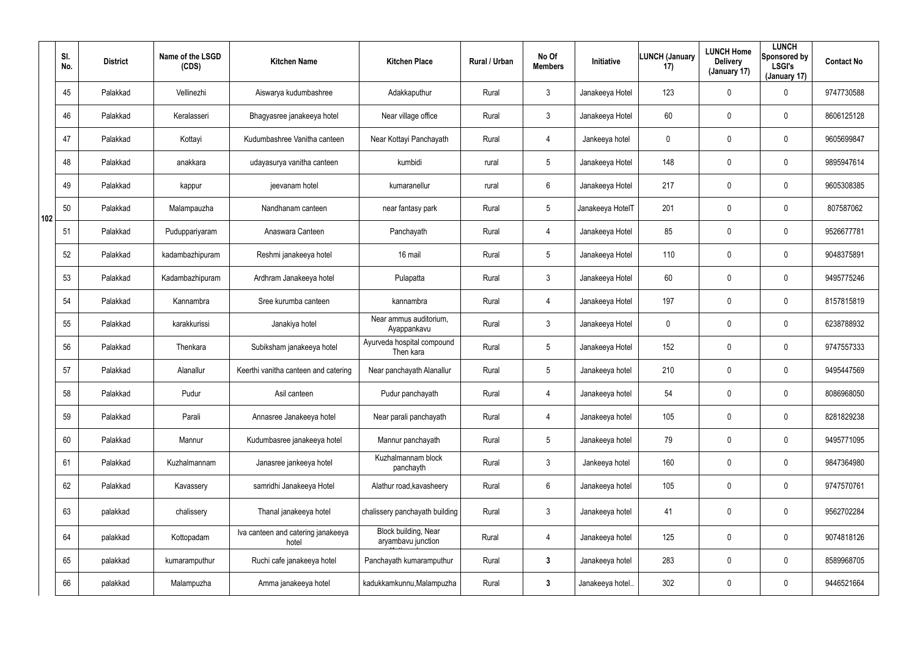|     | SI.<br>No. | <b>District</b> | Name of the LSGD<br>(CDS) | <b>Kitchen Name</b>                         | <b>Kitchen Place</b>                       | Rural / Urban | No Of<br><b>Members</b> | Initiative       | <b>LUNCH (January</b><br>17) | <b>LUNCH Home</b><br><b>Delivery</b><br>(January 17) | <b>LUNCH</b><br>Sponsored by<br><b>LSGI's</b><br>(January 17) | <b>Contact No</b> |
|-----|------------|-----------------|---------------------------|---------------------------------------------|--------------------------------------------|---------------|-------------------------|------------------|------------------------------|------------------------------------------------------|---------------------------------------------------------------|-------------------|
|     | 45         | Palakkad        | Vellinezhi                | Aiswarya kudumbashree                       | Adakkaputhur                               | Rural         | $\mathbf{3}$            | Janakeeya Hotel  | 123                          | 0                                                    | $\mathbf 0$                                                   | 9747730588        |
|     | 46         | Palakkad        | Keralasseri               | Bhagyasree janakeeya hotel                  | Near village office                        | Rural         | $\mathbf{3}$            | Janakeeya Hotel  | 60                           | 0                                                    | $\mathbf 0$                                                   | 8606125128        |
|     | 47         | Palakkad        | Kottayi                   | Kudumbashree Vanitha canteen                | Near Kottayi Panchayath                    | Rural         | $\overline{4}$          | Jankeeya hotel   | 0                            | 0                                                    | $\mathbf 0$                                                   | 9605699847        |
|     | 48         | Palakkad        | anakkara                  | udayasurya vanitha canteen                  | kumbidi                                    | rural         | $5\phantom{.0}$         | Janakeeya Hotel  | 148                          | 0                                                    | $\mathbf 0$                                                   | 9895947614        |
|     | 49         | Palakkad        | kappur                    | jeevanam hotel                              | kumaranellur                               | rural         | $6\phantom{.}$          | Janakeeya Hotel  | 217                          | 0                                                    | $\mathbf 0$                                                   | 9605308385        |
| 102 | 50         | Palakkad        | Malampauzha               | Nandhanam canteen                           | near fantasy park                          | Rural         | $5\phantom{.0}$         | Janakeeya HotelT | 201                          | 0                                                    | $\mathbf 0$                                                   | 807587062         |
|     | 51         | Palakkad        | Puduppariyaram            | Anaswara Canteen                            | Panchayath                                 | Rural         | $\overline{4}$          | Janakeeya Hotel  | 85                           | 0                                                    | $\mathbf 0$                                                   | 9526677781        |
|     | 52         | Palakkad        | kadambazhipuram           | Reshmi janakeeya hotel                      | 16 mail                                    | Rural         | $5\phantom{.0}$         | Janakeeya Hotel  | 110                          | 0                                                    | $\mathbf 0$                                                   | 9048375891        |
|     | 53         | Palakkad        | Kadambazhipuram           | Ardhram Janakeeya hotel                     | Pulapatta                                  | Rural         | $\mathbf{3}$            | Janakeeya Hotel  | 60                           | 0                                                    | $\mathbf 0$                                                   | 9495775246        |
|     | 54         | Palakkad        | Kannambra                 | Sree kurumba canteen                        | kannambra                                  | Rural         | $\overline{4}$          | Janakeeya Hotel  | 197                          | 0                                                    | $\mathbf 0$                                                   | 8157815819        |
|     | 55         | Palakkad        | karakkurissi              | Janakiya hotel                              | Near ammus auditorium,<br>Ayappankavu      | Rural         | $\mathbf{3}$            | Janakeeya Hotel  | 0                            | 0                                                    | $\mathbf 0$                                                   | 6238788932        |
|     | 56         | Palakkad        | Thenkara                  | Subiksham janakeeya hotel                   | Ayurveda hospital compound<br>Then kara    | Rural         | $5\phantom{.0}$         | Janakeeya Hotel  | 152                          | 0                                                    | $\mathbf 0$                                                   | 9747557333        |
|     | 57         | Palakkad        | Alanallur                 | Keerthi vanitha canteen and catering        | Near panchayath Alanallur                  | Rural         | $\sqrt{5}$              | Janakeeya hotel  | 210                          | 0                                                    | $\mathbf 0$                                                   | 9495447569        |
|     | 58         | Palakkad        | Pudur                     | Asil canteen                                | Pudur panchayath                           | Rural         | $\overline{4}$          | Janakeeya hotel  | 54                           | 0                                                    | $\pmb{0}$                                                     | 8086968050        |
|     | 59         | Palakkad        | Parali                    | Annasree Janakeeya hotel                    | Near parali panchayath                     | Rural         | 4                       | Janakeeya hotel  | 105                          | 0                                                    | $\mathbf 0$                                                   | 8281829238        |
|     | 60         | Palakkad        | Mannur                    | Kudumbasree janakeeya hotel                 | Mannur panchayath                          | Rural         | $5\phantom{.0}$         | Janakeeya hotel  | 79                           | 0                                                    | $\pmb{0}$                                                     | 9495771095        |
|     | 61         | Palakkad        | Kuzhalmannam              | Janasree jankeeya hotel                     | Kuzhalmannam block<br>panchayth            | Rural         | $\mathbf{3}$            | Jankeeya hotel   | 160                          | 0                                                    | $\mathbf 0$                                                   | 9847364980        |
|     | 62         | Palakkad        | Kavassery                 | samridhi Janakeeya Hotel                    | Alathur road, kavasheery                   | Rural         | $6\phantom{.}6$         | Janakeeya hotel  | 105                          | 0                                                    | $\pmb{0}$                                                     | 9747570761        |
|     | 63         | palakkad        | chalissery                | Thanal janakeeya hotel                      | chalissery panchayath building             | Rural         | $\mathfrak{Z}$          | Janakeeya hotel  | 41                           | 0                                                    | $\mathbf 0$                                                   | 9562702284        |
|     | 64         | palakkad        | Kottopadam                | Iva canteen and catering janakeeya<br>hotel | Block building, Near<br>aryambavu junction | Rural         | $\overline{4}$          | Janakeeya hotel  | 125                          | 0                                                    | $\pmb{0}$                                                     | 9074818126        |
|     | 65         | palakkad        | kumaramputhur             | Ruchi cafe janakeeya hotel                  | Panchayath kumaramputhur                   | Rural         | $3\phantom{a}$          | Janakeeya hotel  | 283                          | 0                                                    | $\pmb{0}$                                                     | 8589968705        |
|     | 66         | palakkad        | Malampuzha                | Amma janakeeya hotel                        | kadukkamkunnu, Malampuzha                  | Rural         | $3\phantom{a}$          | Janakeeya hotel  | 302                          | 0                                                    | $\pmb{0}$                                                     | 9446521664        |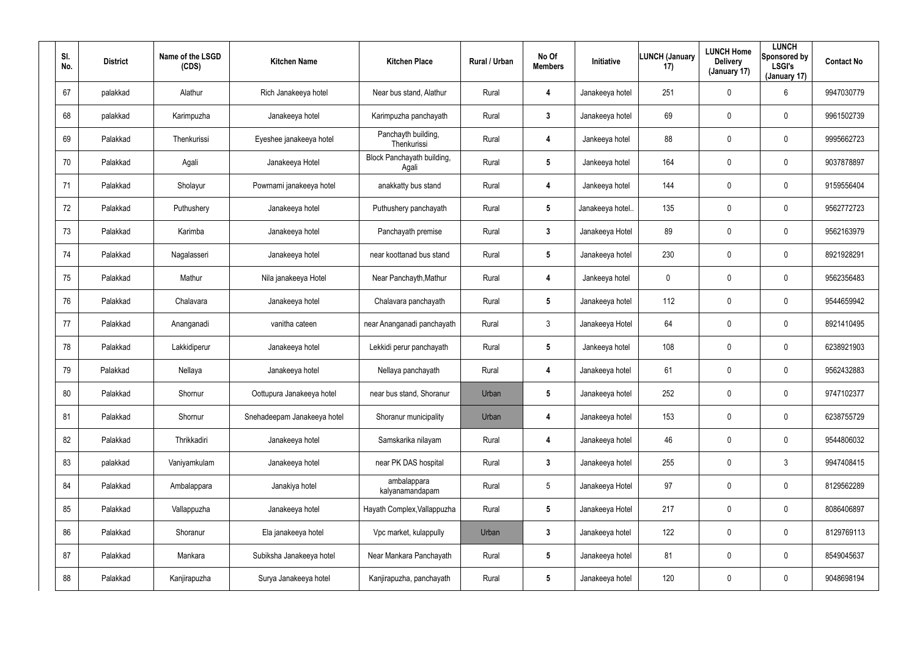| SI.<br>No. | <b>District</b> | Name of the LSGD<br>(CDS) | <b>Kitchen Name</b>         | <b>Kitchen Place</b>                | Rural / Urban | No Of<br><b>Members</b> | <b>Initiative</b> | <b>LUNCH (January</b><br>17) | <b>LUNCH Home</b><br><b>Delivery</b><br>(January 17) | <b>LUNCH</b><br>Sponsored by<br><b>LSGI's</b><br>(January 17) | <b>Contact No</b> |
|------------|-----------------|---------------------------|-----------------------------|-------------------------------------|---------------|-------------------------|-------------------|------------------------------|------------------------------------------------------|---------------------------------------------------------------|-------------------|
| 67         | palakkad        | Alathur                   | Rich Janakeeya hotel        | Near bus stand, Alathur             | Rural         | 4                       | Janakeeya hotel   | 251                          | $\mathbf 0$                                          | 6                                                             | 9947030779        |
| 68         | palakkad        | Karimpuzha                | Janakeeya hotel             | Karimpuzha panchayath               | Rural         | 3                       | Janakeeya hotel   | 69                           | $\boldsymbol{0}$                                     | 0                                                             | 9961502739        |
| 69         | Palakkad        | Thenkurissi               | Eyeshee janakeeya hotel     | Panchayth building,<br>Thenkurissi  | Rural         | 4                       | Jankeeya hotel    | 88                           | $\boldsymbol{0}$                                     | 0                                                             | 9995662723        |
| 70         | Palakkad        | Agali                     | Janakeeya Hotel             | Block Panchayath building,<br>Agali | Rural         | 5                       | Jankeeya hotel    | 164                          | $\boldsymbol{0}$                                     | 0                                                             | 9037878897        |
| 71         | Palakkad        | Sholayur                  | Powrnami janakeeya hotel    | anakkatty bus stand                 | Rural         | 4                       | Jankeeya hotel    | 144                          | $\boldsymbol{0}$                                     | 0                                                             | 9159556404        |
| 72         | Palakkad        | Puthushery                | Janakeeya hotel             | Puthushery panchayath               | Rural         | 5                       | Janakeeya hotel.  | 135                          | $\boldsymbol{0}$                                     | 0                                                             | 9562772723        |
| 73         | Palakkad        | Karimba                   | Janakeeya hotel             | Panchayath premise                  | Rural         | $\mathbf{3}$            | Janakeeya Hotel   | 89                           | $\mathbf 0$                                          | 0                                                             | 9562163979        |
| 74         | Palakkad        | Nagalasseri               | Janakeeya hotel             | near koottanad bus stand            | Rural         | 5                       | Janakeeya hotel   | 230                          | 0                                                    | 0                                                             | 8921928291        |
| 75         | Palakkad        | Mathur                    | Nila janakeeya Hotel        | Near Panchayth, Mathur              | Rural         | 4                       | Jankeeya hotel    | 0                            | $\mathbf 0$                                          | 0                                                             | 9562356483        |
| 76         | Palakkad        | Chalavara                 | Janakeeya hotel             | Chalavara panchayath                | Rural         | $5\overline{)}$         | Janakeeya hotel   | 112                          | 0                                                    | 0                                                             | 9544659942        |
| 77         | Palakkad        | Ananganadi                | vanitha cateen              | near Ananganadi panchayath          | Rural         | 3                       | Janakeeya Hotel   | 64                           | $\mathbf 0$                                          | 0                                                             | 8921410495        |
| 78         | Palakkad        | Lakkidiperur              | Janakeeya hotel             | Lekkidi perur panchayath            | Rural         | 5                       | Jankeeya hotel    | 108                          | $\mathbf 0$                                          | 0                                                             | 6238921903        |
| 79         | Palakkad        | Nellaya                   | Janakeeya hotel             | Nellaya panchayath                  | Rural         | 4                       | Janakeeya hotel   | 61                           | $\mathbf 0$                                          | 0                                                             | 9562432883        |
| 80         | Palakkad        | Shornur                   | Oottupura Janakeeya hotel   | near bus stand, Shoranur            | Urban         | 5                       | Janakeeya hotel   | 252                          | $\overline{0}$                                       | 0                                                             | 9747102377        |
| 81         | Palakkad        | Shornur                   | Snehadeepam Janakeeya hotel | Shoranur municipality               | Urban         | 4                       | Janakeeya hotel   | 153                          | $\pmb{0}$                                            | 0                                                             | 6238755729        |
| 82         | Palakkad        | Thrikkadiri               | Janakeeya hotel             | Samskarika nilayam                  | Rural         | 4                       | Janakeeya hotel   | 46                           | $\overline{0}$                                       | 0                                                             | 9544806032        |
| 83         | palakkad        | Vaniyamkulam              | Janakeeya hotel             | near PK DAS hospital                | Rural         | $\mathbf{3}$            | Janakeeya hotel   | 255                          | $\pmb{0}$                                            | 3                                                             | 9947408415        |
| 84         | Palakkad        | Ambalappara               | Janakiya hotel              | ambalappara<br>kalyanamandapam      | Rural         | $5\phantom{.0}$         | Janakeeya Hotel   | 97                           | $\boldsymbol{0}$                                     | 0                                                             | 8129562289        |
| 85         | Palakkad        | Vallappuzha               | Janakeeya hotel             | Hayath Complex, Vallappuzha         | Rural         | $5\phantom{.0}$         | Janakeeya Hotel   | 217                          | $\boldsymbol{0}$                                     | 0                                                             | 8086406897        |
| 86         | Palakkad        | Shoranur                  | Ela janakeeya hotel         | Vpc market, kulappully              | Urban         | $\mathbf{3}$            | Janakeeya hotel   | 122                          | $\boldsymbol{0}$                                     | 0                                                             | 8129769113        |
| 87         | Palakkad        | Mankara                   | Subiksha Janakeeya hotel    | Near Mankara Panchayath             | Rural         | $5\phantom{.0}$         | Janakeeya hotel   | 81                           | $\pmb{0}$                                            | 0                                                             | 8549045637        |
| 88         | Palakkad        | Kanjirapuzha              | Surya Janakeeya hotel       | Kanjirapuzha, panchayath            | Rural         | $5\phantom{.0}$         | Janakeeya hotel   | 120                          | $\mathbf 0$                                          | 0                                                             | 9048698194        |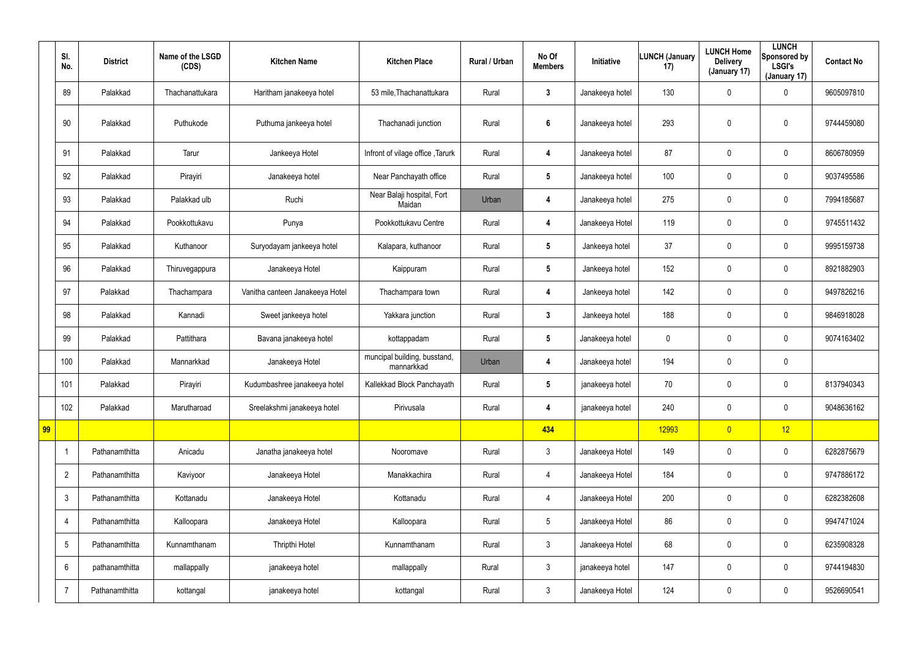|    | SI.<br>No.      | <b>District</b> | Name of the LSGD<br>(CDS) | <b>Kitchen Name</b>             | <b>Kitchen Place</b>                       | Rural / Urban | No Of<br><b>Members</b> | Initiative      | <b>LUNCH (January</b><br>17) | <b>LUNCH Home</b><br><b>Delivery</b><br>(January 17) | <b>LUNCH</b><br>Sponsored by<br><b>LSGI's</b><br>(January 17) | <b>Contact No</b> |
|----|-----------------|-----------------|---------------------------|---------------------------------|--------------------------------------------|---------------|-------------------------|-----------------|------------------------------|------------------------------------------------------|---------------------------------------------------------------|-------------------|
|    | 89              | Palakkad        | Thachanattukara           | Haritham janakeeya hotel        | 53 mile, Thachanattukara                   | Rural         | $\mathbf{3}$            | Janakeeya hotel | 130                          | 0                                                    | $\mathbf 0$                                                   | 9605097810        |
|    | 90              | Palakkad        | Puthukode                 | Puthuma jankeeya hotel          | Thachanadi junction                        | Rural         | $\boldsymbol{6}$        | Janakeeya hotel | 293                          | 0                                                    | $\pmb{0}$                                                     | 9744459080        |
|    | 91              | Palakkad        | Tarur                     | Jankeeya Hotel                  | Infront of vilage office, Tarurk           | Rural         | 4                       | Janakeeya hotel | 87                           | 0                                                    | $\mathbf 0$                                                   | 8606780959        |
|    | 92              | Palakkad        | Pirayiri                  | Janakeeya hotel                 | Near Panchayath office                     | Rural         | $5\phantom{.0}$         | Janakeeya hotel | 100                          | 0                                                    | $\boldsymbol{0}$                                              | 9037495586        |
|    | 93              | Palakkad        | Palakkad ulb              | Ruchi                           | Near Balaji hospital, Fort<br>Maidan       | Urban         | 4                       | Janakeeya hotel | 275                          | 0                                                    | $\mathbf 0$                                                   | 7994185687        |
|    | 94              | Palakkad        | Pookkottukavu             | Punya                           | Pookkottukavu Centre                       | Rural         | 4                       | Janakeeya Hotel | 119                          | 0                                                    | $\boldsymbol{0}$                                              | 9745511432        |
|    | 95              | Palakkad        | Kuthanoor                 | Suryodayam jankeeya hotel       | Kalapara, kuthanoor                        | Rural         | $5\phantom{.0}$         | Jankeeya hotel  | 37                           | 0                                                    | $\mathbf 0$                                                   | 9995159738        |
|    | 96              | Palakkad        | Thiruvegappura            | Janakeeya Hotel                 | Kaippuram                                  | Rural         | $5\phantom{.0}$         | Jankeeya hotel  | 152                          | 0                                                    | $\boldsymbol{0}$                                              | 8921882903        |
|    | 97              | Palakkad        | Thachampara               | Vanitha canteen Janakeeya Hotel | Thachampara town                           | Rural         | 4                       | Jankeeya hotel  | 142                          | 0                                                    | $\boldsymbol{0}$                                              | 9497826216        |
|    | 98              | Palakkad        | Kannadi                   | Sweet jankeeya hotel            | Yakkara junction                           | Rural         | $\mathbf{3}$            | Jankeeya hotel  | 188                          | 0                                                    | $\boldsymbol{0}$                                              | 9846918028        |
|    | 99              | Palakkad        | Pattithara                | Bavana janakeeya hotel          | kottappadam                                | Rural         | $5\phantom{.0}$         | Janakeeya hotel | 0                            | 0                                                    | $\mathbf 0$                                                   | 9074163402        |
|    | 100             | Palakkad        | Mannarkkad                | Janakeeya Hotel                 | muncipal building, busstand,<br>mannarkkad | Urban         | 4                       | Janakeeya hotel | 194                          | 0                                                    | $\boldsymbol{0}$                                              |                   |
|    | 101             | Palakkad        | Pirayiri                  | Kudumbashree janakeeya hotel    | Kallekkad Block Panchayath                 | Rural         | 5                       | janakeeya hotel | 70                           | 0                                                    | $\boldsymbol{0}$                                              | 8137940343        |
|    | 102             | Palakkad        | Marutharoad               | Sreelakshmi janakeeya hotel     | Pirivusala                                 | Rural         | 4                       | janakeeya hotel | 240                          | 0                                                    | $\pmb{0}$                                                     | 9048636162        |
| 99 |                 |                 |                           |                                 |                                            |               | 434                     |                 | 12993                        | $\overline{0}$                                       | 12                                                            |                   |
|    | -1              | Pathanamthitta  | Anicadu                   | Janatha janakeeya hotel         | Nooromave                                  | Rural         | $\mathfrak{Z}$          | Janakeeya Hotel | 149                          | $\mathbf 0$                                          | $\mathbf 0$                                                   | 6282875679        |
|    | $\overline{2}$  | Pathanamthitta  | Kaviyoor                  | Janakeeya Hotel                 | Manakkachira                               | Rural         | 4                       | Janakeeya Hotel | 184                          | 0                                                    | $\mathsf{0}$                                                  | 9747886172        |
|    | $\mathfrak{Z}$  | Pathanamthitta  | Kottanadu                 | Janakeeya Hotel                 | Kottanadu                                  | Rural         | 4                       | Janakeeya Hotel | 200                          | $\pmb{0}$                                            | $\mathsf{0}$                                                  | 6282382608        |
|    | $\overline{4}$  | Pathanamthitta  | Kalloopara                | Janakeeya Hotel                 | Kalloopara                                 | Rural         | $5\phantom{.0}$         | Janakeeya Hotel | 86                           | $\pmb{0}$                                            | $\mathsf{0}$                                                  | 9947471024        |
|    | $5\phantom{.0}$ | Pathanamthitta  | Kunnamthanam              | Thripthi Hotel                  | Kunnamthanam                               | Rural         | $\mathfrak{Z}$          | Janakeeya Hotel | 68                           | $\pmb{0}$                                            | $\mathsf{0}$                                                  | 6235908328        |
|    | 6               | pathanamthitta  | mallappally               | janakeeya hotel                 | mallappally                                | Rural         | $\mathfrak{Z}$          | janakeeya hotel | 147                          | $\pmb{0}$                                            | $\mathsf{0}$                                                  | 9744194830        |
|    | $\overline{7}$  | Pathanamthitta  | kottangal                 | janakeeya hotel                 | kottangal                                  | Rural         | $\mathfrak{Z}$          | Janakeeya Hotel | 124                          | 0                                                    | $\boldsymbol{0}$                                              | 9526690541        |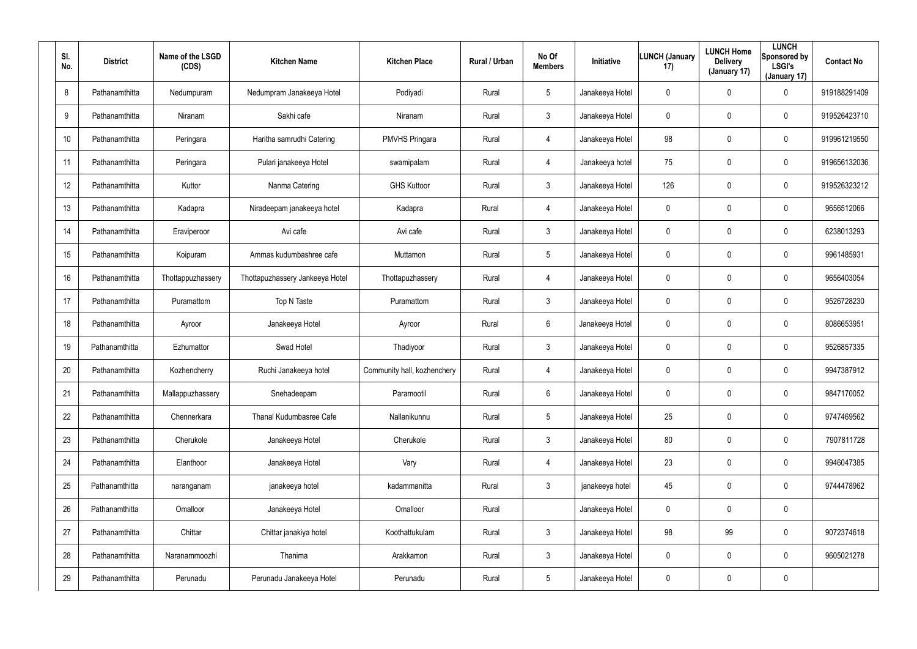| SI.<br>No. | <b>District</b> | Name of the LSGD<br>(CDS) | <b>Kitchen Name</b>             | <b>Kitchen Place</b>        | Rural / Urban | No Of<br><b>Members</b> | Initiative      | <b>LUNCH (January</b><br>17) | <b>LUNCH Home</b><br><b>Delivery</b><br>(January 17) | <b>LUNCH</b><br>Sponsored by<br><b>LSGI's</b><br>(January 17) | <b>Contact No</b> |
|------------|-----------------|---------------------------|---------------------------------|-----------------------------|---------------|-------------------------|-----------------|------------------------------|------------------------------------------------------|---------------------------------------------------------------|-------------------|
| 8          | Pathanamthitta  | Nedumpuram                | Nedumpram Janakeeya Hotel       | Podiyadi                    | Rural         | $5\overline{)}$         | Janakeeya Hotel | 0                            | 0                                                    | $\mathbf 0$                                                   | 919188291409      |
| 9          | Pathanamthitta  | Niranam                   | Sakhi cafe                      | Niranam                     | Rural         | $\mathbf{3}$            | Janakeeya Hotel | 0                            | $\mathbf 0$                                          | $\pmb{0}$                                                     | 919526423710      |
| 10         | Pathanamthitta  | Peringara                 | Haritha samrudhi Catering       | PMVHS Pringara              | Rural         | 4                       | Janakeeya Hotel | 98                           | $\pmb{0}$                                            | $\mathbf 0$                                                   | 919961219550      |
| 11         | Pathanamthitta  | Peringara                 | Pulari janakeeya Hotel          | swamipalam                  | Rural         | $\overline{4}$          | Janakeeya hotel | 75                           | $\pmb{0}$                                            | $\mathbf 0$                                                   | 919656132036      |
| 12         | Pathanamthitta  | Kuttor                    | Nanma Catering                  | <b>GHS Kuttoor</b>          | Rural         | $\mathbf{3}$            | Janakeeya Hotel | 126                          | $\mathbf 0$                                          | $\mathbf 0$                                                   | 919526323212      |
| 13         | Pathanamthitta  | Kadapra                   | Niradeepam janakeeya hotel      | Kadapra                     | Rural         | $\overline{4}$          | Janakeeya Hotel | 0                            | $\mathbf 0$                                          | $\mathbf 0$                                                   | 9656512066        |
| 14         | Pathanamthitta  | Eraviperoor               | Avi cafe                        | Avi cafe                    | Rural         | $\mathbf{3}$            | Janakeeya Hotel | 0                            | $\mathbf 0$                                          | $\mathbf 0$                                                   | 6238013293        |
| 15         | Pathanamthitta  | Koipuram                  | Ammas kudumbashree cafe         | Muttamon                    | Rural         | $5\overline{)}$         | Janakeeya Hotel | 0                            | 0                                                    | $\mathbf 0$                                                   | 9961485931        |
| 16         | Pathanamthitta  | Thottappuzhassery         | Thottapuzhassery Jankeeya Hotel | Thottapuzhassery            | Rural         | 4                       | Janakeeya Hotel | 0                            | $\overline{0}$                                       | $\mathbf 0$                                                   | 9656403054        |
| 17         | Pathanamthitta  | Puramattom                | Top N Taste                     | Puramattom                  | Rural         | $\mathbf{3}$            | Janakeeya Hotel | 0                            | $\mathbf 0$                                          | $\mathbf 0$                                                   | 9526728230        |
| 18         | Pathanamthitta  | Ayroor                    | Janakeeya Hotel                 | Ayroor                      | Rural         | 6                       | Janakeeya Hotel | 0                            | $\overline{0}$                                       | $\mathbf 0$                                                   | 8086653951        |
| 19         | Pathanamthitta  | Ezhumattor                | Swad Hotel                      | Thadiyoor                   | Rural         | $\mathbf{3}$            | Janakeeya Hotel | 0                            | $\mathbf 0$                                          | $\mathbf 0$                                                   | 9526857335        |
| 20         | Pathanamthitta  | Kozhencherry              | Ruchi Janakeeya hotel           | Community hall, kozhenchery | Rural         | 4                       | Janakeeya Hotel | 0                            | $\mathbf 0$                                          | $\mathbf 0$                                                   | 9947387912        |
| 21         | Pathanamthitta  | Mallappuzhassery          | Snehadeepam                     | Paramootil                  | Rural         | $6\overline{6}$         | Janakeeya Hotel | 0                            | $\mathbf 0$                                          | $\pmb{0}$                                                     | 9847170052        |
| 22         | Pathanamthitta  | Chennerkara               | Thanal Kudumbasree Cafe         | Nallanikunnu                | Rural         | $5\overline{)}$         | Janakeeya Hotel | 25                           | $\overline{0}$                                       | $\mathbf 0$                                                   | 9747469562        |
| 23         | Pathanamthitta  | Cherukole                 | Janakeeya Hotel                 | Cherukole                   | Rural         | $\mathbf{3}$            | Janakeeya Hotel | 80                           | $\mathbf 0$                                          | $\pmb{0}$                                                     | 7907811728        |
| 24         | Pathanamthitta  | Elanthoor                 | Janakeeya Hotel                 | Vary                        | Rural         | $\overline{4}$          | Janakeeya Hotel | 23                           | $\overline{0}$                                       | $\pmb{0}$                                                     | 9946047385        |
| 25         | Pathanamthitta  | naranganam                | janakeeya hotel                 | kadammanitta                | Rural         | $\mathfrak{Z}$          | janakeeya hotel | 45                           | $\mathbf 0$                                          | $\pmb{0}$                                                     | 9744478962        |
| 26         | Pathanamthitta  | Omalloor                  | Janakeeya Hotel                 | Omalloor                    | Rural         |                         | Janakeeya Hotel | 0                            | $\overline{0}$                                       | $\pmb{0}$                                                     |                   |
| 27         | Pathanamthitta  | Chittar                   | Chittar janakiya hotel          | Koothattukulam              | Rural         | $\mathfrak{Z}$          | Janakeeya Hotel | 98                           | 99                                                   | $\pmb{0}$                                                     | 9072374618        |
| 28         | Pathanamthitta  | Naranammoozhi             | Thanima                         | Arakkamon                   | Rural         | $\mathbf{3}$            | Janakeeya Hotel | 0                            | $\overline{0}$                                       | $\mathbf 0$                                                   | 9605021278        |
| 29         | Pathanamthitta  | Perunadu                  | Perunadu Janakeeya Hotel        | Perunadu                    | Rural         | $5\overline{)}$         | Janakeeya Hotel | 0                            | $\mathbf 0$                                          | $\pmb{0}$                                                     |                   |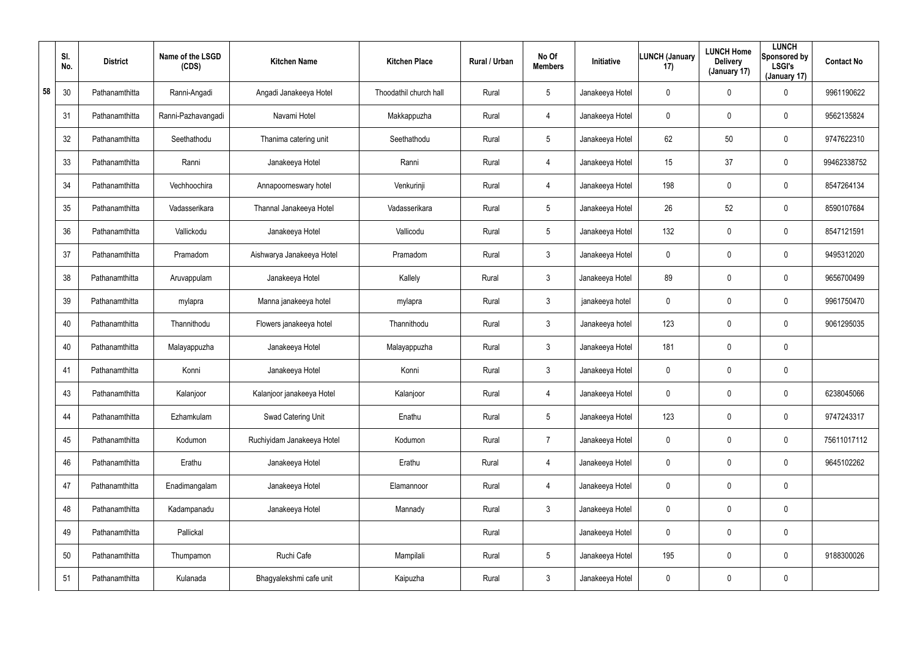|    | SI.<br>No. | <b>District</b> | Name of the LSGD<br>(CDS) | <b>Kitchen Name</b>        | <b>Kitchen Place</b>   | Rural / Urban | No Of<br><b>Members</b> | Initiative      | <b>LUNCH (January</b><br>17) | <b>LUNCH Home</b><br><b>Delivery</b><br>(January 17) | <b>LUNCH</b><br>Sponsored by<br><b>LSGI's</b><br>(January 17) | <b>Contact No</b> |
|----|------------|-----------------|---------------------------|----------------------------|------------------------|---------------|-------------------------|-----------------|------------------------------|------------------------------------------------------|---------------------------------------------------------------|-------------------|
| 58 | 30         | Pathanamthitta  | Ranni-Angadi              | Angadi Janakeeya Hotel     | Thoodathil church hall | Rural         | 5                       | Janakeeya Hotel | 0                            | $\mathbf 0$                                          | 0                                                             | 9961190622        |
|    | 31         | Pathanamthitta  | Ranni-Pazhavangadi        | Navami Hotel               | Makkappuzha            | Rural         | $\overline{4}$          | Janakeeya Hotel | 0                            | $\pmb{0}$                                            | 0                                                             | 9562135824        |
|    | 32         | Pathanamthitta  | Seethathodu               | Thanima catering unit      | Seethathodu            | Rural         | $5\phantom{.0}$         | Janakeeya Hotel | 62                           | 50                                                   | 0                                                             | 9747622310        |
|    | 33         | Pathanamthitta  | Ranni                     | Janakeeya Hotel            | Ranni                  | Rural         | $\overline{4}$          | Janakeeya Hotel | 15                           | 37                                                   | 0                                                             | 99462338752       |
|    | 34         | Pathanamthitta  | Vechhoochira              | Annapoorneswary hotel      | Venkurinji             | Rural         | 4                       | Janakeeya Hotel | 198                          | $\pmb{0}$                                            | 0                                                             | 8547264134        |
|    | 35         | Pathanamthitta  | Vadasserikara             | Thannal Janakeeya Hotel    | Vadasserikara          | Rural         | $5\phantom{.0}$         | Janakeeya Hotel | 26                           | 52                                                   | 0                                                             | 8590107684        |
|    | 36         | Pathanamthitta  | Vallickodu                | Janakeeya Hotel            | Vallicodu              | Rural         | $5\phantom{.0}$         | Janakeeya Hotel | 132                          | $\overline{0}$                                       | 0                                                             | 8547121591        |
|    | 37         | Pathanamthitta  | Pramadom                  | Aishwarya Janakeeya Hotel  | Pramadom               | Rural         | $\mathbf{3}$            | Janakeeya Hotel | 0                            | $\pmb{0}$                                            | 0                                                             | 9495312020        |
|    | 38         | Pathanamthitta  | Aruvappulam               | Janakeeya Hotel            | Kallely                | Rural         | $\mathbf{3}$            | Janakeeya Hotel | 89                           | $\pmb{0}$                                            | 0                                                             | 9656700499        |
|    | 39         | Pathanamthitta  | mylapra                   | Manna janakeeya hotel      | mylapra                | Rural         | $\mathbf{3}$            | janakeeya hotel | 0                            | $\pmb{0}$                                            | 0                                                             | 9961750470        |
|    | 40         | Pathanamthitta  | Thannithodu               | Flowers janakeeya hotel    | Thannithodu            | Rural         | $\mathbf{3}$            | Janakeeya hotel | 123                          | $\overline{0}$                                       | 0                                                             | 9061295035        |
|    | 40         | Pathanamthitta  | Malayappuzha              | Janakeeya Hotel            | Malayappuzha           | Rural         | $\mathbf{3}$            | Janakeeya Hotel | 181                          | $\mathbf 0$                                          | 0                                                             |                   |
|    | 41         | Pathanamthitta  | Konni                     | Janakeeya Hotel            | Konni                  | Rural         | $\mathbf{3}$            | Janakeeya Hotel | 0                            | $\overline{0}$                                       | 0                                                             |                   |
|    | 43         | Pathanamthitta  | Kalanjoor                 | Kalanjoor janakeeya Hotel  | Kalanjoor              | Rural         | 4                       | Janakeeya Hotel | 0                            | $\mathbf 0$                                          | 0                                                             | 6238045066        |
|    | 44         | Pathanamthitta  | Ezhamkulam                | Swad Catering Unit         | Enathu                 | Rural         | $5\phantom{.0}$         | Janakeeya Hotel | 123                          | $\mathbf 0$                                          | 0                                                             | 9747243317        |
|    | 45         | Pathanamthitta  | Kodumon                   | Ruchiyidam Janakeeya Hotel | Kodumon                | Rural         | $\overline{7}$          | Janakeeya Hotel | $\mathbf 0$                  | $\overline{0}$                                       | 0                                                             | 75611017112       |
|    | 46         | Pathanamthitta  | Erathu                    | Janakeeya Hotel            | Erathu                 | Rural         | 4                       | Janakeeya Hotel | 0                            | $\overline{0}$                                       | 0                                                             | 9645102262        |
|    | 47         | Pathanamthitta  | Enadimangalam             | Janakeeya Hotel            | Elamannoor             | Rural         | $\overline{4}$          | Janakeeya Hotel | $\mathbf 0$                  | $\overline{0}$                                       | 0                                                             |                   |
|    | 48         | Pathanamthitta  | Kadampanadu               | Janakeeya Hotel            | Mannady                | Rural         | 3 <sup>1</sup>          | Janakeeya Hotel | 0                            | $\overline{0}$                                       | 0                                                             |                   |
|    | 49         | Pathanamthitta  | Pallickal                 |                            |                        | Rural         |                         | Janakeeya Hotel | 0                            | $\overline{0}$                                       | 0                                                             |                   |
|    | 50         | Pathanamthitta  | Thumpamon                 | Ruchi Cafe                 | Mampilali              | Rural         | $5\phantom{.0}$         | Janakeeya Hotel | 195                          | $\mathbf 0$                                          | 0                                                             | 9188300026        |
|    | 51         | Pathanamthitta  | Kulanada                  | Bhagyalekshmi cafe unit    | Kaipuzha               | Rural         | $\mathfrak{Z}$          | Janakeeya Hotel | 0                            | $\mathbf 0$                                          | 0                                                             |                   |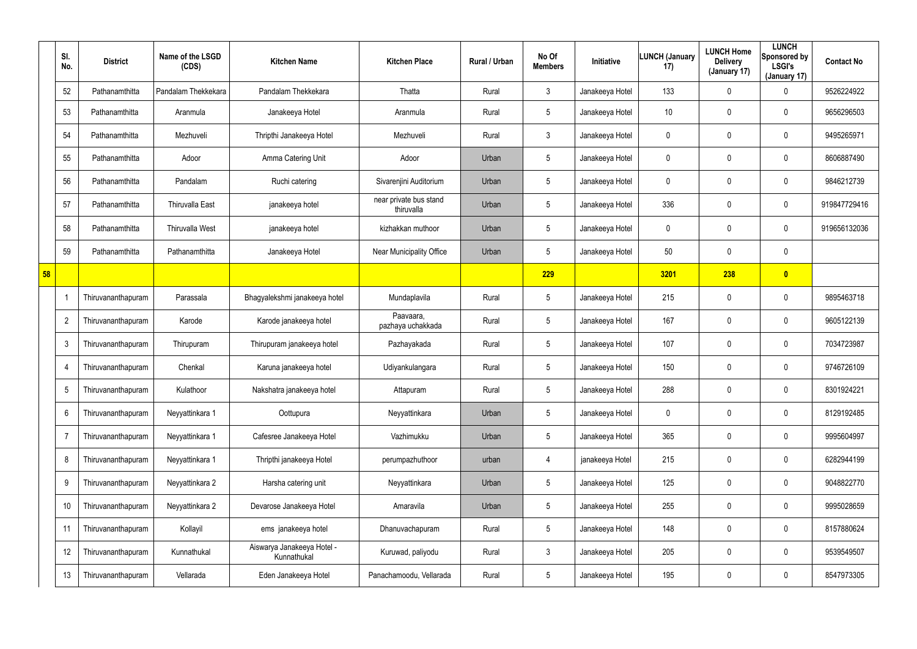|    | SI.<br>No.     | <b>District</b>    | Name of the LSGD<br>(CDS) | <b>Kitchen Name</b>                       | <b>Kitchen Place</b>                 | Rural / Urban | No Of<br><b>Members</b> | <b>Initiative</b> | <b>LUNCH (January</b><br>17) | <b>LUNCH Home</b><br><b>Delivery</b><br>(January 17) | <b>LUNCH</b><br>Sponsored by<br><b>LSGI's</b><br>(January 17) | <b>Contact No</b> |
|----|----------------|--------------------|---------------------------|-------------------------------------------|--------------------------------------|---------------|-------------------------|-------------------|------------------------------|------------------------------------------------------|---------------------------------------------------------------|-------------------|
|    | 52             | Pathanamthitta     | Pandalam Thekkekara       | Pandalam Thekkekara                       | Thatta                               | Rural         | 3                       | Janakeeya Hotel   | 133                          | 0                                                    | 0                                                             | 9526224922        |
|    | 53             | Pathanamthitta     | Aranmula                  | Janakeeya Hotel                           | Aranmula                             | Rural         | $5\phantom{.0}$         | Janakeeya Hotel   | 10 <sup>°</sup>              | 0                                                    | $\mathbf 0$                                                   | 9656296503        |
|    | 54             | Pathanamthitta     | Mezhuveli                 | Thripthi Janakeeya Hotel                  | Mezhuveli                            | Rural         | $\mathbf{3}$            | Janakeeya Hotel   | 0                            | 0                                                    | $\mathbf 0$                                                   | 9495265971        |
|    | 55             | Pathanamthitta     | Adoor                     | Amma Catering Unit                        | Adoor                                | Urban         | $5\phantom{.0}$         | Janakeeya Hotel   | 0                            | 0                                                    | $\mathbf 0$                                                   | 8606887490        |
|    | 56             | Pathanamthitta     | Pandalam                  | Ruchi catering                            | Sivarenjini Auditorium               | Urban         | $5\phantom{.0}$         | Janakeeya Hotel   | 0                            | 0                                                    | $\mathbf 0$                                                   | 9846212739        |
|    | 57             | Pathanamthitta     | <b>Thiruvalla East</b>    | janakeeya hotel                           | near private bus stand<br>thiruvalla | Urban         | $5\phantom{.0}$         | Janakeeya Hotel   | 336                          | 0                                                    | $\mathbf 0$                                                   | 919847729416      |
|    | 58             | Pathanamthitta     | <b>Thiruvalla West</b>    | janakeeya hotel                           | kizhakkan muthoor                    | Urban         | $5\phantom{.0}$         | Janakeeya Hotel   | 0                            | 0                                                    | $\mathbf 0$                                                   | 919656132036      |
|    | 59             | Pathanamthitta     | Pathanamthitta            | Janakeeya Hotel                           | Near Municipality Office             | Urban         | $5\phantom{.0}$         | Janakeeya Hotel   | 50                           | $\pmb{0}$                                            | $\pmb{0}$                                                     |                   |
| 58 |                |                    |                           |                                           |                                      |               | 229                     |                   | 3201                         | 238                                                  | $\bullet$                                                     |                   |
|    |                | Thiruvananthapuram | Parassala                 | Bhagyalekshmi janakeeya hotel             | Mundaplavila                         | Rural         | $5\phantom{.0}$         | Janakeeya Hotel   | 215                          | 0                                                    | $\mathbf 0$                                                   | 9895463718        |
|    | $\overline{2}$ | Thiruvananthapuram | Karode                    | Karode janakeeya hotel                    | Paavaara,<br>pazhaya uchakkada       | Rural         | $5\phantom{.0}$         | Janakeeya Hotel   | 167                          | 0                                                    | $\mathbf 0$                                                   | 9605122139        |
|    | 3              | Thiruvananthapuram | Thirupuram                | Thirupuram janakeeya hotel                | Pazhayakada                          | Rural         | $5\phantom{.0}$         | Janakeeya Hotel   | 107                          | 0                                                    | $\mathbf 0$                                                   | 7034723987        |
|    | $\overline{4}$ | Thiruvananthapuram | Chenkal                   | Karuna janakeeya hotel                    | Udiyankulangara                      | Rural         | $5\phantom{.0}$         | Janakeeya Hotel   | 150                          | 0                                                    | $\mathbf 0$                                                   | 9746726109        |
|    | 5              | Thiruvananthapuram | Kulathoor                 | Nakshatra janakeeya hotel                 | Attapuram                            | Rural         | 5                       | Janakeeya Hotel   | 288                          | 0                                                    | $\mathbf 0$                                                   | 8301924221        |
|    | 6              | Thiruvananthapuram | Neyyattinkara 1           | Oottupura                                 | Neyyattinkara                        | Urban         | $5\phantom{.0}$         | Janakeeya Hotel   | 0                            | 0                                                    | $\pmb{0}$                                                     | 8129192485        |
|    | $\overline{7}$ | Thiruvananthapuram | Neyyattinkara 1           | Cafesree Janakeeya Hotel                  | Vazhimukku                           | Urban         | $5\phantom{.0}$         | Janakeeya Hotel   | 365                          | 0                                                    | $\mathbf 0$                                                   | 9995604997        |
|    | 8              | Thiruvananthapuram | Neyyattinkara 1           | Thripthi janakeeya Hotel                  | perumpazhuthoor                      | urban         | 4                       | janakeeya Hotel   | 215                          | $\mathbf 0$                                          | $\pmb{0}$                                                     | 6282944199        |
|    | 9              | Thiruvananthapuram | Neyyattinkara 2           | Harsha catering unit                      | Neyyattinkara                        | Urban         | $5\phantom{.0}$         | Janakeeya Hotel   | 125                          | 0                                                    | $\mathbf 0$                                                   | 9048822770        |
|    | 10             | Thiruvananthapuram | Neyyattinkara 2           | Devarose Janakeeya Hotel                  | Amaravila                            | Urban         | $5\phantom{.0}$         | Janakeeya Hotel   | 255                          | $\mathbf 0$                                          | $\mathbf 0$                                                   | 9995028659        |
|    | 11             | Thiruvananthapuram | Kollayil                  | ems janakeeya hotel                       | Dhanuvachapuram                      | Rural         | $5\phantom{.0}$         | Janakeeya Hotel   | 148                          | 0                                                    | $\mathbf 0$                                                   | 8157880624        |
|    | 12             | Thiruvananthapuram | Kunnathukal               | Aiswarya Janakeeya Hotel -<br>Kunnathukal | Kuruwad, paliyodu                    | Rural         | $\mathfrak{Z}$          | Janakeeya Hotel   | 205                          | 0                                                    | $\pmb{0}$                                                     | 9539549507        |
|    | 13             | Thiruvananthapuram | Vellarada                 | Eden Janakeeya Hotel                      | Panachamoodu, Vellarada              | Rural         | $5\phantom{.0}$         | Janakeeya Hotel   | 195                          | 0                                                    | $\pmb{0}$                                                     | 8547973305        |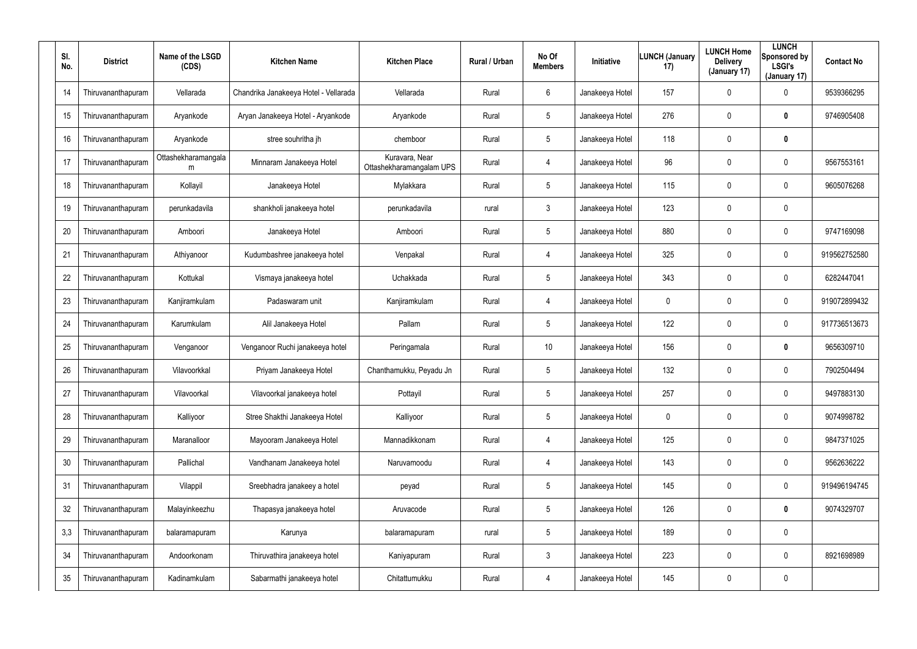| SI.<br>No. | <b>District</b>    | Name of the LSGD<br>(CDS) | <b>Kitchen Name</b>                   | <b>Kitchen Place</b>                       | Rural / Urban | No Of<br><b>Members</b> | <b>Initiative</b> | LUNCH (January<br>17) | <b>LUNCH Home</b><br><b>Delivery</b><br>(January 17) | <b>LUNCH</b><br>Sponsored by<br><b>LSGI's</b><br>(January 17) | <b>Contact No</b> |
|------------|--------------------|---------------------------|---------------------------------------|--------------------------------------------|---------------|-------------------------|-------------------|-----------------------|------------------------------------------------------|---------------------------------------------------------------|-------------------|
| 14         | Thiruvananthapuram | Vellarada                 | Chandrika Janakeeya Hotel - Vellarada | Vellarada                                  | Rural         | 6                       | Janakeeya Hotel   | 157                   | 0                                                    | $\mathbf 0$                                                   | 9539366295        |
| 15         | Thiruvananthapuram | Aryankode                 | Aryan Janakeeya Hotel - Aryankode     | Aryankode                                  | Rural         | 5                       | Janakeeya Hotel   | 276                   | 0                                                    | $\bm{0}$                                                      | 9746905408        |
| 16         | Thiruvananthapuram | Aryankode                 | stree souhritha jh                    | chemboor                                   | Rural         | $5\phantom{.0}$         | Janakeeya Hotel   | 118                   | 0                                                    | $\bm{0}$                                                      |                   |
| 17         | Thiruvananthapuram | Ottashekharamangala<br>m  | Minnaram Janakeeya Hotel              | Kuravara, Near<br>Ottashekharamangalam UPS | Rural         | 4                       | Janakeeya Hotel   | 96                    | 0                                                    | $\mathbf 0$                                                   | 9567553161        |
| 18         | Thiruvananthapuram | Kollayil                  | Janakeeya Hotel                       | Mylakkara                                  | Rural         | $5\phantom{.0}$         | Janakeeya Hotel   | 115                   | 0                                                    | $\mathbf 0$                                                   | 9605076268        |
| 19         | Thiruvananthapuram | perunkadavila             | shankholi janakeeya hotel             | perunkadavila                              | rural         | $\mathbf{3}$            | Janakeeya Hotel   | 123                   | 0                                                    | $\mathbf 0$                                                   |                   |
| 20         | Thiruvananthapuram | Amboori                   | Janakeeya Hotel                       | Amboori                                    | Rural         | $5\phantom{.0}$         | Janakeeya Hotel   | 880                   | 0                                                    | $\boldsymbol{0}$                                              | 9747169098        |
| 21         | Thiruvananthapuram | Athiyanoor                | Kudumbashree janakeeya hotel          | Venpakal                                   | Rural         | 4                       | Janakeeya Hotel   | 325                   | 0                                                    | $\mathbf 0$                                                   | 919562752580      |
| 22         | Thiruvananthapuram | Kottukal                  | Vismaya janakeeya hotel               | Uchakkada                                  | Rural         | $5\phantom{.0}$         | Janakeeya Hotel   | 343                   | 0                                                    | $\boldsymbol{0}$                                              | 6282447041        |
| 23         | Thiruvananthapuram | Kanjiramkulam             | Padaswaram unit                       | Kanjiramkulam                              | Rural         | 4                       | Janakeeya Hotel   | 0                     | 0                                                    | $\mathbf 0$                                                   | 919072899432      |
| 24         | Thiruvananthapuram | Karumkulam                | Alil Janakeeya Hotel                  | Pallam                                     | Rural         | $5\phantom{.0}$         | Janakeeya Hotel   | 122                   | 0                                                    | $\pmb{0}$                                                     | 917736513673      |
| 25         | Thiruvananthapuram | Venganoor                 | Venganoor Ruchi janakeeya hotel       | Peringamala                                | Rural         | 10                      | Janakeeya Hotel   | 156                   | 0                                                    | $\bm{0}$                                                      | 9656309710        |
| 26         | Thiruvananthapuram | Vilavoorkkal              | Priyam Janakeeya Hotel                | Chanthamukku, Peyadu Jn                    | Rural         | $5\phantom{.0}$         | Janakeeya Hotel   | 132                   | 0                                                    | $\mathbf 0$                                                   | 7902504494        |
| 27         | Thiruvananthapuram | Vilavoorkal               | Vilavoorkal janakeeya hotel           | Pottayil                                   | Rural         | 5                       | Janakeeya Hotel   | 257                   | 0                                                    | $\pmb{0}$                                                     | 9497883130        |
| 28         | Thiruvananthapuram | Kalliyoor                 | Stree Shakthi Janakeeya Hotel         | Kalliyoor                                  | Rural         | $5\phantom{.0}$         | Janakeeya Hotel   | $\mathbf 0$           | 0                                                    | $\pmb{0}$                                                     | 9074998782        |
| 29         | Thiruvananthapuram | Maranalloor               | Mayooram Janakeeya Hotel              | Mannadikkonam                              | Rural         | 4                       | Janakeeya Hotel   | 125                   | 0                                                    | $\pmb{0}$                                                     | 9847371025        |
| 30         | Thiruvananthapuram | Pallichal                 | Vandhanam Janakeeya hotel             | Naruvamoodu                                | Rural         | 4                       | Janakeeya Hotel   | 143                   | 0                                                    | $\pmb{0}$                                                     | 9562636222        |
| 31         | Thiruvananthapuram | Vilappil                  | Sreebhadra janakeey a hotel           | peyad                                      | Rural         | $5\phantom{.0}$         | Janakeeya Hotel   | 145                   | 0                                                    | $\pmb{0}$                                                     | 919496194745      |
| 32         | Thiruvananthapuram | Malayinkeezhu             | Thapasya janakeeya hotel              | Aruvacode                                  | Rural         | $5\phantom{.0}$         | Janakeeya Hotel   | 126                   | 0                                                    | $\mathbf 0$                                                   | 9074329707        |
| 3,3        | Thiruvananthapuram | balaramapuram             | Karunya                               | balaramapuram                              | rural         | $5\phantom{.0}$         | Janakeeya Hotel   | 189                   | 0                                                    | $\pmb{0}$                                                     |                   |
| 34         | Thiruvananthapuram | Andoorkonam               | Thiruvathira janakeeya hotel          | Kaniyapuram                                | Rural         | $\mathbf{3}$            | Janakeeya Hotel   | 223                   | 0                                                    | $\pmb{0}$                                                     | 8921698989        |
| 35         | Thiruvananthapuram | Kadinamkulam              | Sabarmathi janakeeya hotel            | Chitattumukku                              | Rural         | 4                       | Janakeeya Hotel   | 145                   | 0                                                    | $\pmb{0}$                                                     |                   |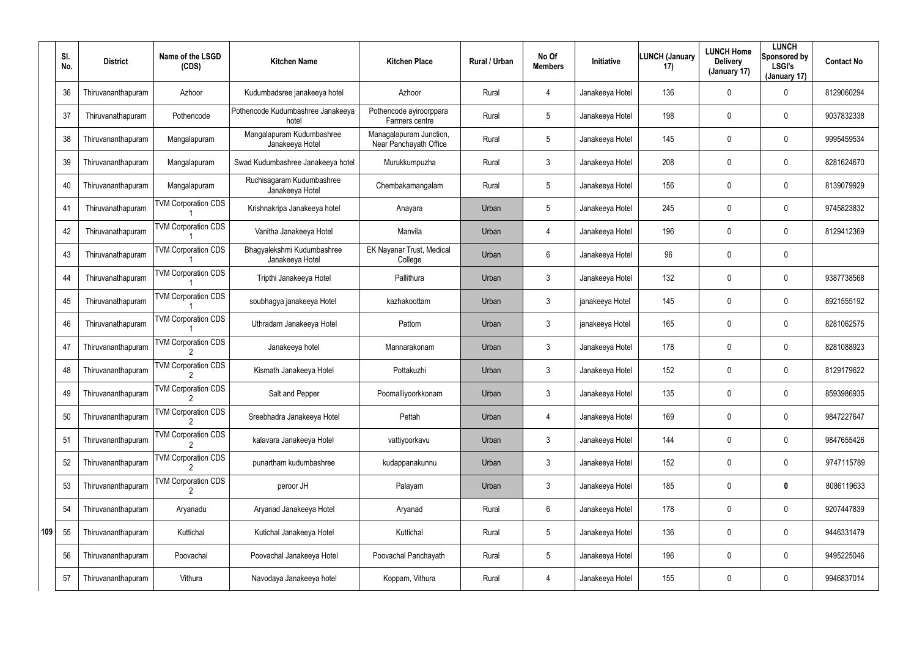|     | SI.<br>No. | <b>District</b>    | Name of the LSGD<br>(CDS)  | <b>Kitchen Name</b>                           | <b>Kitchen Place</b>                              | <b>Rural / Urban</b> | No Of<br><b>Members</b> | <b>Initiative</b> | <b>LUNCH (January</b><br>17) | <b>LUNCH Home</b><br><b>Delivery</b><br>(January 17) | <b>LUNCH</b><br>Sponsored by<br><b>LSGI's</b><br>(January 17) | <b>Contact No</b> |
|-----|------------|--------------------|----------------------------|-----------------------------------------------|---------------------------------------------------|----------------------|-------------------------|-------------------|------------------------------|------------------------------------------------------|---------------------------------------------------------------|-------------------|
|     | 36         | Thiruvananthapuram | Azhoor                     | Kudumbadsree janakeeya hotel                  | Azhoor                                            | Rural                | $\overline{4}$          | Janakeeya Hotel   | 136                          | 0                                                    | 0                                                             | 8129060294        |
|     | 37         | Thiruvanathapuram  | Pothencode                 | Pothencode Kudumbashree Janakeeya<br>hotel    | Pothencode ayiroorppara<br>Farmers centre         | Rural                | $5\phantom{.0}$         | Janakeeya Hotel   | 198                          | 0                                                    | $\mathbf 0$                                                   | 9037832338        |
|     | 38         | Thiruvananthapuram | Mangalapuram               | Mangalapuram Kudumbashree<br>Janakeeya Hotel  | Managalapuram Junction,<br>Near Panchayath Office | Rural                | $5\phantom{.0}$         | Janakeeya Hotel   | 145                          | 0                                                    | $\mathbf 0$                                                   | 9995459534        |
|     | 39         | Thiruvananthapuram | Mangalapuram               | Swad Kudumbashree Janakeeya hotel             | Murukkumpuzha                                     | Rural                | 3                       | Janakeeya Hotel   | 208                          | 0                                                    | $\mathbf 0$                                                   | 8281624670        |
|     | 40         | Thiruvananthapuram | Mangalapuram               | Ruchisagaram Kudumbashree<br>Janakeeya Hotel  | Chembakamangalam                                  | Rural                | $5\phantom{.0}$         | Janakeeya Hotel   | 156                          | 0                                                    | $\mathbf 0$                                                   | 8139079929        |
|     | 41         | Thiruvanathapuram  | <b>TVM Corporation CDS</b> | Krishnakripa Janakeeya hotel                  | Anayara                                           | Urban                | $5\phantom{.0}$         | Janakeeya Hotel   | 245                          | 0                                                    | $\mathbf 0$                                                   | 9745823832        |
|     | 42         | Thiruvanathapuram  | <b>TVM Corporation CDS</b> | Vanitha Janakeeya Hotel                       | Manvila                                           | Urban                | $\overline{4}$          | Janakeeya Hotel   | 196                          | 0                                                    | $\mathbf 0$                                                   | 8129412369        |
|     | 43         | Thiruvanathapuram  | <b>TVM Corporation CDS</b> | Bhagyalekshmi Kudumbashree<br>Janakeeya Hotel | EK Nayanar Trust, Medical<br>College              | Urban                | 6                       | Janakeeya Hotel   | 96                           | 0                                                    | $\mathbf 0$                                                   |                   |
|     | 44         | Thiruvanathapuram  | <b>TVM Corporation CDS</b> | Tripthi Janakeeya Hotel                       | Pallithura                                        | Urban                | 3                       | Janakeeya Hotel   | 132                          | 0                                                    | $\mathbf 0$                                                   | 9387738568        |
|     | 45         | Thiruvanathapuram  | <b>TVM Corporation CDS</b> | soubhagya janakeeya Hotel                     | kazhakoottam                                      | Urban                | 3                       | janakeeya Hotel   | 145                          | 0                                                    | $\mathbf 0$                                                   | 8921555192        |
|     | 46         | Thiruvanathapuram  | <b>TVM Corporation CDS</b> | Uthradam Janakeeya Hotel                      | Pattom                                            | Urban                | $\mathbf{3}$            | janakeeya Hotel   | 165                          | 0                                                    | $\mathbf 0$                                                   | 8281062575        |
|     | 47         | Thiruvananthapuram | <b>TVM Corporation CDS</b> | Janakeeya hotel                               | Mannarakonam                                      | Urban                | 3                       | Janakeeya Hotel   | 178                          | 0                                                    | $\mathbf 0$                                                   | 8281088923        |
|     | 48         | Thiruvananthapuram | <b>TVM Corporation CDS</b> | Kismath Janakeeya Hotel                       | Pottakuzhi                                        | Urban                | 3                       | Janakeeya Hotel   | 152                          | 0                                                    | $\mathbf 0$                                                   | 8129179622        |
|     | 49         | Thiruvananthapuram | <b>TVM Corporation CDS</b> | Salt and Pepper                               | Poomalliyoorkkonam                                | Urban                | $\mathbf{3}$            | Janakeeya Hotel   | 135                          | 0                                                    | $\mathbf 0$                                                   | 8593986935        |
|     | 50         | Thiruvananthapuram | <b>TVM Corporation CDS</b> | Sreebhadra Janakeeya Hotel                    | Pettah                                            | Urban                | $\overline{4}$          | Janakeeya Hotel   | 169                          | 0                                                    | $\mathbf 0$                                                   | 9847227647        |
|     | 51         | Thiruvananthapuram | <b>TVM Corporation CDS</b> | kalavara Janakeeya Hotel                      | vattiyoorkavu                                     | Urban                | $\mathbf{3}$            | Janakeeya Hotel   | 144                          | 0                                                    | $\pmb{0}$                                                     | 9847655426        |
|     | 52         | Thiruvananthapuram | <b>TVM Corporation CDS</b> | punartham kudumbashree                        | kudappanakunnu                                    | Urban                | $\mathbf{3}$            | Janakeeya Hotel   | 152                          | 0                                                    | $\mathbf 0$                                                   | 9747115789        |
|     | 53         | Thiruvananthapuram | <b>TVM Corporation CDS</b> | peroor JH                                     | Palayam                                           | Urban                | $\mathbf{3}$            | Janakeeya Hotel   | 185                          | 0                                                    | $\mathbf 0$                                                   | 8086119633        |
|     | 54         | Thiruvananthapuram | Aryanadu                   | Aryanad Janakeeya Hotel                       | Aryanad                                           | Rural                | 6                       | Janakeeya Hotel   | 178                          | 0                                                    | $\mathbf 0$                                                   | 9207447839        |
| 109 | 55         | Thiruvananthapuram | Kuttichal                  | Kutichal Janakeeya Hotel                      | Kuttichal                                         | Rural                | $5\phantom{.0}$         | Janakeeya Hotel   | 136                          | 0                                                    | $\mathbf 0$                                                   | 9446331479        |
|     | 56         | Thiruvananthapuram | Poovachal                  | Poovachal Janakeeya Hotel                     | Poovachal Panchayath                              | Rural                | $5\phantom{.0}$         | Janakeeya Hotel   | 196                          | 0                                                    | $\mathbf 0$                                                   | 9495225046        |
|     | 57         | Thiruvananthapuram | Vithura                    | Navodaya Janakeeya hotel                      | Koppam, Vithura                                   | Rural                | 4                       | Janakeeya Hotel   | 155                          | 0                                                    | $\pmb{0}$                                                     | 9946837014        |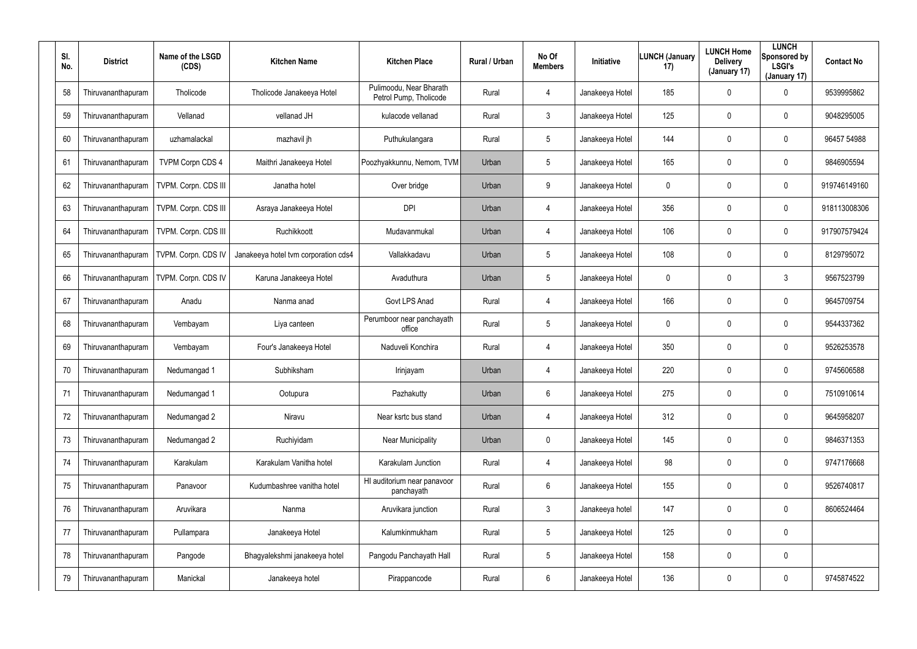| SI.<br>No. | <b>District</b>    | Name of the LSGD<br>(CDS)  | <b>Kitchen Name</b>                  | <b>Kitchen Place</b>                              | <b>Rural / Urban</b> | No Of<br><b>Members</b> | Initiative      | LUNCH (January<br>17) | <b>LUNCH Home</b><br><b>Delivery</b><br>(January 17) | <b>LUNCH</b><br>Sponsored by<br><b>LSGI's</b><br>(January 17) | <b>Contact No</b> |
|------------|--------------------|----------------------------|--------------------------------------|---------------------------------------------------|----------------------|-------------------------|-----------------|-----------------------|------------------------------------------------------|---------------------------------------------------------------|-------------------|
| 58         | Thiruvananthapuram | Tholicode                  | Tholicode Janakeeya Hotel            | Pulimoodu, Near Bharath<br>Petrol Pump, Tholicode | Rural                | 4                       | Janakeeya Hotel | 185                   | 0                                                    | 0                                                             | 9539995862        |
| 59         | Thiruvananthapuram | Vellanad                   | vellanad JH                          | kulacode vellanad                                 | Rural                | 3                       | Janakeeya Hotel | 125                   | 0                                                    | $\mathbf 0$                                                   | 9048295005        |
| 60         | Thiruvananthapuram | uzhamalackal               | mazhavil jh                          | Puthukulangara                                    | Rural                | 5                       | Janakeeya Hotel | 144                   | 0                                                    | $\mathbf 0$                                                   | 96457 54988       |
| 61         | Thiruvananthapuram | <b>TVPM Corpn CDS 4</b>    | Maithri Janakeeya Hotel              | Poozhyakkunnu, Nemom, TVM                         | Urban                | 5                       | Janakeeya Hotel | 165                   | 0                                                    | $\mathbf 0$                                                   | 9846905594        |
| 62         | Thiruvananthapuram | TVPM. Corpn. CDS III       | Janatha hotel                        | Over bridge                                       | Urban                | 9                       | Janakeeya Hotel | 0                     | 0                                                    | $\mathbf 0$                                                   | 919746149160      |
| 63         | Thiruvananthapuram | TVPM. Corpn. CDS III       | Asraya Janakeeya Hotel               | <b>DPI</b>                                        | Urban                | 4                       | Janakeeya Hotel | 356                   | 0                                                    | $\mathbf 0$                                                   | 918113008306      |
| 64         | Thiruvananthapuram | TVPM. Corpn. CDS III       | Ruchikkoott                          | Mudavanmukal                                      | Urban                | 4                       | Janakeeya Hotel | 106                   | 0                                                    | $\mathbf 0$                                                   | 917907579424      |
| 65         | Thiruvananthapuram | <b>TVPM. Corpn. CDS IV</b> | Janakeeya hotel tvm corporation cds4 | Vallakkadavu                                      | Urban                | 5                       | Janakeeya Hotel | 108                   | 0                                                    | 0                                                             | 8129795072        |
| 66         | Thiruvananthapuram | TVPM. Corpn. CDS IV        | Karuna Janakeeya Hotel               | Avaduthura                                        | Urban                | 5                       | Janakeeya Hotel | $\mathbf 0$           | 0                                                    | $\mathbf{3}$                                                  | 9567523799        |
| 67         | Thiruvananthapuram | Anadu                      | Nanma anad                           | Govt LPS Anad                                     | Rural                | 4                       | Janakeeya Hotel | 166                   | 0                                                    | 0                                                             | 9645709754        |
| 68         | Thiruvananthapuram | Vembayam                   | Liya canteen                         | Perumboor near panchayath<br>office               | Rural                | 5                       | Janakeeya Hotel | $\mathbf 0$           | 0                                                    | $\mathbf 0$                                                   | 9544337362        |
| 69         | Thiruvananthapuram | Vembayam                   | Four's Janakeeya Hotel               | Naduveli Konchira                                 | Rural                | 4                       | Janakeeya Hotel | 350                   | 0                                                    | 0                                                             | 9526253578        |
| 70         | Thiruvananthapuram | Nedumangad 1               | Subhiksham                           | Irinjayam                                         | Urban                | 4                       | Janakeeya Hotel | 220                   | $\boldsymbol{0}$                                     | 0                                                             | 9745606588        |
| 71         | Thiruvananthapuram | Nedumangad 1               | Ootupura                             | Pazhakutty                                        | Urban                | 6                       | Janakeeya Hotel | 275                   | $\pmb{0}$                                            | 0                                                             | 7510910614        |
| 72         | Thiruvananthapuram | Nedumangad 2               | Niravu                               | Near ksrtc bus stand                              | Urban                | 4                       | Janakeeya Hotel | 312                   | $\boldsymbol{0}$                                     | 0                                                             | 9645958207        |
| 73         | Thiruvananthapuram | Nedumangad 2               | Ruchiyidam                           | <b>Near Municipality</b>                          | Urban                | $\mathbf 0$             | Janakeeya Hotel | 145                   | $\boldsymbol{0}$                                     | $\pmb{0}$                                                     | 9846371353        |
| 74         | Thiruvananthapuram | Karakulam                  | Karakulam Vanitha hotel              | Karakulam Junction                                | Rural                | 4                       | Janakeeya Hotel | 98                    | $\boldsymbol{0}$                                     | 0                                                             | 9747176668        |
| 75         | Thiruvananthapuram | Panavoor                   | Kudumbashree vanitha hotel           | HI auditorium near panavoor<br>panchayath         | Rural                | $6\overline{6}$         | Janakeeya Hotel | 155                   | $\pmb{0}$                                            | 0                                                             | 9526740817        |
| 76         | Thiruvananthapuram | Aruvikara                  | Nanma                                | Aruvikara junction                                | Rural                | 3                       | Janakeeya hotel | 147                   | $\boldsymbol{0}$                                     | 0                                                             | 8606524464        |
| 77         | Thiruvananthapuram | Pullampara                 | Janakeeya Hotel                      | Kalumkinmukham                                    | Rural                | $5\phantom{.0}$         | Janakeeya Hotel | 125                   | $\pmb{0}$                                            | $\pmb{0}$                                                     |                   |
| 78         | Thiruvananthapuram | Pangode                    | Bhagyalekshmi janakeeya hotel        | Pangodu Panchayath Hall                           | Rural                | 5                       | Janakeeya Hotel | 158                   | $\boldsymbol{0}$                                     | 0                                                             |                   |
| 79         | Thiruvananthapuram | Manickal                   | Janakeeya hotel                      | Pirappancode                                      | Rural                | 6                       | Janakeeya Hotel | 136                   | $\pmb{0}$                                            | 0                                                             | 9745874522        |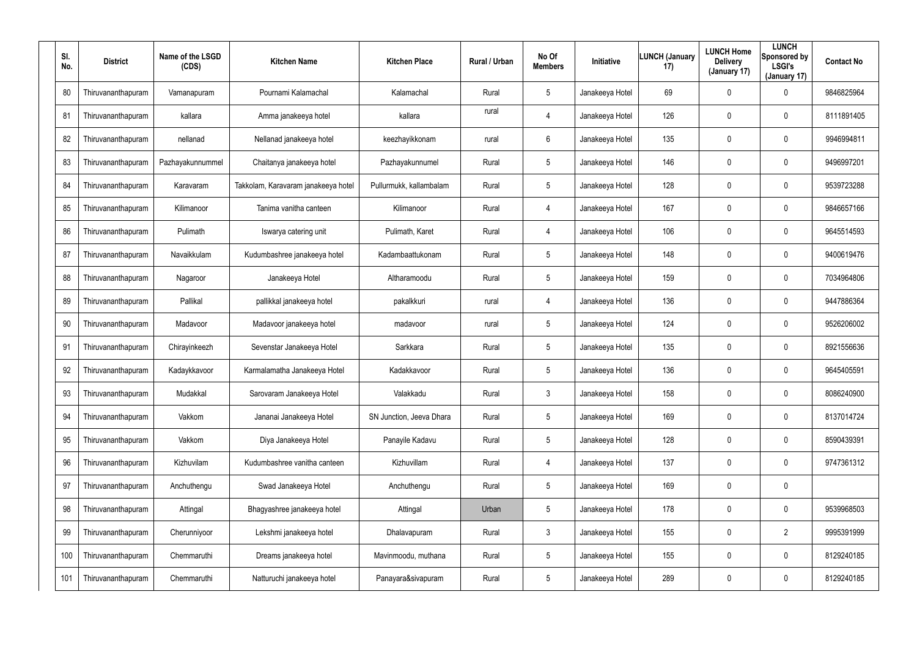| SI.<br>No. | <b>District</b>    | Name of the LSGD<br>(CDS) | <b>Kitchen Name</b>                 | <b>Kitchen Place</b>     | <b>Rural / Urban</b> | No Of<br><b>Members</b> | Initiative      | <b>LUNCH (January</b><br>17) | <b>LUNCH Home</b><br><b>Delivery</b><br>(January 17) | <b>LUNCH</b><br>Sponsored by<br><b>LSGI's</b><br>(January 17) | <b>Contact No</b> |
|------------|--------------------|---------------------------|-------------------------------------|--------------------------|----------------------|-------------------------|-----------------|------------------------------|------------------------------------------------------|---------------------------------------------------------------|-------------------|
| 80         | Thiruvananthapuram | Vamanapuram               | Pournami Kalamachal                 | Kalamachal               | Rural                | $5\phantom{.0}$         | Janakeeya Hotel | 69                           | 0                                                    | 0                                                             | 9846825964        |
| 81         | Thiruvananthapuram | kallara                   | Amma janakeeya hotel                | kallara                  | rural                | $\overline{4}$          | Janakeeya Hotel | 126                          | 0                                                    | 0                                                             | 8111891405        |
| 82         | Thiruvananthapuram | nellanad                  | Nellanad janakeeya hotel            | keezhayikkonam           | rural                | 6                       | Janakeeya Hotel | 135                          | 0                                                    | $\mathbf 0$                                                   | 9946994811        |
| 83         | Thiruvananthapuram | Pazhayakunnummel          | Chaitanya janakeeya hotel           | Pazhayakunnumel          | Rural                | $5\phantom{.0}$         | Janakeeya Hotel | 146                          | 0                                                    | $\mathbf 0$                                                   | 9496997201        |
| 84         | Thiruvananthapuram | Karavaram                 | Takkolam, Karavaram janakeeya hotel | Pullurmukk, kallambalam  | Rural                | $5\phantom{.0}$         | Janakeeya Hotel | 128                          | 0                                                    | $\mathbf 0$                                                   | 9539723288        |
| 85         | Thiruvananthapuram | Kilimanoor                | Tanima vanitha canteen              | Kilimanoor               | Rural                | $\overline{4}$          | Janakeeya Hotel | 167                          | 0                                                    | $\mathbf 0$                                                   | 9846657166        |
| 86         | Thiruvananthapuram | Pulimath                  | Iswarya catering unit               | Pulimath, Karet          | Rural                | 4                       | Janakeeya Hotel | 106                          | 0                                                    | 0                                                             | 9645514593        |
| 87         | Thiruvananthapuram | Navaikkulam               | Kudumbashree janakeeya hotel        | Kadambaattukonam         | Rural                | $5\phantom{.0}$         | Janakeeya Hotel | 148                          | 0                                                    | 0                                                             | 9400619476        |
| 88         | Thiruvananthapuram | Nagaroor                  | Janakeeya Hotel                     | Altharamoodu             | Rural                | $5\phantom{.0}$         | Janakeeya Hotel | 159                          | 0                                                    | 0                                                             | 7034964806        |
| 89         | Thiruvananthapuram | Pallikal                  | pallikkal janakeeya hotel           | pakalkkuri               | rural                | $\overline{4}$          | Janakeeya Hotel | 136                          | 0                                                    | 0                                                             | 9447886364        |
| 90         | Thiruvananthapuram | Madavoor                  | Madavoor janakeeya hotel            | madavoor                 | rural                | $5\phantom{.0}$         | Janakeeya Hotel | 124                          | 0                                                    | 0                                                             | 9526206002        |
| 91         | Thiruvananthapuram | Chirayinkeezh             | Sevenstar Janakeeya Hotel           | Sarkkara                 | Rural                | $5\phantom{.0}$         | Janakeeya Hotel | 135                          | 0                                                    | 0                                                             | 8921556636        |
| 92         | Thiruvananthapuram | Kadaykkavoor              | Karmalamatha Janakeeya Hotel        | Kadakkavoor              | Rural                | $5\phantom{.0}$         | Janakeeya Hotel | 136                          | $\boldsymbol{0}$                                     | 0                                                             | 9645405591        |
| 93         | Thiruvananthapuram | Mudakkal                  | Sarovaram Janakeeya Hotel           | Valakkadu                | Rural                | $\mathfrak{Z}$          | Janakeeya Hotel | 158                          | $\pmb{0}$                                            | 0                                                             | 8086240900        |
| 94         | Thiruvananthapuram | Vakkom                    | Jananai Janakeeya Hotel             | SN Junction, Jeeva Dhara | Rural                | $5\phantom{.0}$         | Janakeeya Hotel | 169                          | $\boldsymbol{0}$                                     | 0                                                             | 8137014724        |
| 95         | Thiruvananthapuram | Vakkom                    | Diya Janakeeya Hotel                | Panayile Kadavu          | Rural                | $5\overline{)}$         | Janakeeya Hotel | 128                          | $\boldsymbol{0}$                                     | 0                                                             | 8590439391        |
| 96         | Thiruvananthapuram | Kizhuvilam                | Kudumbashree vanitha canteen        | Kizhuvillam              | Rural                | 4                       | Janakeeya Hotel | 137                          | $\boldsymbol{0}$                                     | 0                                                             | 9747361312        |
| 97         | Thiruvananthapuram | Anchuthengu               | Swad Janakeeya Hotel                | Anchuthengu              | Rural                | $5\overline{)}$         | Janakeeya Hotel | 169                          | $\pmb{0}$                                            | 0                                                             |                   |
| 98         | Thiruvananthapuram | Attingal                  | Bhagyashree janakeeya hotel         | Attingal                 | Urban                | $5\phantom{.0}$         | Janakeeya Hotel | 178                          | $\boldsymbol{0}$                                     | 0                                                             | 9539968503        |
| 99         | Thiruvananthapuram | Cherunniyoor              | Lekshmi janakeeya hotel             | Dhalavapuram             | Rural                | $\mathbf{3}$            | Janakeeya Hotel | 155                          | $\pmb{0}$                                            | $\overline{2}$                                                | 9995391999        |
| 100        | Thiruvananthapuram | Chemmaruthi               | Dreams janakeeya hotel              | Mavinmoodu, muthana      | Rural                | $5\phantom{.0}$         | Janakeeya Hotel | 155                          | $\boldsymbol{0}$                                     | 0                                                             | 8129240185        |
| 101        | Thiruvananthapuram | Chemmaruthi               | Natturuchi janakeeya hotel          | Panayara&sivapuram       | Rural                | $5\phantom{.0}$         | Janakeeya Hotel | 289                          | $\boldsymbol{0}$                                     | 0                                                             | 8129240185        |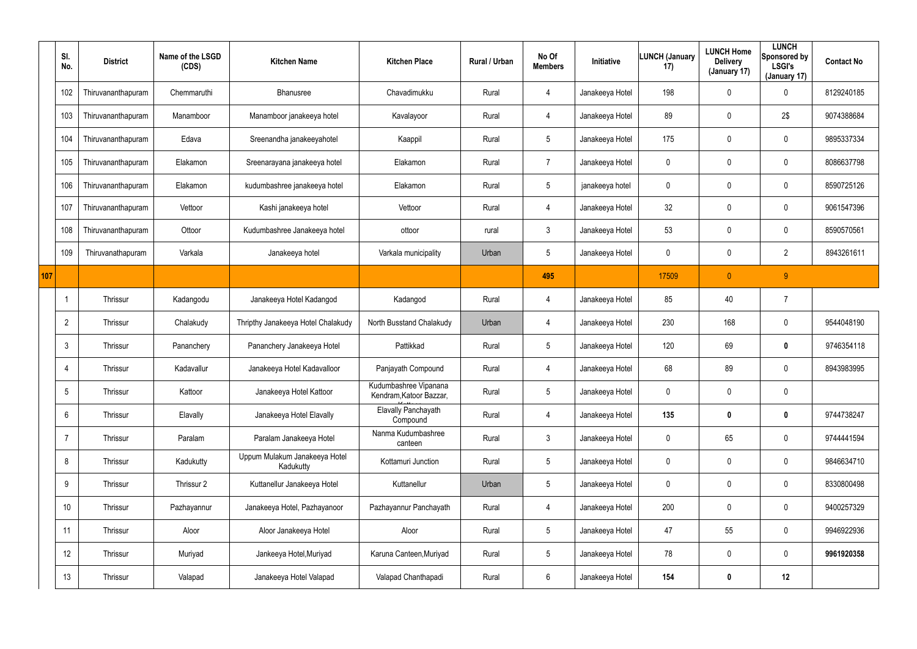|     | SI.<br>No.      | <b>District</b>    | Name of the LSGD<br>(CDS) | <b>Kitchen Name</b>                        | <b>Kitchen Place</b>                             | Rural / Urban | No Of<br><b>Members</b> | Initiative      | <b>LUNCH (January</b><br>17) | <b>LUNCH Home</b><br><b>Delivery</b><br>(January 17) | <b>LUNCH</b><br>Sponsored by<br><b>LSGI's</b><br>(January 17) | <b>Contact No</b> |
|-----|-----------------|--------------------|---------------------------|--------------------------------------------|--------------------------------------------------|---------------|-------------------------|-----------------|------------------------------|------------------------------------------------------|---------------------------------------------------------------|-------------------|
|     | 102             | Thiruvananthapuram | Chemmaruthi               | Bhanusree                                  | Chavadimukku                                     | Rural         | 4                       | Janakeeya Hotel | 198                          | $\boldsymbol{0}$                                     | 0                                                             | 8129240185        |
|     | 103             | Thiruvananthapuram | Manamboor                 | Manamboor janakeeya hotel                  | Kavalayoor                                       | Rural         | 4                       | Janakeeya Hotel | 89                           | $\mathbf 0$                                          | 2\$                                                           | 9074388684        |
|     | 104             | Thiruvananthapuram | Edava                     | Sreenandha janakeeyahotel                  | Kaappil                                          | Rural         | $5\phantom{.0}$         | Janakeeya Hotel | 175                          | $\mathbf 0$                                          | 0                                                             | 9895337334        |
|     | 105             | Thiruvananthapuram | Elakamon                  | Sreenarayana janakeeya hotel               | Elakamon                                         | Rural         | $\overline{7}$          | Janakeeya Hotel | 0                            | 0                                                    | 0                                                             | 8086637798        |
|     | 106             | Thiruvananthapuram | Elakamon                  | kudumbashree janakeeya hotel               | Elakamon                                         | Rural         | $5\phantom{.0}$         | janakeeya hotel | 0                            | 0                                                    | 0                                                             | 8590725126        |
|     | 107             | Thiruvananthapuram | Vettoor                   | Kashi janakeeya hotel                      | Vettoor                                          | Rural         | 4                       | Janakeeya Hotel | 32 <sub>2</sub>              | $\pmb{0}$                                            | $\pmb{0}$                                                     | 9061547396        |
|     | 108             | Thiruvananthapuram | Ottoor                    | Kudumbashree Janakeeya hotel               | ottoor                                           | rural         | $\mathfrak{Z}$          | Janakeeya Hotel | 53                           | 0                                                    | $\mathbf 0$                                                   | 8590570561        |
|     | 109             | Thiruvanathapuram  | Varkala                   | Janakeeya hotel                            | Varkala municipality                             | Urban         | $5\phantom{.0}$         | Janakeeya Hotel | 0                            | $\mathbf 0$                                          | $\overline{2}$                                                | 8943261611        |
| 107 |                 |                    |                           |                                            |                                                  |               | 495                     |                 | 17509                        | $\overline{0}$                                       | 9 <sup>°</sup>                                                |                   |
|     |                 | Thrissur           | Kadangodu                 | Janakeeya Hotel Kadangod                   | Kadangod                                         | Rural         | 4                       | Janakeeya Hotel | 85                           | 40                                                   | $\overline{7}$                                                |                   |
|     | $\overline{2}$  | Thrissur           | Chalakudy                 | Thripthy Janakeeya Hotel Chalakudy         | North Busstand Chalakudy                         | Urban         | 4                       | Janakeeya Hotel | 230                          | 168                                                  | $\mathbf 0$                                                   | 9544048190        |
|     | $\mathbf{3}$    | Thrissur           | Pananchery                | Pananchery Janakeeya Hotel                 | Pattikkad                                        | Rural         | $5\phantom{.0}$         | Janakeeya Hotel | 120                          | 69                                                   | $\mathbf 0$                                                   | 9746354118        |
|     | $\overline{4}$  | Thrissur           | Kadavallur                | Janakeeya Hotel Kadavalloor                | Panjayath Compound                               | Rural         | 4                       | Janakeeya Hotel | 68                           | 89                                                   | 0                                                             | 8943983995        |
|     | $5\overline{)}$ | Thrissur           | Kattoor                   | Janakeeya Hotel Kattoor                    | Kudumbashree Vipanana<br>Kendram, Katoor Bazzar, | Rural         | $5\phantom{.0}$         | Janakeeya Hotel | 0                            | $\mathbf 0$                                          | $\mathbf 0$                                                   |                   |
|     | $6\overline{6}$ | Thrissur           | Elavally                  | Janakeeya Hotel Elavally                   | <b>Elavally Panchayath</b><br>Compound           | Rural         | 4                       | Janakeeya Hotel | 135                          | $\boldsymbol{0}$                                     | $\pmb{0}$                                                     | 9744738247        |
|     | $\overline{7}$  | Thrissur           | Paralam                   | Paralam Janakeeya Hotel                    | Nanma Kudumbashree<br>canteen                    | Rural         | $\mathfrak{Z}$          | Janakeeya Hotel | 0                            | 65                                                   | $\pmb{0}$                                                     | 9744441594        |
|     | 8               | Thrissur           | Kadukutty                 | Uppum Mulakum Janakeeya Hotel<br>Kadukutty | Kottamuri Junction                               | Rural         | $5\phantom{.0}$         | Janakeeya Hotel | 0                            | $\mathbf 0$                                          | $\pmb{0}$                                                     | 9846634710        |
|     | 9               | Thrissur           | Thrissur 2                | Kuttanellur Janakeeya Hotel                | Kuttanellur                                      | Urban         | $5\phantom{.0}$         | Janakeeya Hotel | 0                            | $\overline{0}$                                       | $\pmb{0}$                                                     | 8330800498        |
|     | 10              | Thrissur           | Pazhayannur               | Janakeeya Hotel, Pazhayanoor               | Pazhayannur Panchayath                           | Rural         | 4                       | Janakeeya Hotel | 200                          | $\overline{0}$                                       | $\pmb{0}$                                                     | 9400257329        |
|     | 11              | Thrissur           | Aloor                     | Aloor Janakeeya Hotel                      | Aloor                                            | Rural         | $5\phantom{.0}$         | Janakeeya Hotel | 47                           | 55                                                   | $\pmb{0}$                                                     | 9946922936        |
|     | 12              | Thrissur           | Muriyad                   | Jankeeya Hotel, Muriyad                    | Karuna Canteen, Muriyad                          | Rural         | $5\phantom{.0}$         | Janakeeya Hotel | 78                           | $\overline{0}$                                       | $\pmb{0}$                                                     | 9961920358        |
|     | 13              | Thrissur           | Valapad                   | Janakeeya Hotel Valapad                    | Valapad Chanthapadi                              | Rural         | $6\,$                   | Janakeeya Hotel | 154                          | $\boldsymbol{0}$                                     | 12                                                            |                   |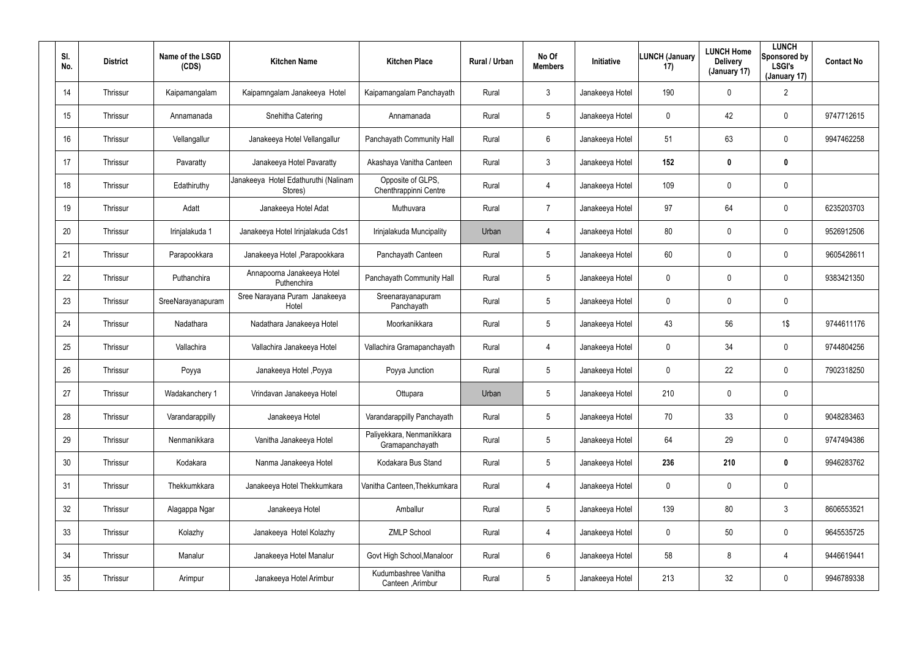| SI.<br>No. | <b>District</b> | Name of the LSGD<br>(CDS) | <b>Kitchen Name</b>                             | <b>Kitchen Place</b>                         | Rural / Urban | No Of<br><b>Members</b> | <b>Initiative</b> | <b>LUNCH (January</b><br>17) | <b>LUNCH Home</b><br><b>Delivery</b><br>(January 17) | <b>LUNCH</b><br>Sponsored by<br><b>LSGI's</b><br>(January 17) | <b>Contact No</b> |
|------------|-----------------|---------------------------|-------------------------------------------------|----------------------------------------------|---------------|-------------------------|-------------------|------------------------------|------------------------------------------------------|---------------------------------------------------------------|-------------------|
| 14         | Thrissur        | Kaipamangalam             | Kaipamngalam Janakeeya Hotel                    | Kaipamangalam Panchayath                     | Rural         | 3                       | Janakeeya Hotel   | 190                          | $\mathbf 0$                                          | $\overline{2}$                                                |                   |
| 15         | Thrissur        | Annamanada                | Snehitha Catering                               | Annamanada                                   | Rural         | $5\phantom{.0}$         | Janakeeya Hotel   | 0                            | 42                                                   | $\pmb{0}$                                                     | 9747712615        |
| 16         | Thrissur        | Vellangallur              | Janakeeya Hotel Vellangallur                    | Panchayath Community Hall                    | Rural         | 6                       | Janakeeya Hotel   | 51                           | 63                                                   | $\mathbf 0$                                                   | 9947462258        |
| 17         | Thrissur        | Pavaratty                 | Janakeeya Hotel Pavaratty                       | Akashaya Vanitha Canteen                     | Rural         | $\mathbf{3}$            | Janakeeya Hotel   | 152                          | 0                                                    | $\boldsymbol{0}$                                              |                   |
| 18         | Thrissur        | Edathiruthy               | Janakeeya Hotel Edathuruthi (Nalinam<br>Stores) | Opposite of GLPS,<br>Chenthrappinni Centre   | Rural         | 4                       | Janakeeya Hotel   | 109                          | 0                                                    | $\pmb{0}$                                                     |                   |
| 19         | Thrissur        | Adatt                     | Janakeeya Hotel Adat                            | Muthuvara                                    | Rural         | $\overline{7}$          | Janakeeya Hotel   | 97                           | 64                                                   | $\mathbf 0$                                                   | 6235203703        |
| 20         | Thrissur        | Irinjalakuda 1            | Janakeeya Hotel Irinjalakuda Cds1               | Irinjalakuda Muncipality                     | Urban         | 4                       | Janakeeya Hotel   | 80                           | 0                                                    | $\mathbf 0$                                                   | 9526912506        |
| 21         | Thrissur        | Parapookkara              | Janakeeya Hotel , Parapookkara                  | Panchayath Canteen                           | Rural         | $5\overline{)}$         | Janakeeya Hotel   | 60                           | 0                                                    | $\mathbf 0$                                                   | 9605428611        |
| 22         | Thrissur        | Puthanchira               | Annapoorna Janakeeya Hotel<br>Puthenchira       | Panchayath Community Hall                    | Rural         | $5\phantom{.0}$         | Janakeeya Hotel   | 0                            | 0                                                    | $\mathbf 0$                                                   | 9383421350        |
| 23         | Thrissur        | SreeNarayanapuram         | Sree Narayana Puram Janakeeya<br>Hotel          | Sreenarayanapuram<br>Panchayath              | Rural         | $5\overline{)}$         | Janakeeya Hotel   | 0                            | 0                                                    | $\mathbf 0$                                                   |                   |
| 24         | Thrissur        | Nadathara                 | Nadathara Janakeeya Hotel                       | Moorkanikkara                                | Rural         | $5\phantom{.0}$         | Janakeeya Hotel   | 43                           | 56                                                   | $1\$                                                          | 9744611176        |
| 25         | Thrissur        | Vallachira                | Vallachira Janakeeya Hotel                      | Vallachira Gramapanchayath                   | Rural         | 4                       | Janakeeya Hotel   | 0                            | 34                                                   | $\mathbf 0$                                                   | 9744804256        |
| 26         | Thrissur        | Poyya                     | Janakeeya Hotel, Poyya                          | Poyya Junction                               | Rural         | $5\phantom{.0}$         | Janakeeya Hotel   | 0                            | 22                                                   | $\mathbf 0$                                                   | 7902318250        |
| 27         | Thrissur        | Wadakanchery 1            | Vrindavan Janakeeya Hotel                       | Ottupara                                     | Urban         | 5                       | Janakeeya Hotel   | 210                          | 0                                                    | $\pmb{0}$                                                     |                   |
| 28         | Thrissur        | Varandarappilly           | Janakeeya Hotel                                 | Varandarappilly Panchayath                   | Rural         | $5\phantom{.0}$         | Janakeeya Hotel   | 70                           | 33                                                   | $\pmb{0}$                                                     | 9048283463        |
| 29         | Thrissur        | Nenmanikkara              | Vanitha Janakeeya Hotel                         | Paliyekkara, Nenmanikkara<br>Gramapanchayath | Rural         | $5\phantom{.0}$         | Janakeeya Hotel   | 64                           | 29                                                   | $\pmb{0}$                                                     | 9747494386        |
| 30         | Thrissur        | Kodakara                  | Nanma Janakeeya Hotel                           | Kodakara Bus Stand                           | Rural         | $5\phantom{.0}$         | Janakeeya Hotel   | 236                          | 210                                                  | $\boldsymbol{0}$                                              | 9946283762        |
| 31         | Thrissur        | Thekkumkkara              | Janakeeya Hotel Thekkumkara                     | Vanitha Canteen, Thekkumkara                 | Rural         | 4                       | Janakeeya Hotel   | 0                            | 0                                                    | $\pmb{0}$                                                     |                   |
| 32         | Thrissur        | Alagappa Ngar             | Janakeeya Hotel                                 | Amballur                                     | Rural         | $5\phantom{.0}$         | Janakeeya Hotel   | 139                          | 80                                                   | $3\phantom{.0}$                                               | 8606553521        |
| 33         | Thrissur        | Kolazhy                   | Janakeeya Hotel Kolazhy                         | <b>ZMLP School</b>                           | Rural         | 4                       | Janakeeya Hotel   | 0                            | 50                                                   | $\pmb{0}$                                                     | 9645535725        |
| 34         | Thrissur        | Manalur                   | Janakeeya Hotel Manalur                         | Govt High School, Manaloor                   | Rural         | 6                       | Janakeeya Hotel   | 58                           | 8                                                    | $\overline{4}$                                                | 9446619441        |
| 35         | Thrissur        | Arimpur                   | Janakeeya Hotel Arimbur                         | Kudumbashree Vanitha<br>Canteen, Arimbur     | Rural         | $5\phantom{.0}$         | Janakeeya Hotel   | 213                          | 32                                                   | $\pmb{0}$                                                     | 9946789338        |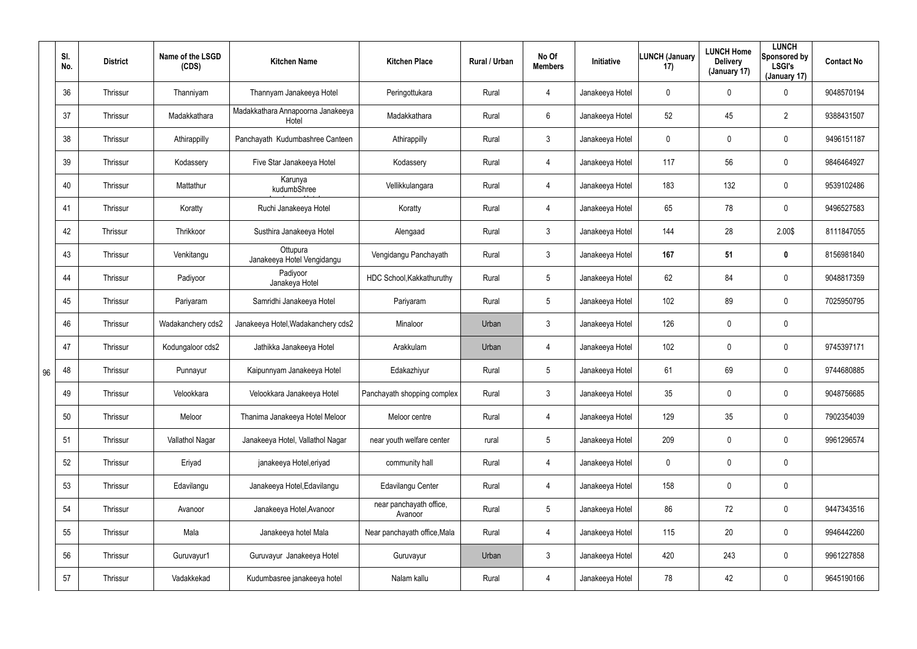|    | SI.<br>No. | <b>District</b> | Name of the LSGD<br>(CDS) | <b>Kitchen Name</b>                        | <b>Kitchen Place</b>               | Rural / Urban | No Of<br><b>Members</b> | Initiative      | <b>LUNCH (January</b><br>17) | <b>LUNCH Home</b><br><b>Delivery</b><br>(January 17) | <b>LUNCH</b><br>Sponsored by<br><b>LSGI's</b><br>(January 17) | <b>Contact No</b> |
|----|------------|-----------------|---------------------------|--------------------------------------------|------------------------------------|---------------|-------------------------|-----------------|------------------------------|------------------------------------------------------|---------------------------------------------------------------|-------------------|
|    | 36         | Thrissur        | Thanniyam                 | Thannyam Janakeeya Hotel                   | Peringottukara                     | Rural         | 4                       | Janakeeya Hotel | 0                            | $\mathbf 0$                                          | $\mathbf 0$                                                   | 9048570194        |
|    | 37         | Thrissur        | Madakkathara              | Madakkathara Annapoorna Janakeeya<br>Hotel | Madakkathara                       | Rural         | $6\phantom{.}$          | Janakeeya Hotel | 52                           | 45                                                   | $\overline{2}$                                                | 9388431507        |
|    | 38         | Thrissur        | Athirappilly              | Panchayath Kudumbashree Canteen            | Athirappilly                       | Rural         | $\mathfrak{Z}$          | Janakeeya Hotel | 0                            | 0                                                    | $\mathbf 0$                                                   | 9496151187        |
|    | 39         | Thrissur        | Kodassery                 | Five Star Janakeeya Hotel                  | Kodassery                          | Rural         | 4                       | Janakeeya Hotel | 117                          | 56                                                   | $\mathbf 0$                                                   | 9846464927        |
|    | 40         | Thrissur        | Mattathur                 | Karunya<br>kudumbShree                     | Vellikkulangara                    | Rural         | 4                       | Janakeeya Hotel | 183                          | 132                                                  | $\mathbf 0$                                                   | 9539102486        |
|    | 41         | Thrissur        | Koratty                   | Ruchi Janakeeya Hotel                      | Koratty                            | Rural         | 4                       | Janakeeya Hotel | 65                           | 78                                                   | $\mathbf 0$                                                   | 9496527583        |
|    | 42         | Thrissur        | Thrikkoor                 | Susthira Janakeeya Hotel                   | Alengaad                           | Rural         | $\mathfrak{Z}$          | Janakeeya Hotel | 144                          | 28                                                   | 2.00\$                                                        | 8111847055        |
|    | 43         | Thrissur        | Venkitangu                | Ottupura<br>Janakeeya Hotel Vengidangu     | Vengidangu Panchayath              | Rural         | $\mathbf{3}$            | Janakeeya Hotel | 167                          | 51                                                   | $\mathbf 0$                                                   | 8156981840        |
|    | 44         | Thrissur        | Padiyoor                  | Padiyoor<br>Janakeya Hotel                 | HDC School, Kakkathuruthy          | Rural         | $5\phantom{.0}$         | Janakeeya Hotel | 62                           | 84                                                   | $\mathbf 0$                                                   | 9048817359        |
|    | 45         | Thrissur        | Pariyaram                 | Samridhi Janakeeya Hotel                   | Pariyaram                          | Rural         | $5\phantom{.0}$         | Janakeeya Hotel | 102                          | 89                                                   | $\mathbf 0$                                                   | 7025950795        |
|    | 46         | Thrissur        | Wadakanchery cds2         | Janakeeya Hotel, Wadakanchery cds2         | Minaloor                           | Urban         | $\mathbf{3}$            | Janakeeya Hotel | 126                          | 0                                                    | $\mathbf 0$                                                   |                   |
|    | 47         | Thrissur        | Kodungaloor cds2          | Jathikka Janakeeya Hotel                   | Arakkulam                          | Urban         | 4                       | Janakeeya Hotel | 102                          | 0                                                    | $\mathbf 0$                                                   | 9745397171        |
| 96 | 48         | Thrissur        | Punnayur                  | Kaipunnyam Janakeeya Hotel                 | Edakazhiyur                        | Rural         | $5\phantom{.0}$         | Janakeeya Hotel | 61                           | 69                                                   | $\mathbf 0$                                                   | 9744680885        |
|    | 49         | Thrissur        | Velookkara                | Velookkara Janakeeya Hotel                 | Panchayath shopping complex        | Rural         | $\mathfrak{Z}$          | Janakeeya Hotel | 35                           | 0                                                    | $\mathbf 0$                                                   | 9048756685        |
|    | 50         | Thrissur        | Meloor                    | Thanima Janakeeya Hotel Meloor             | Meloor centre                      | Rural         | 4                       | Janakeeya Hotel | 129                          | 35                                                   | $\mathbf 0$                                                   | 7902354039        |
|    | 51         | Thrissur        | Vallathol Nagar           | Janakeeya Hotel, Vallathol Nagar           | near youth welfare center          | rural         | $5\phantom{.0}$         | Janakeeya Hotel | 209                          | 0                                                    | $\mathbf 0$                                                   | 9961296574        |
|    | 52         | Thrissur        | Eriyad                    | janakeeya Hotel, eriyad                    | community hall                     | Rural         | 4                       | Janakeeya Hotel | 0                            | 0                                                    | $\mathbf 0$                                                   |                   |
|    | 53         | Thrissur        | Edavilangu                | Janakeeya Hotel, Edavilangu                | Edavilangu Center                  | Rural         | 4                       | Janakeeya Hotel | 158                          | 0                                                    | $\pmb{0}$                                                     |                   |
|    | 54         | Thrissur        | Avanoor                   | Janakeeya Hotel, Avanoor                   | near panchayath office,<br>Avanoor | Rural         | $5\phantom{.0}$         | Janakeeya Hotel | 86                           | 72                                                   | $\pmb{0}$                                                     | 9447343516        |
|    | 55         | Thrissur        | Mala                      | Janakeeya hotel Mala                       | Near panchayath office, Mala       | Rural         | 4                       | Janakeeya Hotel | 115                          | 20                                                   | $\pmb{0}$                                                     | 9946442260        |
|    | 56         | Thrissur        | Guruvayur1                | Guruvayur Janakeeya Hotel                  | Guruvayur                          | Urban         | $\mathbf{3}$            | Janakeeya Hotel | 420                          | 243                                                  | $\mathbf 0$                                                   | 9961227858        |
|    | 57         | Thrissur        | Vadakkekad                | Kudumbasree janakeeya hotel                | Nalam kallu                        | Rural         | 4                       | Janakeeya Hotel | 78                           | 42                                                   | $\pmb{0}$                                                     | 9645190166        |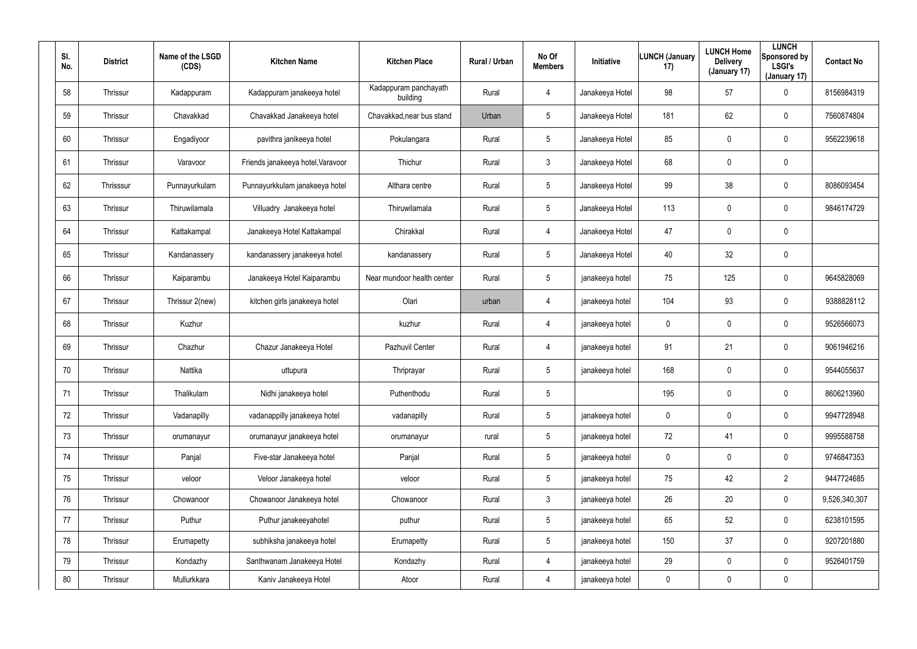| SI.<br>No. | <b>District</b> | Name of the LSGD<br>(CDS) | <b>Kitchen Name</b>               | <b>Kitchen Place</b>              | Rural / Urban | No Of<br><b>Members</b> | Initiative      | <b>LUNCH (January</b><br>17) | <b>LUNCH Home</b><br><b>Delivery</b><br>(January 17) | <b>LUNCH</b><br>Sponsored by<br><b>LSGI's</b><br>(January 17) | <b>Contact No</b> |
|------------|-----------------|---------------------------|-----------------------------------|-----------------------------------|---------------|-------------------------|-----------------|------------------------------|------------------------------------------------------|---------------------------------------------------------------|-------------------|
| 58         | Thrissur        | Kadappuram                | Kadappuram janakeeya hotel        | Kadappuram panchayath<br>building | Rural         | 4                       | Janakeeya Hotel | 98                           | 57                                                   | 0                                                             | 8156984319        |
| 59         | Thrissur        | Chavakkad                 | Chavakkad Janakeeya hotel         | Chavakkad, near bus stand         | Urban         | $5\overline{)}$         | Janakeeya Hotel | 181                          | 62                                                   | 0                                                             | 7560874804        |
| 60         | Thrissur        | Engadiyoor                | pavithra janikeeya hotel          | Pokulangara                       | Rural         | $5\phantom{.0}$         | Janakeeya Hotel | 85                           | $\mathbf 0$                                          | 0                                                             | 9562239618        |
| 61         | Thrissur        | Varavoor                  | Friends janakeeya hotel, Varavoor | Thichur                           | Rural         | $\mathbf{3}$            | Janakeeya Hotel | 68                           | $\mathbf 0$                                          | 0                                                             |                   |
| 62         | Thrisssur       | Punnayurkulam             | Punnayurkkulam janakeeya hotel    | Althara centre                    | Rural         | $5\phantom{.0}$         | Janakeeya Hotel | 99                           | 38                                                   | 0                                                             | 8086093454        |
| 63         | Thrissur        | Thiruwilamala             | Villuadry Janakeeya hotel         | Thiruwilamala                     | Rural         | $5\overline{)}$         | Janakeeya Hotel | 113                          | $\mathbf 0$                                          | 0                                                             | 9846174729        |
| 64         | Thrissur        | Kattakampal               | Janakeeya Hotel Kattakampal       | Chirakkal                         | Rural         | 4                       | Janakeeya Hotel | 47                           | $\pmb{0}$                                            | 0                                                             |                   |
| 65         | Thrissur        | Kandanassery              | kandanassery janakeeya hotel      | kandanassery                      | Rural         | $5\phantom{.0}$         | Janakeeya Hotel | 40                           | 32                                                   | 0                                                             |                   |
| 66         | Thrissur        | Kaiparambu                | Janakeeya Hotel Kaiparambu        | Near mundoor health center        | Rural         | $5\phantom{.0}$         | janakeeya hotel | 75                           | 125                                                  | 0                                                             | 9645828069        |
| 67         | Thrissur        | Thrissur 2(new)           | kitchen girls janakeeya hotel     | Olari                             | urban         | 4                       | janakeeya hotel | 104                          | 93                                                   | 0                                                             | 9388828112        |
| 68         | Thrissur        | Kuzhur                    |                                   | kuzhur                            | Rural         | 4                       | janakeeya hotel | 0                            | $\overline{0}$                                       | 0                                                             | 9526566073        |
| 69         | Thrissur        | Chazhur                   | Chazur Janakeeya Hotel            | Pazhuvil Center                   | Rural         | 4                       | janakeeya hotel | 91                           | 21                                                   | 0                                                             | 9061946216        |
| 70         | Thrissur        | Nattika                   | uttupura                          | Thriprayar                        | Rural         | 5                       | janakeeya hotel | 168                          | $\overline{0}$                                       | 0                                                             | 9544055637        |
| 71         | Thrissur        | Thalikulam                | Nidhi janakeeya hotel             | Puthenthodu                       | Rural         | 5                       |                 | 195                          | $\mathbf 0$                                          | 0                                                             | 8606213960        |
| 72         | Thrissur        | Vadanapilly               | vadanappilly janakeeya hotel      | vadanapilly                       | Rural         | $5\phantom{.0}$         | janakeeya hotel | $\mathbf 0$                  | $\overline{0}$                                       | 0                                                             | 9947728948        |
| 73         | Thrissur        | orumanayur                | orumanayur janakeeya hotel        | orumanayur                        | rural         | $5\phantom{.0}$         | janakeeya hotel | 72                           | 41                                                   | 0                                                             | 9995588758        |
| 74         | Thrissur        | Panjal                    | Five-star Janakeeya hotel         | Panjal                            | Rural         | $5\phantom{.0}$         | janakeeya hotel | $\mathbf 0$                  | $\mathbf 0$                                          | 0                                                             | 9746847353        |
| 75         | Thrissur        | veloor                    | Veloor Janakeeya hotel            | veloor                            | Rural         | $5\phantom{.0}$         | janakeeya hotel | 75                           | 42                                                   | $\overline{2}$                                                | 9447724685        |
| 76         | Thrissur        | Chowanoor                 | Chowanoor Janakeeya hotel         | Chowanoor                         | Rural         | $\mathfrak{Z}$          | janakeeya hotel | 26                           | 20                                                   | 0                                                             | 9,526,340,307     |
| 77         | Thrissur        | Puthur                    | Puthur janakeeyahotel             | puthur                            | Rural         | $5\phantom{.0}$         | janakeeya hotel | 65                           | 52                                                   | 0                                                             | 6238101595        |
| 78         | Thrissur        | Erumapetty                | subhiksha janakeeya hotel         | Erumapetty                        | Rural         | $5\phantom{.0}$         | janakeeya hotel | 150                          | 37                                                   | 0                                                             | 9207201880        |
| 79         | Thrissur        | Kondazhy                  | Santhwanam Janakeeya Hotel        | Kondazhy                          | Rural         | 4                       | janakeeya hotel | 29                           | $\overline{0}$                                       | 0                                                             | 9526401759        |
| 80         | Thrissur        | Mullurkkara               | Kaniv Janakeeya Hotel             | Atoor                             | Rural         | 4                       | janakeeya hotel | 0                            | $\mathbf 0$                                          | 0                                                             |                   |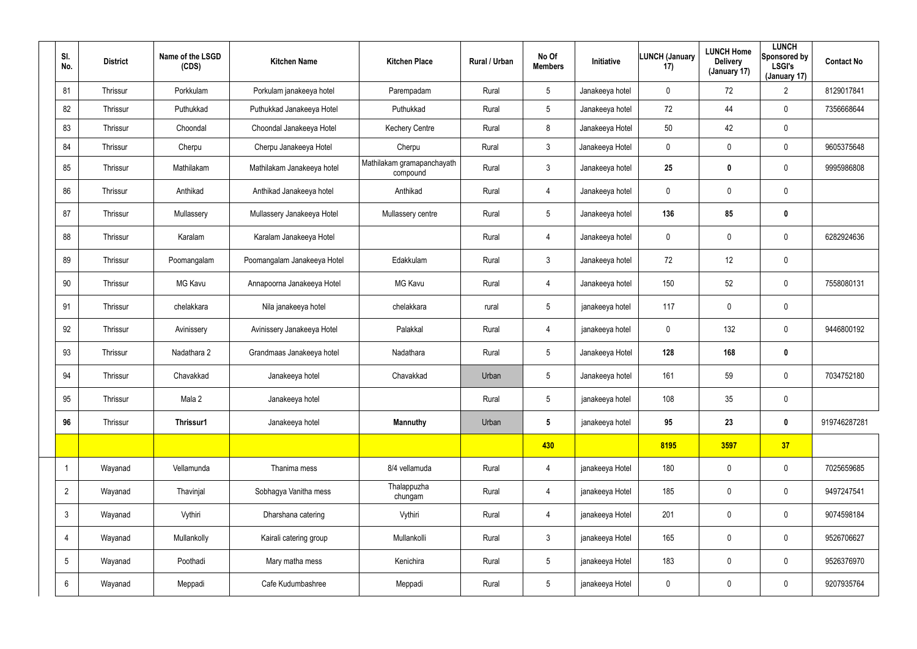| SI.<br>No.      | <b>District</b> | Name of the LSGD<br>(CDS) | <b>Kitchen Name</b>         | <b>Kitchen Place</b>                   | Rural / Urban | No Of<br><b>Members</b> | Initiative      | <b>LUNCH (January</b><br>17) | <b>LUNCH Home</b><br><b>Delivery</b><br>(January 17) | <b>LUNCH</b><br>Sponsored by<br><b>LSGI's</b><br>(January 17) | <b>Contact No</b> |
|-----------------|-----------------|---------------------------|-----------------------------|----------------------------------------|---------------|-------------------------|-----------------|------------------------------|------------------------------------------------------|---------------------------------------------------------------|-------------------|
| 81              | Thrissur        | Porkkulam                 | Porkulam janakeeya hotel    | Parempadam                             | Rural         | $5\phantom{.0}$         | Janakeeya hotel | $\mathbf 0$                  | 72                                                   | $\overline{2}$                                                | 8129017841        |
| 82              | Thrissur        | Puthukkad                 | Puthukkad Janakeeya Hotel   | Puthukkad                              | Rural         | $5\overline{)}$         | Janakeeya hotel | 72                           | 44                                                   | $\mathbf 0$                                                   | 7356668644        |
| 83              | Thrissur        | Choondal                  | Choondal Janakeeya Hotel    | <b>Kechery Centre</b>                  | Rural         | 8                       | Janakeeya Hotel | 50                           | 42                                                   | $\mathbf 0$                                                   |                   |
| 84              | Thrissur        | Cherpu                    | Cherpu Janakeeya Hotel      | Cherpu                                 | Rural         | $\mathbf{3}$            | Janakeeya Hotel | $\mathbf 0$                  | 0                                                    | $\mathbf 0$                                                   | 9605375648        |
| 85              | Thrissur        | Mathilakam                | Mathilakam Janakeeya hotel  | Mathilakam gramapanchayath<br>compound | Rural         | $\mathbf{3}$            | Janakeeya hotel | 25                           | $\bf{0}$                                             | $\mathbf 0$                                                   | 9995986808        |
| 86              | Thrissur        | Anthikad                  | Anthikad Janakeeya hotel    | Anthikad                               | Rural         | $\overline{4}$          | Janakeeya hotel | 0                            | 0                                                    | $\mathbf 0$                                                   |                   |
| 87              | Thrissur        | Mullassery                | Mullassery Janakeeya Hotel  | Mullassery centre                      | Rural         | $\sqrt{5}$              | Janakeeya hotel | 136                          | 85                                                   | $\pmb{0}$                                                     |                   |
| 88              | Thrissur        | Karalam                   | Karalam Janakeeya Hotel     |                                        | Rural         | $\overline{4}$          | Janakeeya hotel | 0                            | 0                                                    | $\pmb{0}$                                                     | 6282924636        |
| 89              | Thrissur        | Poomangalam               | Poomangalam Janakeeya Hotel | Edakkulam                              | Rural         | $\mathfrak{Z}$          | Janakeeya hotel | 72                           | 12                                                   | $\pmb{0}$                                                     |                   |
| 90              | Thrissur        | <b>MG Kavu</b>            | Annapoorna Janakeeya Hotel  | <b>MG Kavu</b>                         | Rural         | 4                       | Janakeeya hotel | 150                          | 52                                                   | $\mathbf 0$                                                   | 7558080131        |
| 91              | Thrissur        | chelakkara                | Nila janakeeya hotel        | chelakkara                             | rural         | $\sqrt{5}$              | janakeeya hotel | 117                          | 0                                                    | $\pmb{0}$                                                     |                   |
| 92              | Thrissur        | Avinissery                | Avinissery Janakeeya Hotel  | Palakkal                               | Rural         | $\overline{4}$          | janakeeya hotel | 0                            | 132                                                  | $\mathbf 0$                                                   | 9446800192        |
| 93              | Thrissur        | Nadathara 2               | Grandmaas Janakeeya hotel   | Nadathara                              | Rural         | $\sqrt{5}$              | Janakeeya Hotel | 128                          | 168                                                  | $\pmb{0}$                                                     |                   |
| 94              | Thrissur        | Chavakkad                 | Janakeeya hotel             | Chavakkad                              | Urban         | $\sqrt{5}$              | Janakeeya hotel | 161                          | 59                                                   | $\mathbf 0$                                                   | 7034752180        |
| 95              | Thrissur        | Mala 2                    | Janakeeya hotel             |                                        | Rural         | $5\,$                   | janakeeya hotel | 108                          | 35                                                   | $\pmb{0}$                                                     |                   |
| 96              | Thrissur        | Thrissur1                 | Janakeeya hotel             | <b>Mannuthy</b>                        | Urban         | $5\phantom{.0}$         | janakeeya hotel | 95                           | 23                                                   | $\pmb{0}$                                                     | 919746287281      |
|                 |                 |                           |                             |                                        |               | 430                     |                 | 8195                         | 3597                                                 | 37                                                            |                   |
|                 | Wayanad         | Vellamunda                | Thanima mess                | 8/4 vellamuda                          | Rural         | $\overline{4}$          | janakeeya Hotel | 180                          | 0                                                    | $\pmb{0}$                                                     | 7025659685        |
| $\overline{2}$  | Wayanad         | Thavinjal                 | Sobhagya Vanitha mess       | Thalappuzha<br>chungam                 | Rural         | 4                       | janakeeya Hotel | 185                          | 0                                                    | $\pmb{0}$                                                     | 9497247541        |
| $\mathbf{3}$    | Wayanad         | Vythiri                   | Dharshana catering          | Vythiri                                | Rural         | $\overline{4}$          | janakeeya Hotel | 201                          | 0                                                    | $\mathbf 0$                                                   | 9074598184        |
| 4               | Wayanad         | Mullankolly               | Kairali catering group      | Mullankolli                            | Rural         | $\mathbf{3}$            | janakeeya Hotel | 165                          | 0                                                    | $\pmb{0}$                                                     | 9526706627        |
| $5\phantom{.0}$ | Wayanad         | Poothadi                  | Mary matha mess             | Kenichira                              | Rural         | $5\phantom{.0}$         | janakeeya Hotel | 183                          | 0                                                    | $\mathbf 0$                                                   | 9526376970        |
| 6               | Wayanad         | Meppadi                   | Cafe Kudumbashree           | Meppadi                                | Rural         | $5\phantom{.0}$         | janakeeya Hotel | 0                            | 0                                                    | $\pmb{0}$                                                     | 9207935764        |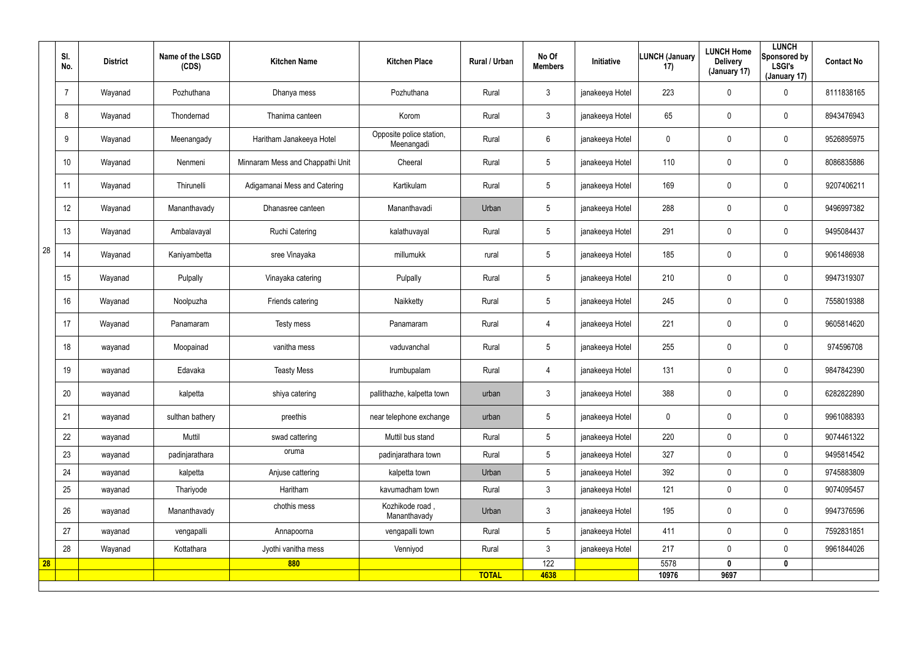|    | SI.<br>No. | <b>District</b> | Name of the LSGD<br>(CDS) | <b>Kitchen Name</b>              | <b>Kitchen Place</b>                   | Rural / Urban | No Of<br><b>Members</b> | Initiative      | LUNCH (January<br>17) | <b>LUNCH Home</b><br><b>Delivery</b><br>(January 17) | <b>LUNCH</b><br>Sponsored by<br><b>LSGI's</b><br>(January 17) | <b>Contact No</b> |
|----|------------|-----------------|---------------------------|----------------------------------|----------------------------------------|---------------|-------------------------|-----------------|-----------------------|------------------------------------------------------|---------------------------------------------------------------|-------------------|
|    |            | Wayanad         | Pozhuthana                | Dhanya mess                      | Pozhuthana                             | Rural         | $\mathbf{3}$            | janakeeya Hotel | 223                   | 0                                                    | $\mathbf 0$                                                   | 8111838165        |
|    | 8          | Wayanad         | Thondernad                | Thanima canteen                  | Korom                                  | Rural         | $\mathbf{3}$            | janakeeya Hotel | 65                    | 0                                                    | $\boldsymbol{0}$                                              | 8943476943        |
|    | 9          | Wayanad         | Meenangady                | Haritham Janakeeya Hotel         | Opposite police station,<br>Meenangadi | Rural         | $6\phantom{.}6$         | janakeeya Hotel | 0                     | 0                                                    | $\mathbf 0$                                                   | 9526895975        |
|    | 10         | Wayanad         | Nenmeni                   | Minnaram Mess and Chappathi Unit | Cheeral                                | Rural         | 5                       | janakeeya Hotel | 110                   | 0                                                    | $\boldsymbol{0}$                                              | 8086835886        |
|    | 11         | Wayanad         | Thirunelli                | Adigamanai Mess and Catering     | Kartikulam                             | Rural         | $\sqrt{5}$              | janakeeya Hotel | 169                   | $\mathbf 0$                                          | $\pmb{0}$                                                     | 9207406211        |
|    | 12         | Wayanad         | Mananthavady              | Dhanasree canteen                | Mananthavadi                           | Urban         | 5                       | janakeeya Hotel | 288                   | $\mathbf 0$                                          | $\pmb{0}$                                                     | 9496997382        |
|    | 13         | Wayanad         | Ambalavayal               | Ruchi Catering                   | kalathuvayal                           | Rural         | $5\phantom{.0}$         | janakeeya Hotel | 291                   | 0                                                    | $\boldsymbol{0}$                                              | 9495084437        |
| 28 | 14         | Wayanad         | Kaniyambetta              | sree Vinayaka                    | millumukk                              | rural         | 5                       | janakeeya Hotel | 185                   | 0                                                    | $\boldsymbol{0}$                                              | 9061486938        |
|    | 15         | Wayanad         | Pulpally                  | Vinayaka catering                | Pulpally                               | Rural         | $5\phantom{.0}$         | janakeeya Hotel | 210                   | $\mathbf 0$                                          | $\pmb{0}$                                                     | 9947319307        |
|    | 16         | Wayanad         | Noolpuzha                 | Friends catering                 | Naikketty                              | Rural         | $\sqrt{5}$              | janakeeya Hotel | 245                   | 0                                                    | $\boldsymbol{0}$                                              | 7558019388        |
|    | 17         | Wayanad         | Panamaram                 | Testy mess                       | Panamaram                              | Rural         | $\overline{4}$          | janakeeya Hotel | 221                   | 0                                                    | $\boldsymbol{0}$                                              | 9605814620        |
|    | 18         | wayanad         | Moopainad                 | vanitha mess                     | vaduvanchal                            | Rural         | $\sqrt{5}$              | janakeeya Hotel | 255                   | 0                                                    | $\mathbf 0$                                                   | 974596708         |
|    | 19         | wayanad         | Edavaka                   | <b>Teasty Mess</b>               | Irumbupalam                            | Rural         | 4                       | janakeeya Hotel | 131                   | 0                                                    | $\mathbf 0$                                                   | 9847842390        |
|    | 20         | wayanad         | kalpetta                  | shiya catering                   | pallithazhe, kalpetta town             | urban         | $\mathfrak{Z}$          | janakeeya Hotel | 388                   | $\mathbf 0$                                          | $\mathbf 0$                                                   | 6282822890        |
|    | 21         | wayanad         | sulthan bathery           | preethis                         | near telephone exchange                | urban         | $5\phantom{.0}$         | janakeeya Hotel | 0                     | $\mathbf 0$                                          | $\mathbf 0$                                                   | 9961088393        |
|    | 22         | wayanad         | Muttil                    | swad cattering                   | Muttil bus stand                       | Rural         | $5\phantom{.0}$         | janakeeya Hotel | 220                   | $\mathbf 0$                                          | $\mathbf 0$                                                   | 9074461322        |
|    | 23         | wayanad         | padinjarathara            | oruma                            | padinjarathara town                    | Rural         | 5 <sup>5</sup>          | janakeeya Hotel | 327                   | 0                                                    | $\mathbf 0$                                                   | 9495814542        |
|    | 24         | wayanad         | kalpetta                  | Anjuse cattering                 | kalpetta town                          | Urban         | $5\phantom{.0}$         | janakeeya Hotel | 392                   | $\mathbf 0$                                          | $\mathbf 0$                                                   | 9745883809        |
|    | 25         | wayanad         | Thariyode                 | Haritham                         | kavumadham town                        | Rural         | 3 <sup>1</sup>          | janakeeya Hotel | 121                   | 0                                                    | $\mathbf 0$                                                   | 9074095457        |
|    | 26         | wayanad         | Mananthavady              | chothis mess                     | Kozhikode road,<br>Mananthavady        | Urban         | $\mathbf{3}$            | janakeeya Hotel | 195                   | $\mathbf 0$                                          | $\pmb{0}$                                                     | 9947376596        |
|    | 27         | wayanad         | vengapalli                | Annapoorna                       | vengapalli town                        | Rural         | 5 <sup>5</sup>          | janakeeya Hotel | 411                   | 0                                                    | $\mathbf 0$                                                   | 7592831851        |
|    | 28         | Wayanad         | Kottathara                | Jyothi vanitha mess              | Venniyod                               | Rural         | 3 <sup>1</sup>          | janakeeya Hotel | 217                   | $\mathbf 0$                                          | $\mathbf 0$                                                   | 9961844026        |
| 28 |            |                 |                           | 880                              |                                        |               | 122                     |                 | 5578                  | $\boldsymbol{0}$                                     | $\pmb{0}$                                                     |                   |
|    |            |                 |                           |                                  |                                        | <b>TOTAL</b>  | 4638                    |                 | 10976                 | 9697                                                 |                                                               |                   |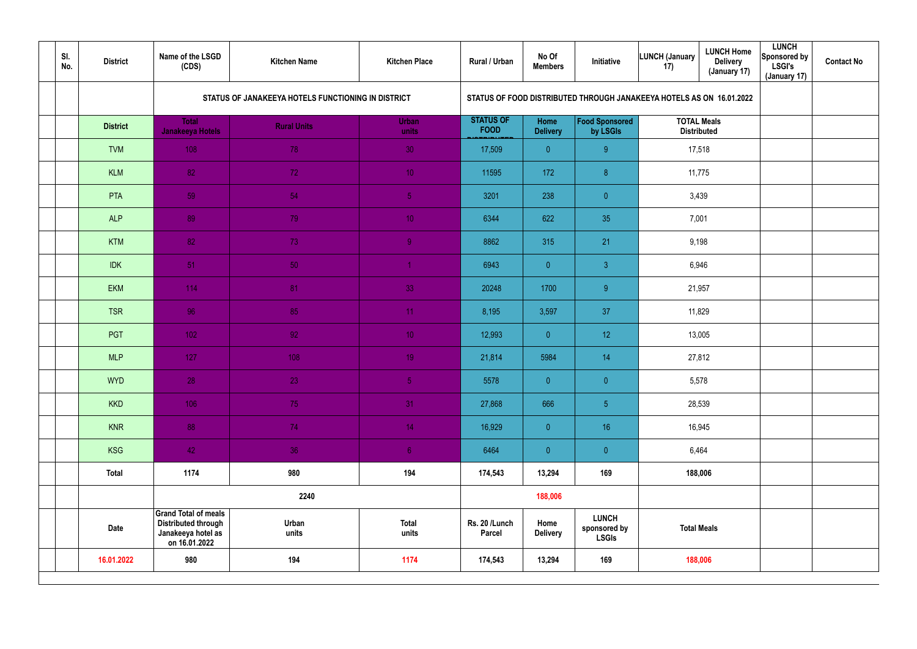| SI.<br>No. | <b>District</b> | Name of the LSGD<br>(CDS)                                                                        | <b>Kitchen Name</b>                                | <b>Kitchen Place</b>  | Rural / Urban                   | No Of<br><b>Members</b> | Initiative                                                         | <b>LUNCH Home</b><br>LUNCH (January<br><b>Delivery</b><br>17)<br>(January 17) | <b>LUNCH</b><br>Sponsored by<br><b>LSGI's</b><br>(January 17) | <b>Contact No</b> |
|------------|-----------------|--------------------------------------------------------------------------------------------------|----------------------------------------------------|-----------------------|---------------------------------|-------------------------|--------------------------------------------------------------------|-------------------------------------------------------------------------------|---------------------------------------------------------------|-------------------|
|            |                 |                                                                                                  | STATUS OF JANAKEEYA HOTELS FUNCTIONING IN DISTRICT |                       |                                 |                         |                                                                    | STATUS OF FOOD DISTRIBUTED THROUGH JANAKEEYA HOTELS AS ON 16.01.2022          |                                                               |                   |
|            | <b>District</b> | <b>Total</b><br>Janakeeya Hotels                                                                 | <b>Rural Units</b>                                 | Urban<br>units        | <b>STATUS OF</b><br><b>FOOD</b> | Home<br><b>Delivery</b> | Food Sponsored<br>by LSGIs                                         | <b>TOTAL Meals</b><br><b>Distributed</b>                                      |                                                               |                   |
|            | <b>TVM</b>      | 108                                                                                              | 78                                                 | 30 <sub>1</sub>       | 17,509                          | $\overline{0}$          | 9 <sub>o</sub>                                                     | 17,518                                                                        |                                                               |                   |
|            | <b>KLM</b>      | 82                                                                                               | 72                                                 | 10 <sup>°</sup>       | 11595                           | 172                     | 8 <sup>°</sup>                                                     | 11,775                                                                        |                                                               |                   |
|            | PTA             | 59                                                                                               | 54                                                 | 5 <sub>1</sub>        | 3201                            | 238                     | $\overline{0}$                                                     | 3,439                                                                         |                                                               |                   |
|            | <b>ALP</b>      | 89                                                                                               | 79                                                 | 10 <sub>1</sub>       | 6344                            | 622                     | 35                                                                 | 7,001                                                                         |                                                               |                   |
|            | <b>KTM</b>      | 82                                                                                               | 73                                                 | 9 <sub>o</sub>        | 8862                            | 315                     | 21                                                                 | 9,198                                                                         |                                                               |                   |
|            | <b>IDK</b>      | 51                                                                                               | 50                                                 |                       | 6943                            | $\overline{0}$          | $\mathbf{3}$                                                       | 6,946                                                                         |                                                               |                   |
|            | <b>EKM</b>      | 114                                                                                              | 81                                                 | 33                    | 20248                           | 1700                    | 9 <sub>o</sub>                                                     | 21,957                                                                        |                                                               |                   |
|            | <b>TSR</b>      | 96                                                                                               | 85                                                 | 11                    | 8,195                           | 3,597                   | 37                                                                 | 11,829                                                                        |                                                               |                   |
|            | PGT             | 102 <sub>1</sub>                                                                                 | 92 <sup>°</sup>                                    | 10 <sup>°</sup>       | 12,993                          | $\overline{0}$          | 12                                                                 | 13,005                                                                        |                                                               |                   |
|            | <b>MLP</b>      | 127                                                                                              | 108                                                | 19 <sup>°</sup>       | 21,814                          | 5984                    | 14                                                                 | 27,812                                                                        |                                                               |                   |
|            | <b>WYD</b>      | 28                                                                                               | 23                                                 | 5 <sub>1</sub>        | 5578                            | $\overline{0}$          | $\overline{0}$                                                     | 5,578                                                                         |                                                               |                   |
|            | <b>KKD</b>      | 106                                                                                              | 75                                                 | 31                    | 27,868                          | 666                     | 5 <sub>5</sub>                                                     | 28,539                                                                        |                                                               |                   |
|            | <b>KNR</b>      | 88                                                                                               | 74                                                 | 14 <sub>1</sub>       | 16,929                          | $\overline{0}$          | 16                                                                 | 16,945                                                                        |                                                               |                   |
|            | KSG             | 42                                                                                               | 36                                                 | 6 <sup>1</sup>        | 6464                            | $\overline{0}$          | $\overline{0}$                                                     | 6,464                                                                         |                                                               |                   |
|            | <b>Total</b>    | 1174                                                                                             | 980                                                | 194                   | 174,543                         | 13,294                  | 169                                                                | 188,006                                                                       |                                                               |                   |
|            |                 |                                                                                                  | 2240                                               |                       |                                 | 188,006                 |                                                                    |                                                                               |                                                               |                   |
|            | <b>Date</b>     | <b>Grand Total of meals</b><br><b>Distributed through</b><br>Janakeeya hotel as<br>on 16.01.2022 | Urban<br>units                                     | <b>Total</b><br>units | Rs. 20 /Lunch<br>Parcel         | Home<br><b>Delivery</b> | <b>LUNCH</b><br><b>Total Meals</b><br>sponsored by<br><b>LSGIs</b> |                                                                               |                                                               |                   |
|            | 16.01.2022      | 980                                                                                              | 194                                                | 1174                  | 174,543                         | 13,294                  | 169                                                                | 188,006                                                                       |                                                               |                   |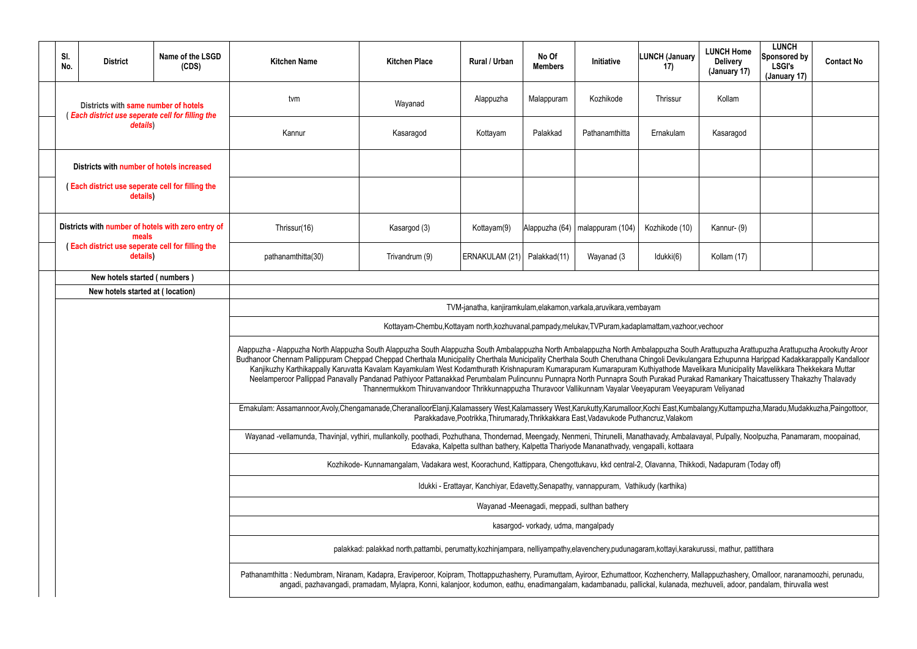|             | <b>LUNCH Home</b><br><b>Delivery</b><br>(January 17)                                                                                                                                                                                       | <b>LUNCH</b><br>Sponsored by<br><b>LSGI's</b><br>(January 17) | <b>Contact No</b> |  |  |  |  |  |  |  |
|-------------|--------------------------------------------------------------------------------------------------------------------------------------------------------------------------------------------------------------------------------------------|---------------------------------------------------------------|-------------------|--|--|--|--|--|--|--|
|             | Kollam                                                                                                                                                                                                                                     |                                                               |                   |  |  |  |  |  |  |  |
|             | Kasaragod                                                                                                                                                                                                                                  |                                                               |                   |  |  |  |  |  |  |  |
|             |                                                                                                                                                                                                                                            |                                                               |                   |  |  |  |  |  |  |  |
|             |                                                                                                                                                                                                                                            |                                                               |                   |  |  |  |  |  |  |  |
|             | Kannur- (9)                                                                                                                                                                                                                                |                                                               |                   |  |  |  |  |  |  |  |
| Kollam (17) |                                                                                                                                                                                                                                            |                                                               |                   |  |  |  |  |  |  |  |
|             |                                                                                                                                                                                                                                            |                                                               |                   |  |  |  |  |  |  |  |
|             |                                                                                                                                                                                                                                            |                                                               |                   |  |  |  |  |  |  |  |
|             | r,vechoor                                                                                                                                                                                                                                  |                                                               |                   |  |  |  |  |  |  |  |
|             | th Arattupuzha Arattupuzha Arattupuzha Arookutty Aroor<br>ngara Ezhupunna Harippad Kadakkarappally Kandalloor<br>velikara Municipality Mavelikkara Thekkekara Muttar<br>kad Ramankary Thaicattussery Thakazhy Thalavady<br>puram Veliyanad |                                                               |                   |  |  |  |  |  |  |  |
|             | balangy, Kuttampuzha, Maradu, Mudakkuzha, Paingottoor,                                                                                                                                                                                     |                                                               |                   |  |  |  |  |  |  |  |
|             | avayal, Pulpally, Noolpuzha, Panamaram, moopainad,                                                                                                                                                                                         |                                                               |                   |  |  |  |  |  |  |  |
|             | kodi, Nadapuram (Today off)                                                                                                                                                                                                                |                                                               |                   |  |  |  |  |  |  |  |
|             |                                                                                                                                                                                                                                            |                                                               |                   |  |  |  |  |  |  |  |
|             |                                                                                                                                                                                                                                            |                                                               |                   |  |  |  |  |  |  |  |
|             |                                                                                                                                                                                                                                            |                                                               |                   |  |  |  |  |  |  |  |
|             | kurussi, mathur, pattithara                                                                                                                                                                                                                |                                                               |                   |  |  |  |  |  |  |  |
|             | Mallappuzhashery, Omalloor, naranamoozhi, perunadu,<br>nezhuveli, adoor, pandalam, thiruvalla west                                                                                                                                         |                                                               |                   |  |  |  |  |  |  |  |

| SI.<br>No.                                                   | <b>District</b>                                                                          | Name of the LSGD<br>(CDS) | <b>Kitchen Name</b>                                                                                                                                                                                                                                                                                                                                                                                                                                                                                                                                                                                                                                                                                                                                            | <b>Kitchen Place</b>                                                                                                                                                    | Rural / Urban                                                                         | No Of<br><b>Members</b>             | <b>Initiative</b>                            | <b>LUNCH (January</b><br>17) | <b>LUNCH Home</b><br><b>Delivery</b><br>(January 17) | <b>LUNCH</b><br>Sponsored by<br><b>LSGI's</b><br>(January 17) | <b>Contact No</b> |  |  |
|--------------------------------------------------------------|------------------------------------------------------------------------------------------|---------------------------|----------------------------------------------------------------------------------------------------------------------------------------------------------------------------------------------------------------------------------------------------------------------------------------------------------------------------------------------------------------------------------------------------------------------------------------------------------------------------------------------------------------------------------------------------------------------------------------------------------------------------------------------------------------------------------------------------------------------------------------------------------------|-------------------------------------------------------------------------------------------------------------------------------------------------------------------------|---------------------------------------------------------------------------------------|-------------------------------------|----------------------------------------------|------------------------------|------------------------------------------------------|---------------------------------------------------------------|-------------------|--|--|
|                                                              | Districts with same number of hotels<br>(Each district use seperate cell for filling the |                           | tvm                                                                                                                                                                                                                                                                                                                                                                                                                                                                                                                                                                                                                                                                                                                                                            | Wayanad                                                                                                                                                                 | Alappuzha                                                                             | Malappuram                          | Kozhikode                                    | Thrissur                     | Kollam                                               |                                                               |                   |  |  |
|                                                              | details)                                                                                 |                           | Kannur                                                                                                                                                                                                                                                                                                                                                                                                                                                                                                                                                                                                                                                                                                                                                         | Kasaragod                                                                                                                                                               | Kottayam                                                                              | Palakkad                            | Pathanamthitta                               | Ernakulam                    | Kasaragod                                            |                                                               |                   |  |  |
|                                                              | Districts with number of hotels increased                                                |                           |                                                                                                                                                                                                                                                                                                                                                                                                                                                                                                                                                                                                                                                                                                                                                                |                                                                                                                                                                         |                                                                                       |                                     |                                              |                              |                                                      |                                                               |                   |  |  |
| (Each district use seperate cell for filling the<br>details) |                                                                                          |                           |                                                                                                                                                                                                                                                                                                                                                                                                                                                                                                                                                                                                                                                                                                                                                                |                                                                                                                                                                         |                                                                                       |                                     |                                              |                              |                                                      |                                                               |                   |  |  |
| Districts with number of hotels with zero entry of<br>meals  |                                                                                          | Thrissur(16)              | Kasargod (3)                                                                                                                                                                                                                                                                                                                                                                                                                                                                                                                                                                                                                                                                                                                                                   | Kottayam(9)                                                                                                                                                             | Alappuzha (64)                                                                        | malappuram (104)                    | Kozhikode (10)                               | Kannur- (9)                  |                                                      |                                                               |                   |  |  |
| (Each district use seperate cell for filling the<br>details) |                                                                                          |                           | pathanamthitta(30)                                                                                                                                                                                                                                                                                                                                                                                                                                                                                                                                                                                                                                                                                                                                             | Trivandrum (9)                                                                                                                                                          | ERNAKULAM (21)                                                                        | Palakkad(11)                        | Wayanad (3                                   | Idukki(6)                    | Kollam (17)                                          |                                                               |                   |  |  |
| New hotels started (numbers)                                 |                                                                                          |                           |                                                                                                                                                                                                                                                                                                                                                                                                                                                                                                                                                                                                                                                                                                                                                                |                                                                                                                                                                         |                                                                                       |                                     |                                              |                              |                                                      |                                                               |                   |  |  |
| New hotels started at (location)                             |                                                                                          |                           |                                                                                                                                                                                                                                                                                                                                                                                                                                                                                                                                                                                                                                                                                                                                                                |                                                                                                                                                                         |                                                                                       |                                     |                                              |                              |                                                      |                                                               |                   |  |  |
|                                                              |                                                                                          |                           |                                                                                                                                                                                                                                                                                                                                                                                                                                                                                                                                                                                                                                                                                                                                                                |                                                                                                                                                                         | TVM-janatha, kanjiramkulam, elakamon, varkala, aruvikara, vembayam                    |                                     |                                              |                              |                                                      |                                                               |                   |  |  |
|                                                              |                                                                                          |                           |                                                                                                                                                                                                                                                                                                                                                                                                                                                                                                                                                                                                                                                                                                                                                                | Kottayam-Chembu, Kottayam north, kozhuvanal, pampady, melukav, TVPuram, kadaplamattam, vazhoor, vechoor                                                                 |                                                                                       |                                     |                                              |                              |                                                      |                                                               |                   |  |  |
|                                                              |                                                                                          |                           | Alappuzha - Alappuzha North Alappuzha South Alappuzha South Alappuzha South Ambalappuzha North Ambalappuzha North Ambalappuzha South Arattupuzha Arattupuzha Arattupuzha Arookutty Aroor<br>Budhanoor Chennam Pallippuram Cheppad Cheppad Cherthala Municipality Cherthala Municipality Cherthala South Cheruthana Chingoli Devikulangara Ezhupunna Harippad Kadakkarappally Kandalloor<br>Kanjikuzhy Karthikappally Karuvatta Kavalam Kayamkulam West Kodamthurath Krishnapuram Kumarapuram Kumarapuram Kuthiyathode Mavelikara Municipality Mavelikkara Thekkekara Muttar<br>Neelamperoor Pallippad Panavally Pandanad Pathiyoor Pattanakkad Perumbalam Pulincunnu Punnapra North Punnapra South Purakad Purakad Ramankary Thaicattussery Thakazhy Thalavady | Thannermukkom Thiruvanvandoor Thrikkunnappuzha Thuravoor Vallikunnam Vayalar Veeyapuram Veeyapuram Veliyanad                                                            |                                                                                       |                                     |                                              |                              |                                                      |                                                               |                   |  |  |
|                                                              |                                                                                          |                           | Ernakulam: Assamannoor,Avoly,Chengamanade,CheranalloorElanji,Kalamassery West,Kalamassery West,Karukutty,Karumalloor,Kochi East,Kumbalangy,Kuttampuzha,Maradu,Mudakkuzha,Paingottoor,<br>Parakkadave, Pootrikka, Thirumarady, Thrikkakkara East, Vadavukode Puthancruz, Valakom                                                                                                                                                                                                                                                                                                                                                                                                                                                                                |                                                                                                                                                                         |                                                                                       |                                     |                                              |                              |                                                      |                                                               |                   |  |  |
|                                                              |                                                                                          |                           | Wayanad -vellamunda, Thavinjal, vythiri, mullankolly, poothadi, Pozhuthana, Thondernad, Meengady, Nenmeni, Thirunelli, Manathavady, Ambalavayal, Pulpally, Noolpuzha, Panamaram, moopainad,<br>Edavaka, Kalpetta sulthan bathery, Kalpetta Thariyode Mananathyady, vengapalli, kottaara                                                                                                                                                                                                                                                                                                                                                                                                                                                                        |                                                                                                                                                                         |                                                                                       |                                     |                                              |                              |                                                      |                                                               |                   |  |  |
|                                                              |                                                                                          |                           |                                                                                                                                                                                                                                                                                                                                                                                                                                                                                                                                                                                                                                                                                                                                                                | Kozhikode- Kunnamangalam, Vadakara west, Koorachund, Kattippara, Chengottukavu, kkd central-2, Olavanna, Thikkodi, Nadapuram (Today off)                                |                                                                                       |                                     |                                              |                              |                                                      |                                                               |                   |  |  |
|                                                              |                                                                                          |                           |                                                                                                                                                                                                                                                                                                                                                                                                                                                                                                                                                                                                                                                                                                                                                                |                                                                                                                                                                         | Idukki - Erattayar, Kanchiyar, Edavetty, Senapathy, vannappuram, Vathikudy (karthika) |                                     |                                              |                              |                                                      |                                                               |                   |  |  |
|                                                              |                                                                                          |                           |                                                                                                                                                                                                                                                                                                                                                                                                                                                                                                                                                                                                                                                                                                                                                                |                                                                                                                                                                         |                                                                                       |                                     | Wayanad -Meenagadi, meppadi, sulthan bathery |                              |                                                      |                                                               |                   |  |  |
|                                                              |                                                                                          |                           |                                                                                                                                                                                                                                                                                                                                                                                                                                                                                                                                                                                                                                                                                                                                                                |                                                                                                                                                                         |                                                                                       | kasargod- vorkady, udma, mangalpady |                                              |                              |                                                      |                                                               |                   |  |  |
|                                                              |                                                                                          |                           | palakkad: palakkad north,pattambi, perumatty,kozhinjampara, nelliyampathy,elavenchery,pudunagaram,kottayi,karakurussi, mathur, pattithara                                                                                                                                                                                                                                                                                                                                                                                                                                                                                                                                                                                                                      |                                                                                                                                                                         |                                                                                       |                                     |                                              |                              |                                                      |                                                               |                   |  |  |
|                                                              |                                                                                          |                           | Pathanamthitta: Nedumbram, Niranam, Kadapra, Eraviperoor, Koipram, Thottappuzhasherry, Puramuttam, Ayiroor, Ezhumattoor, Kozhencherry, Mallappuzhashery, Omalloor, naranamoozhi, perunadu,                                                                                                                                                                                                                                                                                                                                                                                                                                                                                                                                                                     | angadi, pazhavangadi, pramadam, Mylapra, Konni, kalanjoor, kodumon, eathu, enadimangalam, kadambanadu, pallickal, kulanada, mezhuveli, adoor, pandalam, thiruvalla west |                                                                                       |                                     |                                              |                              |                                                      |                                                               |                   |  |  |